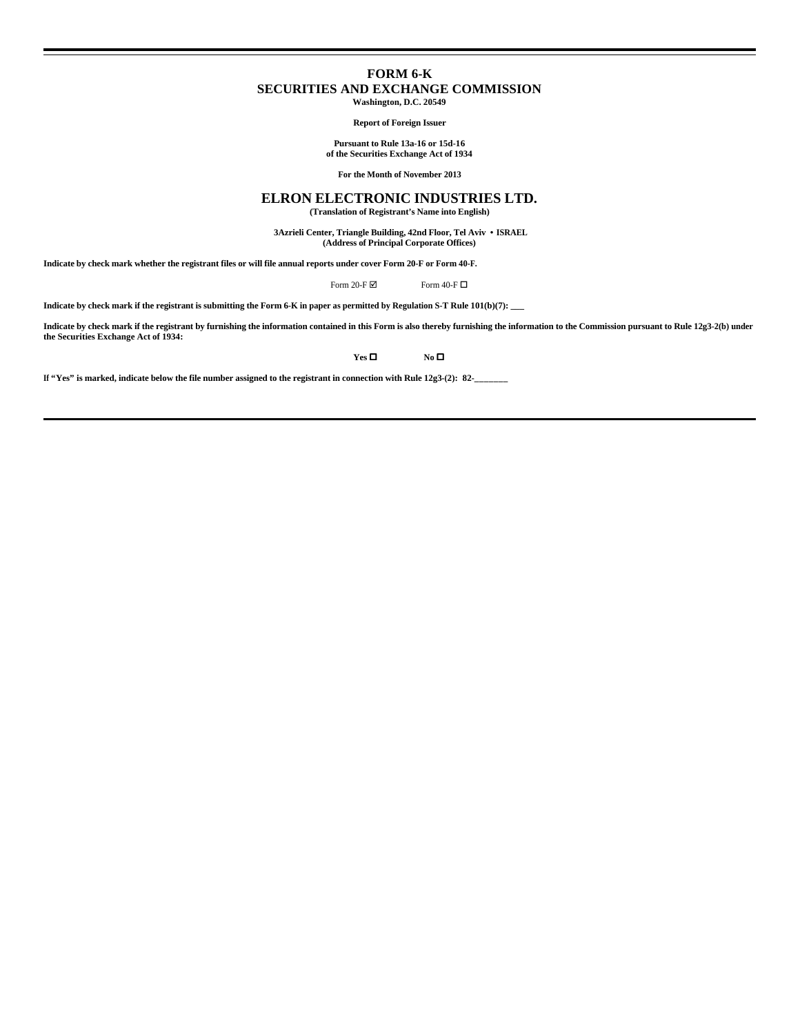## **FORM 6-K SECURITIES AND EXCHANGE COMMISSION Washington, D.C. 20549**

**Report of Foreign Issuer**

**Pursuant to Rule 13a-16 or 15d-16**

**of the Securities Exchange Act of 1934**

**For the Month of November 2013**

## **ELRON ELECTRONIC INDUSTRIES LTD.**

**(Translation of Registrant's Name into English)**

 **3Azrieli Center, Triangle Building, 42nd Floor, Tel Aviv • ISRAEL (Address of Principal Corporate Offices)**

**Indicate by check mark whether the registrant files or will file annual reports under cover Form 20-F or Form 40-F.**

Form 20-F  $\boxtimes$  Form 40-F  $\Box$ 

**Indicate by check mark if the registrant is submitting the Form 6-K in paper as permitted by Regulation S-T Rule 101(b)(7): \_\_\_**

**Indicate by check mark if the registrant by furnishing the information contained in this Form is also thereby furnishing the information to the Commission pursuant to Rule 12g3-2(b) under the Securities Exchange Act of 1934:**

**Yes O No O** 

**If "Yes" is marked, indicate below the file number assigned to the registrant in connection with Rule 12g3-(2): 82-\_\_\_\_\_\_\_**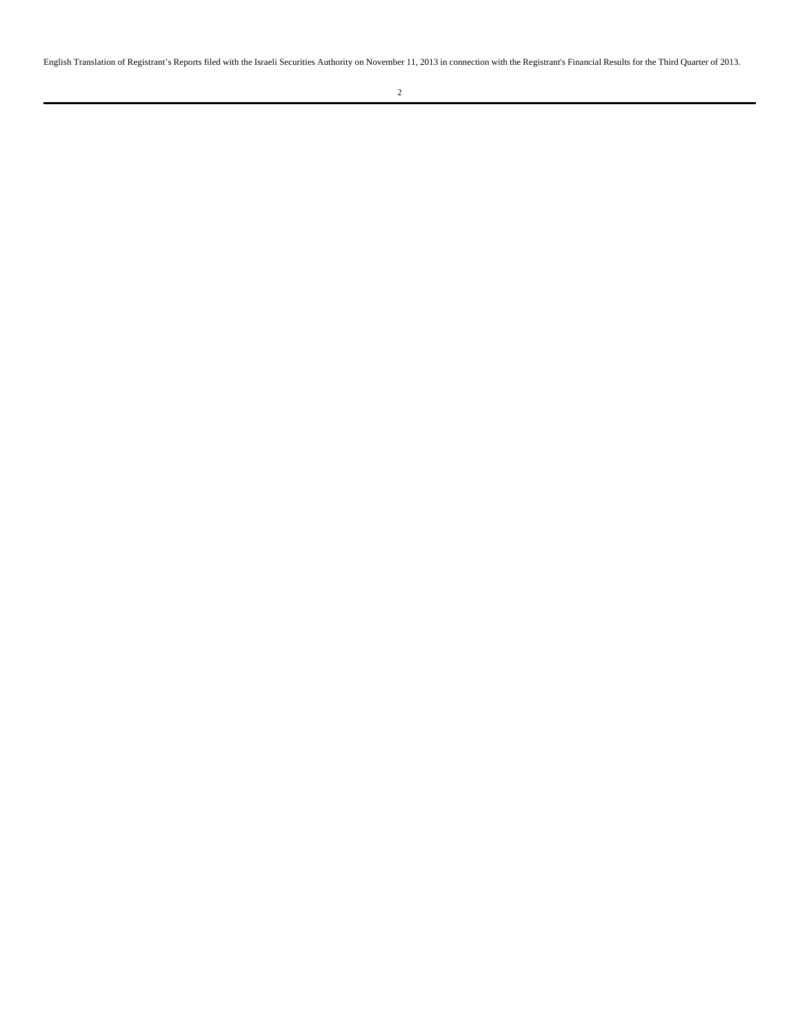English Translation of Registrant's Reports filed with the Israeli Securities Authority on November 11, 2013 in connection with the Registrant's Financial Results for the Third Quarter of 2013.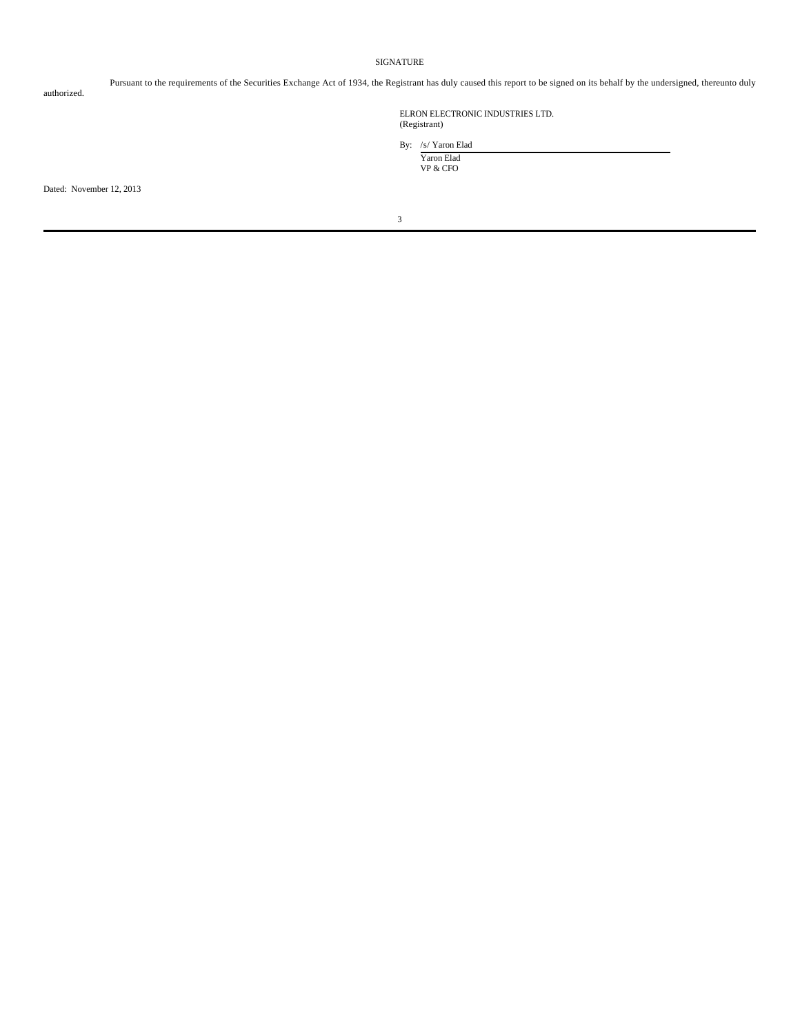## SIGNATURE

authorized.

Pursuant to the requirements of the Securities Exchange Act of 1934, the Registrant has duly caused this report to be signed on its behalf by the undersigned, thereunto duly

ELRON ELECTRONIC INDUSTRIES LTD. (Registrant)

By: /s/ Yaron Elad Yaron Elad

VP & CFO

Dated: November 12, 2013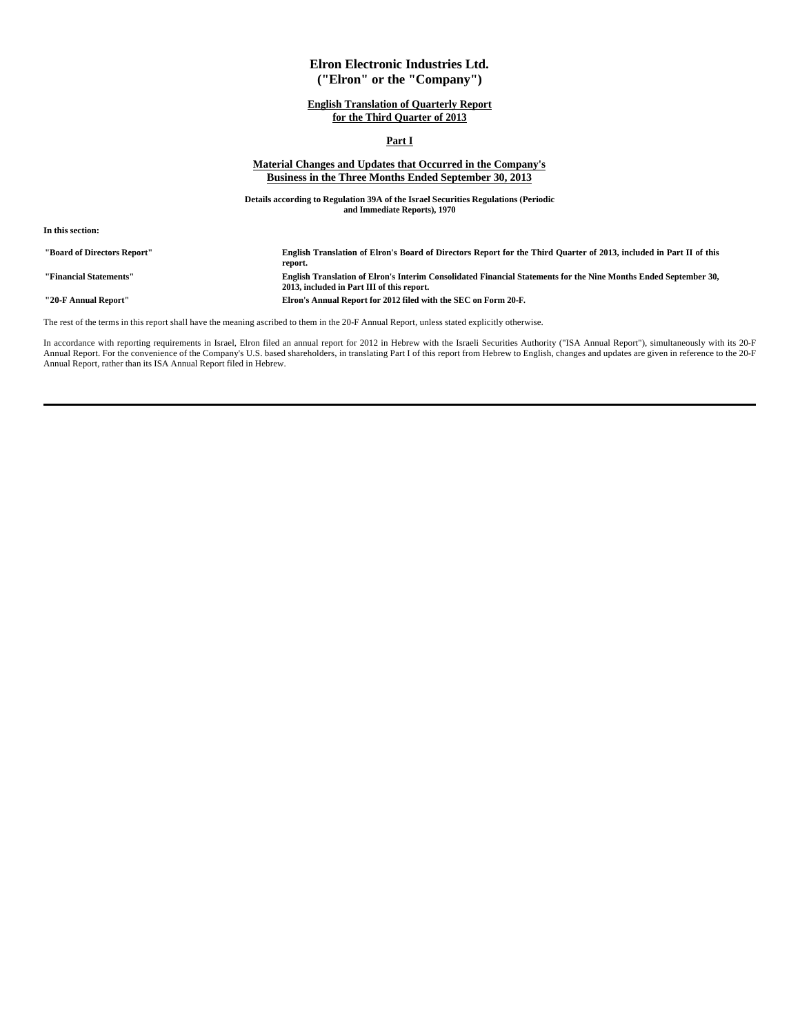## **Elron Electronic Industries Ltd. ("Elron" or the "Company")**

## **English Translation of Quarterly Report for the Third Quarter of 2013**

## **Part I**

## **Material Changes and Updates that Occurred in the Company's Business in the Three Months Ended September 30, 2013**

**Details according to Regulation 39A of the Israel Securities Regulations (Periodic and Immediate Reports), 1970**

**In this section:**

| "Board of Directors Report" | English Translation of Elron's Board of Directors Report for the Third Quarter of 2013, included in Part II of this<br>report.                                 |
|-----------------------------|----------------------------------------------------------------------------------------------------------------------------------------------------------------|
| "Financial Statements"      | English Translation of Elron's Interim Consolidated Financial Statements for the Nine Months Ended September 30,<br>2013, included in Part III of this report. |
| "20-F Annual Report"        | Elron's Annual Report for 2012 filed with the SEC on Form 20-F.                                                                                                |

The rest of the terms in this report shall have the meaning ascribed to them in the 20-F Annual Report, unless stated explicitly otherwise.

In accordance with reporting requirements in Israel, Elron filed an annual report for 2012 in Hebrew with the Israeli Securities Authority ("ISA Annual Report"), simultaneously with its 20-F Annual Report. For the convenience of the Company's U.S. based shareholders, in translating Part I of this report from Hebrew to English, changes and updates are given in reference to the 20-F<br>Annual Report, rather than it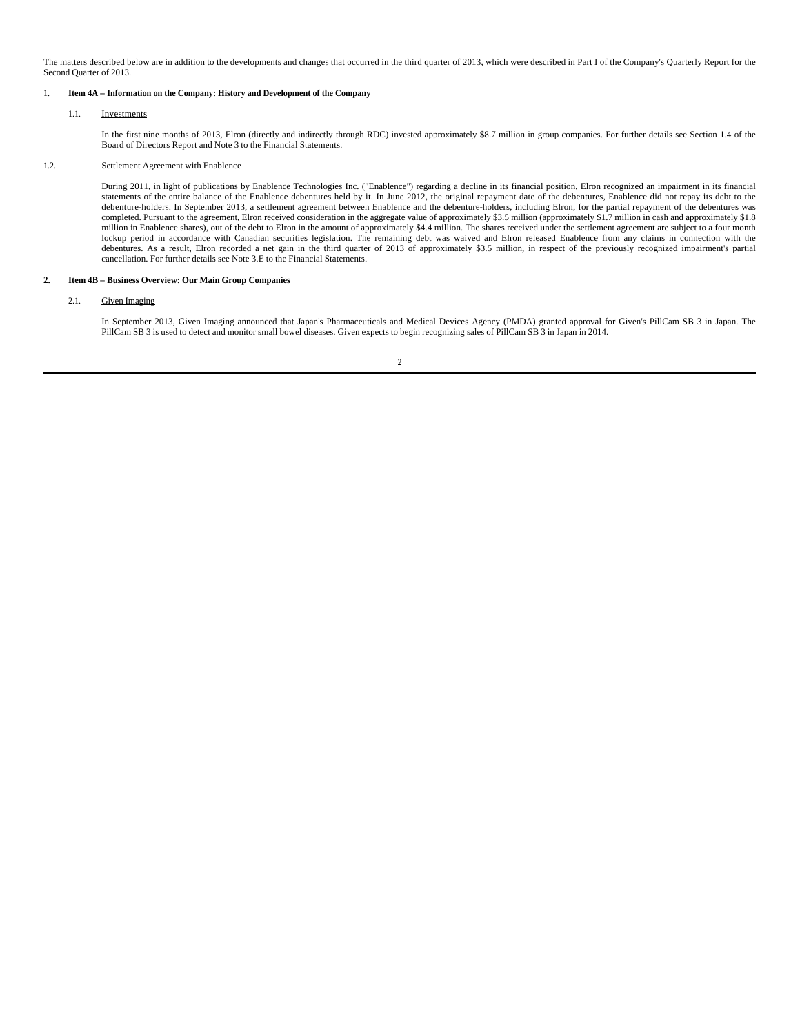The matters described below are in addition to the developments and changes that occurred in the third quarter of 2013, which were described in Part I of the Company's Quarterly Report for the Second Quarter of 2013.

## 1. **Item 4A – Information on the Company: History and Development of the Company**

## 1.1. Investments

In the first nine months of 2013, Elron (directly and indirectly through RDC) invested approximately \$8.7 million in group companies. For further details see Section 1.4 of the Board of Directors Report and Note 3 to the Financial Statements.

## 1.2. Settlement Agreement with Enablence

During 2011, in light of publications by Enablence Technologies Inc. ("Enablence") regarding a decline in its financial position, Elron recognized an impairment in its financial statements of the entire balance of the Enablence debentures held by it. In June 2012, the original repayment date of the debentures, Enablence did not repay its debt to the debenture-holders. In September 2013, a settlement agreement between Enablence and the debenture-holders, including Elron, for the partial repayment of the debentures was completed. Pursuant to the agreement, Elron received consideration in the aggregate value of approximately \$3.5 million (approximately \$1.7 million in cash and approximately \$1.8 million in Enablence shares), out of the debt to Elron in the amount of approximately \$4.4 million. The shares received under the settlement agreement are subject to a four month lockup period in accordance with Canadian securities legislation. The remaining debt was waived and Elron released Enablence from any claims in connection with the debentures. As a result, Elron recorded a net gain in the third quarter of 2013 of approximately \$3.5 million, in respect of the previously recognized impairment's partial cancellation. For further details see Note 3.E to the Financial Statements.

## **2. Item 4B – Business Overview: Our Main Group Companies**

## 2.1. Given Imaging

In September 2013, Given Imaging announced that Japan's Pharmaceuticals and Medical Devices Agency (PMDA) granted approval for Given's PillCam SB 3 in Japan. The PillCam SB 3 is used to detect and monitor small bowel diseases. Given expects to begin recognizing sales of PillCam SB 3 in Japan in 2014.

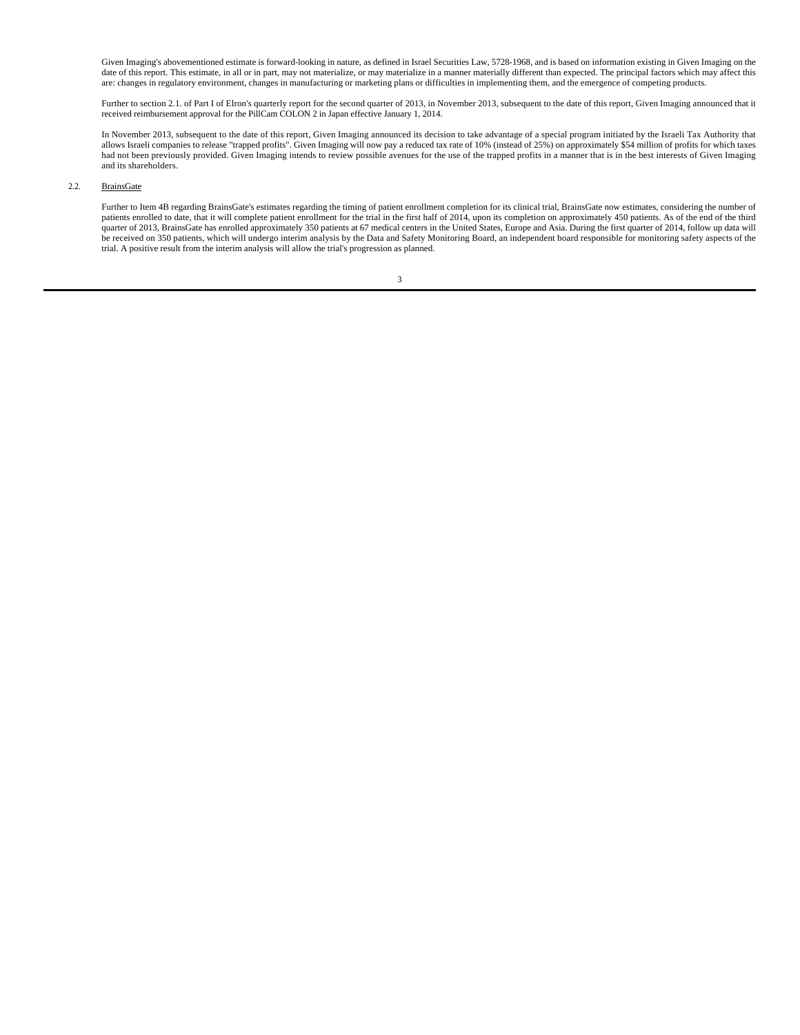Given Imaging's abovementioned estimate is forward-looking in nature, as defined in Israel Securities Law, 5728-1968, and is based on information existing in Given Imaging on the date of this report. This estimate, in all or in part, may not materialize, or may materialize in a manner materially different than expected. The principal factors which may affect this are: changes in regulatory environment, changes in manufacturing or marketing plans or difficulties in implementing them, and the emergence of competing products.

Further to section 2.1. of Part I of Elron's quarterly report for the second quarter of 2013, in November 2013, subsequent to the date of this report, Given Imaging announced that it received reimbursement approval for the PillCam COLON 2 in Japan effective January 1, 2014.

In November 2013, subsequent to the date of this report, Given Imaging announced its decision to take advantage of a special program initiated by the Israeli Tax Authority that allows Israeli companies to release "trapped profits". Given Imaging will now pay a reduced tax rate of 10% (instead of 25%) on approximately \$54 million of profits for which taxes had not been previously provided. Given Imaging intends to review possible avenues for the use of the trapped profits in a manner that is in the best interests of Given Imaging and its shareholders.

## 2.2. BrainsGate

Further to Item 4B regarding BrainsGate's estimates regarding the timing of patient enrollment completion for its clinical trial, BrainsGate now estimates, considering the number of patients enrolled to date, that it will complete patient enrollment for the trial in the first half of 2014, upon its completion on approximately 450 patients. As of the end of the third quarter of 2013, BrainsGate has enrolled approximately 350 patients at 67 medical centers in the United States, Europe and Asia. During the first quarter of 2014, follow up data will<br>be received on 350 patients, which will trial. A positive result from the interim analysis will allow the trial's progression as planned.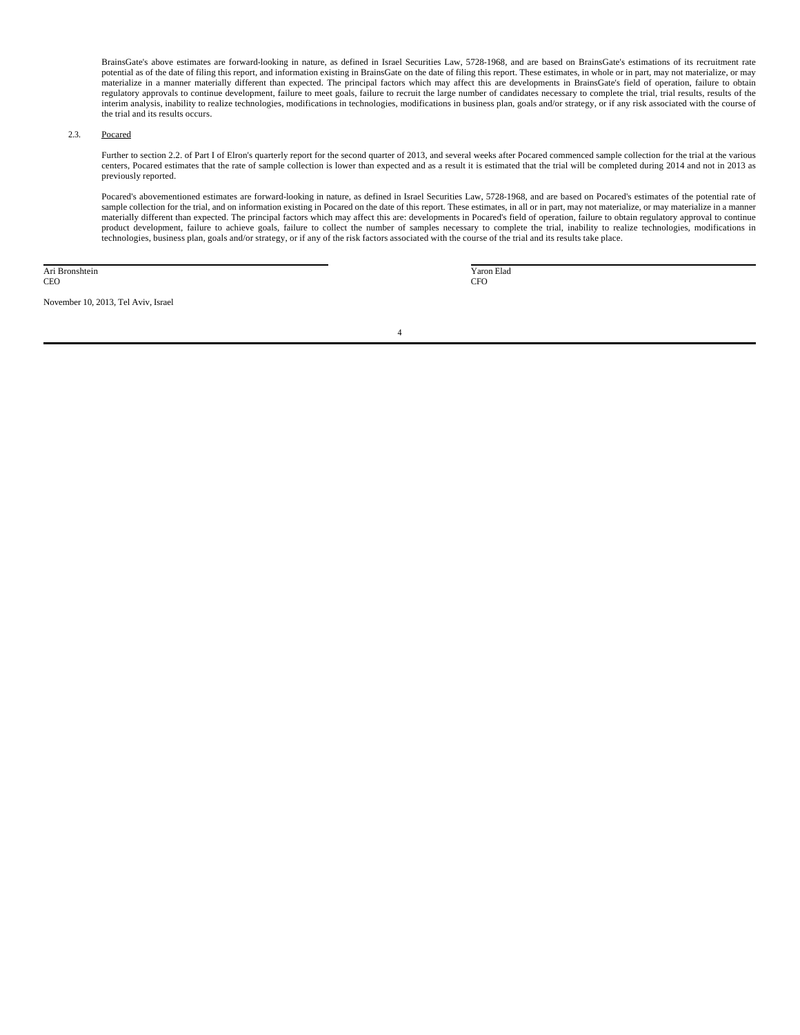BrainsGate's above estimates are forward-looking in nature, as defined in Israel Securities Law, 5728-1968, and are based on BrainsGate's estimations of its recruitment rate potential as of the date of filing this report, and information existing in BrainsGate on the date of filing this report. These estimates, in whole or in part, may not materialize, or may materialize in a manner materially different than expected. The principal factors which may affect this are developments in BrainsGate's field of operation, failure to obtain regulatory approvals to continue development, failure to meet goals, failure to recruit the large number of candidates necessary to complete the trial, trial results, results of the interim analysis, inability to realize technologies, modifications in technologies, modifications in business plan, goals and/or strategy, or if any risk associated with the course of the trial and its results occurs.

## 2.3. Pocared

Further to section 2.2. of Part I of Elron's quarterly report for the second quarter of 2013, and several weeks after Pocared commenced sample collection for the trial at the various centers, Pocared estimates that the rate of sample collection is lower than expected and as a result it is estimated that the trial will be completed during 2014 and not in 2013 as previously reported.

Pocared's abovementioned estimates are forward-looking in nature, as defined in Israel Securities Law, 5728-1968, and are based on Pocared's estimates of the potential rate of sample collection for the trial, and on information existing in Pocared on the date of this report. These estimates, in all or in part, may not materialize, or may materialize in a manner materially different than expected. The principal factors which may affect this are: developments in Pocared's field of operation, failure to obtain regulatory approval to continue product development, failure to achieve goals, failure to collect the number of samples necessary to complete the trial, inability to realize technologies, modifications in technologies, business plan, goals and/or strategy, or if any of the risk factors associated with the course of the trial and its results take place.

Ari Bronshtein CEO

November 10, 2013, Tel Aviv, Israel

 Yaron Elad CFO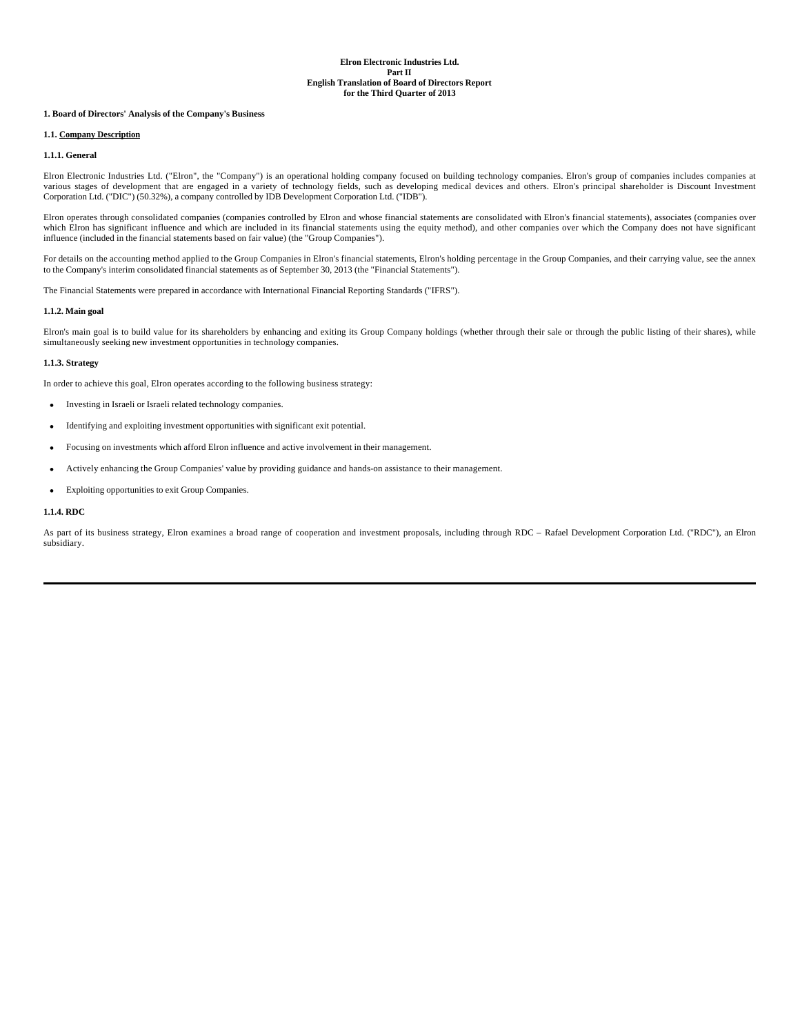## **1. Board of Directors' Analysis of the Company's Business**

## **1.1. Company Description**

### **1.1.1. General**

Elron Electronic Industries Ltd. ("Elron", the "Company") is an operational holding company focused on building technology companies. Elron's group of companies includes companies at various stages of development that are engaged in a variety of technology fields, such as developing medical devices and others. Elron's principal shareholder is Discount Investment Corporation Ltd. ("DIC") (50.32%), a company controlled by IDB Development Corporation Ltd. ("IDB").

Elron operates through consolidated companies (companies controlled by Elron and whose financial statements are consolidated with Elron's financial statements), associates (companies over which Elron has significant influence and which are included in its financial statements using the equity method), and other companies over which the Company does not have significant influence (included in the financial statements based on fair value) (the "Group Companies").

For details on the accounting method applied to the Group Companies in Elron's financial statements, Elron's holding percentage in the Group Companies, and their carrying value, see the annex to the Company's interim consolidated financial statements as of September 30, 2013 (the "Financial Statements").

The Financial Statements were prepared in accordance with International Financial Reporting Standards ("IFRS").

## **1.1.2. Main goal**

Elron's main goal is to build value for its shareholders by enhancing and exiting its Group Company holdings (whether through their sale or through the public listing of their shares), while simultaneously seeking new investment opportunities in technology companies.

### **1.1.3. Strategy**

In order to achieve this goal, Elron operates according to the following business strategy:

- Investing in Israeli or Israeli related technology companies.
- Identifying and exploiting investment opportunities with significant exit potential.
- Focusing on investments which afford Elron influence and active involvement in their management.
- Actively enhancing the Group Companies' value by providing guidance and hands-on assistance to their management.
- Exploiting opportunities to exit Group Companies.

## **1.1.4. RDC**

As part of its business strategy, Elron examines a broad range of cooperation and investment proposals, including through RDC – Rafael Development Corporation Ltd. ("RDC"), an Elron subsidiary.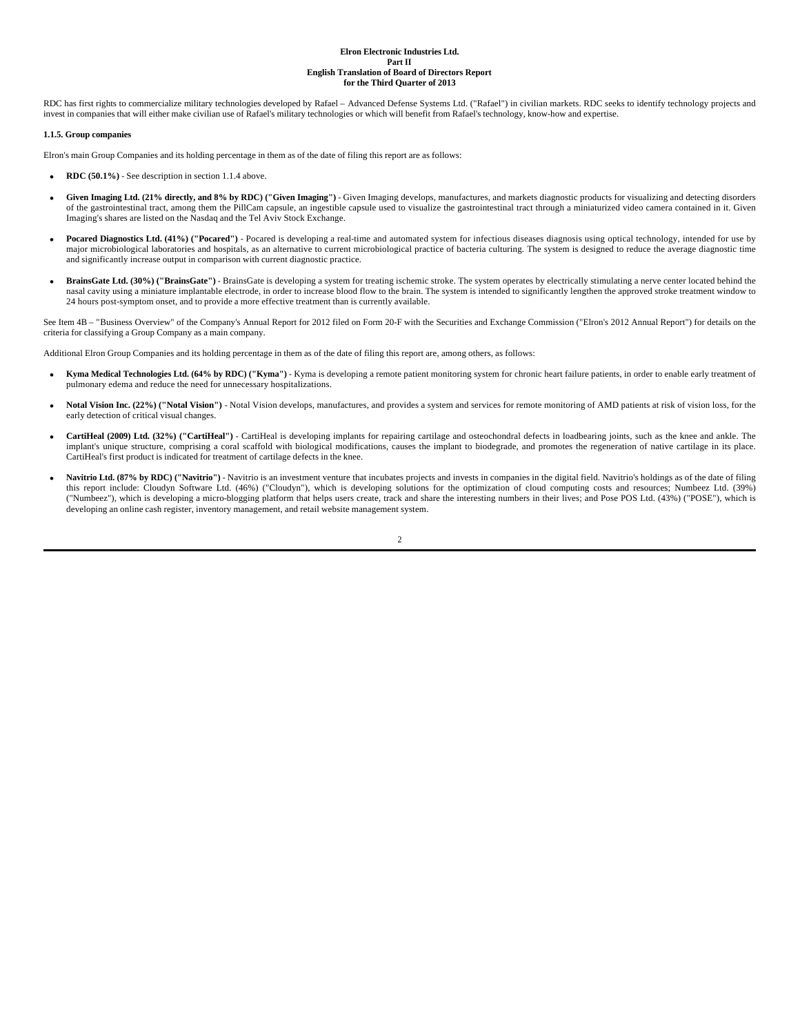RDC has first rights to commercialize military technologies developed by Rafael – Advanced Defense Systems Ltd. ("Rafael") in civilian markets. RDC seeks to identify technology projects and invest in companies that will either make civilian use of Rafael's military technologies or which will benefit from Rafael's technology, know-how and expertise.

#### **1.1.5. Group companies**

Elron's main Group Companies and its holding percentage in them as of the date of filing this report are as follows:

- **RDC (50.1%)** See description in section 1.1.4 above.
- **Given Imaging Ltd. (21% directly, and 8% by RDC) ("Given Imaging")** Given Imaging develops, manufactures, and markets diagnostic products for visualizing and detecting disorders of the gastrointestinal tract, among them the PillCam capsule, an ingestible capsule used to visualize the gastrointestinal tract through a miniaturized video camera contained in it. Given Imaging's shares are listed on the Nasdaq and the Tel Aviv Stock Exchange.
- **Pocared Diagnostics Ltd. (41%) ("Pocared")** Pocared is developing a real-time and automated system for infectious diseases diagnosis using optical technology, intended for use by major microbiological laboratories and hospitals, as an alternative to current microbiological practice of bacteria culturing. The system is designed to reduce the average diagnostic time and significantly increase output in comparison with current diagnostic practice.
- **BrainsGate Ltd. (30%) ("BrainsGate")** BrainsGate is developing a system for treating ischemic stroke. The system operates by electrically stimulating a nerve center located behind the nasal cavity using a miniature implantable electrode, in order to increase blood flow to the brain. The system is intended to significantly lengthen the approved stroke treatment window to 24 hours post-symptom onset, and to provide a more effective treatment than is currently available.

See Item 4B - "Business Overview" of the Company's Annual Report for 2012 filed on Form 20-F with the Securities and Exchange Commission ("Elron's 2012 Annual Report") for details on the criteria for classifying a Group Company as a main company.

Additional Elron Group Companies and its holding percentage in them as of the date of filing this report are, among others, as follows:

- **Kyma Medical Technologies Ltd. (64% by RDC) ("Kyma")** Kyma is developing a remote patient monitoring system for chronic heart failure patients, in order to enable early treatment of pulmonary edema and reduce the need for unnecessary hospitalizations.
- Notal Vision Inc. (22%) ("Notal Vision") Notal Vision develops, manufactures, and provides a system and services for remote monitoring of AMD patients at risk of vision loss, for the early detection of critical visual changes.
- **CartiHeal (2009) Ltd. (32%) ("CartiHeal")** CartiHeal is developing implants for repairing cartilage and osteochondral defects in loadbearing joints, such as the knee and ankle. The implant's unique structure, comprising a coral scaffold with biological modifications, causes the implant to biodegrade, and promotes the regeneration of native cartilage in its place. CartiHeal's first product is indicated for treatment of cartilage defects in the knee.
- Navitrio Ltd. (87% by RDC) ("Navitrio") Navitrio is an investment venture that incubates projects and invests in companies in the digital field. Navitrio's holdings as of the date of filing this report include: Cloudyn Software Ltd. (46%) ("Cloudyn"), which is developing solutions for the optimization of cloud computing costs and resources; Numbeez Ltd. (39%) ("Numbeez"), which is developing a micro-blogging platform that helps users create, track and share the interesting numbers in their lives; and Pose POS Ltd. (43%) ("POSE"), which is developing an online cash register, inventory management, and retail website management system.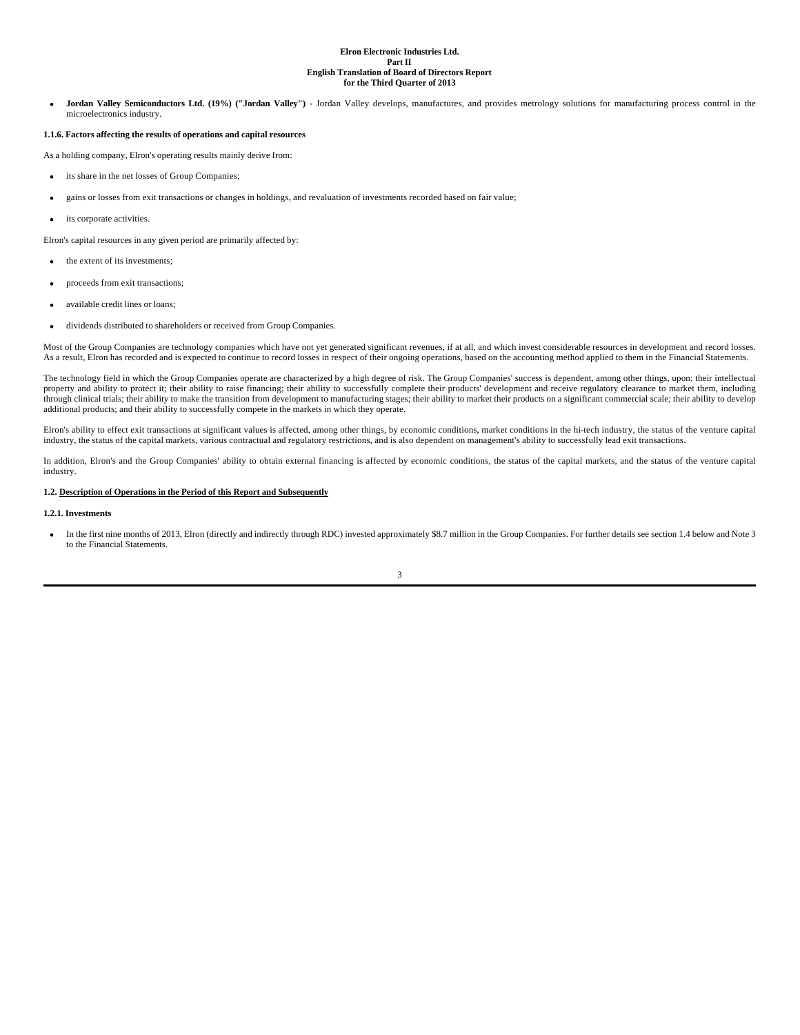• **Jordan Valley Semiconductors Ltd. (19%) ("Jordan Valley")** - Jordan Valley develops, manufactures, and provides metrology solutions for manufacturing process control in the microelectronics industry.

#### **1.1.6. Factors affecting the results of operations and capital resources**

As a holding company, Elron's operating results mainly derive from:

- its share in the net losses of Group Companies;
- gains or losses from exit transactions or changes in holdings, and revaluation of investments recorded based on fair value;
- its corporate activities.

Elron's capital resources in any given period are primarily affected by:

- the extent of its investments;
- proceeds from exit transactions;
- available credit lines or loans;
- dividends distributed to shareholders or received from Group Companies.

Most of the Group Companies are technology companies which have not yet generated significant revenues, if at all, and which invest considerable resources in development and record losses. As a result, Elron has recorded and is expected to continue to record losses in respect of their ongoing operations, based on the accounting method applied to them in the Financial Statements.

The technology field in which the Group Companies operate are characterized by a high degree of risk. The Group Companies' success is dependent, among other things, upon: their intellectual property and ability to protect it; their ability to raise financing; their ability to successfully complete their products' development and receive regulatory clearance to market them, including through clinical trials; their ability to make the transition from development to manufacturing stages; their ability to market their products on a significant commercial scale; their ability to develop additional products; and their ability to successfully compete in the markets in which they operate.

Elron's ability to effect exit transactions at significant values is affected, among other things, by economic conditions, market conditions in the hi-tech industry, the status of the venture capital industry, the status of the capital markets, various contractual and regulatory restrictions, and is also dependent on management's ability to successfully lead exit transactions.

In addition, Elron's and the Group Companies' ability to obtain external financing is affected by economic conditions, the status of the capital markets, and the status of the venture capital industry.

#### **1.2. Description of Operations in the Period of this Report and Subsequently**

#### **1.2.1. Investments**

 • In the first nine months of 2013, Elron (directly and indirectly through RDC) invested approximately \$8.7 million in the Group Companies. For further details see section 1.4 below and Note 3 to the Financial Statements.

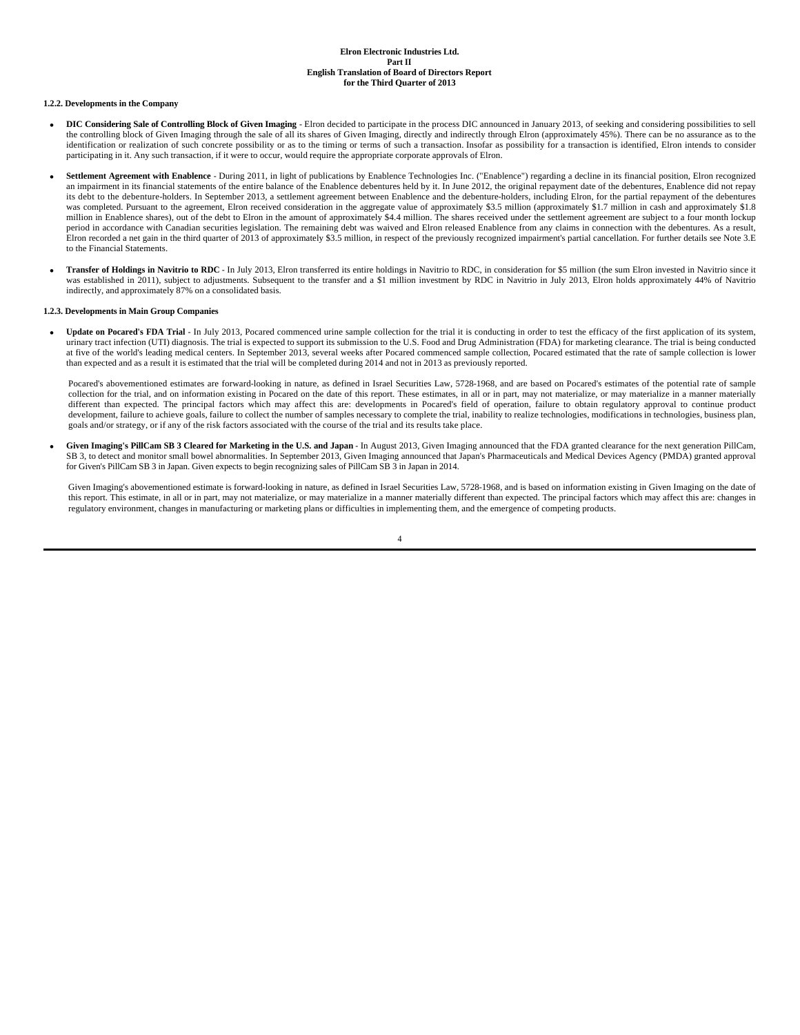#### **1.2.2. Developments in the Company**

- **DIC Considering Sale of Controlling Block of Given Imaging** Elron decided to participate in the process DIC announced in January 2013, of seeking and considering possibilities to sell the controlling block of Given Imaging through the sale of all its shares of Given Imaging, directly and indirectly through Elron (approximately 45%). There can be no assurance as to the identification or realization of such concrete possibility or as to the timing or terms of such a transaction. Insofar as possibility for a transaction is identified, Elron intends to consider participating in it. Any such transaction, if it were to occur, would require the appropriate corporate approvals of Elron.
- **Settlement Agreement with Enablence** During 2011, in light of publications by Enablence Technologies Inc. ("Enablence") regarding a decline in its financial position, Elron recognized an impairment in its financial statements of the entire balance of the Enablence debentures held by it. In June 2012, the original repayment date of the debentures, Enablence did not repay its debt to the debenture-holders. In September 2013, a settlement agreement between Enablence and the debenture-holders, including Elron, for the partial repayment of the debentures was completed. Pursuant to the agreement, Elron received consideration in the aggregate value of approximately \$3.5 million (approximately \$1.7 million in cash and approximately \$1.8 million in Enablence shares), out of the debt to Elron in the amount of approximately \$4.4 million. The shares received under the settlement agreement are subject to a four month lockup period in accordance with Canadian securities legislation. The remaining debt was waived and Elron released Enablence from any claims in connection with the debentures. As a result, .<br>Elron recorded a net gain in the third quarter of 2013 of approximately \$3.5 million, in respect of the previously recognized impairment's partial cancellation. For further details see Note 3.E to the Financial Statements.
- **Transfer of Holdings in Navitrio to RDC** In July 2013, Elron transferred its entire holdings in Navitrio to RDC, in consideration for \$5 million (the sum Elron invested in Navitrio since it was established in 2011), subject to adjustments. Subsequent to the transfer and a \$1 million investment by RDC in Navitrio in July 2013, Elron holds approximately 44% of Navitrio indirectly, and approximately 87% on a consolidated basis.

#### **1.2.3. Developments in Main Group Companies**

 • **Update on Pocared's FDA Trial** - In July 2013, Pocared commenced urine sample collection for the trial it is conducting in order to test the efficacy of the first application of its system, urinary tract infection (UTI) diagnosis. The trial is expected to support its submission to the U.S. Food and Drug Administration (FDA) for marketing clearance. The trial is being conducted at five of the world's leading medical centers. In September 2013, several weeks after Pocared commenced sample collection, Pocared estimated that the rate of sample collection is lower than expected and as a result it is estimated that the trial will be completed during 2014 and not in 2013 as previously reported.

Pocared's abovementioned estimates are forward-looking in nature, as defined in Israel Securities Law, 5728-1968, and are based on Pocared's estimates of the potential rate of sample collection for the trial, and on information existing in Pocared on the date of this report. These estimates, in all or in part, may not materialize, or may materialize in a manner materially different than expected. The principal factors which may affect this are: developments in Pocared's field of operation, failure to obtain regulatory approval to continue product development, failure to achieve goals, failure to collect the number of samples necessary to complete the trial, inability to realize technologies, modifications in technologies, business plan, goals and/or strategy, or if any of the risk factors associated with the course of the trial and its results take place.

 • **Given Imaging's PillCam SB 3 Cleared for Marketing in the U.S. and Japan** - In August 2013, Given Imaging announced that the FDA granted clearance for the next generation PillCam, SB 3, to detect and monitor small bowel abnormalities. In September 2013, Given Imaging announced that Japan's Pharmaceuticals and Medical Devices Agency (PMDA) granted approval for Given's PillCam SB 3 in Japan. Given expects to begin recognizing sales of PillCam SB 3 in Japan in 2014.

Given Imaging's abovementioned estimate is forward-looking in nature, as defined in Israel Securities Law, 5728-1968, and is based on information existing in Given Imaging on the date of this report. This estimate, in all or in part, may not materialize, or may materialize in a manner materially different than expected. The principal factors which may affect this are: changes in regulatory environment, changes in manufacturing or marketing plans or difficulties in implementing them, and the emergence of competing products.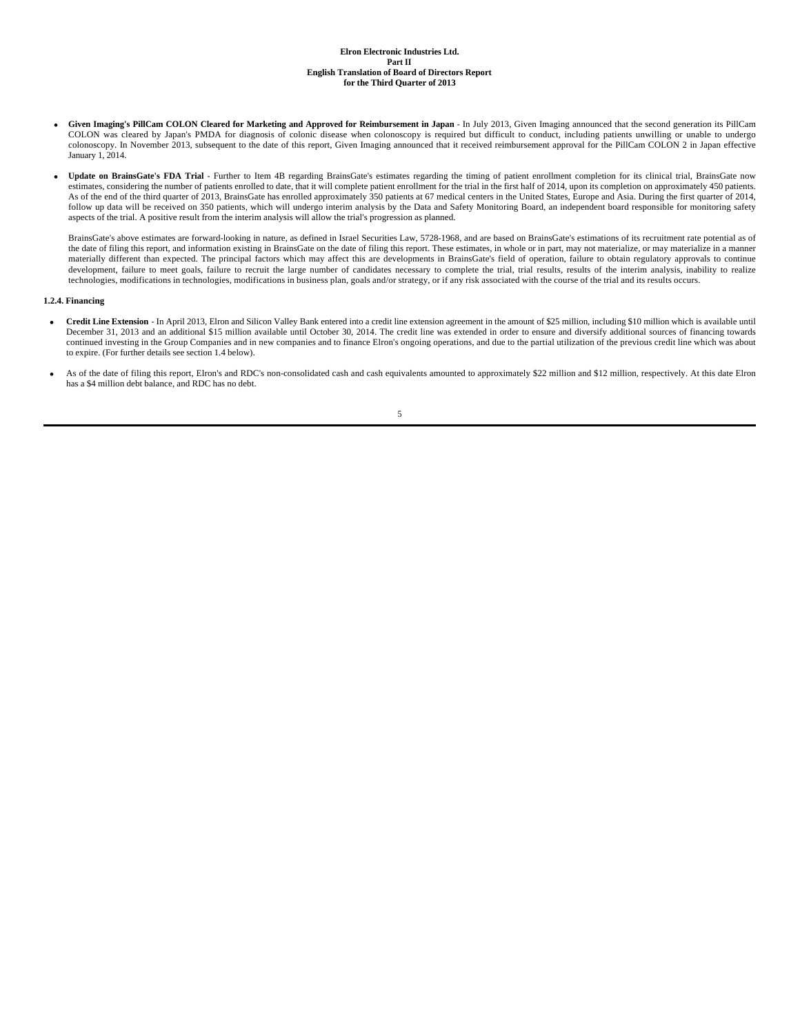- **Given Imaging's PillCam COLON Cleared for Marketing and Approved for Reimbursement in Japan** In July 2013, Given Imaging announced that the second generation its PillCam COLON was cleared by Japan's PMDA for diagnosis of colonic disease when colonoscopy is required but difficult to conduct, including patients unwilling or unable to undergo colonoscopy. In November 2013, subsequent to the date of this report, Given Imaging announced that it received reimbursement approval for the PillCam COLON 2 in Japan effective January 1, 2014.
- Update on BrainsGate's FDA Trial Further to Item 4B regarding BrainsGate's estimates regarding the timing of patient enrollment completion for its clinical trial, BrainsGate now estimates, considering the number of patients enrolled to date, that it will complete patient enrollment for the trial in the first half of 2014, upon its completion on approximately 450 patients. As of the end of the third quarter of 2013, BrainsGate has enrolled approximately 350 patients at 67 medical centers in the United States, Europe and Asia. During the first quarter of 2014, follow up data will be received on 350 patients, which will undergo interim analysis by the Data and Safety Monitoring Board, an independent board responsible for monitoring safety aspects of the trial. A positive result from the interim analysis will allow the trial's progression as planned.

BrainsGate's above estimates are forward-looking in nature, as defined in Israel Securities Law, 5728-1968, and are based on BrainsGate's estimations of its recruitment rate potential as of the date of filing this report, and information existing in BrainsGate on the date of filing this report. These estimates, in whole or in part, may not materialize, or may materialize in a manner materially different than expected. The principal factors which may affect this are developments in BrainsGate's field of operation, failure to obtain regulatory approvals to continue development, failure to meet goals, failure to recruit the large number of candidates necessary to complete the trial, trial results, results of the interim analysis, inability to realize technologies, modifications in technologies, modifications in business plan, goals and/or strategy, or if any risk associated with the course of the trial and its results occurs.

## **1.2.4. Financing**

- **Credit Line Extension** In April 2013, Elron and Silicon Valley Bank entered into a credit line extension agreement in the amount of \$25 million, including \$10 million which is available until December 31, 2013 and an additional \$15 million available until October 30, 2014. The credit line was extended in order to ensure and diversify additional sources of financing towards continued investing in the Group Companies and in new companies and to finance Elron's ongoing operations, and due to the partial utilization of the previous credit line which was about to expire. (For further details see section 1.4 below).
- As of the date of filing this report, Elron's and RDC's non-consolidated cash and cash equivalents amounted to approximately \$22 million and \$12 million, respectively. At this date Elron has a \$4 million debt balance, and RDC has no debt.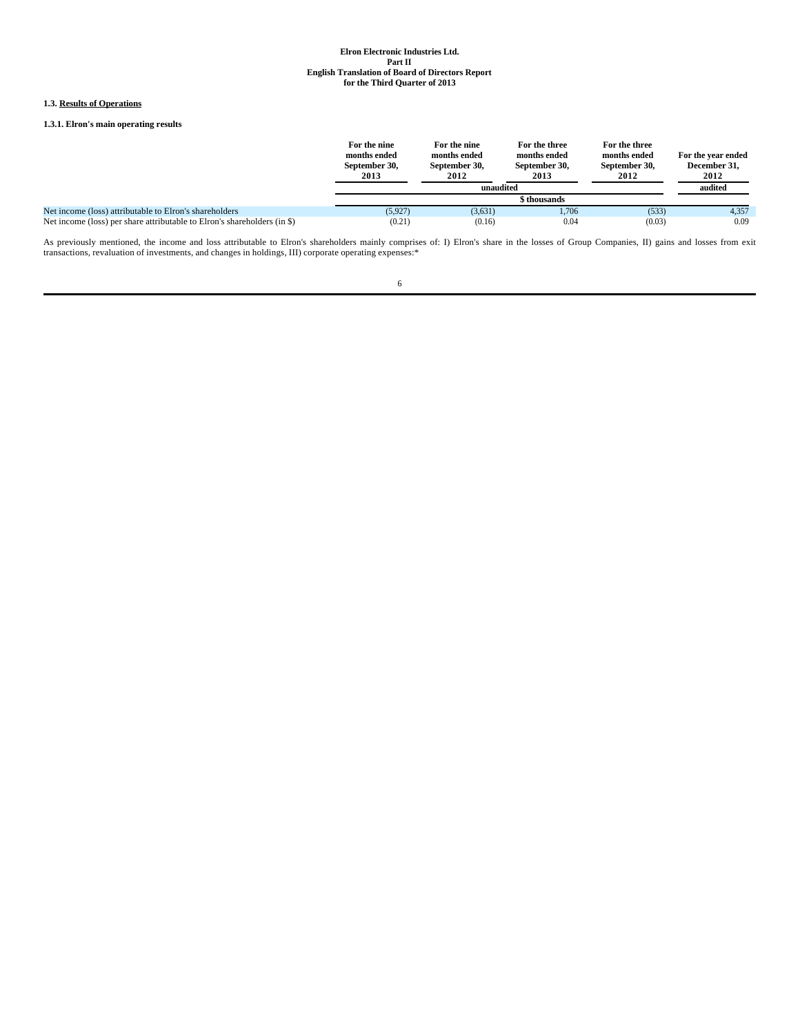## **1.3. Results of Operations**

## **1.3.1. Elron's main operating results**

|                                                                          | For the nine<br>months ended<br>September 30,<br>2013 | For the nine<br>months ended<br>September 30,<br>2012 | For the three<br>months ended<br>September 30,<br>2013 | For the three<br>months ended<br>September 30,<br>2012 | For the year ended<br>December 31,<br>2012 |  |
|--------------------------------------------------------------------------|-------------------------------------------------------|-------------------------------------------------------|--------------------------------------------------------|--------------------------------------------------------|--------------------------------------------|--|
|                                                                          |                                                       | unaudited                                             |                                                        |                                                        | audited                                    |  |
|                                                                          |                                                       |                                                       |                                                        |                                                        |                                            |  |
| Net income (loss) attributable to Elron's shareholders                   | (5.927)                                               | (3,631)                                               | 1.706                                                  | (533)                                                  | 4,357                                      |  |
| Net income (loss) per share attributable to Elron's shareholders (in \$) | (0.21)                                                | (0.16)                                                | 0.04                                                   | (0.03)                                                 | 0.09                                       |  |

As previously mentioned, the income and loss attributable to Elron's shareholders mainly comprises of: I) Elron's share in the losses of Group Companies, II) gains and losses from exit transactions, revaluation of investme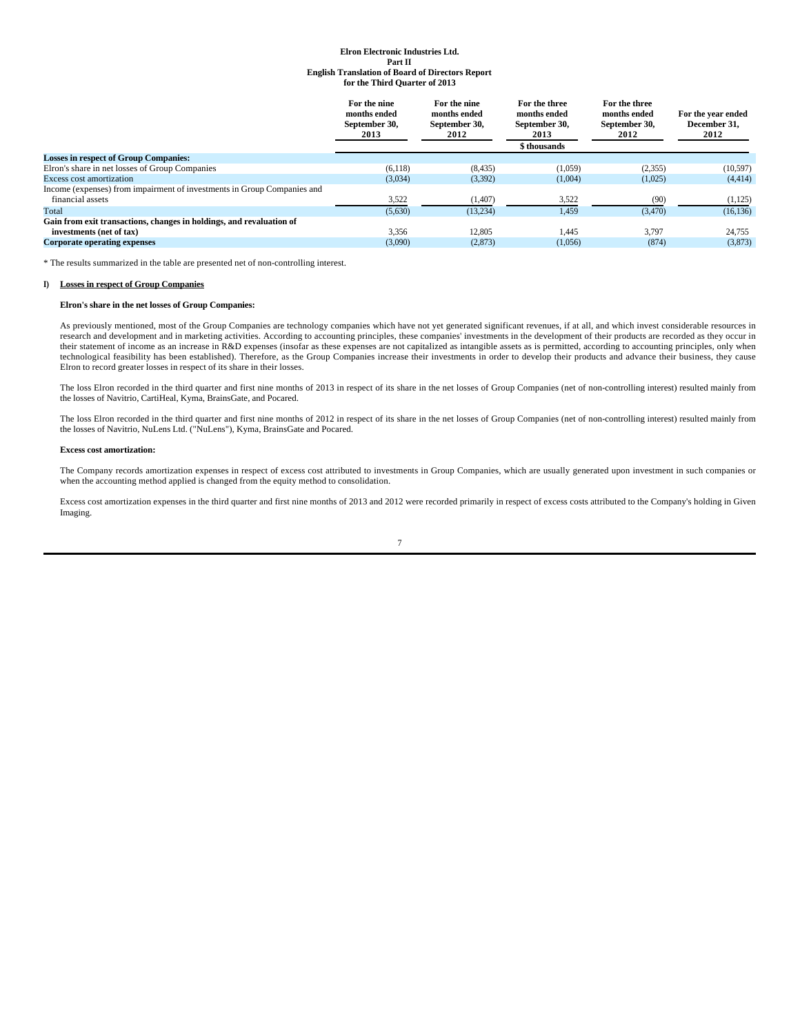|                                                                         | For the nine<br>months ended<br>September 30,<br>2013 | For the nine<br>months ended<br>September 30,<br>2012 | For the three<br>months ended<br>September 30.<br>2013<br>\$ thousands | For the three<br>months ended<br>September 30,<br>2012 | For the year ended<br>December 31.<br>2012 |
|-------------------------------------------------------------------------|-------------------------------------------------------|-------------------------------------------------------|------------------------------------------------------------------------|--------------------------------------------------------|--------------------------------------------|
| <b>Losses in respect of Group Companies:</b>                            |                                                       |                                                       |                                                                        |                                                        |                                            |
| Elron's share in net losses of Group Companies                          | (6,118)                                               | (8, 435)                                              | (1,059)                                                                | (2,355)                                                | (10, 597)                                  |
| <b>Excess cost amortization</b>                                         | (3,034)                                               | (3,392)                                               | (1,004)                                                                | (1,025)                                                | (4, 414)                                   |
| Income (expenses) from impairment of investments in Group Companies and |                                                       |                                                       |                                                                        |                                                        |                                            |
| financial assets                                                        | 3,522                                                 | (1,407)                                               | 3,522                                                                  | (90)                                                   | (1,125)                                    |
| Total                                                                   | (5,630)                                               | (13.234)                                              | 1,459                                                                  | (3,470)                                                | (16, 136)                                  |
| Gain from exit transactions, changes in holdings, and revaluation of    |                                                       |                                                       |                                                                        |                                                        |                                            |
| investments (net of tax)                                                | 3.356                                                 | 12,805                                                | 1.445                                                                  | 3.797                                                  | 24,755                                     |
| <b>Corporate operating expenses</b>                                     | (3,090)                                               | (2,873)                                               | (1,056)                                                                | (874)                                                  | (3,873)                                    |
|                                                                         |                                                       |                                                       |                                                                        |                                                        |                                            |

\* The results summarized in the table are presented net of non-controlling interest.

### **I) Losses in respect of Group Companies**

### **Elron's share in the net losses of Group Companies:**

As previously mentioned, most of the Group Companies are technology companies which have not yet generated significant revenues, if at all, and which invest considerable resources in research and development and in marketing activities. According to accounting principles, these companies' investments in the development of their products are recorded as they occur in their statement of income as an increase in R&D expenses (insofar as these expenses are not capitalized as intangible assets as is permitted, according to accounting principles, only when technological feasibility has been established). Therefore, as the Group Companies increase their investments in order to develop their products and advance their business, they cause Elron to record greater losses in respect of its share in their losses.

The loss Elron recorded in the third quarter and first nine months of 2013 in respect of its share in the net losses of Group Companies (net of non-controlling interest) resulted mainly from<br>the losses of Navitrio, CartiHe

The loss Elron recorded in the third quarter and first nine months of 2012 in respect of its share in the net losses of Group Companies (net of non-controlling interest) resulted mainly from the losses of Navitrio, NuLens Ltd. ("NuLens"), Kyma, BrainsGate and Pocared.

#### **Excess cost amortization:**

The Company records amortization expenses in respect of excess cost attributed to investments in Group Companies, which are usually generated upon investment in such companies or when the accounting method applied is changed from the equity method to consolidation.

Excess cost amortization expenses in the third quarter and first nine months of 2013 and 2012 were recorded primarily in respect of excess costs attributed to the Company's holding in Given Imaging.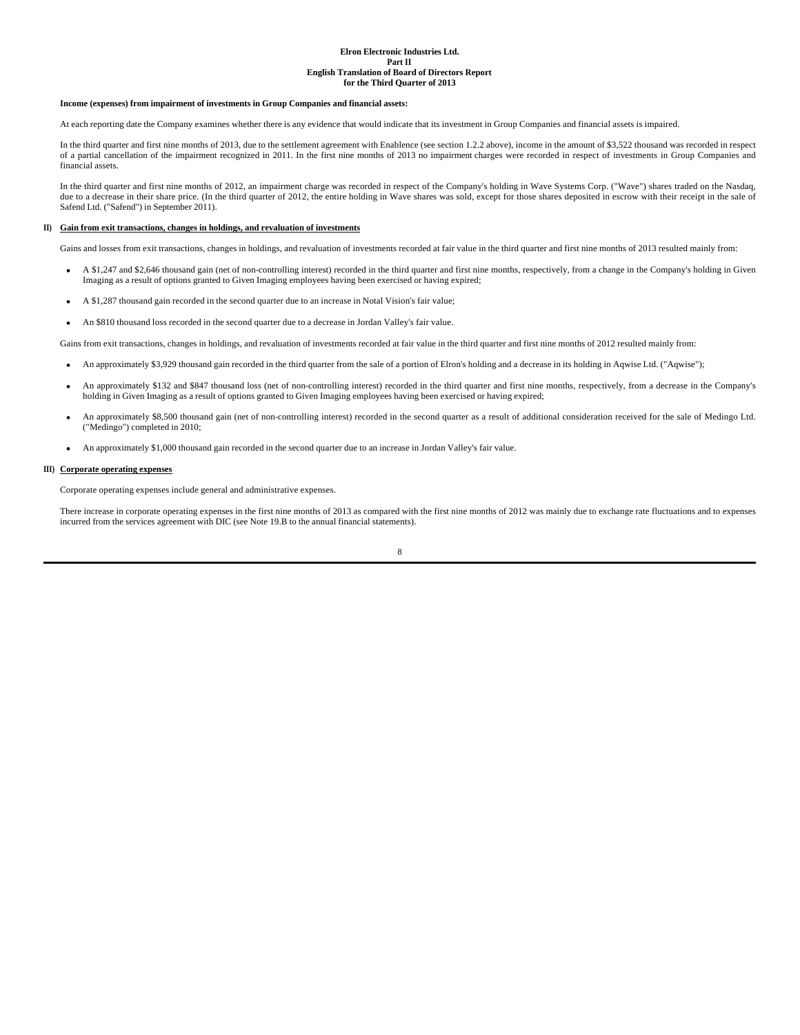#### **Income (expenses) from impairment of investments in Group Companies and financial assets:**

At each reporting date the Company examines whether there is any evidence that would indicate that its investment in Group Companies and financial assets is impaired.

In the third quarter and first nine months of 2013, due to the settlement agreement with Enablence (see section 1.2.2 above), income in the amount of \$3,522 thousand was recorded in respect of a partial cancellation of the impairment recognized in 2011. In the first nine months of 2013 no impairment charges were recorded in respect of investments in Group Companies and financial assets.

In the third quarter and first nine months of 2012, an impairment charge was recorded in respect of the Company's holding in Wave Systems Corp. ("Wave") shares traded on the Nasdaq, due to a decrease in their share price. (In the third quarter of 2012, the entire holding in Wave shares was sold, except for those shares deposited in escrow with their receipt in the sale of Safend Ltd. ("Safend") in September 2011).

#### **II) Gain from exit transactions, changes in holdings, and revaluation of investments**

Gains and losses from exit transactions, changes in holdings, and revaluation of investments recorded at fair value in the third quarter and first nine months of 2013 resulted mainly from:

- A \$1,247 and \$2,646 thousand gain (net of non-controlling interest) recorded in the third quarter and first nine months, respectively, from a change in the Company's holding in Given Imaging as a result of options granted to Given Imaging employees having been exercised or having expired;
- A \$1,287 thousand gain recorded in the second quarter due to an increase in Notal Vision's fair value;
- An \$810 thousand loss recorded in the second quarter due to a decrease in Jordan Valley's fair value.

Gains from exit transactions, changes in holdings, and revaluation of investments recorded at fair value in the third quarter and first nine months of 2012 resulted mainly from:

- An approximately \$3,929 thousand gain recorded in the third quarter from the sale of a portion of Elron's holding and a decrease in its holding in Aqwise Ltd. ("Aqwise");
- An approximately \$132 and \$847 thousand loss (net of non-controlling interest) recorded in the third quarter and first nine months, respectively, from a decrease in the Company's holding in Given Imaging as a result of options granted to Given Imaging employees having been exercised or having expired;
- An approximately \$8,500 thousand gain (net of non-controlling interest) recorded in the second quarter as a result of additional consideration received for the sale of Medingo Ltd. ("Medingo") completed in 2010;
- An approximately \$1,000 thousand gain recorded in the second quarter due to an increase in Jordan Valley's fair value.

## **III) Corporate operating expenses**

Corporate operating expenses include general and administrative expenses.

There increase in corporate operating expenses in the first nine months of 2013 as compared with the first nine months of 2012 was mainly due to exchange rate fluctuations and to expenses incurred from the services agreement with DIC (see Note 19.B to the annual financial statements).

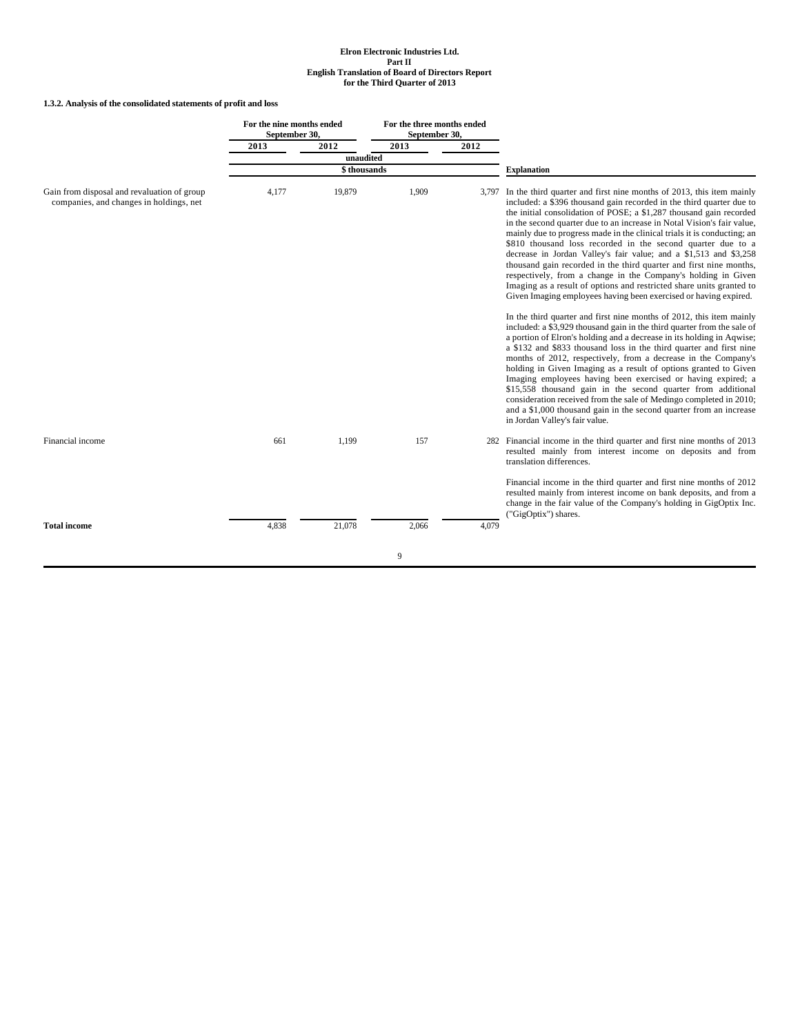## **1.3.2. Analysis of the consolidated statements of profit and loss**

|                                                                                        | For the nine months ended<br>September 30, |                          | For the three months ended<br>September 30, |       |                                                                                                                                                                                                                                                                                                                                                                                                                                                                                                                                                                                                                                                                                                                                                                                                 |
|----------------------------------------------------------------------------------------|--------------------------------------------|--------------------------|---------------------------------------------|-------|-------------------------------------------------------------------------------------------------------------------------------------------------------------------------------------------------------------------------------------------------------------------------------------------------------------------------------------------------------------------------------------------------------------------------------------------------------------------------------------------------------------------------------------------------------------------------------------------------------------------------------------------------------------------------------------------------------------------------------------------------------------------------------------------------|
|                                                                                        | 2013                                       | 2012                     | 2013                                        | 2012  |                                                                                                                                                                                                                                                                                                                                                                                                                                                                                                                                                                                                                                                                                                                                                                                                 |
|                                                                                        |                                            | unaudited<br>\$thousands |                                             |       | <b>Explanation</b>                                                                                                                                                                                                                                                                                                                                                                                                                                                                                                                                                                                                                                                                                                                                                                              |
|                                                                                        |                                            |                          |                                             |       |                                                                                                                                                                                                                                                                                                                                                                                                                                                                                                                                                                                                                                                                                                                                                                                                 |
| Gain from disposal and revaluation of group<br>companies, and changes in holdings, net | 4,177                                      | 19,879                   | 1,909                                       | 3.797 | In the third quarter and first nine months of 2013, this item mainly<br>included: a \$396 thousand gain recorded in the third quarter due to<br>the initial consolidation of POSE; a \$1,287 thousand gain recorded<br>in the second quarter due to an increase in Notal Vision's fair value,<br>mainly due to progress made in the clinical trials it is conducting; an<br>\$810 thousand loss recorded in the second quarter due to a<br>decrease in Jordan Valley's fair value; and a \$1,513 and \$3,258<br>thousand gain recorded in the third quarter and first nine months,<br>respectively, from a change in the Company's holding in Given<br>Imaging as a result of options and restricted share units granted to<br>Given Imaging employees having been exercised or having expired. |
|                                                                                        |                                            |                          |                                             |       | In the third quarter and first nine months of 2012, this item mainly<br>included: a \$3,929 thousand gain in the third quarter from the sale of<br>a portion of Elron's holding and a decrease in its holding in Agwise;<br>a \$132 and \$833 thousand loss in the third quarter and first nine<br>months of 2012, respectively, from a decrease in the Company's<br>holding in Given Imaging as a result of options granted to Given<br>Imaging employees having been exercised or having expired; a<br>\$15,558 thousand gain in the second quarter from additional<br>consideration received from the sale of Medingo completed in 2010;<br>and a \$1,000 thousand gain in the second quarter from an increase<br>in Jordan Valley's fair value.                                             |
| Financial income                                                                       | 661                                        | 1,199                    | 157                                         |       | 282 Financial income in the third quarter and first nine months of 2013<br>resulted mainly from interest income on deposits and from<br>translation differences.                                                                                                                                                                                                                                                                                                                                                                                                                                                                                                                                                                                                                                |
| <b>Total income</b>                                                                    | 4,838                                      | 21,078                   | 2,066                                       | 4,079 | Financial income in the third quarter and first nine months of 2012<br>resulted mainly from interest income on bank deposits, and from a<br>change in the fair value of the Company's holding in GigOptix Inc.<br>("GigOptix") shares.                                                                                                                                                                                                                                                                                                                                                                                                                                                                                                                                                          |
|                                                                                        |                                            |                          | 9                                           |       |                                                                                                                                                                                                                                                                                                                                                                                                                                                                                                                                                                                                                                                                                                                                                                                                 |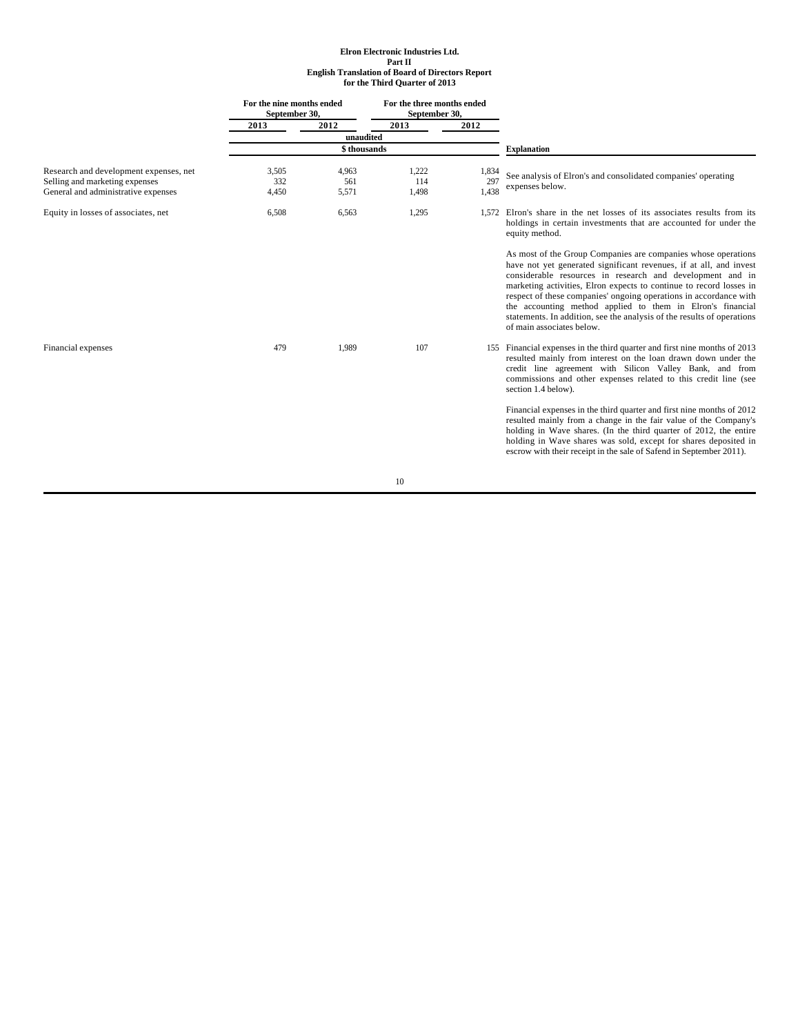|                                                                                                                 |                       | For the nine months ended<br>For the three months ended<br>September 30,<br>September 30, |                       |                       |                                                                                                                                                                                                                                                                                                                                                                                                                                                                                                                   |  |  |
|-----------------------------------------------------------------------------------------------------------------|-----------------------|-------------------------------------------------------------------------------------------|-----------------------|-----------------------|-------------------------------------------------------------------------------------------------------------------------------------------------------------------------------------------------------------------------------------------------------------------------------------------------------------------------------------------------------------------------------------------------------------------------------------------------------------------------------------------------------------------|--|--|
|                                                                                                                 | 2013                  | 2012                                                                                      | $\sqrt{2013}$         | 2012                  |                                                                                                                                                                                                                                                                                                                                                                                                                                                                                                                   |  |  |
|                                                                                                                 |                       | unaudited                                                                                 |                       |                       |                                                                                                                                                                                                                                                                                                                                                                                                                                                                                                                   |  |  |
|                                                                                                                 |                       | \$ thousands                                                                              |                       |                       | <b>Explanation</b>                                                                                                                                                                                                                                                                                                                                                                                                                                                                                                |  |  |
| Research and development expenses, net<br>Selling and marketing expenses<br>General and administrative expenses | 3,505<br>332<br>4,450 | 4,963<br>561<br>5,571                                                                     | 1,222<br>114<br>1,498 | 1,834<br>297<br>1,438 | See analysis of Elron's and consolidated companies' operating<br>expenses below.                                                                                                                                                                                                                                                                                                                                                                                                                                  |  |  |
| Equity in losses of associates, net                                                                             | 6,508                 | 6,563                                                                                     | 1,295                 | 1.572                 | Elron's share in the net losses of its associates results from its<br>holdings in certain investments that are accounted for under the<br>equity method.                                                                                                                                                                                                                                                                                                                                                          |  |  |
|                                                                                                                 |                       |                                                                                           |                       |                       | As most of the Group Companies are companies whose operations<br>have not yet generated significant revenues, if at all, and invest<br>considerable resources in research and development and in<br>marketing activities, Elron expects to continue to record losses in<br>respect of these companies' ongoing operations in accordance with<br>the accounting method applied to them in Elron's financial<br>statements. In addition, see the analysis of the results of operations<br>of main associates below. |  |  |
| Financial expenses                                                                                              | 479                   | 1,989                                                                                     | 107                   |                       | 155 Financial expenses in the third quarter and first nine months of 2013<br>resulted mainly from interest on the loan drawn down under the<br>credit line agreement with Silicon Valley Bank, and from<br>commissions and other expenses related to this credit line (see<br>section 1.4 below).                                                                                                                                                                                                                 |  |  |
|                                                                                                                 |                       |                                                                                           |                       |                       | Financial expenses in the third quarter and first nine months of 2012<br>resulted mainly from a change in the fair value of the Company's<br>holding in Wave shares. (In the third quarter of 2012, the entire<br>holding in Wave shares was sold, except for shares deposited in<br>escrow with their receipt in the sale of Safend in September 2011).                                                                                                                                                          |  |  |
|                                                                                                                 |                       |                                                                                           | 10                    |                       |                                                                                                                                                                                                                                                                                                                                                                                                                                                                                                                   |  |  |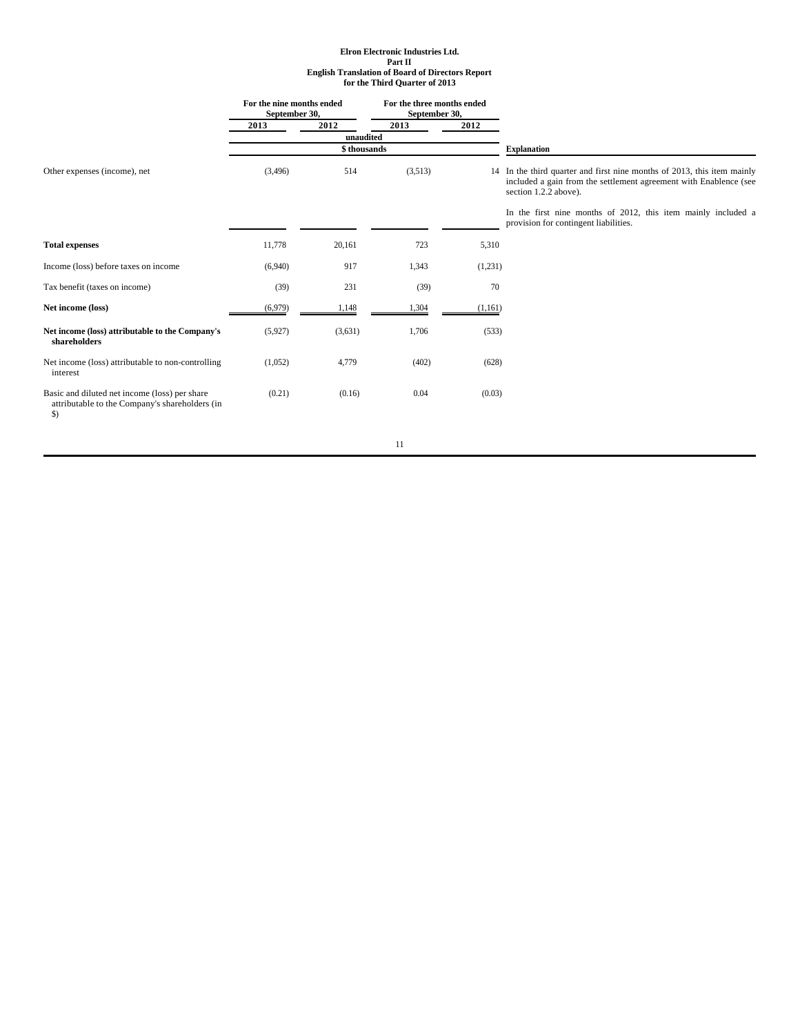|                                                                                                                  | For the nine months ended<br>September 30, |             | For the three months ended<br>September 30, |         |                                                                                                                                                                                                                                        |  |  |
|------------------------------------------------------------------------------------------------------------------|--------------------------------------------|-------------|---------------------------------------------|---------|----------------------------------------------------------------------------------------------------------------------------------------------------------------------------------------------------------------------------------------|--|--|
|                                                                                                                  | 2013                                       | 2012        | 2013                                        | 2012    |                                                                                                                                                                                                                                        |  |  |
|                                                                                                                  |                                            | unaudited   |                                             |         |                                                                                                                                                                                                                                        |  |  |
|                                                                                                                  |                                            | \$thousands |                                             |         | <b>Explanation</b>                                                                                                                                                                                                                     |  |  |
| Other expenses (income), net                                                                                     | (3,496)                                    | 514         | (3,513)                                     |         | 14 In the third quarter and first nine months of 2013, this item mainly<br>included a gain from the settlement agreement with Enablence (see<br>section 1.2.2 above).<br>In the first nine months of 2012, this item mainly included a |  |  |
|                                                                                                                  |                                            |             |                                             |         | provision for contingent liabilities.                                                                                                                                                                                                  |  |  |
| <b>Total expenses</b>                                                                                            | 11,778                                     | 20,161      | 723                                         | 5,310   |                                                                                                                                                                                                                                        |  |  |
| Income (loss) before taxes on income                                                                             | (6,940)                                    | 917         | 1,343                                       | (1,231) |                                                                                                                                                                                                                                        |  |  |
| Tax benefit (taxes on income)                                                                                    | (39)                                       | 231         | (39)                                        | 70      |                                                                                                                                                                                                                                        |  |  |
| Net income (loss)                                                                                                | (6,979)                                    | 1,148       | 1,304                                       | (1,161) |                                                                                                                                                                                                                                        |  |  |
| Net income (loss) attributable to the Company's<br>shareholders                                                  | (5,927)                                    | (3,631)     | 1,706                                       | (533)   |                                                                                                                                                                                                                                        |  |  |
| Net income (loss) attributable to non-controlling<br>interest                                                    | (1,052)                                    | 4,779       | (402)                                       | (628)   |                                                                                                                                                                                                                                        |  |  |
| Basic and diluted net income (loss) per share<br>attributable to the Company's shareholders (in<br>$\mathcal{S}$ | (0.21)                                     | (0.16)      | 0.04                                        | (0.03)  |                                                                                                                                                                                                                                        |  |  |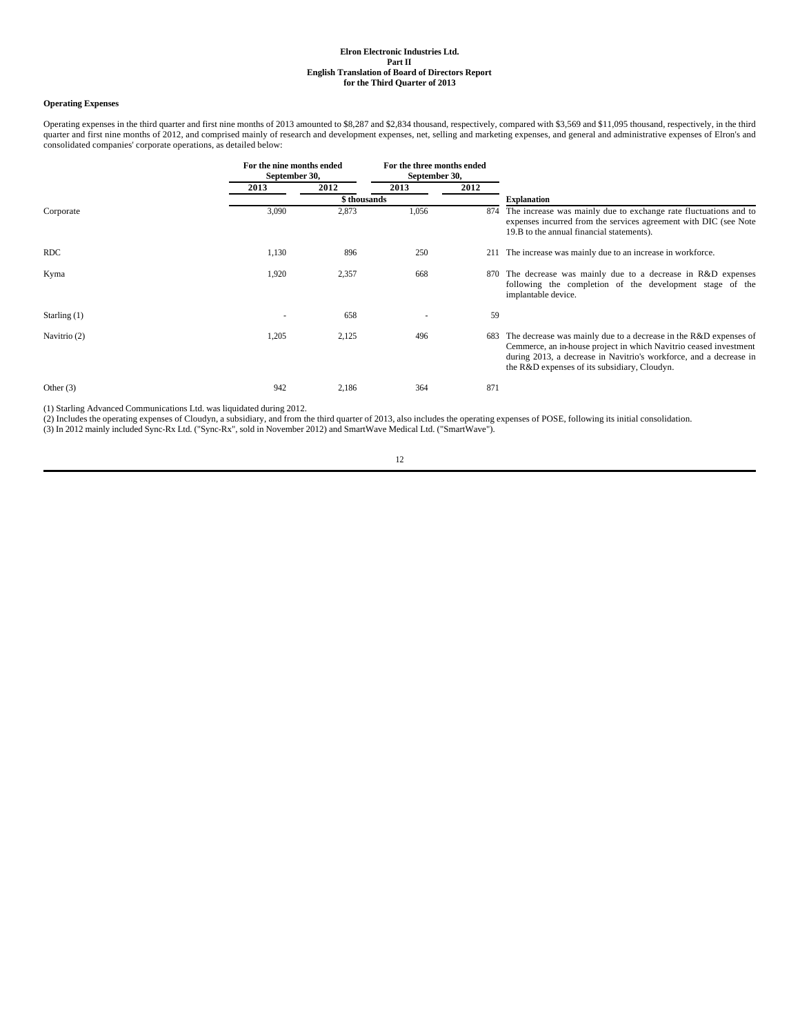## **Operating Expenses**

Operating expenses in the third quarter and first nine months of 2013 amounted to \$8,287 and \$2,834 thousand, respectively, compared with \$3,569 and \$11,095 thousand, respectively, in the third quarter and first nine months of 2012, and comprised mainly of research and development expenses, net, selling and marketing expenses, and general and administrative expenses of Elron's and consolidated companies' corporate operations, as detailed below:

|                |       | For the nine months ended<br>September 30, |       | For the three months ended<br>September 30, |                                                                                                                                                                                                                                                               |  |  |
|----------------|-------|--------------------------------------------|-------|---------------------------------------------|---------------------------------------------------------------------------------------------------------------------------------------------------------------------------------------------------------------------------------------------------------------|--|--|
|                | 2013  | 2012                                       | 2013  | 2012                                        |                                                                                                                                                                                                                                                               |  |  |
|                |       | \$ thousands                               |       |                                             | <b>Explanation</b>                                                                                                                                                                                                                                            |  |  |
| Corporate      | 3,090 | 2,873                                      | 1,056 | 874                                         | The increase was mainly due to exchange rate fluctuations and to<br>expenses incurred from the services agreement with DIC (see Note<br>19.B to the annual financial statements).                                                                             |  |  |
| <b>RDC</b>     | 1,130 | 896                                        | 250   | 211                                         | The increase was mainly due to an increase in workforce.                                                                                                                                                                                                      |  |  |
| Kyma           | 1,920 | 2,357                                      | 668   | 870                                         | The decrease was mainly due to a decrease in R&D expenses<br>following the completion of the development stage of the<br>implantable device.                                                                                                                  |  |  |
| Starling $(1)$ |       | 658                                        |       | 59                                          |                                                                                                                                                                                                                                                               |  |  |
| Navitrio (2)   | 1,205 | 2,125                                      | 496   | 683                                         | The decrease was mainly due to a decrease in the $R&D$ expenses of<br>Cemmerce, an in-house project in which Navitrio ceased investment<br>during 2013, a decrease in Navitrio's workforce, and a decrease in<br>the R&D expenses of its subsidiary, Cloudyn. |  |  |
| Other $(3)$    | 942   | 2,186                                      | 364   | 871                                         |                                                                                                                                                                                                                                                               |  |  |

(1) Starling Advanced Communications Ltd. was liquidated during 2012.

(2) Includes the operating expenses of Cloudyn, a subsidiary, and from the third quarter of 2013, also includes the operating expenses of POSE, following its initial consolidation.<br>(3) In 2012 mainly included Sync-Rx Ltd.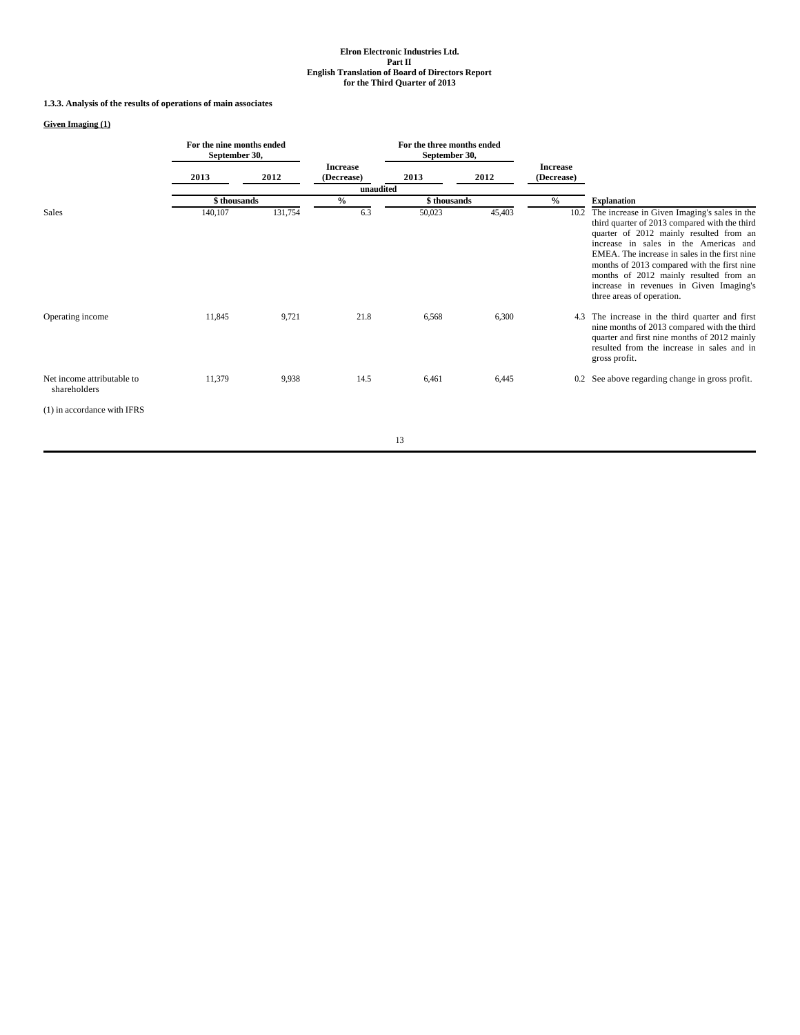## **1.3.3. Analysis of the results of operations of main associates**

## **Given Imaging (1)**

|                                            | For the nine months ended<br>September 30, |         |                               | For the three months ended<br>September 30, |        |                               |                                                                                                                                                                                                                                                                                                                                                                                                     |
|--------------------------------------------|--------------------------------------------|---------|-------------------------------|---------------------------------------------|--------|-------------------------------|-----------------------------------------------------------------------------------------------------------------------------------------------------------------------------------------------------------------------------------------------------------------------------------------------------------------------------------------------------------------------------------------------------|
|                                            | 2013                                       | 2012    | <b>Increase</b><br>(Decrease) | 2013                                        | 2012   | <b>Increase</b><br>(Decrease) |                                                                                                                                                                                                                                                                                                                                                                                                     |
|                                            |                                            |         | unaudited                     |                                             |        |                               |                                                                                                                                                                                                                                                                                                                                                                                                     |
|                                            | \$ thousands                               |         | $\frac{0}{0}$                 | \$ thousands                                |        | $\frac{0}{0}$                 | <b>Explanation</b>                                                                                                                                                                                                                                                                                                                                                                                  |
| <b>Sales</b>                               | 140,107                                    | 131,754 | 6.3                           | 50,023                                      | 45,403 | 10.2                          | The increase in Given Imaging's sales in the<br>third quarter of 2013 compared with the third<br>quarter of 2012 mainly resulted from an<br>increase in sales in the Americas and<br>EMEA. The increase in sales in the first nine<br>months of 2013 compared with the first nine<br>months of 2012 mainly resulted from an<br>increase in revenues in Given Imaging's<br>three areas of operation. |
| Operating income                           | 11,845                                     | 9,721   | 21.8                          | 6,568                                       | 6,300  | 4.3                           | The increase in the third quarter and first<br>nine months of 2013 compared with the third<br>quarter and first nine months of 2012 mainly<br>resulted from the increase in sales and in<br>gross profit.                                                                                                                                                                                           |
| Net income attributable to<br>shareholders | 11,379                                     | 9,938   | 14.5                          | 6,461                                       | 6,445  |                               | 0.2 See above regarding change in gross profit.                                                                                                                                                                                                                                                                                                                                                     |
| $(1)$ in accordance with IFRS              |                                            |         |                               |                                             |        |                               |                                                                                                                                                                                                                                                                                                                                                                                                     |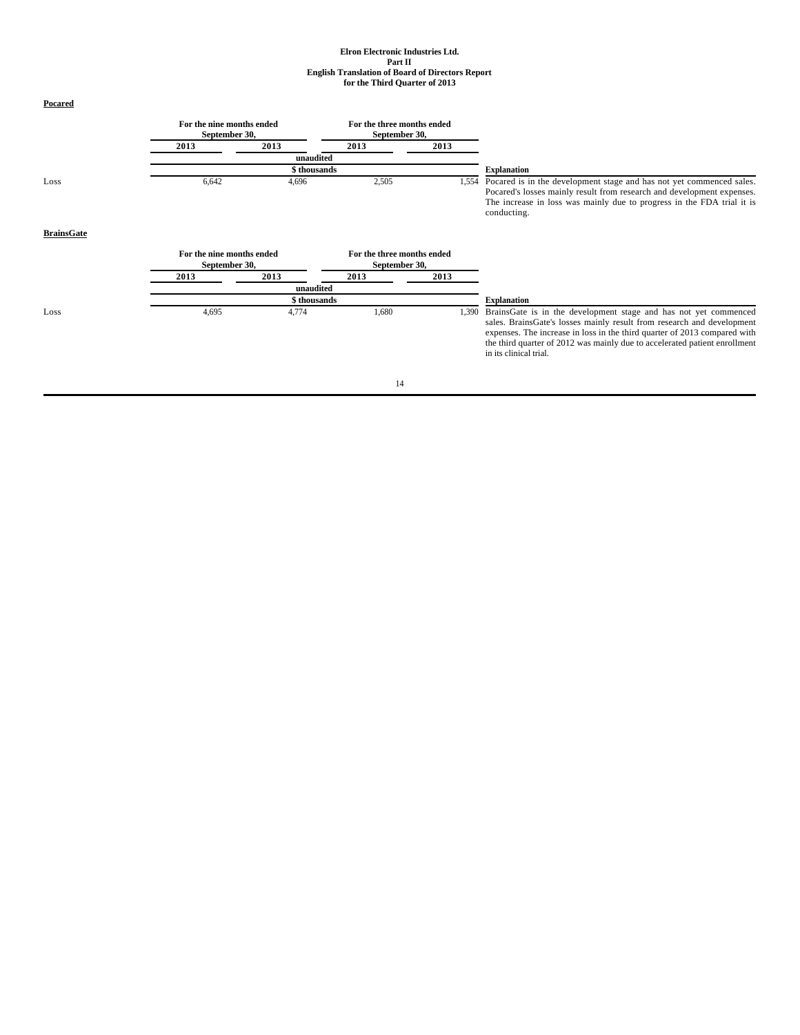| <b>Pocared</b>    |                                            |              |                                             |       |                                                                                                                                                                                                                                                                                                                                 |
|-------------------|--------------------------------------------|--------------|---------------------------------------------|-------|---------------------------------------------------------------------------------------------------------------------------------------------------------------------------------------------------------------------------------------------------------------------------------------------------------------------------------|
|                   | For the nine months ended<br>September 30, |              | For the three months ended<br>September 30, |       |                                                                                                                                                                                                                                                                                                                                 |
|                   | 2013                                       | 2013         | 2013                                        | 2013  |                                                                                                                                                                                                                                                                                                                                 |
|                   |                                            | unaudited    |                                             |       |                                                                                                                                                                                                                                                                                                                                 |
|                   |                                            | \$ thousands |                                             |       | <b>Explanation</b>                                                                                                                                                                                                                                                                                                              |
| Loss              | 6,642                                      | 4,696        | 2,505                                       | 1,554 | Pocared is in the development stage and has not yet commenced sales.<br>Pocared's losses mainly result from research and development expenses.<br>The increase in loss was mainly due to progress in the FDA trial it is<br>conducting.                                                                                         |
| <b>BrainsGate</b> |                                            |              |                                             |       |                                                                                                                                                                                                                                                                                                                                 |
|                   | For the nine months ended<br>September 30, |              | For the three months ended<br>September 30, |       |                                                                                                                                                                                                                                                                                                                                 |
|                   | 2013                                       | 2013         | 2013                                        | 2013  |                                                                                                                                                                                                                                                                                                                                 |
|                   |                                            | unaudited    |                                             |       |                                                                                                                                                                                                                                                                                                                                 |
|                   |                                            | \$thousands  |                                             |       | <b>Explanation</b>                                                                                                                                                                                                                                                                                                              |
| Loss              | 4,695                                      | 4,774        | 1,680                                       | 1,390 | BrainsGate is in the development stage and has not yet commenced<br>sales. BrainsGate's losses mainly result from research and development<br>expenses. The increase in loss in the third quarter of 2013 compared with<br>the third quarter of 2012 was mainly due to accelerated patient enrollment<br>in its clinical trial. |
|                   |                                            |              | 14                                          |       |                                                                                                                                                                                                                                                                                                                                 |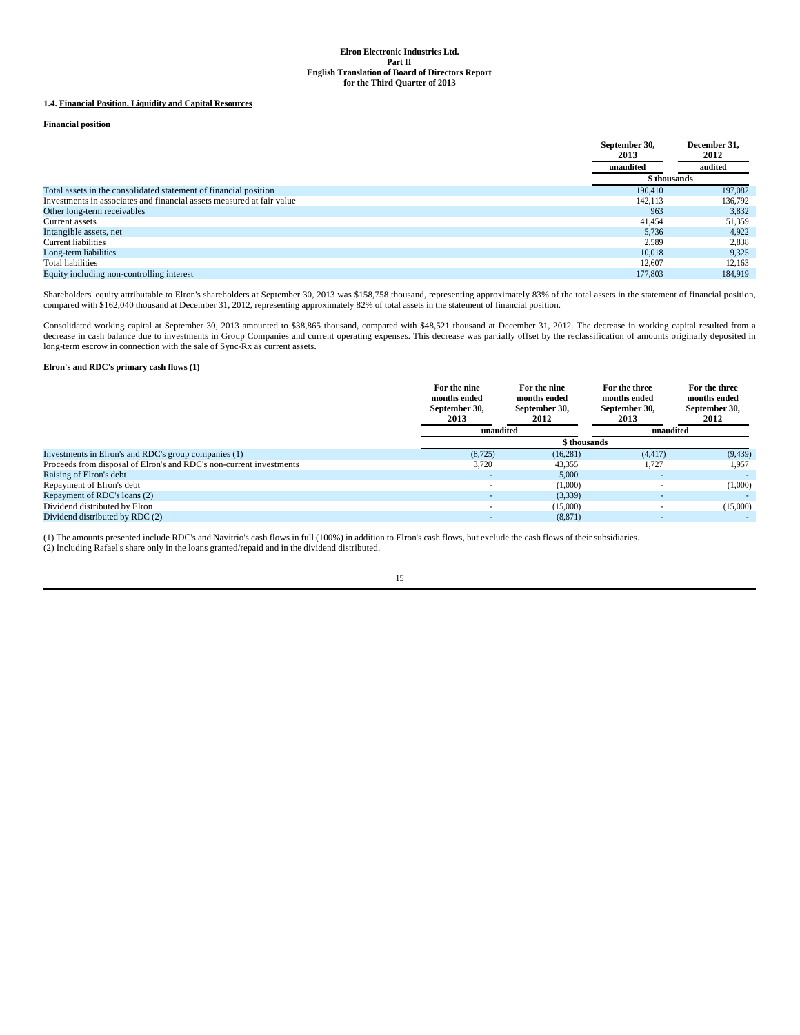## **1.4. Financial Position, Liquidity and Capital Resources**

**Financial position**

|                                                                       | September 30,<br>2013 | December 31,<br>2012 |
|-----------------------------------------------------------------------|-----------------------|----------------------|
|                                                                       | unaudited             | audited              |
|                                                                       | \$ thousands          |                      |
| Total assets in the consolidated statement of financial position      | 190,410               | 197,082              |
| Investments in associates and financial assets measured at fair value | 142.113               | 136,792              |
| Other long-term receivables                                           | 963                   | 3,832                |
| Current assets                                                        | 41,454                | 51,359               |
| Intangible assets, net                                                | 5,736                 | 4,922                |
| <b>Current liabilities</b>                                            | 2,589                 | 2,838                |
| Long-term liabilities                                                 | 10.018                | 9,325                |
| Total liabilities                                                     | 12,607                | 12,163               |
| Equity including non-controlling interest                             | 177,803               | 184.919              |

Shareholders' equity attributable to Elron's shareholders at September 30, 2013 was \$158,758 thousand, representing approximately 83% of the total assets in the statement of financial position,<br>compared with \$162,040 thous

Consolidated working capital at September 30, 2013 amounted to \$38,865 thousand, compared with \$48,521 thousand at December 31, 2012. The decrease in working capital resulted from a<br>decrease in cash balance due to investme long-term escrow in connection with the sale of Sync-Rx as current assets.

## **Elron's and RDC's primary cash flows (1)**

|                                                                     | For the nine<br>months ended<br>September 30,<br>2013 | For the nine<br>months ended<br>September 30,<br>2012 | For the three<br>months ended<br>September 30,<br>2013 | For the three<br>months ended<br>September 30,<br>2012 |
|---------------------------------------------------------------------|-------------------------------------------------------|-------------------------------------------------------|--------------------------------------------------------|--------------------------------------------------------|
|                                                                     | unaudited                                             |                                                       | unaudited                                              |                                                        |
|                                                                     |                                                       | \$ thousands                                          |                                                        |                                                        |
| Investments in Elron's and RDC's group companies (1)                | (8, 725)                                              | (16, 281)                                             | (4, 417)                                               | (9, 439)                                               |
| Proceeds from disposal of Elron's and RDC's non-current investments | 3,720                                                 | 43,355                                                | 1,727                                                  | 1,957                                                  |
| Raising of Elron's debt                                             |                                                       | 5,000                                                 |                                                        |                                                        |
| Repayment of Elron's debt                                           |                                                       | (1,000)                                               |                                                        | (1,000)                                                |
| Repayment of RDC's loans (2)                                        |                                                       | (3,339)                                               |                                                        |                                                        |
| Dividend distributed by Elron                                       |                                                       | (15,000)                                              |                                                        | (15,000)                                               |
| Dividend distributed by RDC (2)                                     |                                                       | (8, 871)                                              |                                                        |                                                        |

(1) The amounts presented include RDC's and Navitrio's cash flows in full (100%) in addition to Elron's cash flows, but exclude the cash flows of their subsidiaries.

(2) Including Rafael's share only in the loans granted/repaid and in the dividend distributed.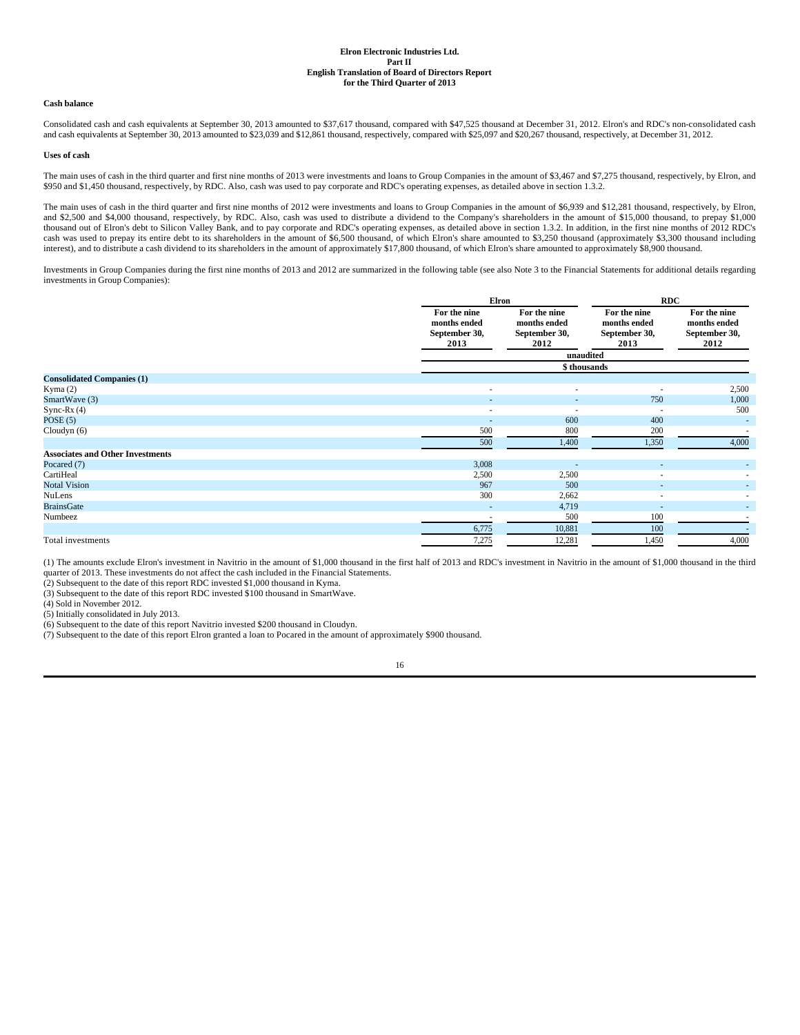### **Cash balance**

Consolidated cash and cash equivalents at September 30, 2013 amounted to \$37,617 thousand, compared with \$47,525 thousand at December 31, 2012. Elron's and RDC's non-consolidated cash and cash equivalents at September 30, 2013 amounted to \$23,039 and \$12,861 thousand, respectively, compared with \$25,097 and \$20,267 thousand, respectively, at December 31, 2012.

#### **Uses of cash**

The main uses of cash in the third quarter and first nine months of 2013 were investments and loans to Group Companies in the amount of \$3,467 and \$7,275 thousand, respectively, by Elron, and \$950 and \$1,450 thousand, respectively, by RDC. Also, cash was used to pay corporate and RDC's operating expenses, as detailed above in section 1.3.2.

The main uses of cash in the third quarter and first nine months of 2012 were investments and loans to Group Companies in the amount of \$6,939 and \$12,281 thousand, respectively, by Elron, and \$2,500 and \$4,000 thousand, respectively, by RDC. Also, cash was used to distribute a dividend to the Company's shareholders in the amount of \$15,000 thousand, to prepay \$1,000 thousand out of Elron's debt to Silicon Valley Bank, and to pay corporate and RDC's operating expenses, as detailed above in section 1.3.2. In addition, in the first nine months of 2012 RDC's cash was used to prepay its entire debt to its shareholders in the amount of \$6,500 thousand, of which Elron's share amounted to \$3,250 thousand (approximately \$3,300 thousand including interest), and to distribute a cash dividend to its shareholders in the amount of approximately \$17,800 thousand, of which Elron's share amounted to approximately \$8,900 thousand.

Investments in Group Companies during the first nine months of 2013 and 2012 are summarized in the following table (see also Note 3 to the Financial Statements for additional details regarding investments in Group Companies):

|                                         | Elron                                                 |                                                       | <b>RDC</b>                                            |                                                       |  |
|-----------------------------------------|-------------------------------------------------------|-------------------------------------------------------|-------------------------------------------------------|-------------------------------------------------------|--|
|                                         | For the nine<br>months ended<br>September 30,<br>2013 | For the nine<br>months ended<br>September 30,<br>2012 | For the nine<br>months ended<br>September 30,<br>2013 | For the nine<br>months ended<br>September 30,<br>2012 |  |
|                                         |                                                       | unaudited                                             |                                                       |                                                       |  |
|                                         |                                                       | \$ thousands                                          |                                                       |                                                       |  |
| <b>Consolidated Companies (1)</b>       |                                                       |                                                       |                                                       |                                                       |  |
| Kyma $(2)$                              | $\overline{\phantom{a}}$                              | ٠                                                     | $\overline{\phantom{a}}$                              | 2,500                                                 |  |
| SmartWave (3)                           | $\overline{a}$                                        | $\overline{\phantom{a}}$                              | 750                                                   | 1,000                                                 |  |
| Sync-Rx $(4)$                           | $\overline{\phantom{a}}$                              | ٠                                                     | ٠                                                     | 500                                                   |  |
| POSE(5)                                 |                                                       | 600                                                   | 400                                                   |                                                       |  |
| Cloudyn(6)                              | 500                                                   | 800                                                   | 200                                                   | $\sim$                                                |  |
|                                         | 500                                                   | 1,400                                                 | 1,350                                                 | 4,000                                                 |  |
| <b>Associates and Other Investments</b> |                                                       |                                                       |                                                       |                                                       |  |
| Pocared (7)                             | 3,008                                                 | ٠                                                     | $\overline{\phantom{a}}$                              | $\sim$                                                |  |
| CartiHeal                               | 2,500                                                 | 2,500                                                 | $\sim$                                                | $\overline{\phantom{a}}$                              |  |
| <b>Notal Vision</b>                     | 967                                                   | 500                                                   |                                                       | $\overline{\phantom{0}}$                              |  |
| NuLens                                  | 300                                                   | 2,662                                                 | ٠                                                     | $\overline{\phantom{a}}$                              |  |
| <b>BrainsGate</b>                       | $\overline{\phantom{a}}$                              | 4,719                                                 | $\sim$                                                | $\overline{\phantom{a}}$                              |  |
| Numbeez                                 | $\overline{\phantom{a}}$                              | 500                                                   | 100                                                   |                                                       |  |
|                                         | 6,775                                                 | 10,881                                                | 100                                                   |                                                       |  |
| Total investments                       | 7,275                                                 | 12,281                                                | 1,450                                                 | 4,000                                                 |  |

(1) The amounts exclude Elron's investment in Navitrio in the amount of \$1,000 thousand in the first half of 2013 and RDC's investment in Navitrio in the amount of \$1,000 thousand in the third quarter of 2013. These investments do not affect the cash included in the Financial Statements.

(2) Subsequent to the date of this report RDC invested \$1,000 thousand in Kyma.

(3) Subsequent to the date of this report RDC invested \$100 thousand in SmartWave.

(4) Sold in November 2012.

(5) Initially consolidated in July 2013.

(6) Subsequent to the date of this report Navitrio invested \$200 thousand in Cloudyn.

(7) Subsequent to the date of this report Elron granted a loan to Pocared in the amount of approximately \$900 thousand.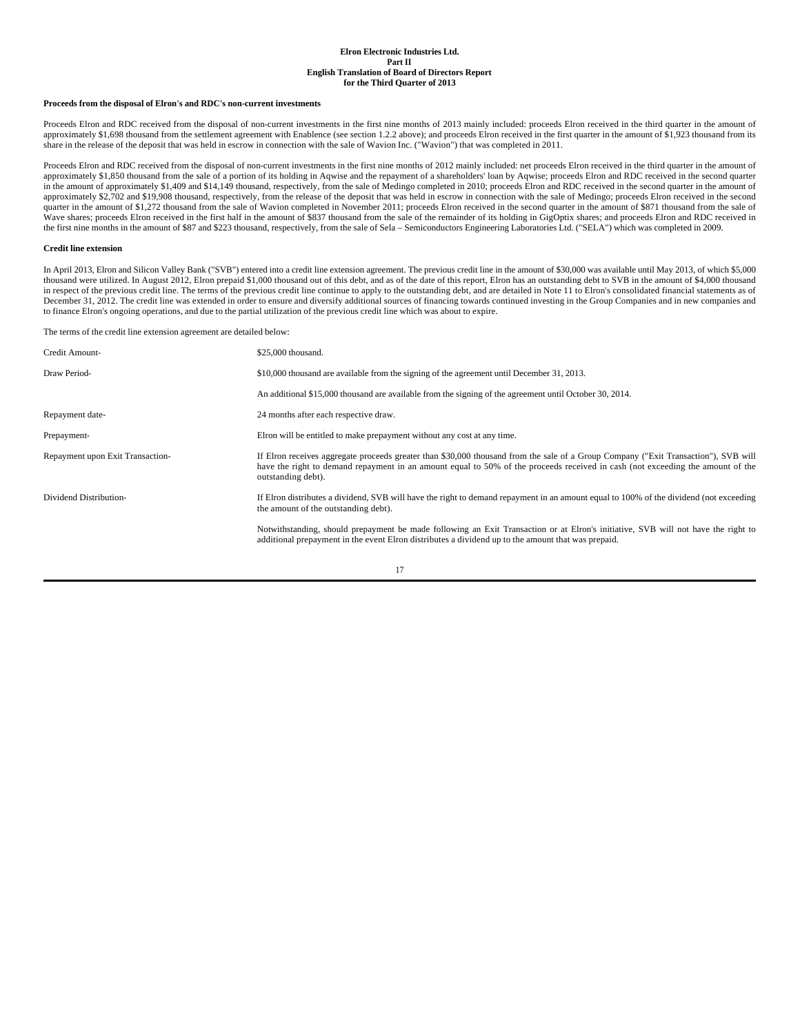#### **Proceeds from the disposal of Elron's and RDC's non-current investments**

Proceeds Elron and RDC received from the disposal of non-current investments in the first nine months of 2013 mainly included: proceeds Elron received in the third quarter in the amount of approximately \$1,698 thousand from the settlement agreement with Enablence (see section 1.2.2 above); and proceeds Elron received in the first quarter in the amount of \$1,923 thousand from its share in the release of the deposit that was held in escrow in connection with the sale of Wavion Inc. ("Wavion") that was completed in 2011.

Proceeds Elron and RDC received from the disposal of non-current investments in the first nine months of 2012 mainly included: net proceeds Elron received in the third quarter in the amount of approximately \$1,850 thousand from the sale of a portion of its holding in Aqwise and the repayment of a shareholders' loan by Aqwise; proceeds Elron and RDC received in the second quarter in the amount of approximately \$1,409 and \$14,149 thousand, respectively, from the sale of Medingo completed in 2010; proceeds Elron and RDC received in the second quarter in the amount of approximately \$2,702 and \$19,908 thousand, respectively, from the release of the deposit that was held in escrow in connection with the sale of Medingo; proceeds Elron received in the second quarter in the amount of \$1,272 thousand from the sale of Wavion completed in November 2011; proceeds Elron received in the second quarter in the amount of \$871 thousand from the sale of Wave shares; proceeds Elron received in the first half in the amount of \$837 thousand from the sale of the remainder of its holding in GigOptix shares; and proceeds Elron and RDC received in the first nine months in the amount of \$87 and \$223 thousand, respectively, from the sale of Sela – Semiconductors Engineering Laboratories Ltd. ("SELA") which was completed in 2009.

#### **Credit line extension**

In April 2013, Elron and Silicon Valley Bank ("SVB") entered into a credit line extension agreement. The previous credit line in the amount of \$30,000 was available until May 2013, of which \$5,000 thousand were utilized. In August 2012, Elron prepaid \$1,000 thousand out of this debt, and as of the date of this report, Elron has an outstanding debt to SVB in the amount of \$4,000 thousand in respect of the previous credit line. The terms of the previous credit line continue to apply to the outstanding debt, and are detailed in Note 11 to Elron's consolidated financial statements as of December 31, 2012. The credit line was extended in order to ensure and diversify additional sources of financing towards continued investing in the Group Companies and in new companies and to finance Elron's ongoing operations, and due to the partial utilization of the previous credit line which was about to expire.

The terms of the credit line extension agreement are detailed below:

| Credit Amount-                   | \$25,000 thousand.                                                                                                                                                                                                                                                                          |
|----------------------------------|---------------------------------------------------------------------------------------------------------------------------------------------------------------------------------------------------------------------------------------------------------------------------------------------|
| Draw Period-                     | \$10,000 thousand are available from the signing of the agreement until December 31, 2013.                                                                                                                                                                                                  |
|                                  | An additional \$15,000 thousand are available from the signing of the agreement until October 30, 2014.                                                                                                                                                                                     |
| Repayment date-                  | 24 months after each respective draw.                                                                                                                                                                                                                                                       |
| Prepayment-                      | Elron will be entitled to make prepayment without any cost at any time.                                                                                                                                                                                                                     |
| Repayment upon Exit Transaction- | If Elron receives aggregate proceeds greater than \$30,000 thousand from the sale of a Group Company ("Exit Transaction"), SVB will<br>have the right to demand repayment in an amount equal to 50% of the proceeds received in cash (not exceeding the amount of the<br>outstanding debt). |
| Dividend Distribution-           | If Elron distributes a dividend, SVB will have the right to demand repayment in an amount equal to 100% of the dividend (not exceeding<br>the amount of the outstanding debt).                                                                                                              |
|                                  | Notwithstanding, should prepayment be made following an Exit Transaction or at Elron's initiative, SVB will not have the right to<br>additional prepayment in the event Elron distributes a dividend up to the amount that was prepaid.                                                     |
|                                  |                                                                                                                                                                                                                                                                                             |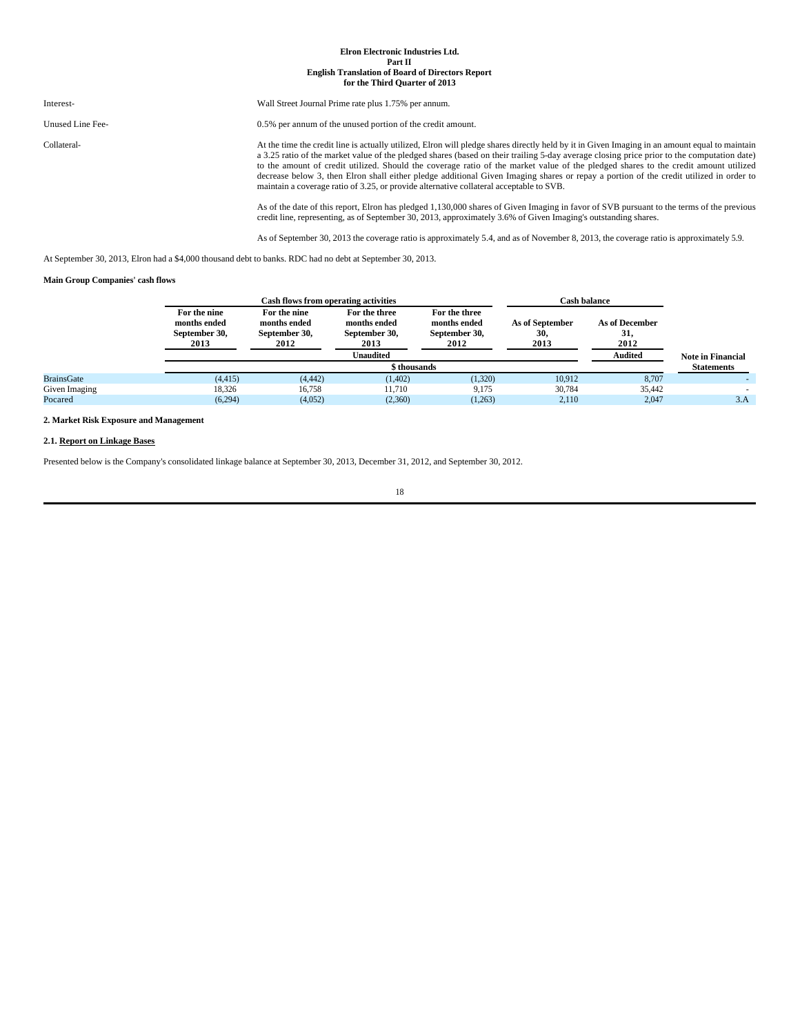| Interest-        | Wall Street Journal Prime rate plus 1.75% per annum.                                                                                                                                                                                                                                                                                                                                                                                                                                                                                                                                                                                                                     |
|------------------|--------------------------------------------------------------------------------------------------------------------------------------------------------------------------------------------------------------------------------------------------------------------------------------------------------------------------------------------------------------------------------------------------------------------------------------------------------------------------------------------------------------------------------------------------------------------------------------------------------------------------------------------------------------------------|
| Unused Line Fee- | 0.5% per annum of the unused portion of the credit amount.                                                                                                                                                                                                                                                                                                                                                                                                                                                                                                                                                                                                               |
| Collateral-      | At the time the credit line is actually utilized, Elron will pledge shares directly held by it in Given Imaging in an amount equal to maintain<br>a 3.25 ratio of the market value of the pledged shares (based on their trailing 5-day average closing price prior to the computation date)<br>to the amount of credit utilized. Should the coverage ratio of the market value of the pledged shares to the credit amount utilized<br>decrease below 3, then Elron shall either pledge additional Given Imaging shares or repay a portion of the credit utilized in order to<br>maintain a coverage ratio of 3.25, or provide alternative collateral acceptable to SVB. |
|                  | As of the date of this report. Flrop has pledged 1,130,000 shares of Given Imaging in favor of SVR pursuant to the terms of the previous                                                                                                                                                                                                                                                                                                                                                                                                                                                                                                                                 |

As of the date of this report, Elron has pledged 1,130,000 shares of Given Imaging in favor of SVB pursuant to the terms of the previous<br>credit line, representing, as of September 30, 2013, approximately 3.6% of Given Imag

As of September 30, 2013 the coverage ratio is approximately 5.4, and as of November 8, 2013, the coverage ratio is approximately 5.9.

At September 30, 2013, Elron had a \$4,000 thousand debt to banks. RDC had no debt at September 30, 2013.

## **Main Group Companies' cash flows**

|                   |                                                       | <b>Cash flows from operating activities</b>           |                                                        | <b>Cash balance</b>                                    |                                |                               |                          |
|-------------------|-------------------------------------------------------|-------------------------------------------------------|--------------------------------------------------------|--------------------------------------------------------|--------------------------------|-------------------------------|--------------------------|
|                   | For the nine<br>months ended<br>September 30,<br>2013 | For the nine<br>months ended<br>September 30,<br>2012 | For the three<br>months ended<br>September 30,<br>2013 | For the three<br>months ended<br>September 30,<br>2012 | As of September<br>30,<br>2013 | As of December<br>31,<br>2012 |                          |
|                   |                                                       |                                                       | Unaudited                                              |                                                        |                                | <b>Audited</b>                | <b>Note in Financial</b> |
|                   | <b>\$ thousands</b>                                   |                                                       |                                                        |                                                        |                                |                               | <b>Statements</b>        |
| <b>BrainsGate</b> | (4, 415)                                              | (4, 442)                                              | (1,402)                                                | (1,320)                                                | 10.912                         | 8,707                         |                          |
| Given Imaging     | 18,326                                                | 16.758                                                | 11.710                                                 | 9.175                                                  | 30.784                         | 35.442                        |                          |
| Pocared           | (6,294)                                               | (4,052)                                               | (2,360)                                                | (1,263)                                                | 2.110                          | 2.047                         | 3.A                      |

## **2. Market Risk Exposure and Management**

## **2.1. Report on Linkage Bases**

Presented below is the Company's consolidated linkage balance at September 30, 2013, December 31, 2012, and September 30, 2012.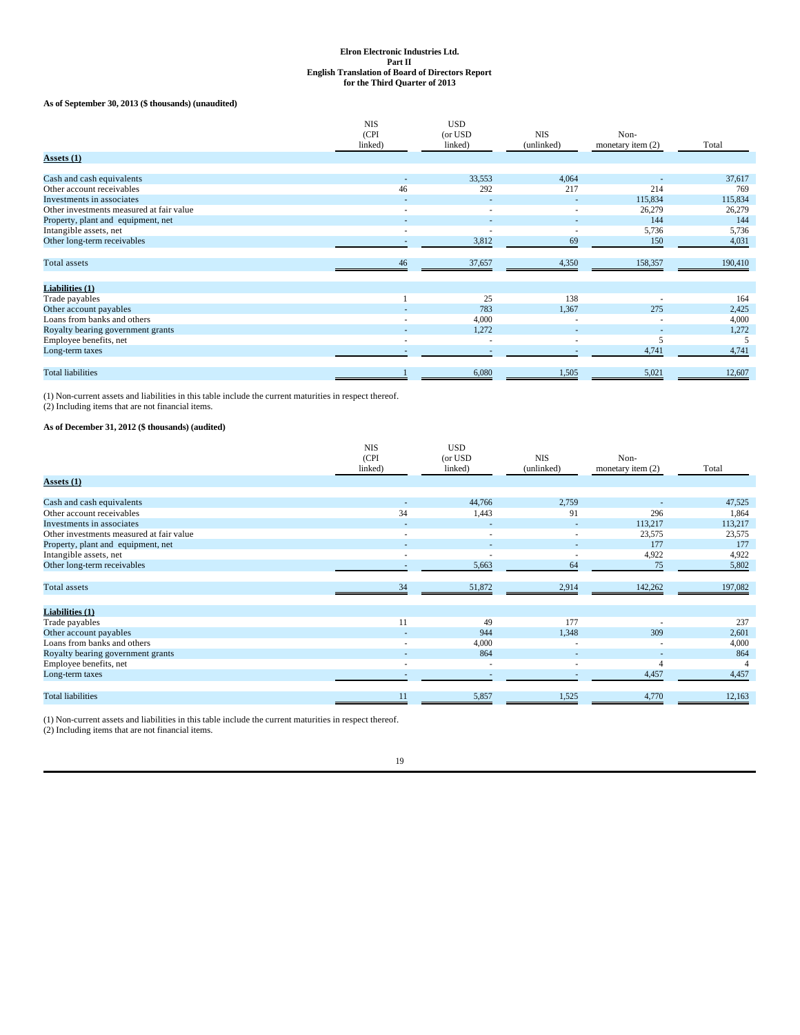## **As of September 30, 2013 (\$ thousands) (unaudited)**

|                                          | <b>NIS</b>               | <b>USD</b>               |                          |                     |         |
|------------------------------------------|--------------------------|--------------------------|--------------------------|---------------------|---------|
|                                          | (CPI)                    | (or USD)                 | <b>NIS</b>               | Non-                |         |
|                                          | linked)                  | linked)                  | (unlinked)               | monetary item $(2)$ | Total   |
| Assets $(1)$                             |                          |                          |                          |                     |         |
| Cash and cash equivalents                |                          | 33,553                   | 4,064                    |                     | 37,617  |
| Other account receivables                | 46                       | 292                      | 217                      | 214                 | 769     |
| Investments in associates                | $\overline{a}$           |                          |                          | 115,834             | 115,834 |
| Other investments measured at fair value | $\overline{\phantom{a}}$ | $\overline{\phantom{a}}$ | $\overline{\phantom{a}}$ | 26,279              | 26,279  |
| Property, plant and equipment, net       |                          |                          |                          | 144                 | 144     |
| Intangible assets, net                   | $\overline{\phantom{a}}$ | $\overline{\phantom{a}}$ | ٠                        | 5,736               | 5,736   |
| Other long-term receivables              |                          | 3,812                    | 69                       | 150                 | 4,031   |
| <b>Total</b> assets                      | 46                       | 37,657                   | 4,350                    | 158,357             | 190,410 |
|                                          |                          |                          |                          |                     |         |
| Liabilities (1)                          |                          |                          |                          |                     |         |
| Trade payables                           |                          | 25                       | 138                      | ٠                   | 164     |
| Other account payables                   |                          | 783                      | 1,367                    | 275                 | 2,425   |
| Loans from banks and others              |                          | 4,000                    |                          |                     | 4,000   |
| Royalty bearing government grants        |                          | 1,272                    |                          | ٠                   | 1,272   |
| Employee benefits, net                   | $\overline{\phantom{a}}$ | $\overline{\phantom{a}}$ | $\overline{\phantom{a}}$ |                     |         |
| Long-term taxes                          |                          |                          |                          | 4,741               | 4,741   |
| <b>Total liabilities</b>                 |                          | 6,080                    | 1,505                    | 5,021               | 12,607  |
|                                          |                          |                          |                          |                     |         |

(1) Non-current assets and liabilities in this table include the current maturities in respect thereof. (2) Including items that are not financial items.

## **As of December 31, 2012 (\$ thousands) (audited)**

|                                          | <b>NIS</b><br>(CPI<br>linked) | <b>USD</b><br>(or USD<br>linked) | <b>NIS</b><br>(unlinked) | Non-<br>monetary item (2) | Total   |
|------------------------------------------|-------------------------------|----------------------------------|--------------------------|---------------------------|---------|
| <b>Assets</b> (1)                        |                               |                                  |                          |                           |         |
|                                          |                               |                                  |                          |                           |         |
| Cash and cash equivalents                |                               | 44,766                           | 2,759                    |                           | 47,525  |
| Other account receivables                | 34                            | 1,443                            | 91                       | 296                       | 1,864   |
| Investments in associates                | ٠                             | ٠                                | ٠                        | 113,217                   | 113,217 |
| Other investments measured at fair value | $\overline{\phantom{a}}$      | $\overline{\phantom{a}}$         | $\overline{\phantom{a}}$ | 23,575                    | 23,575  |
| Property, plant and equipment, net       |                               | $\overline{\phantom{a}}$         | ۰                        | 177                       | 177     |
| Intangible assets, net                   | $\overline{\phantom{a}}$      | $\overline{\phantom{a}}$         | $\overline{\phantom{a}}$ | 4,922                     | 4,922   |
| Other long-term receivables              |                               | 5,663                            | 64                       | 75                        | 5,802   |
|                                          |                               |                                  |                          |                           |         |
| Total assets                             | 34                            | 51,872                           | 2,914                    | 142,262                   | 197,082 |
|                                          |                               |                                  |                          |                           |         |
| Liabilities (1)                          |                               |                                  |                          |                           |         |
| Trade payables                           | 11                            | 49                               | 177                      |                           | 237     |
| Other account payables                   |                               | 944                              | 1,348                    | 309                       | 2,601   |
| Loans from banks and others              |                               | 4,000                            | ٠                        |                           | 4,000   |
| Royalty bearing government grants        |                               | 864                              | $\overline{a}$           | $\overline{\phantom{a}}$  | 864     |
| Employee benefits, net                   | $\overline{\phantom{a}}$      | $\overline{\phantom{a}}$         | ٠                        | 4                         |         |
| Long-term taxes                          | $\overline{\phantom{a}}$      | $\overline{\phantom{a}}$         | $\sim$                   | 4,457                     | 4,457   |
|                                          |                               |                                  |                          |                           |         |
| <b>Total liabilities</b>                 | 11                            | 5,857                            | 1,525                    | 4,770                     | 12,163  |

(1) Non-current assets and liabilities in this table include the current maturities in respect thereof. (2) Including items that are not financial items.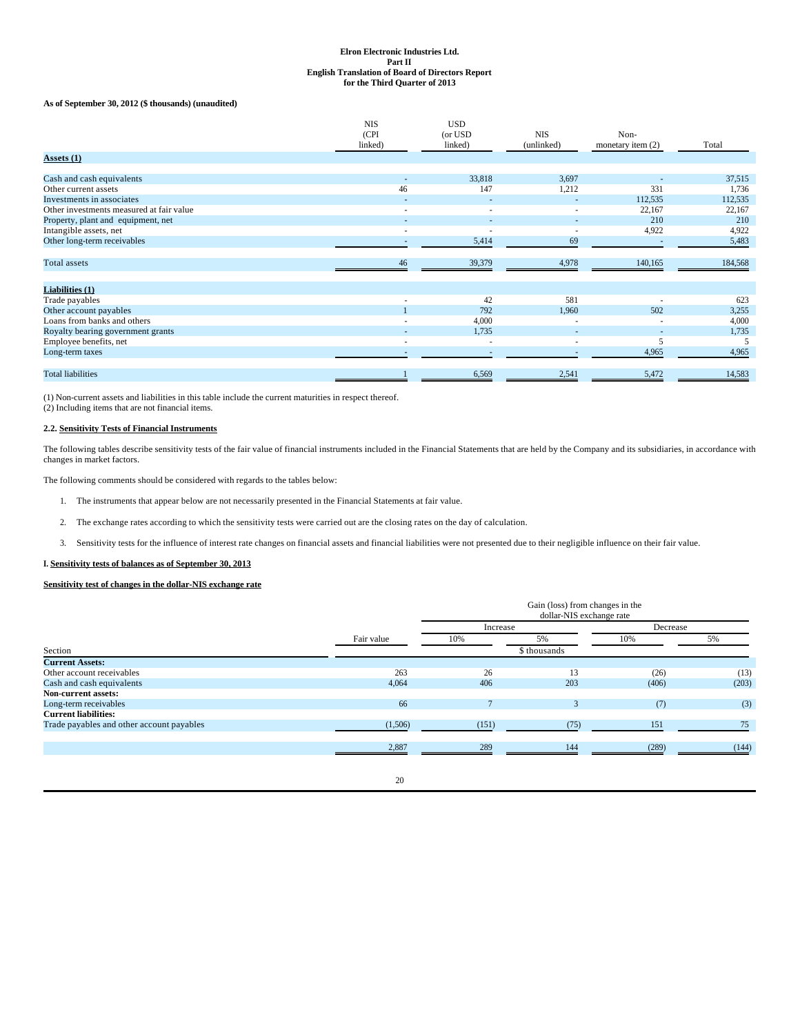## **As of September 30, 2012 (\$ thousands) (unaudited)**

| (CPI)<br>(or USD<br><b>NIS</b><br>Non-<br>linked)<br>linked)<br>(unlinked)<br>Total<br>monetary item $(2)$<br><b>Assets</b> (1)<br>Cash and cash equivalents<br>33,818<br>3,697<br>$\overline{\phantom{a}}$<br>147<br>331<br>46<br>1,212<br>Other current assets<br>Investments in associates<br>112,535<br>Other investments measured at fair value<br>22,167<br>$\overline{\phantom{a}}$<br>$\overline{\phantom{a}}$<br>٠<br>Property, plant and equipment, net<br>210<br>Intangible assets, net<br>4,922<br>$\overline{\phantom{a}}$<br>Other long-term receivables<br>69<br>5,414<br>$\overline{a}$<br><b>Total</b> assets<br>39,379<br>4,978<br>140,165<br>46<br>Liabilities (1)<br>42<br>581<br>Trade payables<br>792<br>502<br>Other account payables<br>1,960<br>Loans from banks and others<br>4,000<br>٠ | <b>NIS</b> | <b>USD</b> |  |         |
|--------------------------------------------------------------------------------------------------------------------------------------------------------------------------------------------------------------------------------------------------------------------------------------------------------------------------------------------------------------------------------------------------------------------------------------------------------------------------------------------------------------------------------------------------------------------------------------------------------------------------------------------------------------------------------------------------------------------------------------------------------------------------------------------------------------------|------------|------------|--|---------|
|                                                                                                                                                                                                                                                                                                                                                                                                                                                                                                                                                                                                                                                                                                                                                                                                                    |            |            |  |         |
|                                                                                                                                                                                                                                                                                                                                                                                                                                                                                                                                                                                                                                                                                                                                                                                                                    |            |            |  |         |
|                                                                                                                                                                                                                                                                                                                                                                                                                                                                                                                                                                                                                                                                                                                                                                                                                    |            |            |  |         |
|                                                                                                                                                                                                                                                                                                                                                                                                                                                                                                                                                                                                                                                                                                                                                                                                                    |            |            |  | 37,515  |
|                                                                                                                                                                                                                                                                                                                                                                                                                                                                                                                                                                                                                                                                                                                                                                                                                    |            |            |  | 1,736   |
|                                                                                                                                                                                                                                                                                                                                                                                                                                                                                                                                                                                                                                                                                                                                                                                                                    |            |            |  | 112,535 |
|                                                                                                                                                                                                                                                                                                                                                                                                                                                                                                                                                                                                                                                                                                                                                                                                                    |            |            |  | 22,167  |
|                                                                                                                                                                                                                                                                                                                                                                                                                                                                                                                                                                                                                                                                                                                                                                                                                    |            |            |  | 210     |
|                                                                                                                                                                                                                                                                                                                                                                                                                                                                                                                                                                                                                                                                                                                                                                                                                    |            |            |  | 4,922   |
|                                                                                                                                                                                                                                                                                                                                                                                                                                                                                                                                                                                                                                                                                                                                                                                                                    |            |            |  | 5,483   |
|                                                                                                                                                                                                                                                                                                                                                                                                                                                                                                                                                                                                                                                                                                                                                                                                                    |            |            |  | 184,568 |
|                                                                                                                                                                                                                                                                                                                                                                                                                                                                                                                                                                                                                                                                                                                                                                                                                    |            |            |  |         |
|                                                                                                                                                                                                                                                                                                                                                                                                                                                                                                                                                                                                                                                                                                                                                                                                                    |            |            |  | 623     |
|                                                                                                                                                                                                                                                                                                                                                                                                                                                                                                                                                                                                                                                                                                                                                                                                                    |            |            |  | 3,255   |
|                                                                                                                                                                                                                                                                                                                                                                                                                                                                                                                                                                                                                                                                                                                                                                                                                    |            |            |  | 4,000   |
| 1,735<br>Royalty bearing government grants<br>$\overline{\phantom{a}}$<br>$\sim$<br>$\overline{\phantom{a}}$                                                                                                                                                                                                                                                                                                                                                                                                                                                                                                                                                                                                                                                                                                       |            |            |  | 1,735   |
| Employee benefits, net<br>5<br>$\overline{\phantom{a}}$<br>$\overline{\phantom{a}}$<br>٠                                                                                                                                                                                                                                                                                                                                                                                                                                                                                                                                                                                                                                                                                                                           |            |            |  |         |
| 4,965<br>Long-term taxes                                                                                                                                                                                                                                                                                                                                                                                                                                                                                                                                                                                                                                                                                                                                                                                           |            |            |  | 4,965   |
| <b>Total liabilities</b><br>5,472<br>6,569<br>2,541                                                                                                                                                                                                                                                                                                                                                                                                                                                                                                                                                                                                                                                                                                                                                                |            |            |  | 14,583  |

(1) Non-current assets and liabilities in this table include the current maturities in respect thereof. (2) Including items that are not financial items.

## **2.2. Sensitivity Tests of Financial Instruments**

The following tables describe sensitivity tests of the fair value of financial instruments included in the Financial Statements that are held by the Company and its subsidiaries, in accordance with<br>changes in market factor

The following comments should be considered with regards to the tables below:

- 1. The instruments that appear below are not necessarily presented in the Financial Statements at fair value.
- 2. The exchange rates according to which the sensitivity tests were carried out are the closing rates on the day of calculation.
- 3. Sensitivity tests for the influence of interest rate changes on financial assets and financial liabilities were not presented due to their negligible influence on their fair value.

**I. Sensitivity tests of balances as of September 30, 2013**

## **Sensitivity test of changes in the dollar-NIS exchange rate**

|                                           |            |       | Increase     |       | Decrease |
|-------------------------------------------|------------|-------|--------------|-------|----------|
|                                           | Fair value | 10%   | 5%           | 10%   | 5%       |
| Section                                   |            |       | \$ thousands |       |          |
| <b>Current Assets:</b>                    |            |       |              |       |          |
| Other account receivables                 | 263        | 26    | 13           | (26)  | (13)     |
| Cash and cash equivalents                 | 4,064      | 406   | 203          | (406) | (203)    |
| Non-current assets:                       |            |       |              |       |          |
| Long-term receivables                     | 66         |       | $\mathbf{R}$ | (7)   | (3)      |
| <b>Current liabilities:</b>               |            |       |              |       |          |
| Trade payables and other account payables | (1,506)    | (151) | (75)         | 151   | 75       |
|                                           |            |       |              |       |          |
|                                           | 2,887      | 289   | 144          | (289) | (144)    |
|                                           |            |       |              |       |          |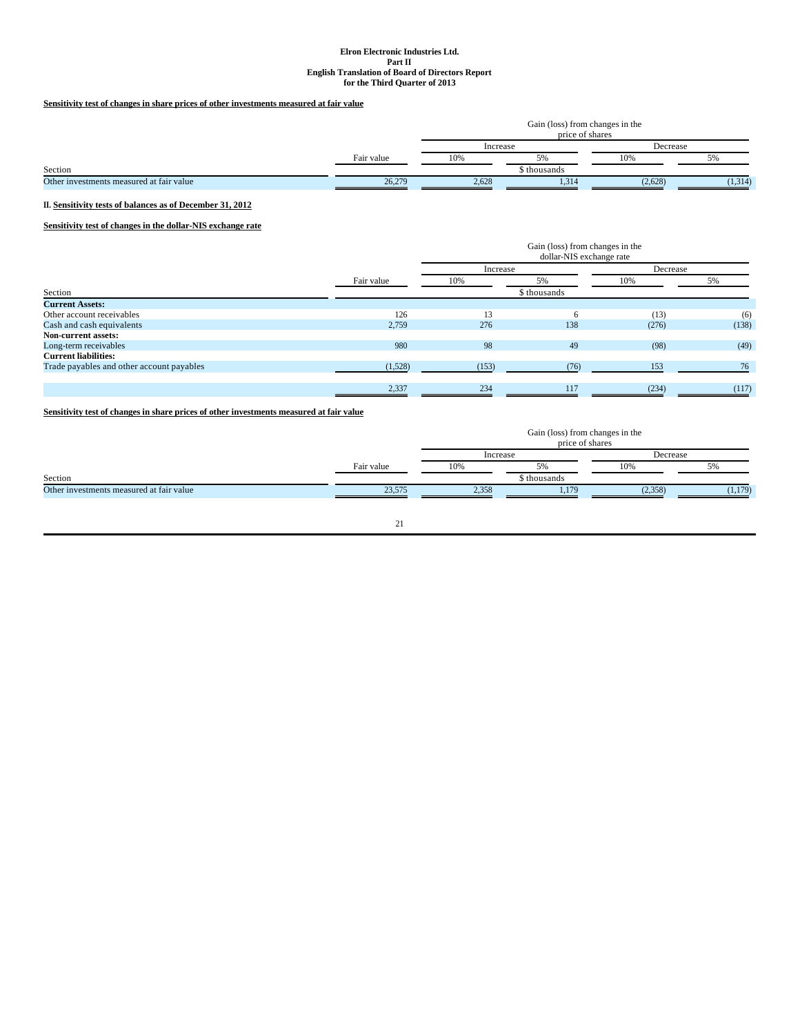## **Sensitivity test of changes in share prices of other investments measured at fair value**

|                                          |            | Gain (loss) from changes in the<br>price of shares |              |          |         |  |
|------------------------------------------|------------|----------------------------------------------------|--------------|----------|---------|--|
|                                          |            | Increase                                           |              | Decrease |         |  |
|                                          | Fair value | 10%                                                |              | 10%      | 5%      |  |
| Section                                  |            |                                                    | \$ thousands |          |         |  |
| Other investments measured at fair value | 26,279     | 2,628                                              | 1.314        | (2,628)  | (1,314) |  |

## **II. Sensitivity tests of balances as of December 31, 2012**

## **Sensitivity test of changes in the dollar-NIS exchange rate**

|                                           |            | Gain (loss) from changes in the<br>dollar-NIS exchange rate |              |          |       |
|-------------------------------------------|------------|-------------------------------------------------------------|--------------|----------|-------|
|                                           |            | Increase                                                    |              | Decrease |       |
|                                           | Fair value | 10%                                                         | 5%           | 10%      | 5%    |
| Section                                   |            |                                                             | \$ thousands |          |       |
| <b>Current Assets:</b>                    |            |                                                             |              |          |       |
| Other account receivables                 | 126        | 13                                                          | 6            | (13)     | (6)   |
| Cash and cash equivalents                 | 2,759      | 276                                                         | 138          | (276)    | (138) |
| <b>Non-current assets:</b>                |            |                                                             |              |          |       |
| Long-term receivables                     | 980        | 98                                                          | 49           | (98)     | (49)  |
| <b>Current liabilities:</b>               |            |                                                             |              |          |       |
| Trade payables and other account payables | (1,528)    | (153)                                                       | (76)         | 153      | 76    |
|                                           | 2,337      | 234                                                         | 117          | (234)    | (117) |

**Sensitivity test of changes in share prices of other investments measured at fair value**

|                                          |            | Gain (loss) from changes in the<br>price of shares |             |          |         |  |  |
|------------------------------------------|------------|----------------------------------------------------|-------------|----------|---------|--|--|
|                                          |            | Increase                                           |             | Decrease |         |  |  |
|                                          | Fair value | 10%                                                | 5%          | 10%      | $5\%$   |  |  |
| Section                                  |            |                                                    | s thousands |          |         |  |  |
| Other investments measured at fair value | 23,575     | 2,358                                              | 1.179       | (2,358)  | (1,179) |  |  |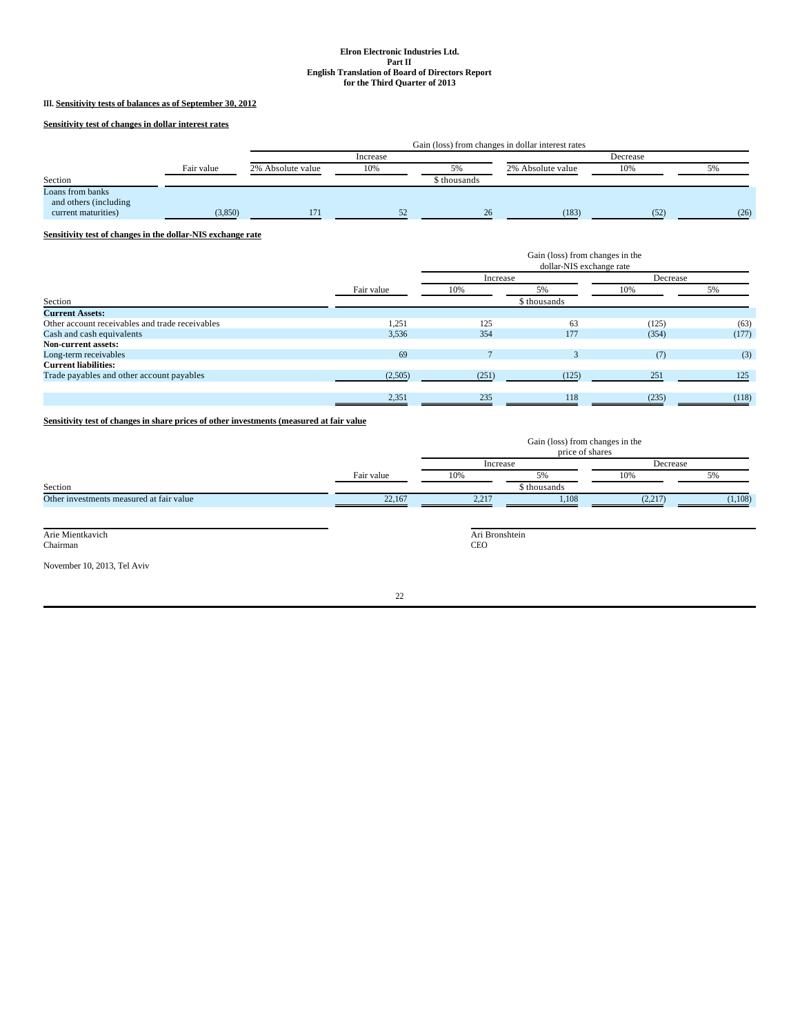## **III. Sensitivity tests of balances as of September 30, 2012**

**Sensitivity test of changes in dollar interest rates**

|                                                                  |            | Gain (loss) from changes in dollar interest rates |          |              |                   |          |      |
|------------------------------------------------------------------|------------|---------------------------------------------------|----------|--------------|-------------------|----------|------|
|                                                                  |            |                                                   | Increase |              |                   | Decrease |      |
|                                                                  | Fair value | 2% Absolute value                                 | 10%      | 5%           | 2% Absolute value | 10%      | 5%   |
| Section                                                          |            |                                                   |          | \$ thousands |                   |          |      |
| Loans from banks<br>and others (including<br>current maturities) | (3.850)    | 171                                               |          | 26           | (183)             | (52)     | (26) |

**Sensitivity test of changes in the dollar-NIS exchange rate**

|                                                 |            | Gain (loss) from changes in the<br>dollar-NIS exchange rate |              |          |       |
|-------------------------------------------------|------------|-------------------------------------------------------------|--------------|----------|-------|
|                                                 |            | Increase                                                    |              | Decrease |       |
|                                                 | Fair value | 10%                                                         | 5%           | 10%      | 5%    |
| Section                                         |            |                                                             | \$ thousands |          |       |
| <b>Current Assets:</b>                          |            |                                                             |              |          |       |
| Other account receivables and trade receivables | 1,251      | 125                                                         | 63           | (125)    | (63)  |
| Cash and cash equivalents                       | 3,536      | 354                                                         | 177          | (354)    | (177) |
| <b>Non-current assets:</b>                      |            |                                                             |              |          |       |
| Long-term receivables                           | 69         |                                                             |              | (7)      | (3)   |
| <b>Current liabilities:</b>                     |            |                                                             |              |          |       |
| Trade payables and other account payables       | (2,505)    | (251)                                                       | (125)        | 251      | 125   |
|                                                 |            |                                                             |              |          |       |
|                                                 | 2,351      | 235                                                         | 118          | (235)    | (118) |

**Sensitivity test of changes in share prices of other investments (measured at fair value**

|                                          |            | Gain (loss) from changes in the<br>price of shares |              |          |         |
|------------------------------------------|------------|----------------------------------------------------|--------------|----------|---------|
|                                          |            | Increase                                           |              | Decrease |         |
|                                          | Fair value | 10%                                                | 5%           | 10%      | 5%      |
| Section                                  |            |                                                    | \$ thousands |          |         |
| Other investments measured at fair value | 22,167     | 2,217                                              | 1,108        | (2,217)  | (1,108) |
|                                          |            |                                                    |              |          |         |

Arie Mientkavich Chairman

November 10, 2013, Tel Aviv

22

Ari Bronshtein CEO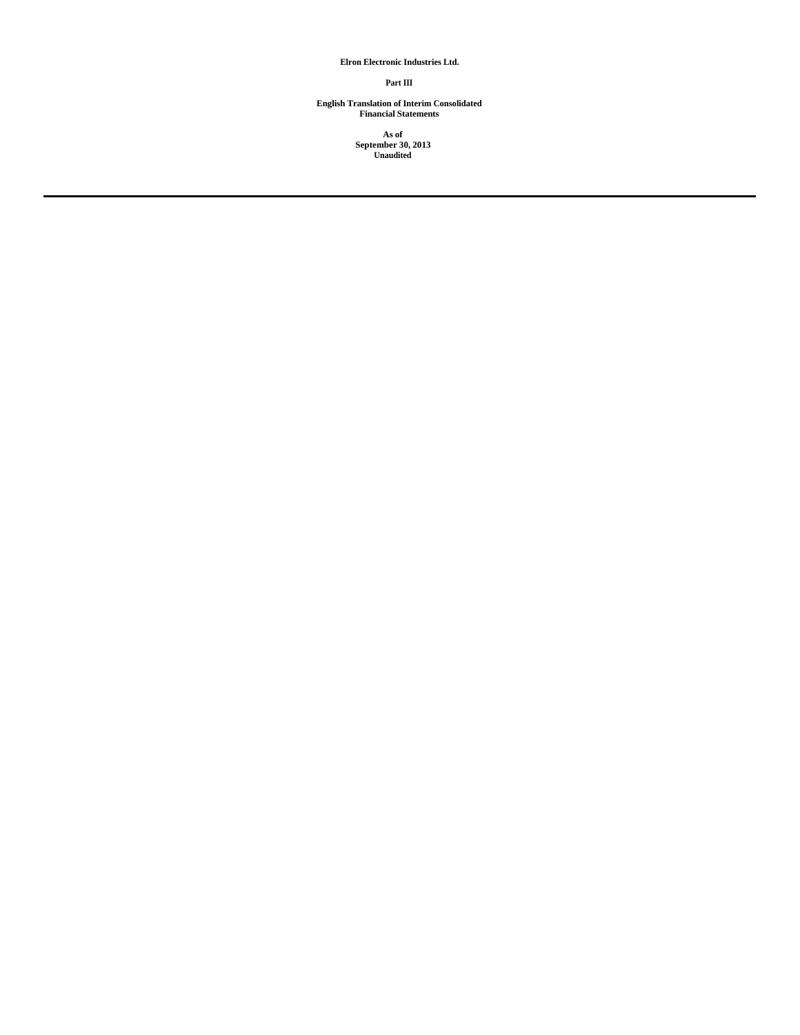## **Elron Electronic Industries Ltd.**

#### **Part III**

**English Translation of Interim Consolidated Financial Statements**

**As of September 30, 2013 Unaudited**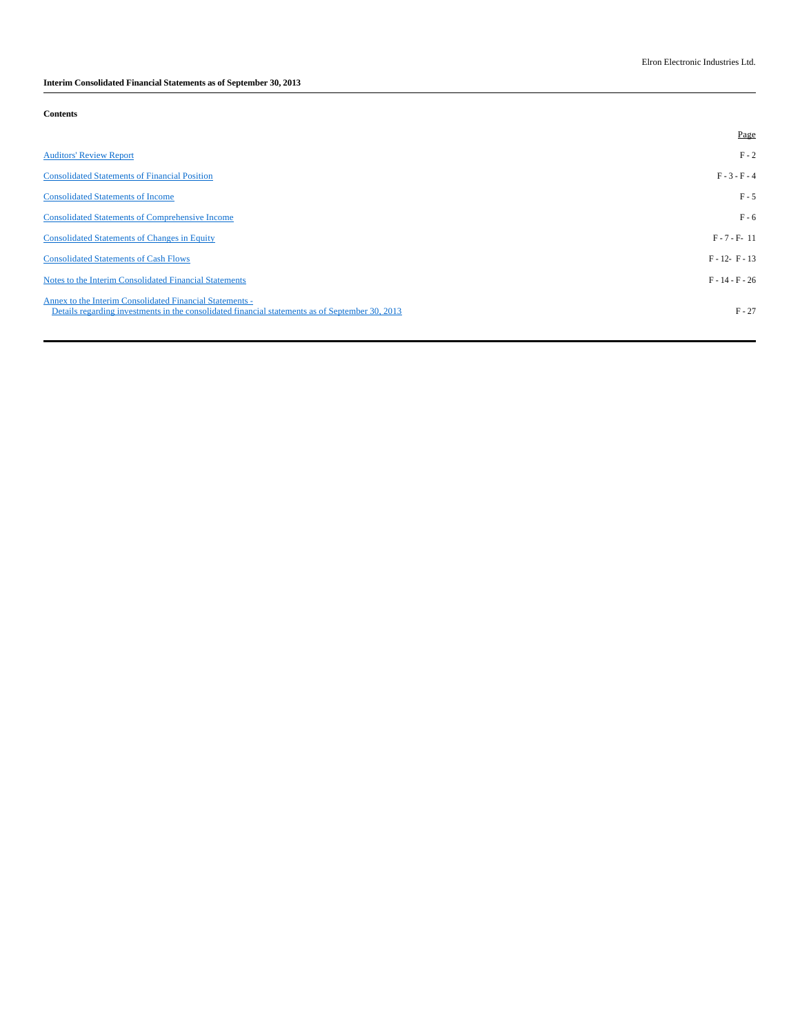**Interim Consolidated Financial Statements as of September 30, 2013**

## **Contents**

|                                                                                                                                                             | Page              |
|-------------------------------------------------------------------------------------------------------------------------------------------------------------|-------------------|
| <b>Auditors' Review Report</b>                                                                                                                              | $F - 2$           |
| <b>Consolidated Statements of Financial Position</b>                                                                                                        | $F - 3 - F - 4$   |
| <b>Consolidated Statements of Income</b>                                                                                                                    | $F - 5$           |
| <b>Consolidated Statements of Comprehensive Income</b>                                                                                                      | $F - 6$           |
| <b>Consolidated Statements of Changes in Equity</b>                                                                                                         | $F - 7 - F - 11$  |
| <b>Consolidated Statements of Cash Flows</b>                                                                                                                | $F - 12 - F - 13$ |
| Notes to the Interim Consolidated Financial Statements                                                                                                      | $F - 14 - F - 26$ |
| Annex to the Interim Consolidated Financial Statements -<br>Details regarding investments in the consolidated financial statements as of September 30, 2013 | $F - 27$          |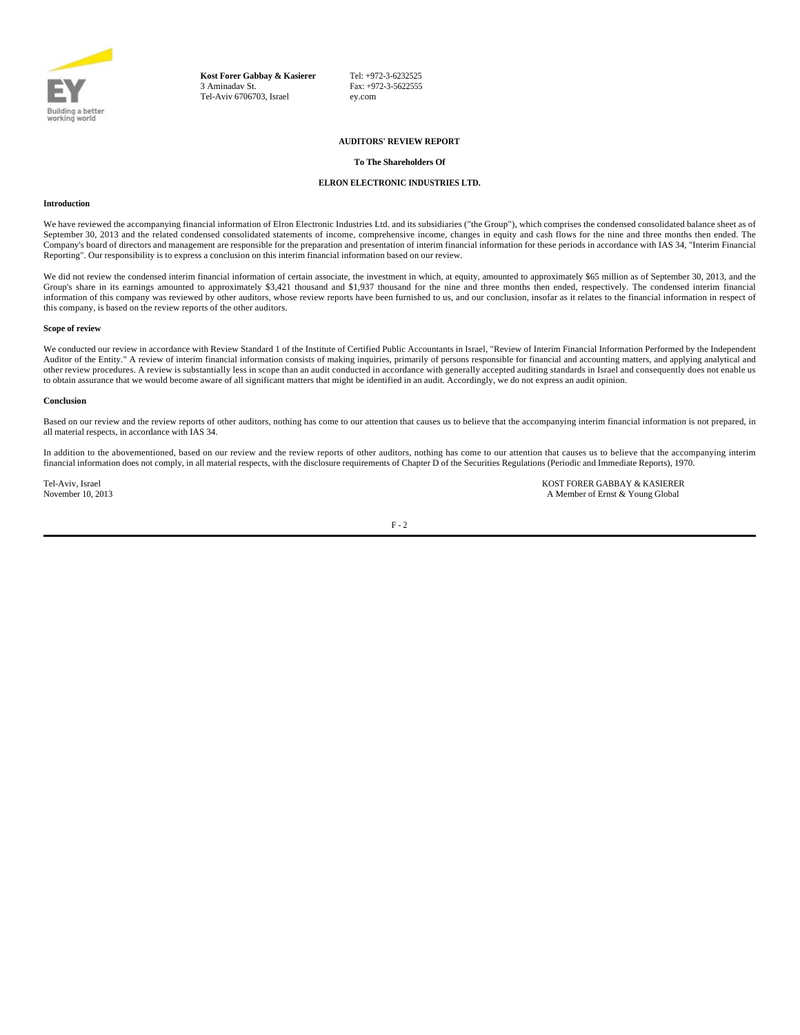

**Kost Forer Gabbay & Kasierer** 3 Aminadav St. Tel-Aviv 6706703, Israel

Tel: +972-3-6232525 Fax: +972-3-5622555 ey.com

### **AUDITORS' REVIEW REPORT**

### **To The Shareholders Of**

## **ELRON ELECTRONIC INDUSTRIES LTD.**

#### **Introduction**

We have reviewed the accompanying financial information of Elron Electronic Industries Ltd. and its subsidiaries ("the Group"), which comprises the condensed consolidated balance sheet as of September 30, 2013 and the related condensed consolidated statements of income, comprehensive income, changes in equity and cash flows for the nine and three months then ended. The Company's board of directors and management are responsible for the preparation and presentation of interim financial information for these periods in accordance with IAS 34, "Interim Financial Reporting". Our responsibility is to express a conclusion on this interim financial information based on our review.

We did not review the condensed interim financial information of certain associate, the investment in which, at equity, amounted to approximately \$65 million as of September 30, 2013, and the Group's share in its earnings amounted to approximately \$3,421 thousand and \$1,937 thousand for the nine and three months then ended, respectively. The condensed interim financial information of this company was reviewed by other auditors, whose review reports have been furnished to us, and our conclusion, insofar as it relates to the financial information in respect of this company, is based on the review reports of the other auditors.

#### **Scope of review**

We conducted our review in accordance with Review Standard 1 of the Institute of Certified Public Accountants in Israel, "Review of Interim Financial Information Performed by the Independent Auditor of the Entity." A review of interim financial information consists of making inquiries, primarily of persons responsible for financial and accounting matters, and applying analytical and other review procedures. A review is substantially less in scope than an audit conducted in accordance with generally accepted auditing standards in Israel and consequently does not enable us to obtain assurance that we would become aware of all significant matters that might be identified in an audit. Accordingly, we do not express an audit opinion.

#### **Conclusion**

Based on our review and the review reports of other auditors, nothing has come to our attention that causes us to believe that the accompanying interim financial information is not prepared, in all material respects, in accordance with IAS 34.

In addition to the abovementioned, based on our review and the review reports of other auditors, nothing has come to our attention that causes us to believe that the accompanying interim financial information does not comply, in all material respects, with the disclosure requirements of Chapter D of the Securities Regulations (Periodic and Immediate Reports), 1970.

Tel-Aviv, Israel **KOST FORER GABBAY & KASIERER**<br>
November 10, 2013<br>
A Member of Ernst & Young Global A Member of Ernst & Young Global

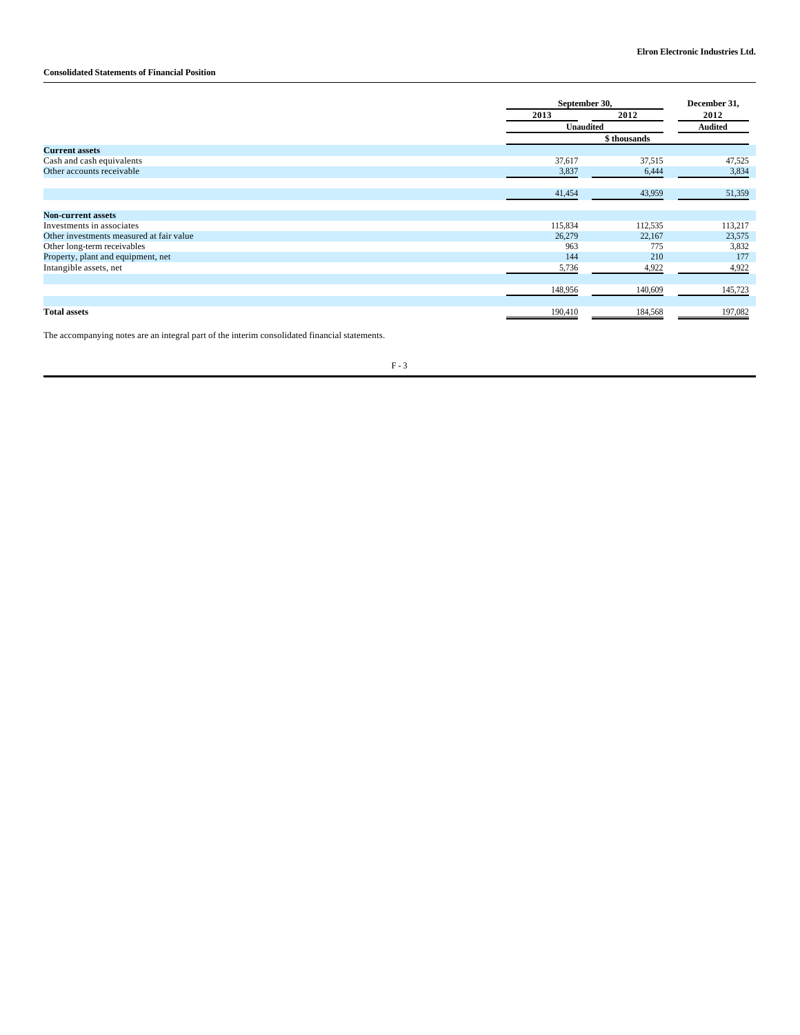## **Consolidated Statements of Financial Position**

|                                          |         | September 30,    |         |
|------------------------------------------|---------|------------------|---------|
|                                          | 2013    | 2012             | 2012    |
|                                          |         | <b>Unaudited</b> |         |
|                                          |         | \$ thousands     |         |
| <b>Current assets</b>                    |         |                  |         |
| Cash and cash equivalents                | 37,617  | 37,515           | 47,525  |
| Other accounts receivable                | 3,837   | 6,444            | 3,834   |
|                                          | 41,454  | 43,959           | 51,359  |
| <b>Non-current assets</b>                |         |                  |         |
| Investments in associates                | 115,834 | 112,535          | 113,217 |
| Other investments measured at fair value | 26,279  | 22,167           | 23,575  |
| Other long-term receivables              | 963     | 775              | 3,832   |
| Property, plant and equipment, net       | 144     | 210              | 177     |
| Intangible assets, net                   | 5,736   | 4,922            | 4,922   |
|                                          | 148,956 | 140,609          | 145,723 |
| <b>Total assets</b>                      | 190,410 | 184,568          | 197,082 |

The accompanying notes are an integral part of the interim consolidated financial statements.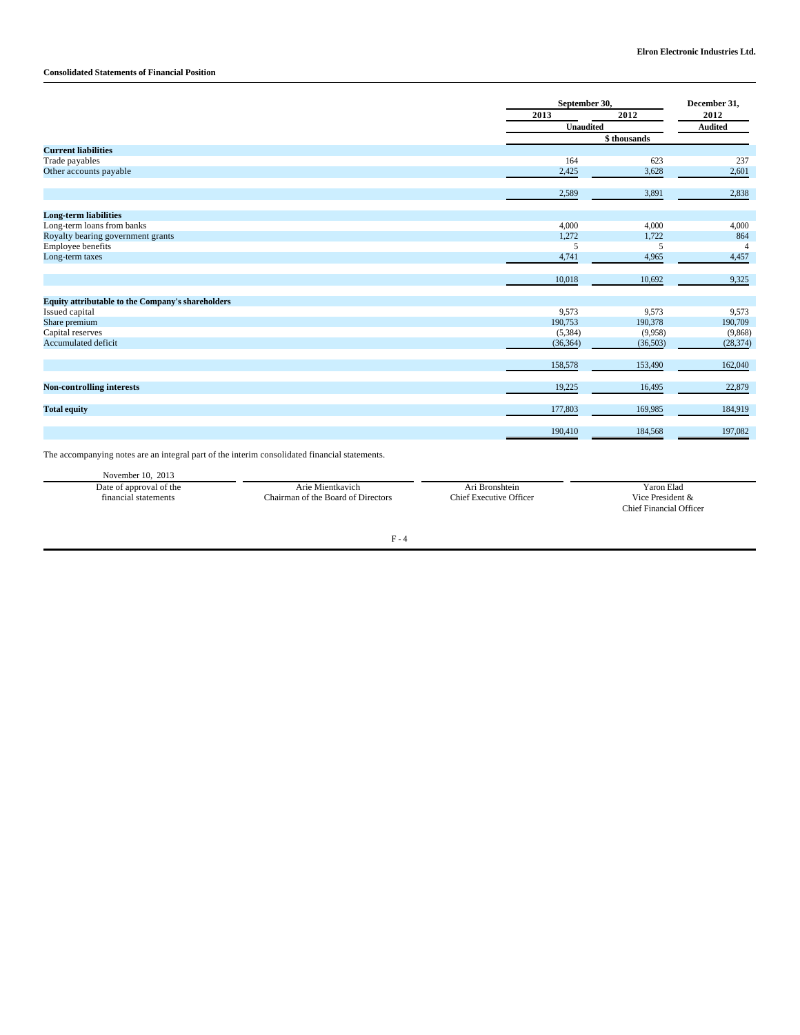## **Consolidated Statements of Financial Position**

|                                                   | September 30, |          | December 31,   |  |
|---------------------------------------------------|---------------|----------|----------------|--|
|                                                   | 2013          | 2012     | 2012           |  |
|                                                   | Unaudited     |          | <b>Audited</b> |  |
|                                                   | \$ thousands  |          |                |  |
| <b>Current liabilities</b>                        |               |          |                |  |
| Trade payables                                    | 164           | 623      | 237            |  |
| Other accounts payable                            | 2,425         | 3,628    | 2,601          |  |
|                                                   | 2,589         | 3,891    | 2,838          |  |
| <b>Long-term liabilities</b>                      |               |          |                |  |
| Long-term loans from banks                        | 4,000         | 4,000    | 4,000          |  |
| Royalty bearing government grants                 | 1,272         | 1,722    | 864            |  |
| Employee benefits                                 | 5             | 5        | $\overline{4}$ |  |
| Long-term taxes                                   | 4,741         | 4,965    | 4,457          |  |
|                                                   | 10,018        | 10,692   | 9,325          |  |
| Equity attributable to the Company's shareholders |               |          |                |  |
| Issued capital                                    | 9,573         | 9,573    | 9,573          |  |
| Share premium                                     | 190,753       | 190,378  | 190,709        |  |
| Capital reserves                                  | (5, 384)      | (9,958)  | (9,868)        |  |
| <b>Accumulated deficit</b>                        | (36, 364)     | (36,503) | (28, 374)      |  |
|                                                   | 158,578       | 153,490  | 162,040        |  |
| <b>Non-controlling interests</b>                  | 19,225        | 16,495   | 22,879         |  |
| <b>Total equity</b>                               | 177,803       | 169,985  | 184,919        |  |
|                                                   | 190,410       | 184,568  | 197,082        |  |

The accompanying notes are an integral part of the interim consolidated financial statements.

| November $10, 2013$     |                                    |                         |                         |
|-------------------------|------------------------------------|-------------------------|-------------------------|
| Date of approval of the | Arie Mientkavich-                  | Ari Bronshtein          | Yaron Elad              |
| financial statements    | Chairman of the Board of Directors | Chief Executive Officer | Vice President &        |
|                         |                                    |                         | Chief Financial Officer |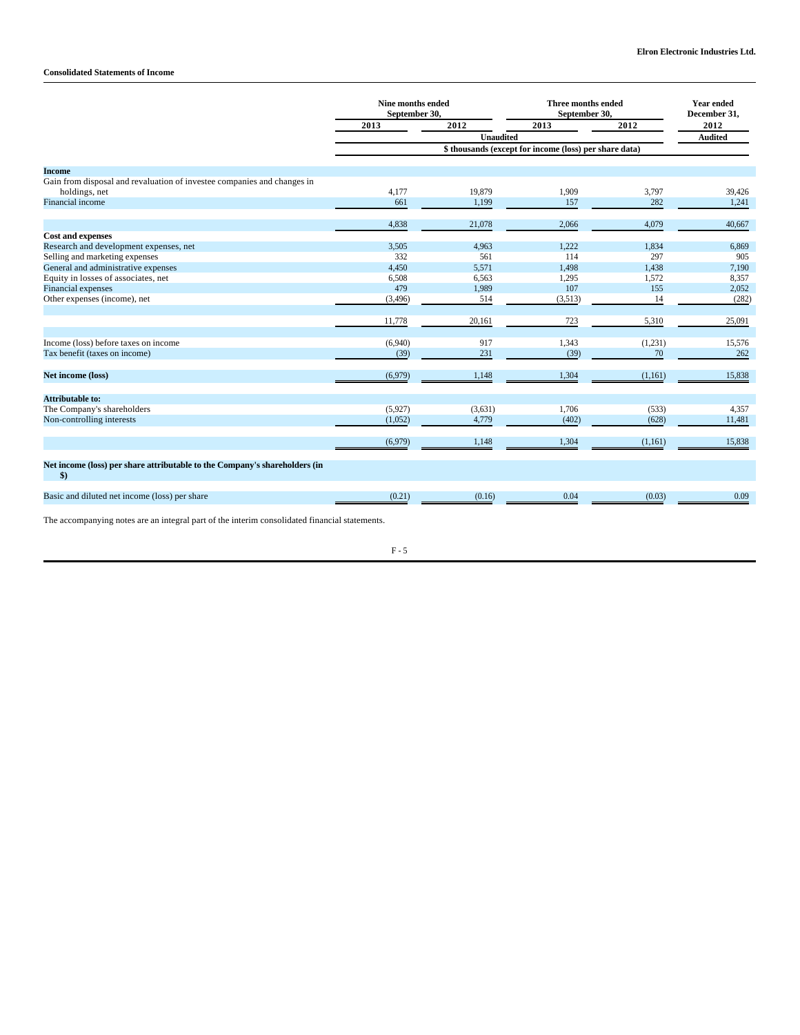## **Consolidated Statements of Income**

|                                                                            | Nine months ended<br>September 30, |           | Three months ended<br>September 30,                    |               | <b>Year ended</b><br>December 31, |
|----------------------------------------------------------------------------|------------------------------------|-----------|--------------------------------------------------------|---------------|-----------------------------------|
|                                                                            | 2013                               | 2012      | 2013                                                   | 2012          | 2012                              |
|                                                                            |                                    | Unaudited |                                                        |               | <b>Audited</b>                    |
|                                                                            |                                    |           | \$ thousands (except for income (loss) per share data) |               |                                   |
| <b>Income</b>                                                              |                                    |           |                                                        |               |                                   |
| Gain from disposal and revaluation of investee companies and changes in    |                                    |           |                                                        |               |                                   |
| holdings, net                                                              | 4,177                              | 19,879    | 1,909                                                  | 3,797         | 39,426                            |
| <b>Financial income</b>                                                    | 661                                | 1,199     | 157                                                    | 282           | 1,241                             |
|                                                                            |                                    |           |                                                        |               |                                   |
|                                                                            | 4,838                              | 21,078    | 2,066                                                  | 4,079         | 40,667                            |
| <b>Cost and expenses</b>                                                   |                                    |           |                                                        |               |                                   |
| Research and development expenses, net                                     | 3,505                              | 4,963     | 1.222                                                  | 1.834         | 6,869                             |
| Selling and marketing expenses                                             | 332                                | 561       | 114                                                    | 297           | 905                               |
| General and administrative expenses                                        | 4,450                              | 5,571     | 1,498                                                  | 1,438         | 7,190                             |
| Equity in losses of associates, net<br><b>Financial</b> expenses           | 6,508<br>479                       | 6.563     | 1,295<br>107                                           | 1,572<br>155  | 8,357                             |
|                                                                            |                                    | 1,989     |                                                        |               | 2,052                             |
| Other expenses (income), net                                               | (3, 496)                           | 514       | (3,513)                                                | 14            | (282)                             |
|                                                                            | 11,778                             | 20,161    | 723                                                    | 5,310         | 25,091                            |
| Income (loss) before taxes on income                                       |                                    | 917       | 1,343                                                  |               |                                   |
|                                                                            | (6,940)                            | 231       |                                                        | (1,231)<br>70 | 15,576<br>262                     |
| Tax benefit (taxes on income)                                              | (39)                               |           | (39)                                                   |               |                                   |
| Net income (loss)                                                          | (6,979)                            | 1,148     | 1,304                                                  | (1,161)       | 15,838                            |
| Attributable to:                                                           |                                    |           |                                                        |               |                                   |
| The Company's shareholders                                                 | (5,927)                            | (3,631)   | 1,706                                                  | (533)         | 4,357                             |
| Non-controlling interests                                                  | (1,052)                            | 4,779     | (402)                                                  | (628)         | 11,481                            |
|                                                                            |                                    |           |                                                        |               |                                   |
|                                                                            | (6,979)                            | 1,148     | 1,304                                                  | (1,161)       | 15,838                            |
| Net income (loss) per share attributable to the Company's shareholders (in |                                    |           |                                                        |               |                                   |
| \$)                                                                        |                                    |           |                                                        |               |                                   |
| Basic and diluted net income (loss) per share                              | (0.21)                             | (0.16)    | 0.04                                                   | (0.03)        | 0.09                              |
|                                                                            |                                    |           |                                                        |               |                                   |

The accompanying notes are an integral part of the interim consolidated financial statements.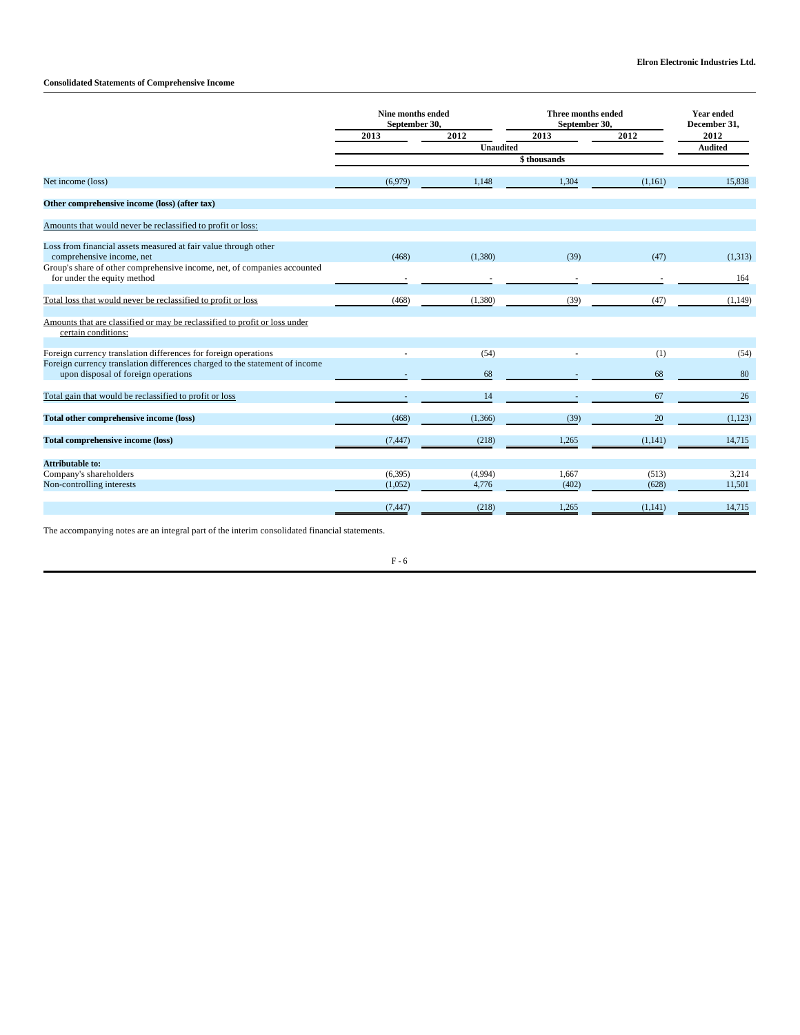## **Consolidated Statements of Comprehensive Income**

|                                                                                                         | Nine months ended<br>September 30, |          | Three months ended<br>September 30, |         | <b>Year ended</b><br>December 31, |
|---------------------------------------------------------------------------------------------------------|------------------------------------|----------|-------------------------------------|---------|-----------------------------------|
|                                                                                                         | 2013                               | 2012     | 2013                                | 2012    | 2012                              |
|                                                                                                         | <b>Unaudited</b>                   |          |                                     |         | <b>Audited</b>                    |
|                                                                                                         |                                    |          | \$thousands                         |         |                                   |
| Net income (loss)                                                                                       | (6,979)                            | 1.148    | 1,304                               | (1,161) | 15.838                            |
| Other comprehensive income (loss) (after tax)                                                           |                                    |          |                                     |         |                                   |
| Amounts that would never be reclassified to profit or loss:                                             |                                    |          |                                     |         |                                   |
| Loss from financial assets measured at fair value through other<br>comprehensive income, net            | (468)                              | (1,380)  | (39)                                | (47)    | (1,313)                           |
| Group's share of other comprehensive income, net, of companies accounted<br>for under the equity method |                                    |          |                                     |         | 164                               |
| Total loss that would never be reclassified to profit or loss                                           | (468)                              | (1,380)  | (39)                                | (47)    | (1, 149)                          |
| Amounts that are classified or may be reclassified to profit or loss under<br>certain conditions:       |                                    |          |                                     |         |                                   |
| Foreign currency translation differences for foreign operations                                         |                                    | (54)     |                                     | (1)     | (54)                              |
| Foreign currency translation differences charged to the statement of income                             |                                    |          |                                     |         |                                   |
| upon disposal of foreign operations                                                                     |                                    | 68       |                                     | 68      | 80                                |
| Total gain that would be reclassified to profit or loss                                                 |                                    | 14       |                                     | 67      | 26                                |
| Total other comprehensive income (loss)                                                                 | (468)                              | (1, 366) | (39)                                | 20      | (1,123)                           |
| <b>Total comprehensive income (loss)</b>                                                                | (7, 447)                           | (218)    | 1,265                               | (1,141) | 14,715                            |
| Attributable to:                                                                                        |                                    |          |                                     |         |                                   |
| Company's shareholders                                                                                  | (6, 395)                           | (4,994)  | 1,667                               | (513)   | 3,214                             |
| Non-controlling interests                                                                               | (1,052)                            | 4,776    | (402)                               | (628)   | 11,501                            |
|                                                                                                         | (7, 447)                           | (218)    | 1,265                               | (1,141) | 14,715                            |

The accompanying notes are an integral part of the interim consolidated financial statements.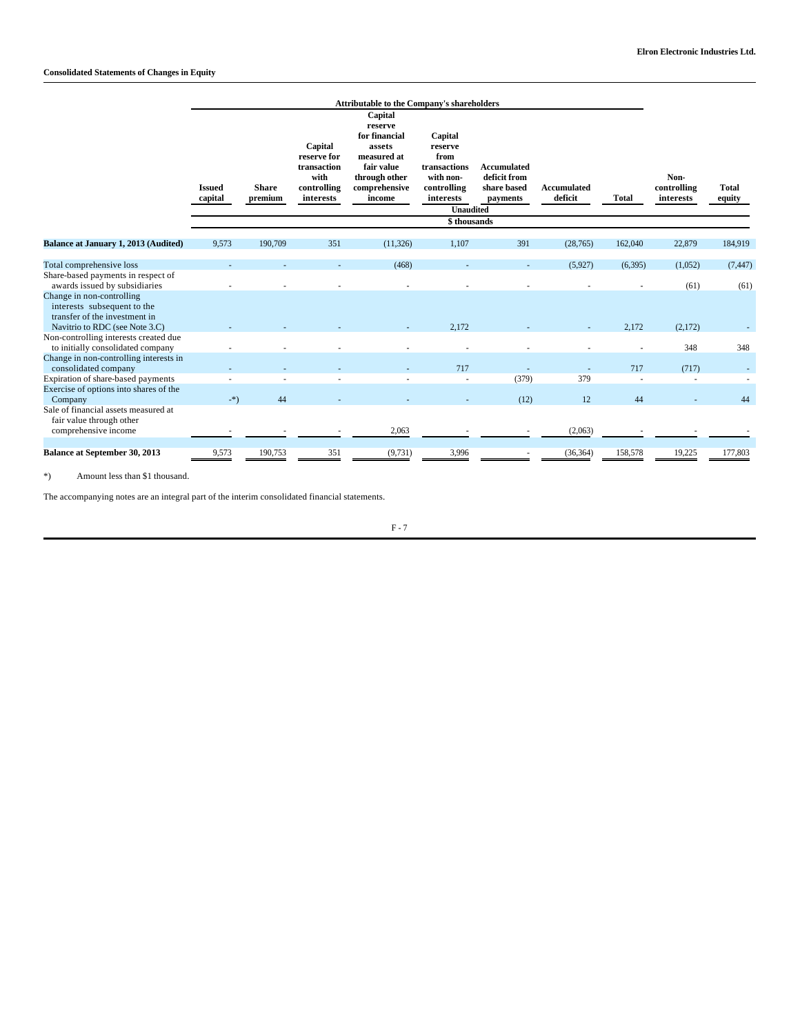|                                                                                                                                                                      |                          | <b>Attributable to the Company's shareholders</b> |                                                                           |                                                                                                                        |                                                                                                                        |                                                               |                               |              |                                  |                        |  |
|----------------------------------------------------------------------------------------------------------------------------------------------------------------------|--------------------------|---------------------------------------------------|---------------------------------------------------------------------------|------------------------------------------------------------------------------------------------------------------------|------------------------------------------------------------------------------------------------------------------------|---------------------------------------------------------------|-------------------------------|--------------|----------------------------------|------------------------|--|
|                                                                                                                                                                      | <b>Issued</b><br>capital | <b>Share</b><br>premium                           | Capital<br>reserve for<br>transaction<br>with<br>controlling<br>interests | Capital<br>reserve<br>for financial<br>assets<br>measured at<br>fair value<br>through other<br>comprehensive<br>income | Capital<br>reserve<br>from<br>transactions<br>with non-<br>controlling<br>interests<br><b>Unaudited</b><br>\$thousands | <b>Accumulated</b><br>deficit from<br>share based<br>payments | <b>Accumulated</b><br>deficit | <b>Total</b> | Non-<br>controlling<br>interests | <b>Total</b><br>equity |  |
| <b>Balance at January 1, 2013 (Audited)</b>                                                                                                                          | 9,573                    | 190,709                                           | 351                                                                       | (11, 326)                                                                                                              | 1,107                                                                                                                  | 391                                                           | (28, 765)                     | 162,040      | 22,879                           | 184,919                |  |
| Total comprehensive loss<br>Share-based payments in respect of<br>awards issued by subsidiaries                                                                      |                          |                                                   |                                                                           | (468)                                                                                                                  |                                                                                                                        |                                                               | (5,927)                       | (6,395)      | (1,052)<br>(61)                  | (7, 447)<br>(61)       |  |
| Change in non-controlling<br>interests subsequent to the<br>transfer of the investment in<br>Navitrio to RDC (see Note 3.C)<br>Non-controlling interests created due |                          |                                                   |                                                                           |                                                                                                                        | 2.172                                                                                                                  |                                                               |                               | 2,172        | (2,172)                          |                        |  |
| to initially consolidated company<br>Change in non-controlling interests in                                                                                          |                          |                                                   |                                                                           |                                                                                                                        |                                                                                                                        |                                                               |                               |              | 348                              | 348                    |  |
| consolidated company<br>Expiration of share-based payments                                                                                                           |                          |                                                   |                                                                           |                                                                                                                        | 717                                                                                                                    | (379)                                                         | 379                           | 717          | (717)                            |                        |  |
| Exercise of options into shares of the<br>Company                                                                                                                    | $-$ *)                   | 44                                                |                                                                           |                                                                                                                        |                                                                                                                        | (12)                                                          | 12                            | 44           |                                  | 44                     |  |
| Sale of financial assets measured at<br>fair value through other<br>comprehensive income                                                                             |                          |                                                   |                                                                           | 2,063                                                                                                                  |                                                                                                                        |                                                               | (2,063)                       |              |                                  |                        |  |
| Balance at September 30, 2013                                                                                                                                        | 9,573                    | 190,753                                           | 351                                                                       | (9, 731)                                                                                                               | 3,996                                                                                                                  |                                                               | (36, 364)                     | 158,578      | 19,225                           | 177,803                |  |

\*) Amount less than \$1 thousand.

The accompanying notes are an integral part of the interim consolidated financial statements.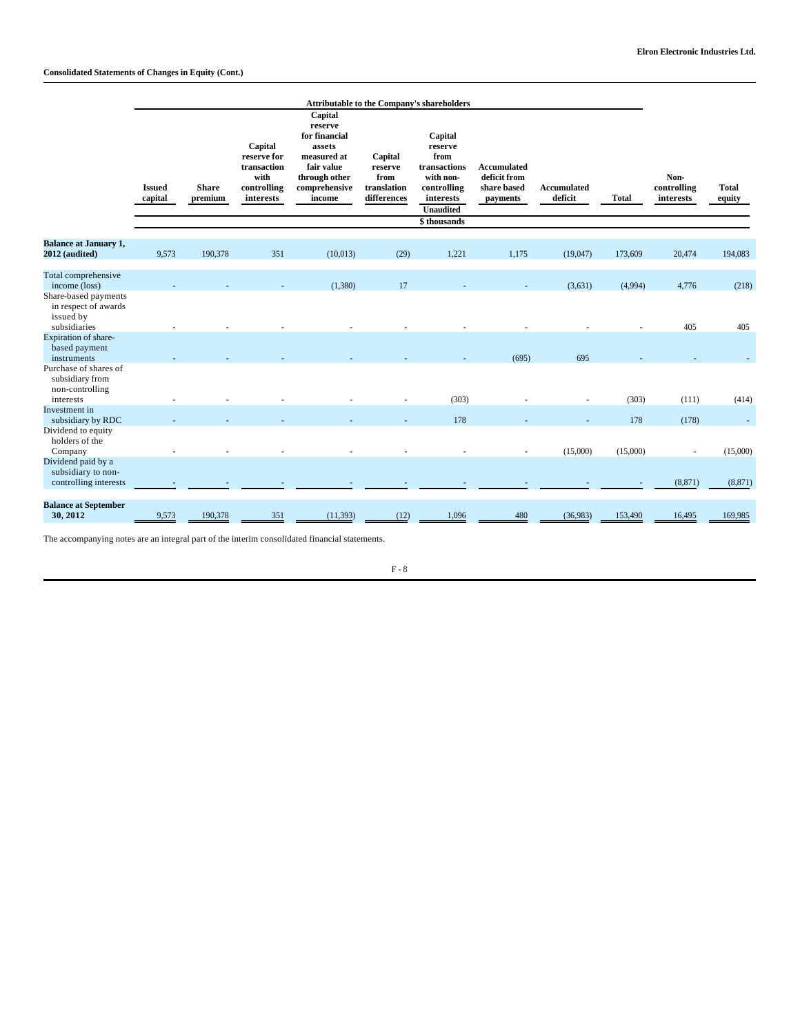## **Consolidated Statements of Changes in Equity (Cont.)**

|                                                                                      | <b>Attributable to the Company's shareholders</b> |                         |                                                                           |                                                                                                                        |                                                          |                                                                                                                 |                                                        |                               |              |                                  |                        |
|--------------------------------------------------------------------------------------|---------------------------------------------------|-------------------------|---------------------------------------------------------------------------|------------------------------------------------------------------------------------------------------------------------|----------------------------------------------------------|-----------------------------------------------------------------------------------------------------------------|--------------------------------------------------------|-------------------------------|--------------|----------------------------------|------------------------|
|                                                                                      | <b>Issued</b><br>capital                          | <b>Share</b><br>premium | Capital<br>reserve for<br>transaction<br>with<br>controlling<br>interests | Capital<br>reserve<br>for financial<br>assets<br>measured at<br>fair value<br>through other<br>comprehensive<br>income | Capital<br>reserve<br>from<br>translation<br>differences | Capital<br>reserve<br>from<br>transactions<br>with non-<br>controlling<br>interests<br>Unaudited<br>\$thousands | Accumulated<br>deficit from<br>share based<br>payments | <b>Accumulated</b><br>deficit | <b>Total</b> | Non-<br>controlling<br>interests | <b>Total</b><br>equity |
|                                                                                      |                                                   |                         |                                                                           |                                                                                                                        |                                                          |                                                                                                                 |                                                        |                               |              |                                  |                        |
| <b>Balance at January 1,</b><br>2012 (audited)                                       | 9,573                                             | 190,378                 | 351                                                                       | (10,013)                                                                                                               | (29)                                                     | 1,221                                                                                                           | 1,175                                                  | (19,047)                      | 173,609      | 20,474                           | 194,083                |
| Total comprehensive<br>income (loss)<br>Share-based payments<br>in respect of awards |                                                   |                         |                                                                           | (1,380)                                                                                                                | 17                                                       |                                                                                                                 |                                                        | (3,631)                       | (4,994)      | 4,776                            | (218)                  |
| issued by<br>subsidiaries                                                            |                                                   |                         |                                                                           |                                                                                                                        |                                                          |                                                                                                                 |                                                        |                               |              | 405                              | 405                    |
| Expiration of share-<br>based payment<br>instruments                                 |                                                   |                         |                                                                           |                                                                                                                        |                                                          |                                                                                                                 | (695)                                                  | 695                           |              |                                  |                        |
| Purchase of shares of<br>subsidiary from<br>non-controlling                          |                                                   |                         |                                                                           |                                                                                                                        |                                                          |                                                                                                                 |                                                        |                               |              |                                  |                        |
| interests<br>Investment in                                                           |                                                   |                         |                                                                           |                                                                                                                        |                                                          | (303)                                                                                                           |                                                        |                               | (303)        | (111)                            | (414)                  |
| subsidiary by RDC                                                                    |                                                   |                         |                                                                           |                                                                                                                        |                                                          | 178                                                                                                             |                                                        |                               | 178          | (178)                            |                        |
| Dividend to equity<br>holders of the<br>Company                                      |                                                   |                         |                                                                           |                                                                                                                        |                                                          |                                                                                                                 |                                                        | (15,000)                      | (15,000)     | $\sim$                           | (15,000)               |
| Dividend paid by a<br>subsidiary to non-<br>controlling interests                    |                                                   |                         |                                                                           |                                                                                                                        |                                                          |                                                                                                                 |                                                        |                               |              | (8, 871)                         | (8, 871)               |
| <b>Balance at September</b><br>30, 2012                                              | 9,573                                             | 190,378                 | 351                                                                       | (11, 393)                                                                                                              | (12)                                                     | 1,096                                                                                                           | 480                                                    | (36,983)                      | 153,490      | 16,495                           | 169,985                |

The accompanying notes are an integral part of the interim consolidated financial statements.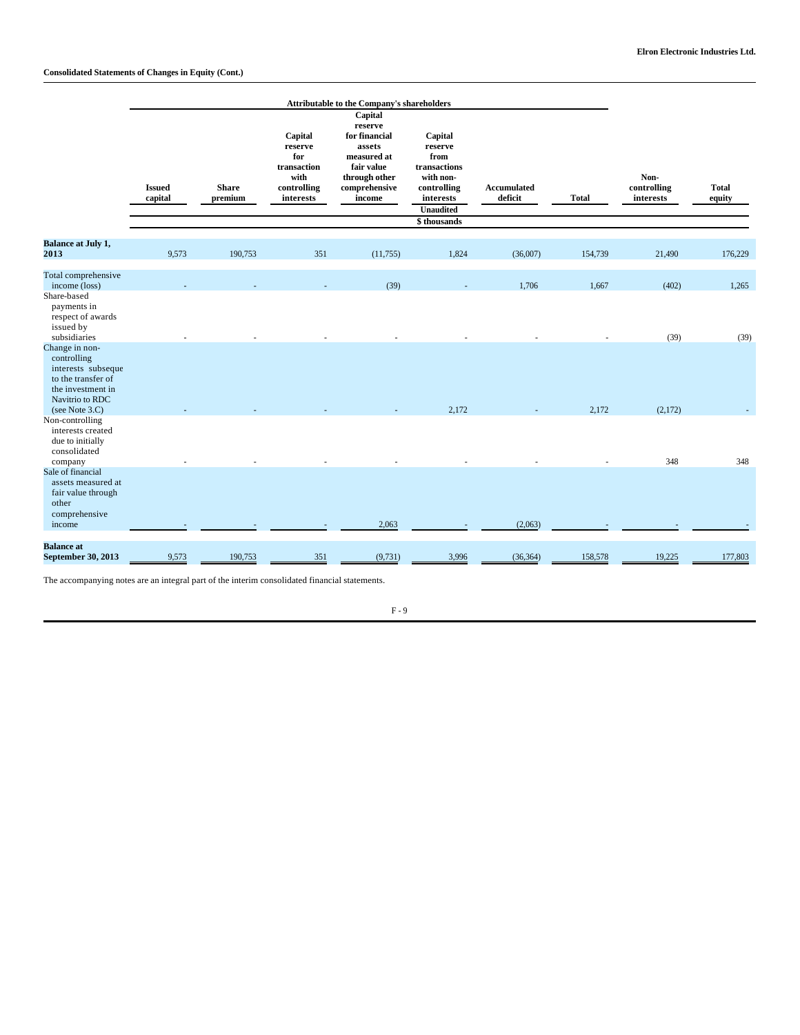## **Consolidated Statements of Changes in Equity (Cont.)**

|                                                                                                                                                     |                          |                         |                                                                              | Attributable to the Company's shareholders                                                                                   |                                                                                                                        |                        |              |                                  |                        |
|-----------------------------------------------------------------------------------------------------------------------------------------------------|--------------------------|-------------------------|------------------------------------------------------------------------------|------------------------------------------------------------------------------------------------------------------------------|------------------------------------------------------------------------------------------------------------------------|------------------------|--------------|----------------------------------|------------------------|
|                                                                                                                                                     | <b>Issued</b><br>capital | <b>Share</b><br>premium | Capital<br>reserve<br>for<br>transaction<br>with<br>controlling<br>interests | Capital<br>reserve<br>for financial<br>assets<br>measured at<br>fair value<br>through other<br>$\bf comprehensive$<br>income | Capital<br>reserve<br>from<br>transactions<br>with non-<br>controlling<br>interests<br><b>Unaudited</b><br>\$thousands | Accumulated<br>deficit | <b>Total</b> | Non-<br>controlling<br>interests | <b>Total</b><br>equity |
| <b>Balance at July 1,</b><br>2013                                                                                                                   | 9,573                    | 190,753                 | 351                                                                          | (11, 755)                                                                                                                    | 1,824                                                                                                                  | (36,007)               | 154,739      | 21,490                           | 176,229                |
| Total comprehensive<br>income (loss)<br>Share-based<br>payments in<br>respect of awards<br>issued by                                                |                          |                         |                                                                              | (39)                                                                                                                         |                                                                                                                        | 1,706                  | 1,667        | (402)                            | 1,265                  |
| subsidiaries<br>Change in non-<br>controlling<br>interests subseque<br>to the transfer of<br>the investment in<br>Navitrio to RDC<br>(see Note 3.C) |                          |                         |                                                                              |                                                                                                                              | 2,172                                                                                                                  |                        | 2,172        | (39)<br>(2,172)                  | (39)                   |
| Non-controlling<br>interests created<br>due to initially<br>consolidated<br>company                                                                 |                          |                         |                                                                              |                                                                                                                              |                                                                                                                        |                        |              | 348                              | 348                    |
| Sale of financial<br>assets measured at<br>fair value through<br>other<br>comprehensive<br>income                                                   |                          |                         |                                                                              | 2,063                                                                                                                        |                                                                                                                        | (2,063)                |              |                                  |                        |
| <b>Balance</b> at<br>September 30, 2013                                                                                                             | 9,573                    | 190,753                 | 351                                                                          | (9, 731)                                                                                                                     | 3,996                                                                                                                  | (36, 364)              | 158,578      | 19,225                           | 177,803                |

The accompanying notes are an integral part of the interim consolidated financial statements.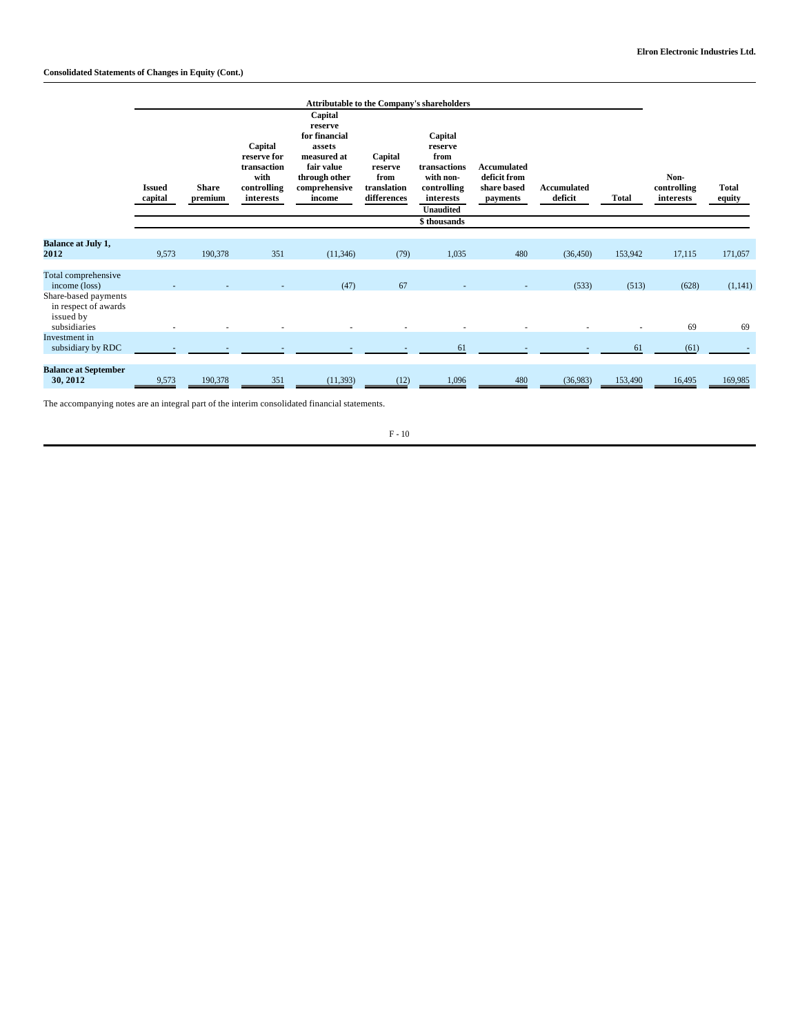## **Consolidated Statements of Changes in Equity (Cont.)**

|                                                                           |                          |                         |                                                                           |                                                                                                                        |                                                          | <b>Attributable to the Company's shareholders</b>                                                |                                                               |                        |              |                                  |                        |
|---------------------------------------------------------------------------|--------------------------|-------------------------|---------------------------------------------------------------------------|------------------------------------------------------------------------------------------------------------------------|----------------------------------------------------------|--------------------------------------------------------------------------------------------------|---------------------------------------------------------------|------------------------|--------------|----------------------------------|------------------------|
|                                                                           | <b>Issued</b><br>capital | <b>Share</b><br>premium | Capital<br>reserve for<br>transaction<br>with<br>controlling<br>interests | Capital<br>reserve<br>for financial<br>assets<br>measured at<br>fair value<br>through other<br>comprehensive<br>income | Capital<br>reserve<br>from<br>translation<br>differences | Capital<br>reserve<br>from<br>transactions<br>with non-<br>controlling<br>interests<br>Unaudited | <b>Accumulated</b><br>deficit from<br>share based<br>payments | Accumulated<br>deficit | <b>Total</b> | Non-<br>controlling<br>interests | <b>Total</b><br>equity |
|                                                                           |                          |                         |                                                                           |                                                                                                                        |                                                          | \$ thousands                                                                                     |                                                               |                        |              |                                  |                        |
| <b>Balance at July 1,</b><br>2012                                         | 9,573                    | 190,378                 | 351                                                                       | (11, 346)                                                                                                              | (79)                                                     | 1,035                                                                                            | 480                                                           | (36, 450)              | 153,942      | 17,115                           | 171,057                |
| Total comprehensive<br>income (loss)                                      |                          |                         |                                                                           | (47)                                                                                                                   | 67                                                       |                                                                                                  |                                                               | (533)                  | (513)        | (628)                            | (1, 141)               |
| Share-based payments<br>in respect of awards<br>issued by<br>subsidiaries |                          |                         |                                                                           |                                                                                                                        |                                                          |                                                                                                  |                                                               |                        |              | 69                               | 69                     |
| Investment in<br>subsidiary by RDC                                        |                          |                         |                                                                           |                                                                                                                        |                                                          | 61                                                                                               |                                                               |                        | 61           | (61)                             |                        |
| <b>Balance at September</b><br>30, 2012                                   | 9,573                    | 190,378                 | 351                                                                       | (11, 393)                                                                                                              | (12)                                                     | 1,096                                                                                            | 480                                                           | (36,983)               | 153,490      | 16,495                           | 169,985                |

The accompanying notes are an integral part of the interim consolidated financial statements.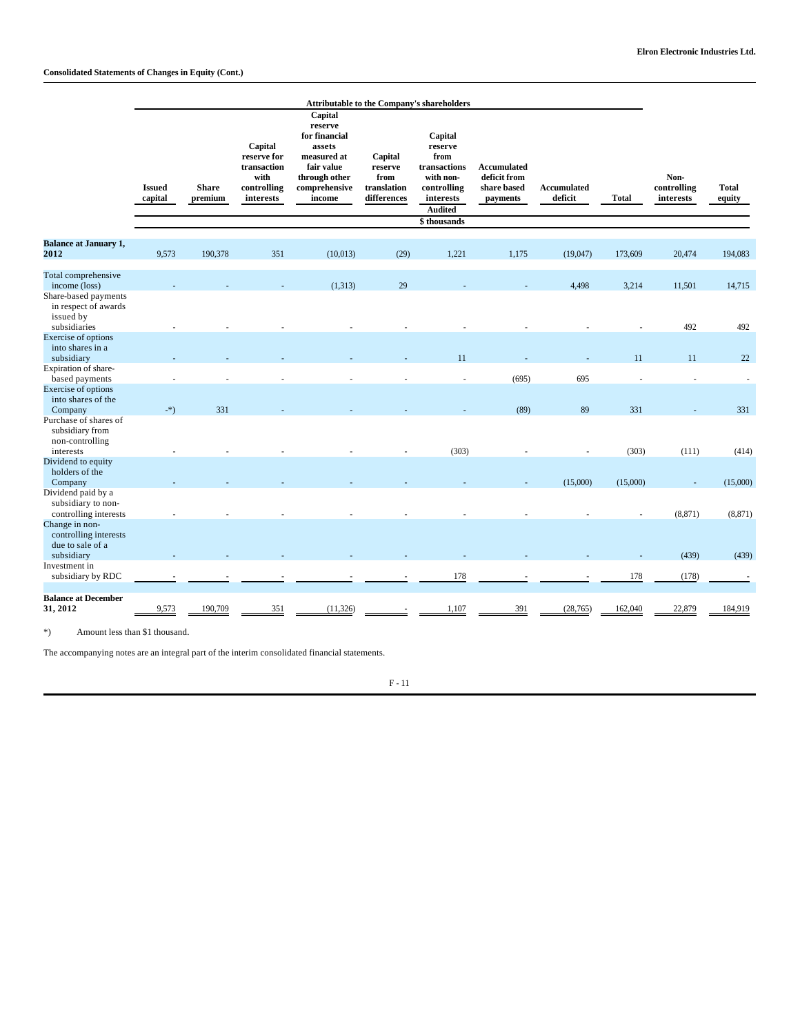|                                                                                                    |                          | <b>Attributable to the Company's shareholders</b> |                                                                           |                                                                                                                        |                                                          |                                                                                                       |                                                               |                        |              |                                  |                        |
|----------------------------------------------------------------------------------------------------|--------------------------|---------------------------------------------------|---------------------------------------------------------------------------|------------------------------------------------------------------------------------------------------------------------|----------------------------------------------------------|-------------------------------------------------------------------------------------------------------|---------------------------------------------------------------|------------------------|--------------|----------------------------------|------------------------|
|                                                                                                    | <b>Issued</b><br>capital | <b>Share</b><br>premium                           | Capital<br>reserve for<br>transaction<br>with<br>controlling<br>interests | Capital<br>reserve<br>for financial<br>assets<br>measured at<br>fair value<br>through other<br>comprehensive<br>income | Capital<br>reserve<br>from<br>translation<br>differences | Capital<br>reserve<br>from<br>transactions<br>with non-<br>controlling<br>interests<br><b>Audited</b> | <b>Accumulated</b><br>deficit from<br>share based<br>payments | Accumulated<br>deficit | <b>Total</b> | Non-<br>controlling<br>interests | <b>Total</b><br>equity |
|                                                                                                    |                          |                                                   |                                                                           |                                                                                                                        |                                                          | \$thousands                                                                                           |                                                               |                        |              |                                  |                        |
| <b>Balance at January 1,</b><br>2012                                                               | 9,573                    | 190,378                                           | 351                                                                       | (10,013)                                                                                                               | (29)                                                     | 1,221                                                                                                 | 1,175                                                         | (19,047)               | 173,609      | 20,474                           | 194,083                |
| Total comprehensive<br>income (loss)<br>Share-based payments                                       |                          |                                                   |                                                                           | (1,313)                                                                                                                | 29                                                       |                                                                                                       |                                                               | 4,498                  | 3,214        | 11,501                           | 14,715                 |
| in respect of awards<br>issued by<br>subsidiaries                                                  |                          |                                                   |                                                                           |                                                                                                                        |                                                          |                                                                                                       |                                                               |                        |              | 492                              | 492                    |
| <b>Exercise of options</b><br>into shares in a<br>subsidiary                                       |                          |                                                   |                                                                           |                                                                                                                        |                                                          | 11                                                                                                    |                                                               |                        | 11           | 11                               | 22                     |
| Expiration of share-<br>based payments<br>Exercise of options                                      |                          |                                                   |                                                                           |                                                                                                                        |                                                          | ÷                                                                                                     | (695)                                                         | 695                    |              |                                  | ÷.                     |
| into shares of the<br>Company                                                                      | $-$ *)                   | 331                                               |                                                                           |                                                                                                                        |                                                          |                                                                                                       | (89)                                                          | 89                     | 331          |                                  | 331                    |
| Purchase of shares of<br>subsidiary from<br>non-controlling                                        |                          |                                                   |                                                                           |                                                                                                                        |                                                          |                                                                                                       |                                                               |                        |              |                                  |                        |
| interests<br>Dividend to equity<br>holders of the                                                  |                          |                                                   |                                                                           |                                                                                                                        |                                                          | (303)                                                                                                 |                                                               |                        | (303)        | (111)                            | (414)                  |
| Company<br>Dividend paid by a<br>subsidiary to non-                                                |                          |                                                   |                                                                           |                                                                                                                        |                                                          |                                                                                                       |                                                               | (15,000)               | (15,000)     | ÷,                               | (15,000)               |
| controlling interests<br>Change in non-<br>controlling interests<br>due to sale of a<br>subsidiary |                          |                                                   |                                                                           |                                                                                                                        |                                                          |                                                                                                       |                                                               |                        |              | (8, 871)<br>(439)                | (8, 871)<br>(439)      |
| Investment in<br>subsidiary by RDC                                                                 |                          |                                                   |                                                                           |                                                                                                                        |                                                          | 178                                                                                                   |                                                               |                        | 178          | (178)                            |                        |
| <b>Balance at December</b><br>31, 2012                                                             | 9,573                    | 190,709                                           | 351                                                                       | (11, 326)                                                                                                              |                                                          | 1,107                                                                                                 | 391                                                           | (28, 765)              | 162,040      | 22,879                           | 184,919                |

\*) Amount less than \$1 thousand.

The accompanying notes are an integral part of the interim consolidated financial statements.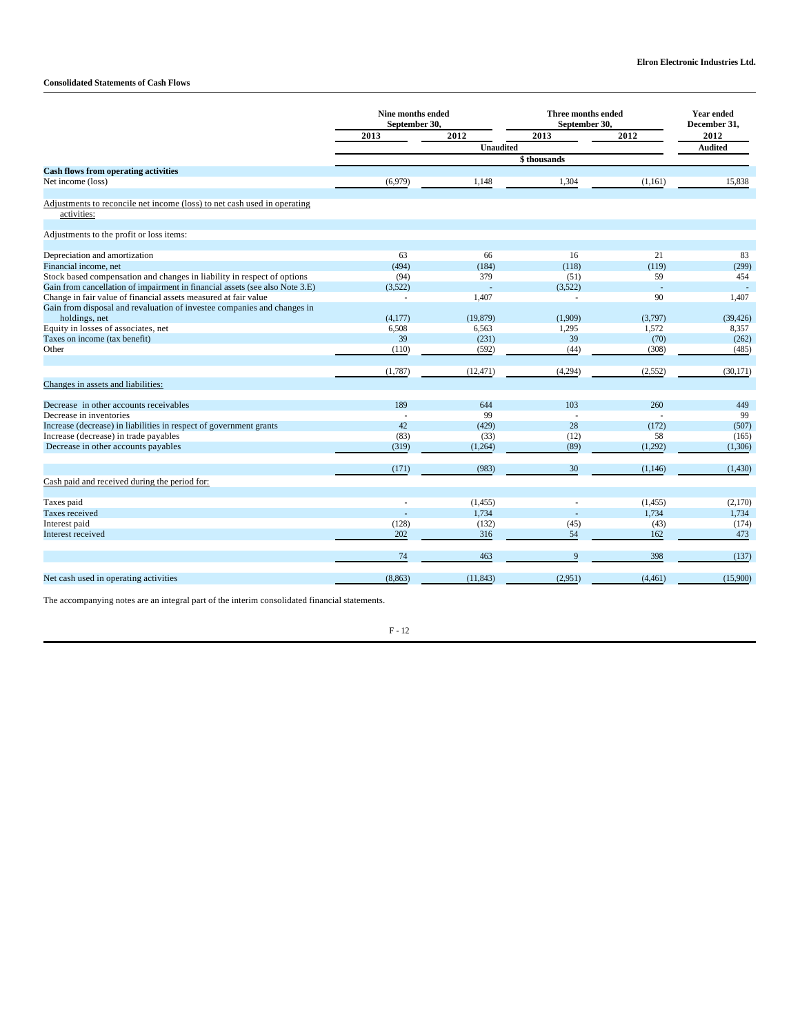## **Consolidated Statements of Cash Flows**

|                                                                                         | Nine months ended<br>September 30, |                  | <b>Three months ended</b><br>September 30, |          | <b>Year ended</b><br>December 31, |
|-----------------------------------------------------------------------------------------|------------------------------------|------------------|--------------------------------------------|----------|-----------------------------------|
|                                                                                         | 2013                               | 2012             | 2013                                       | 2012     | 2012                              |
|                                                                                         |                                    | <b>Unaudited</b> |                                            |          | <b>Audited</b>                    |
|                                                                                         |                                    |                  |                                            |          |                                   |
| <b>Cash flows from operating activities</b>                                             |                                    |                  |                                            |          |                                   |
| Net income (loss)                                                                       | (6,979)                            | 1,148            | 1,304                                      | (1, 161) | 15.838                            |
|                                                                                         |                                    |                  |                                            |          |                                   |
| Adjustments to reconcile net income (loss) to net cash used in operating<br>activities: |                                    |                  |                                            |          |                                   |
| Adjustments to the profit or loss items:                                                |                                    |                  |                                            |          |                                   |
|                                                                                         |                                    |                  |                                            |          |                                   |
| Depreciation and amortization                                                           | 63                                 | 66               | 16                                         | 21       | 83                                |
| Financial income, net                                                                   | (494)                              | (184)            | (118)                                      | (119)    | (299)                             |
| Stock based compensation and changes in liability in respect of options                 | (94)                               | 379              | (51)                                       | 59       | 454                               |
| Gain from cancellation of impairment in financial assets (see also Note 3.E)            | (3,522)                            |                  | (3,522)                                    | ÷,       |                                   |
| Change in fair value of financial assets measured at fair value                         | ÷.                                 | 1,407            | L.                                         | 90       | 1,407                             |
| Gain from disposal and revaluation of investee companies and changes in                 |                                    |                  |                                            |          |                                   |
| holdings, net                                                                           | (4,177)                            | (19, 879)        | (1,909)                                    | (3,797)  | (39, 426)                         |
| Equity in losses of associates, net                                                     | 6,508                              | 6,563            | 1,295                                      | 1,572    | 8,357                             |
| Taxes on income (tax benefit)                                                           | 39                                 | (231)            | 39                                         | (70)     | (262)                             |
| Other                                                                                   | (110)                              | (592)            | (44)                                       | (308)    | (485)                             |
|                                                                                         | (1,787)                            | (12, 471)        | (4,294)                                    | (2, 552) | (30, 171)                         |
| Changes in assets and liabilities:                                                      |                                    |                  |                                            |          |                                   |
| Decrease in other accounts receivables                                                  | 189                                | 644              | 103                                        | 260      | 449                               |
| Decrease in inventories                                                                 |                                    | 99               |                                            |          | 99                                |
| Increase (decrease) in liabilities in respect of government grants                      | 42                                 | (429)            | 28                                         | (172)    | (507)                             |
| Increase (decrease) in trade payables                                                   | (83)                               | (33)             | (12)                                       | 58       | (165)                             |
| Decrease in other accounts payables                                                     | (319)                              | (1,264)          | (89)                                       | (1,292)  | (1,306)                           |
|                                                                                         | (171)                              | (983)            | 30                                         | (1, 146) | (1, 430)                          |
| Cash paid and received during the period for:                                           |                                    |                  |                                            |          |                                   |
|                                                                                         |                                    |                  |                                            |          |                                   |
| Taxes paid                                                                              |                                    | (1, 455)         |                                            | (1, 455) | (2,170)                           |
| Taxes received                                                                          |                                    | 1,734            |                                            | 1.734    | 1,734                             |
| Interest paid                                                                           | (128)                              | (132)            | (45)                                       | (43)     | (174)                             |
| Interest received                                                                       | 202                                | 316              | 54                                         | 162      | 473                               |
|                                                                                         | 74                                 | 463              | 9                                          | 398      | (137)                             |
| Net cash used in operating activities                                                   | (8, 863)                           | (11, 843)        | (2,951)                                    | (4, 461) | (15,900)                          |
|                                                                                         |                                    |                  |                                            |          |                                   |

The accompanying notes are an integral part of the interim consolidated financial statements.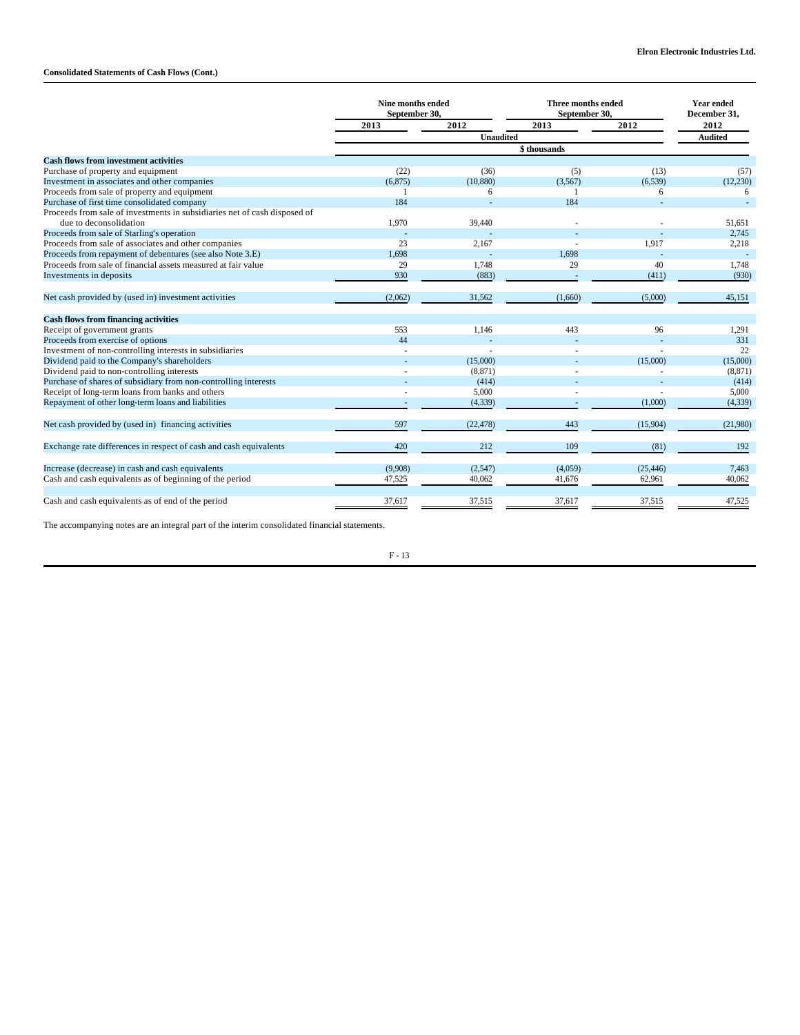## **Consolidated Statements of Cash Flows (Cont.)**

|                                                                           | Nine months ended<br>September 30, |                  | Three months ended<br>September 30, |           | <b>Year ended</b><br>December 31, |  |
|---------------------------------------------------------------------------|------------------------------------|------------------|-------------------------------------|-----------|-----------------------------------|--|
|                                                                           | 2013                               | 2012             | 2013                                | 2012      | 2012                              |  |
|                                                                           |                                    | <b>Unaudited</b> |                                     |           | <b>Audited</b>                    |  |
|                                                                           |                                    |                  |                                     |           |                                   |  |
| <b>Cash flows from investment activities</b>                              |                                    |                  |                                     |           |                                   |  |
| Purchase of property and equipment                                        | (22)                               | (36)             | (5)                                 | (13)      | (57)                              |  |
| Investment in associates and other companies                              | (6, 875)                           | (10, 880)        | (3,567)                             | (6, 539)  | (12,230)                          |  |
| Proceeds from sale of property and equipment                              |                                    | 6                |                                     | 6         | 6                                 |  |
| Purchase of first time consolidated company                               | 184                                |                  | 184                                 |           |                                   |  |
| Proceeds from sale of investments in subsidiaries net of cash disposed of |                                    |                  |                                     |           |                                   |  |
| due to deconsolidation                                                    | 1,970                              | 39,440           |                                     |           | 51,651                            |  |
| Proceeds from sale of Starling's operation                                |                                    |                  |                                     |           | 2,745                             |  |
| Proceeds from sale of associates and other companies                      | 23                                 | 2,167            |                                     | 1,917     | 2,218                             |  |
| Proceeds from repayment of debentures (see also Note 3.E)                 | 1,698                              |                  | 1,698                               |           |                                   |  |
| Proceeds from sale of financial assets measured at fair value             | 29                                 | 1.748            | 29                                  | 40        | 1,748                             |  |
| Investments in deposits                                                   | 930                                | (883)            |                                     | (411)     | (930)                             |  |
| Net cash provided by (used in) investment activities                      | (2,062)                            | 31,562           | (1,660)                             | (5,000)   | 45,151                            |  |
| <b>Cash flows from financing activities</b>                               |                                    |                  |                                     |           |                                   |  |
| Receipt of government grants                                              | 553                                | 1,146            | 443                                 | 96        | 1,291                             |  |
| Proceeds from exercise of options                                         | 44                                 |                  |                                     |           | 331                               |  |
| Investment of non-controlling interests in subsidiaries                   |                                    |                  |                                     |           | 22                                |  |
| Dividend paid to the Company's shareholders                               |                                    | (15,000)         |                                     | (15,000)  | (15,000)                          |  |
| Dividend paid to non-controlling interests                                |                                    | (8, 871)         |                                     |           | (8, 871)                          |  |
| Purchase of shares of subsidiary from non-controlling interests           |                                    | (414)            |                                     |           | (414)                             |  |
| Receipt of long-term loans from banks and others                          |                                    | 5,000            |                                     |           | 5,000                             |  |
| Repayment of other long-term loans and liabilities                        |                                    | (4, 339)         |                                     | (1,000)   | (4, 339)                          |  |
| Net cash provided by (used in) financing activities                       | 597                                | (22, 478)        | 443                                 | (15,904)  | (21,980)                          |  |
| Exchange rate differences in respect of cash and cash equivalents         | 420                                | 212              | 109                                 | (81)      | 192                               |  |
| Increase (decrease) in cash and cash equivalents                          | (9,908)                            | (2,547)          | (4,059)                             | (25, 446) | 7,463                             |  |
| Cash and cash equivalents as of beginning of the period                   | 47,525                             | 40,062           | 41,676                              | 62,961    | 40,062                            |  |
| Cash and cash equivalents as of end of the period                         | 37,617                             | 37,515           | 37,617                              | 37,515    | 47,525                            |  |

The accompanying notes are an integral part of the interim consolidated financial statements.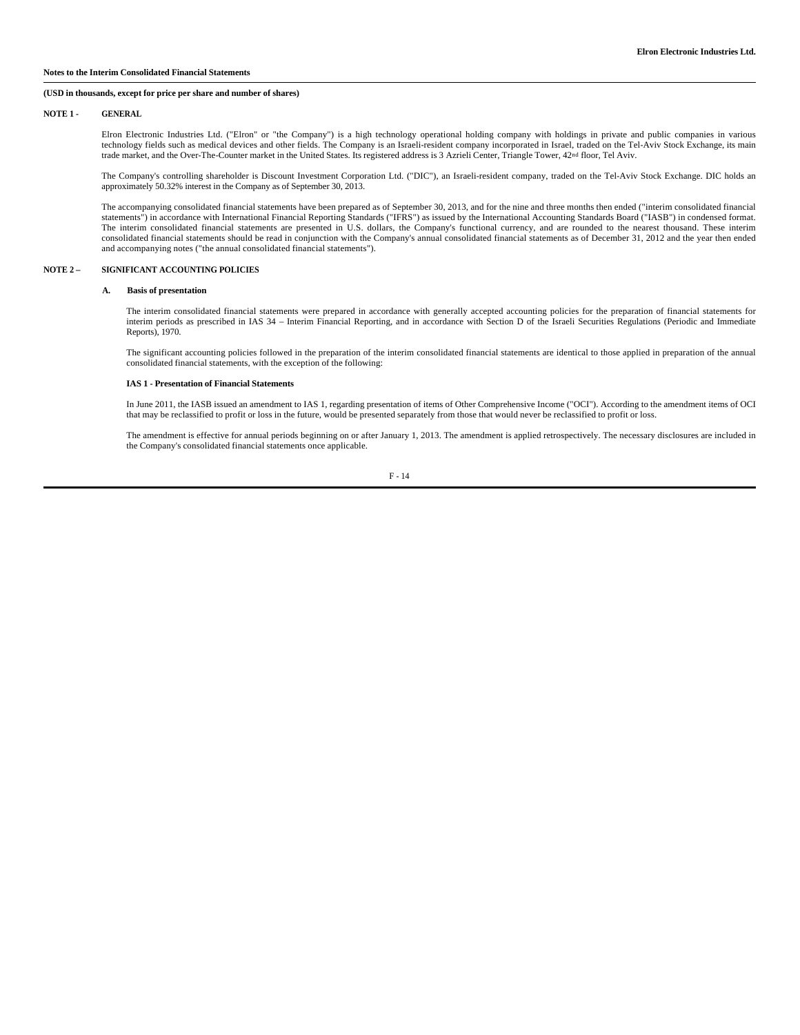#### **Notes to the Interim Consolidated Financial Statements**

#### **(USD in thousands, except for price per share and number of shares)**

#### **NOTE 1 - GENERAL**

Elron Electronic Industries Ltd. ("Elron" or "the Company") is a high technology operational holding company with holdings in private and public companies in various technology fields such as medical devices and other fields. The Company is an Israeli-resident company incorporated in Israel, traded on the Tel-Aviv Stock Exchange, its main trade market, and the Over-The-Counter market in the United States. Its registered address is 3 Azrieli Center, Triangle Tower, 42nd floor, Tel Aviv.

The Company's controlling shareholder is Discount Investment Corporation Ltd. ("DIC"), an Israeli-resident company, traded on the Tel-Aviv Stock Exchange. DIC holds an approximately 50.32% interest in the Company as of September 30, 2013.

The accompanying consolidated financial statements have been prepared as of September 30, 2013, and for the nine and three months then ended ("interim consolidated financial statements") in accordance with International Financial Reporting Standards ("IFRS") as issued by the International Accounting Standards Board ("IASB") in condensed format. The interim consolidated financial statements are presented in U.S. dollars, the Company's functional currency, and are rounded to the nearest thousand. These interim consolidated financial statements should be read in conjunction with the Company's annual consolidated financial statements as of December 31, 2012 and the year then ended and accompanying notes ("the annual consolidated financial statements").

#### **NOTE 2 – SIGNIFICANT ACCOUNTING POLICIES**

#### **A. Basis of presentation**

The interim consolidated financial statements were prepared in accordance with generally accepted accounting policies for the preparation of financial statements for interim periods as prescribed in IAS 34 – Interim Financial Reporting, and in accordance with Section D of the Israeli Securities Regulations (Periodic and Immediate Reports), 1970.

The significant accounting policies followed in the preparation of the interim consolidated financial statements are identical to those applied in preparation of the annual consolidated financial statements, with the exception of the following:

#### **IAS 1 - Presentation of Financial Statements**

In June 2011, the IASB issued an amendment to IAS 1, regarding presentation of items of Other Comprehensive Income ("OCI"). According to the amendment items of OCI that may be reclassified to profit or loss in the future, would be presented separately from those that would never be reclassified to profit or loss.

The amendment is effective for annual periods beginning on or after January 1, 2013. The amendment is applied retrospectively. The necessary disclosures are included in the Company's consolidated financial statements once applicable.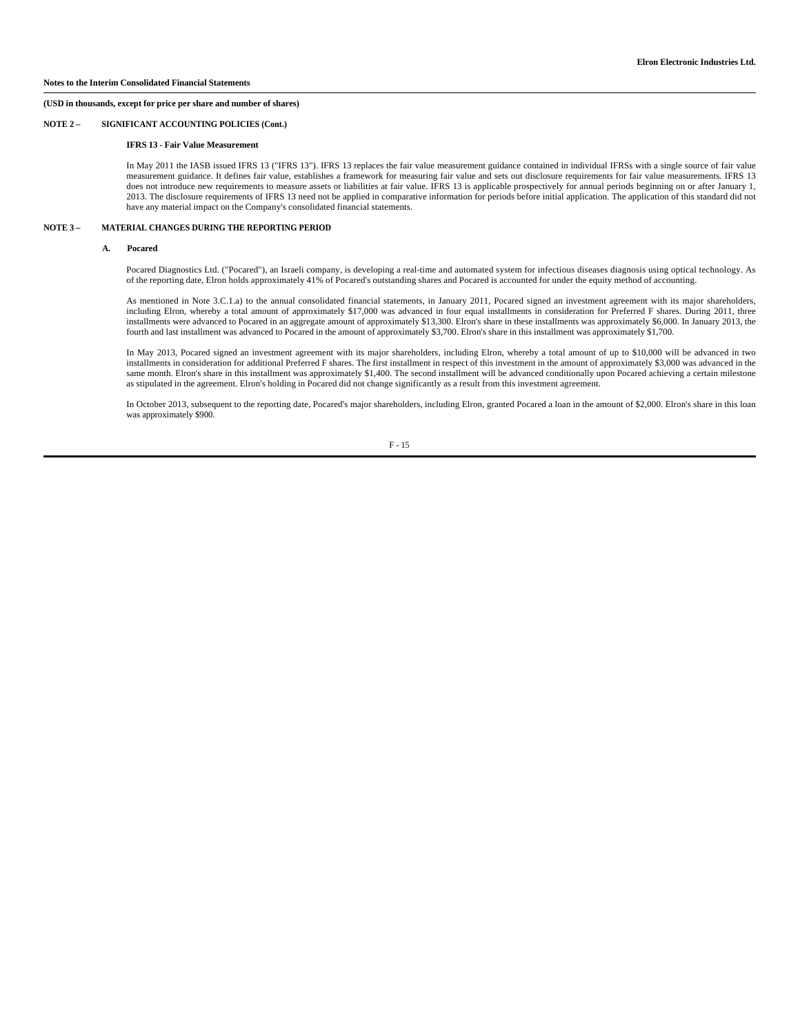## **NOTE 2 – SIGNIFICANT ACCOUNTING POLICIES (Cont.)**

#### **IFRS 13 - Fair Value Measurement**

In May 2011 the IASB issued IFRS 13 ("IFRS 13"). IFRS 13 replaces the fair value measurement guidance contained in individual IFRSs with a single source of fair value measurement guidance. It defines fair value, establishes a framework for measuring fair value and sets out disclosure requirements for fair value measurements. IFRS 13 does not introduce new requirements to measure assets or liabilities at fair value. IFRS 13 is applicable prospectively for annual periods beginning on or after January 1, 2013. The disclosure requirements of IFRS 13 need not be applied in comparative information for periods before initial application. The application of this standard did not have any material impact on the Company's consolidated financial statements.

#### **NOTE 3 – MATERIAL CHANGES DURING THE REPORTING PERIOD**

#### **A. Pocared**

Pocared Diagnostics Ltd. ("Pocared"), an Israeli company, is developing a real-time and automated system for infectious diseases diagnosis using optical technology. As of the reporting date, Elron holds approximately 41% of Pocared's outstanding shares and Pocared is accounted for under the equity method of accounting.

As mentioned in Note 3.C.1.a) to the annual consolidated financial statements, in January 2011, Pocared signed an investment agreement with its major shareholders, including Elron, whereby a total amount of approximately \$17,000 was advanced in four equal installments in consideration for Preferred F shares. During 2011, three installments were advanced to Pocared in an aggregate amount of approximately \$13,300. Elron's share in these installments was approximately \$6,000. In January 2013, the fourth and last installment was advanced to Pocared in the amount of approximately \$3,700. Elron's share in this installment was approximately \$1,700.

In May 2013, Pocared signed an investment agreement with its major shareholders, including Elron, whereby a total amount of up to \$10,000 will be advanced in two installments in consideration for additional Preferred F shares. The first installment in respect of this investment in the amount of approximately \$3,000 was advanced in the same month. Elron's share in this installment was approximately \$1,400. The second installment will be advanced conditionally upon Pocared achieving a certain milestone as stipulated in the agreement. Elron's holding in Pocared did not change significantly as a result from this investment agreement.

In October 2013, subsequent to the reporting date, Pocared's major shareholders, including Elron, granted Pocared a loan in the amount of \$2,000. Elron's share in this loan was approximately \$900.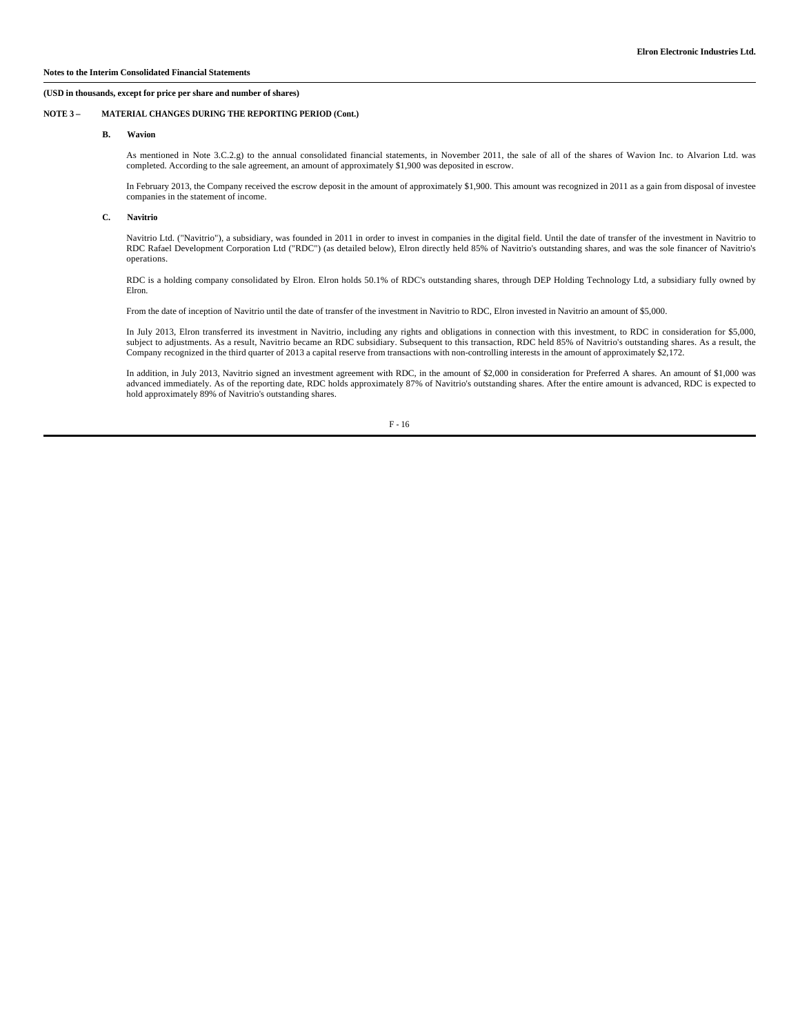## **NOTE 3 – MATERIAL CHANGES DURING THE REPORTING PERIOD (Cont.)**

#### **B. Wavion**

As mentioned in Note 3.C.2.g) to the annual consolidated financial statements, in November 2011, the sale of all of the shares of Wavion Inc. to Alvarion Ltd. was completed. According to the sale agreement, an amount of approximately \$1,900 was deposited in escrow.

In February 2013, the Company received the escrow deposit in the amount of approximately \$1,900. This amount was recognized in 2011 as a gain from disposal of investee companies in the statement of income.

#### **C. Navitrio**

Navitrio Ltd. ("Navitrio"), a subsidiary, was founded in 2011 in order to invest in companies in the digital field. Until the date of transfer of the investment in Navitrio to RDC Rafael Development Corporation Ltd ("RDC") (as detailed below), Elron directly held 85% of Navitrio's outstanding shares, and was the sole financer of Navitrio's operations.

RDC is a holding company consolidated by Elron. Elron holds 50.1% of RDC's outstanding shares, through DEP Holding Technology Ltd, a subsidiary fully owned by Elron.

From the date of inception of Navitrio until the date of transfer of the investment in Navitrio to RDC, Elron invested in Navitrio an amount of \$5,000.

In July 2013, Elron transferred its investment in Navitrio, including any rights and obligations in connection with this investment, to RDC in consideration for \$5,000, subject to adjustments. As a result, Navitrio became an RDC subsidiary. Subsequent to this transaction, RDC held 85% of Navitrio's outstanding shares. As a result, the Company recognized in the third quarter of 2013 a capital reserve from transactions with non-controlling interests in the amount of approximately \$2,172.

In addition, in July 2013, Navitrio signed an investment agreement with RDC, in the amount of \$2,000 in consideration for Preferred A shares. An amount of \$1,000 was advanced immediately. As of the reporting date, RDC holds approximately 87% of Navitrio's outstanding shares. After the entire amount is advanced, RDC is expected to hold approximately 89% of Navitrio's outstanding shares.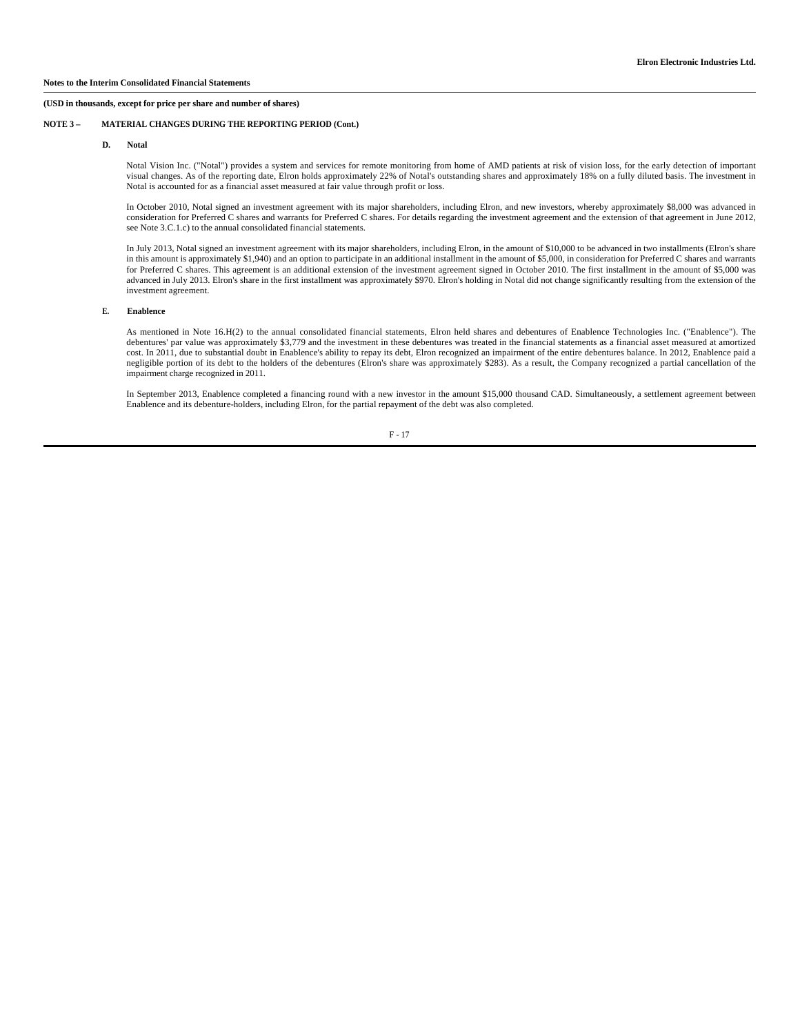## **NOTE 3 – MATERIAL CHANGES DURING THE REPORTING PERIOD (Cont.)**

#### **D. Notal**

Notal Vision Inc. ("Notal") provides a system and services for remote monitoring from home of AMD patients at risk of vision loss, for the early detection of important visual changes. As of the reporting date, Elron holds approximately 22% of Notal's outstanding shares and approximately 18% on a fully diluted basis. The investment in Notal is accounted for as a financial asset measured at fair value through profit or loss.

In October 2010, Notal signed an investment agreement with its major shareholders, including Elron, and new investors, whereby approximately \$8,000 was advanced in consideration for Preferred C shares and warrants for Preferred C shares. For details regarding the investment agreement and the extension of that agreement in June 2012, see Note 3.C.1.c) to the annual consolidated financial statements.

In July 2013, Notal signed an investment agreement with its major shareholders, including Elron, in the amount of \$10,000 to be advanced in two installments (Elron's share in this amount is approximately \$1,940) and an option to participate in an additional installment in the amount of \$5,000, in consideration for Preferred C shares and warrants for Preferred C shares. This agreement is an additional extension of the investment agreement signed in October 2010. The first installment in the amount of \$5,000 was advanced in July 2013. Elron's share in the first installment was approximately \$970. Elron's holding in Notal did not change significantly resulting from the extension of the investment agreement.

## **E. Enablence**

As mentioned in Note 16.H(2) to the annual consolidated financial statements, Elron held shares and debentures of Enablence Technologies Inc. ("Enablence"). The debentures' par value was approximately \$3,779 and the investment in these debentures was treated in the financial statements as a financial asset measured at amortized cost. In 2011, due to substantial doubt in Enablence's ability to repay its debt, Elron recognized an impairment of the entire debentures balance. In 2012, Enablence paid a negligible portion of its debt to the holders of the debentures (Elron's share was approximately \$283). As a result, the Company recognized a partial cancellation of the impairment charge recognized in 2011.

In September 2013, Enablence completed a financing round with a new investor in the amount \$15,000 thousand CAD. Simultaneously, a settlement agreement between Enablence and its debenture-holders, including Elron, for the partial repayment of the debt was also completed.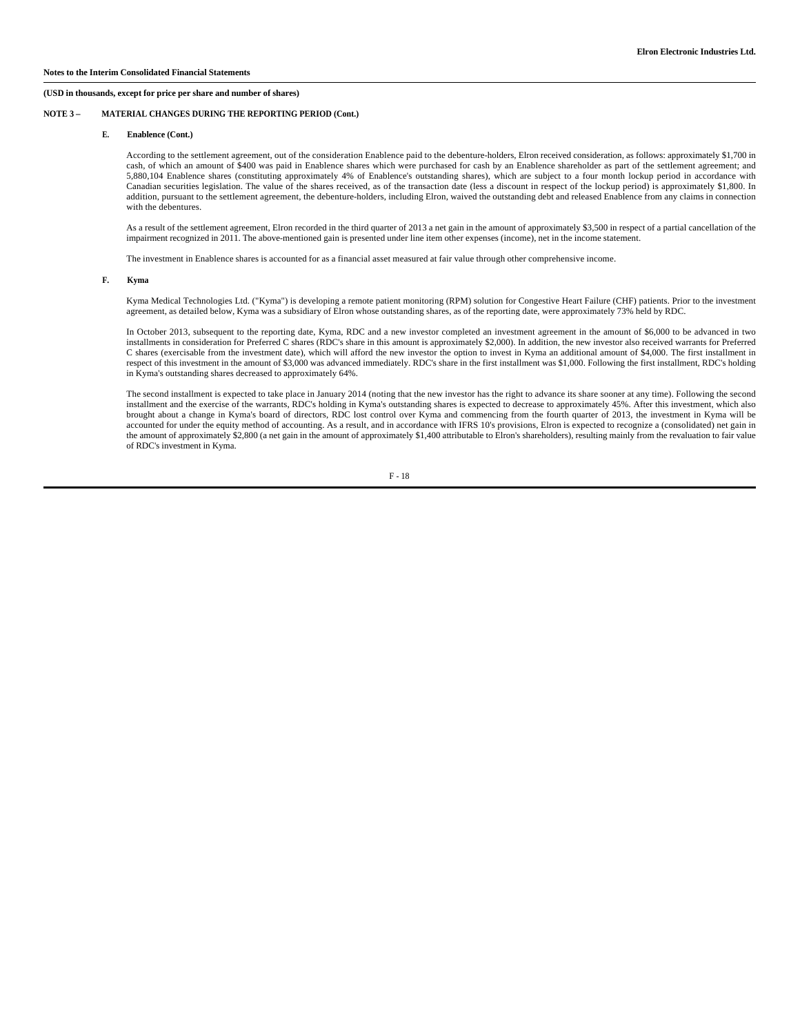#### **NOTE 3 – MATERIAL CHANGES DURING THE REPORTING PERIOD (Cont.)**

#### **E. Enablence (Cont.)**

According to the settlement agreement, out of the consideration Enablence paid to the debenture-holders, Elron received consideration, as follows: approximately \$1,700 in cash, of which an amount of \$400 was paid in Enablence shares which were purchased for cash by an Enablence shareholder as part of the settlement agreement; and 5,880,104 Enablence shares (constituting approximately 4% of Enablence's outstanding shares), which are subject to a four month lockup period in accordance with Canadian securities legislation. The value of the shares received, as of the transaction date (less a discount in respect of the lockup period) is approximately \$1,800. In addition, pursuant to the settlement agreement, the debenture-holders, including Elron, waived the outstanding debt and released Enablence from any claims in connection with the debentures.

As a result of the settlement agreement, Elron recorded in the third quarter of 2013 a net gain in the amount of approximately \$3,500 in respect of a partial cancellation of the impairment recognized in 2011. The above-mentioned gain is presented under line item other expenses (income), net in the income statement.

The investment in Enablence shares is accounted for as a financial asset measured at fair value through other comprehensive income.

## **F. Kyma**

Kyma Medical Technologies Ltd. ("Kyma") is developing a remote patient monitoring (RPM) solution for Congestive Heart Failure (CHF) patients. Prior to the investment agreement, as detailed below, Kyma was a subsidiary of Elron whose outstanding shares, as of the reporting date, were approximately 73% held by RDC.

In October 2013, subsequent to the reporting date, Kyma, RDC and a new investor completed an investment agreement in the amount of \$6,000 to be advanced in two installments in consideration for Preferred C shares (RDC's share in this amount is approximately \$2,000). In addition, the new investor also received warrants for Preferred C shares (exercisable from the investment date), which will afford the new investor the option to invest in Kyma an additional amount of \$4,000. The first installment in respect of this investment in the amount of \$3,000 was advanced immediately. RDC's share in the first installment was \$1,000. Following the first installment, RDC's holding in Kyma's outstanding shares decreased to approximately 64%.

The second installment is expected to take place in January 2014 (noting that the new investor has the right to advance its share sooner at any time). Following the second installment and the exercise of the warrants, RDC's holding in Kyma's outstanding shares is expected to decrease to approximately 45%. After this investment, which also brought about a change in Kyma's board of directors, RDC lost control over Kyma and commencing from the fourth quarter of 2013, the investment in Kyma will be accounted for under the equity method of accounting. As a result, and in accordance with IFRS 10's provisions, Elron is expected to recognize a (consolidated) net gain in the amount of approximately \$2,800 (a net gain in the amount of approximately \$1,400 attributable to Elron's shareholders), resulting mainly from the revaluation to fair value of RDC's investment in Kyma.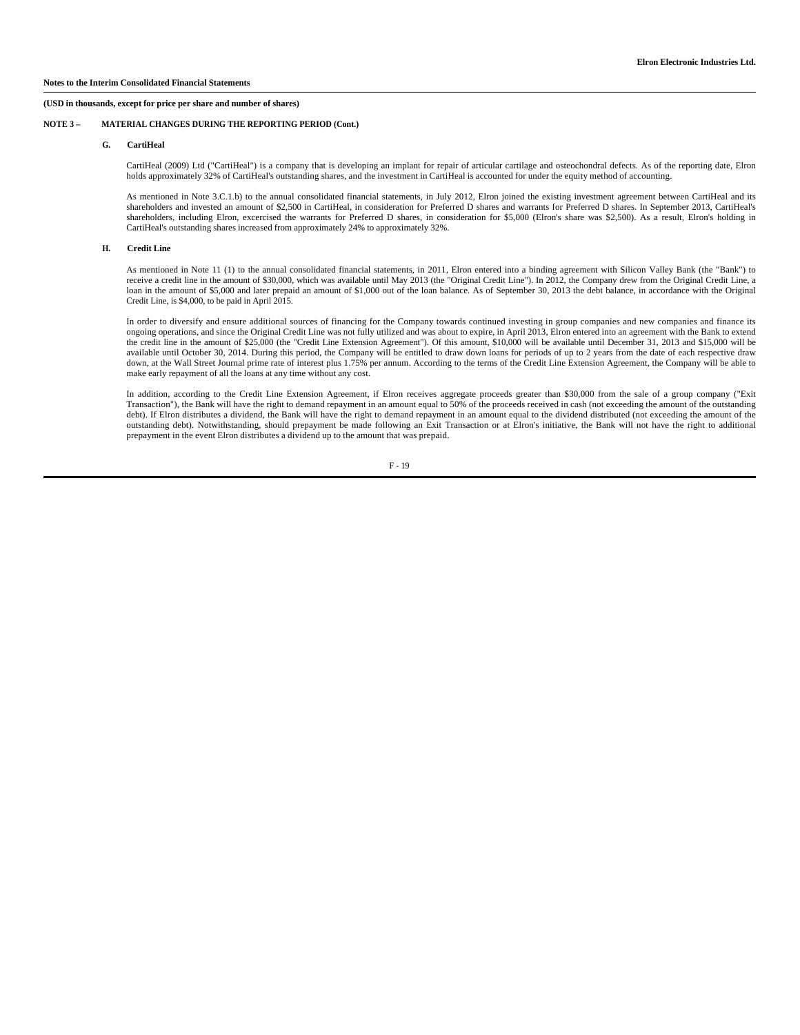## **NOTE 3 – MATERIAL CHANGES DURING THE REPORTING PERIOD (Cont.)**

#### **G. CartiHeal**

CartiHeal (2009) Ltd ("CartiHeal") is a company that is developing an implant for repair of articular cartilage and osteochondral defects. As of the reporting date, Elron holds approximately 32% of CartiHeal's outstanding shares, and the investment in CartiHeal is accounted for under the equity method of accounting.

As mentioned in Note 3.C.1.b) to the annual consolidated financial statements, in July 2012, Elron joined the existing investment agreement between CartiHeal and its shareholders and invested an amount of \$2,500 in CartiHeal, in consideration for Preferred D shares and warrants for Preferred D shares. In September 2013, CartiHeal's shareholders, including Elron, excercised the warrants for Preferred D shares, in consideration for \$5,000 (Elron's share was \$2,500). As a result, Elron's holding in CartiHeal's outstanding shares increased from approximately 24% to approximately 32%.

#### **H. Credit Line**

As mentioned in Note 11 (1) to the annual consolidated financial statements, in 2011, Elron entered into a binding agreement with Silicon Valley Bank (the "Bank") to receive a credit line in the amount of \$30,000, which was available until May 2013 (the "Original Credit Line"). In 2012, the Company drew from the Original Credit Line, a loan in the amount of \$5,000 and later prepaid an amount of \$1,000 out of the loan balance. As of September 30, 2013 the debt balance, in accordance with the Original Credit Line, is \$4,000, to be paid in April 2015.

In order to diversify and ensure additional sources of financing for the Company towards continued investing in group companies and new companies and finance its ongoing operations, and since the Original Credit Line was not fully utilized and was about to expire, in April 2013, Elron entered into an agreement with the Bank to extend the credit line in the amount of \$25,000 (the "Credit Line Extension Agreement"). Of this amount, \$10,000 will be available until December 31, 2013 and \$15,000 will be available until October 30, 2014. During this period, the Company will be entitled to draw down loans for periods of up to 2 years from the date of each respective draw down, at the Wall Street Journal prime rate of interest plus 1.75% per annum. According to the terms of the Credit Line Extension Agreement, the Company will be able to make early repayment of all the loans at any time without any cost.

In addition, according to the Credit Line Extension Agreement, if Elron receives aggregate proceeds greater than \$30,000 from the sale of a group company ("Exit Transaction"), the Bank will have the right to demand repayment in an amount equal to 50% of the proceeds received in cash (not exceeding the amount of the outstanding debt). If Elron distributes a dividend, the Bank will have the right to demand repayment in an amount equal to the dividend distributed (not exceeding the amount of the outstanding debt). Notwithstanding, should prepayment be made following an Exit Transaction or at Elron's initiative, the Bank will not have the right to additional prepayment in the event Elron distributes a dividend up to the amount that was prepaid.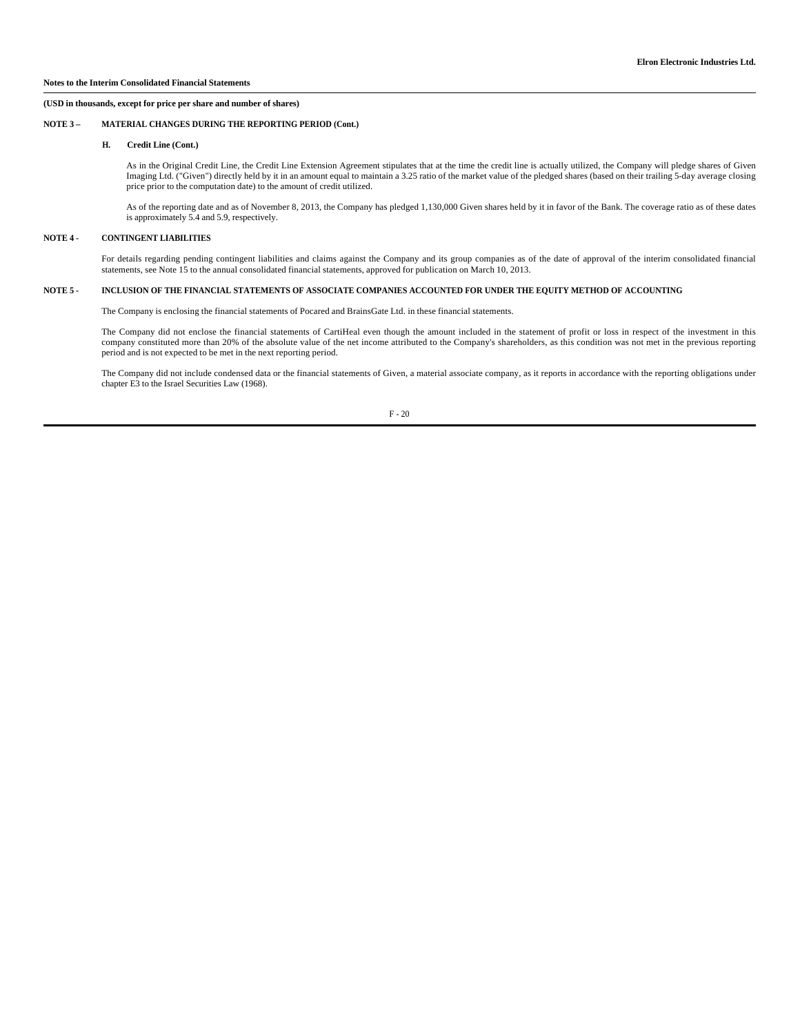## **NOTE 3 – MATERIAL CHANGES DURING THE REPORTING PERIOD (Cont.)**

## **H. Credit Line (Cont.)**

As in the Original Credit Line, the Credit Line Extension Agreement stipulates that at the time the credit line is actually utilized, the Company will pledge shares of Given Imaging Ltd. ("Given") directly held by it in an amount equal to maintain a 3.25 ratio of the market value of the pledged shares (based on their trailing 5-day average closing price prior to the computation date) to the amount of credit utilized.

As of the reporting date and as of November 8, 2013, the Company has pledged 1,130,000 Given shares held by it in favor of the Bank. The coverage ratio as of these dates is approximately 5.4 and 5.9, respectively.

## **NOTE 4 - CONTINGENT LIABILITIES**

For details regarding pending contingent liabilities and claims against the Company and its group companies as of the date of approval of the interim consolidated financial<br>statements, see Note 15 to the annual consolidate

#### **NOTE 5 - INCLUSION OF THE FINANCIAL STATEMENTS OF ASSOCIATE COMPANIES ACCOUNTED FOR UNDER THE EQUITY METHOD OF ACCOUNTING**

The Company is enclosing the financial statements of Pocared and BrainsGate Ltd. in these financial statements.

The Company did not enclose the financial statements of CartiHeal even though the amount included in the statement of profit or loss in respect of the investment in this company constituted more than 20% of the absolute value of the net income attributed to the Company's shareholders, as this condition was not met in the previous reporting period and is not expected to be met in the next reporting period.

The Company did not include condensed data or the financial statements of Given, a material associate company, as it reports in accordance with the reporting obligations under chapter E3 to the Israel Securities Law (1968).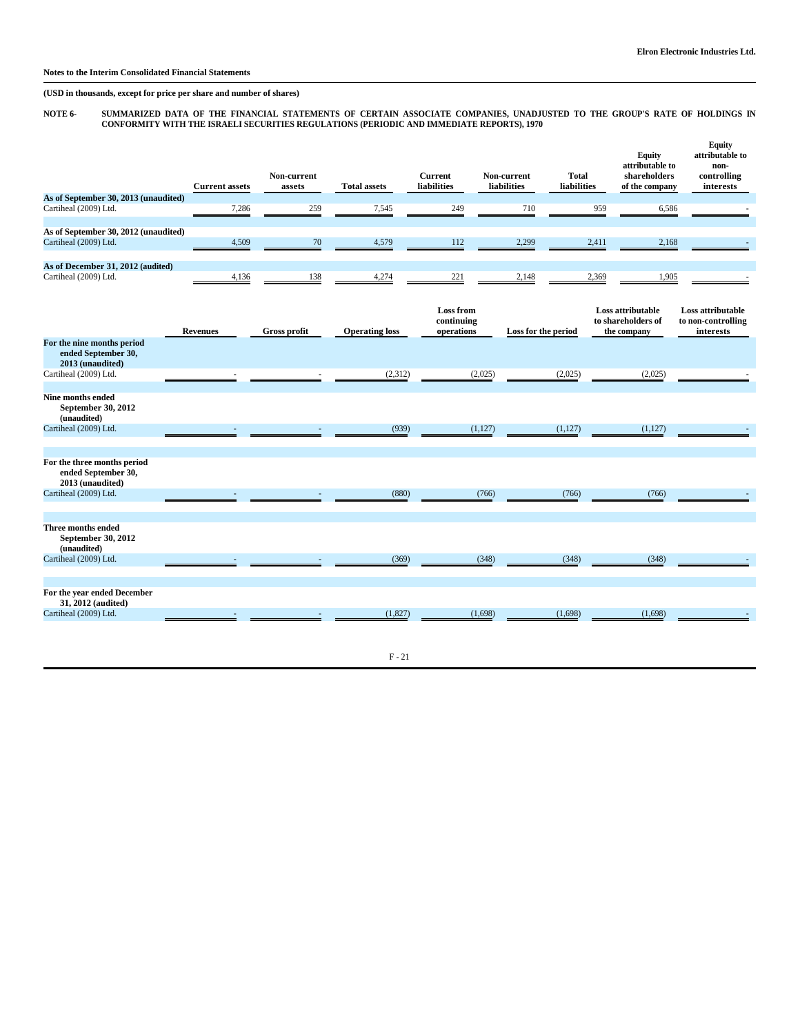## **Notes to the Interim Consolidated Financial Statements**

**(USD in thousands, except for price per share and number of shares)**

# NOTE 6- SUMMARIZED DATA OF THE FINANCIAL STATEMENTS OF CERTAIN ASSOCIATE COMPANIES, UNADJUSTED TO THE GROUP'S RATE OF HOLDINGS IN<br>CONFORMITY WITH THE ISRAELI SECURITIES REGULATIONS (PERIODIC AND IMMEDIATE REPORTS), 1970

|                                                                        | <b>Current assets</b> | Non-current<br>assets | <b>Total assets</b>   | <b>Current</b><br>liabilities                | Non-current<br>liabilities | <b>Total</b><br>liabilities | Equity<br>attributable to<br>shareholders<br>of the company | Equity<br>attributable to<br>non-<br>controlling<br>interests |
|------------------------------------------------------------------------|-----------------------|-----------------------|-----------------------|----------------------------------------------|----------------------------|-----------------------------|-------------------------------------------------------------|---------------------------------------------------------------|
| As of September 30, 2013 (unaudited)                                   |                       |                       |                       |                                              |                            |                             |                                                             |                                                               |
| Cartiheal (2009) Ltd.                                                  | 7,286                 | 259                   | 7,545                 | 249                                          | 710                        |                             | 959<br>6,586                                                |                                                               |
| As of September 30, 2012 (unaudited)                                   |                       |                       |                       |                                              |                            |                             |                                                             |                                                               |
| Cartiheal (2009) Ltd.                                                  | 4,509                 | 70                    | 4,579                 | 112                                          | 2,299                      |                             | 2,411<br>2,168                                              |                                                               |
| As of December 31, 2012 (audited)                                      |                       |                       |                       |                                              |                            |                             |                                                             |                                                               |
| Cartiheal (2009) Ltd.                                                  | 4,136                 | 138                   | 4,274                 | 221                                          | 2,148                      |                             | 2,369<br>1,905                                              |                                                               |
|                                                                        | <b>Revenues</b>       | <b>Gross profit</b>   | <b>Operating loss</b> | <b>Loss from</b><br>continuing<br>operations | Loss for the period        |                             | Loss attributable<br>to shareholders of<br>the company      | Loss attributable<br>to non-controlling<br>interests          |
| For the nine months period<br>ended September 30,<br>2013 (unaudited)  |                       |                       |                       |                                              |                            |                             |                                                             |                                                               |
| Cartiheal (2009) Ltd.                                                  |                       |                       | (2, 312)              | (2,025)                                      |                            | (2,025)                     | (2,025)                                                     |                                                               |
| <b>Nine months ended</b><br>September 30, 2012<br>(unaudited)          |                       |                       |                       |                                              |                            |                             |                                                             |                                                               |
| Cartiheal (2009) Ltd.                                                  |                       |                       | (939)                 | (1,127)                                      |                            | (1, 127)                    | (1, 127)                                                    |                                                               |
| For the three months period<br>ended September 30,<br>2013 (unaudited) |                       |                       |                       |                                              |                            |                             |                                                             |                                                               |
| Cartiheal (2009) Ltd.                                                  |                       |                       | (880)                 |                                              | (766)                      | (766)                       | (766)                                                       |                                                               |
| Three months ended<br>September 30, 2012<br>(unaudited)                |                       |                       |                       |                                              |                            |                             |                                                             |                                                               |
| Cartiheal (2009) Ltd.                                                  |                       |                       | (369)                 |                                              | (348)                      | (348)                       | (348)                                                       |                                                               |
| For the year ended December<br>31, 2012 (audited)                      |                       |                       |                       |                                              |                            |                             |                                                             |                                                               |
| Cartiheal (2009) Ltd.                                                  |                       |                       | (1,827)               | (1,698)                                      |                            | (1,698)                     | (1,698)                                                     |                                                               |
|                                                                        |                       |                       |                       |                                              |                            |                             |                                                             |                                                               |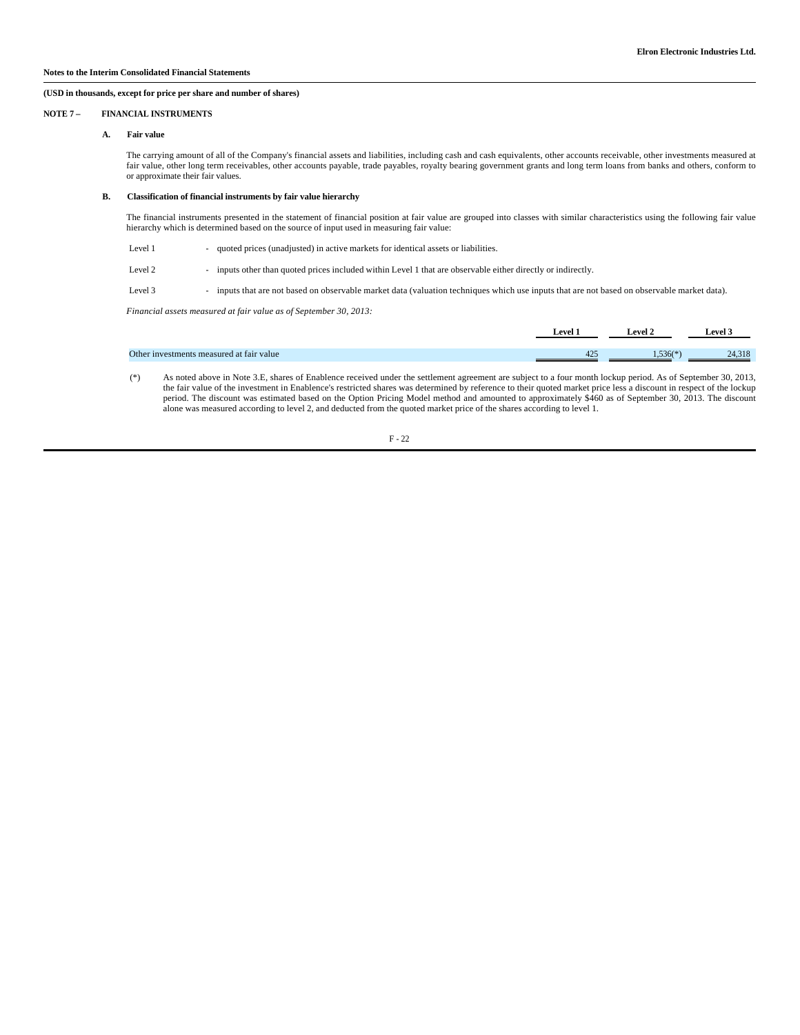#### **NOTE 7 – FINANCIAL INSTRUMENTS**

#### **A. Fair value**

The carrying amount of all of the Company's financial assets and liabilities, including cash and cash equivalents, other accounts receivable, other investments measured at fair value, other long term receivables, other accounts payable, trade payables, royalty bearing government grants and long term loans from banks and others, conform to or approximate their fair values.

#### **B. Classification of financial instruments by fair value hierarchy**

The financial instruments presented in the statement of financial position at fair value are grouped into classes with similar characteristics using the following fair value hierarchy which is determined based on the source of input used in measuring fair value:

- Level 1 quoted prices (unadjusted) in active markets for identical assets or liabilities.
- Level 2 - inputs other than quoted prices included within Level 1 that are observable either directly or indirectly.

Level 3 - inputs that are not based on observable market data (valuation techniques which use inputs that are not based on observable market data).

*Financial assets measured at fair value as of September 30, 2013:*

|                                          | <b>Level 1</b> | Level 2              | Level 3            |
|------------------------------------------|----------------|----------------------|--------------------|
|                                          |                |                      |                    |
| Other investments measured at fair value | $\Omega$       | $4.536$ <sup>*</sup> | 14.210<br>24, 31 O |

 (\*) As noted above in Note 3.E, shares of Enablence received under the settlement agreement are subject to a four month lockup period. As of September 30, 2013, the fair value of the investment in Enablence's restricted shares was determined by reference to their quoted market price less a discount in respect of the lockup period. The discount was estimated based on the Option Pricing Model method and amounted to approximately \$460 as of September 30, 2013. The discount alone was measured according to level 2, and deducted from the quoted market price of the shares according to level 1.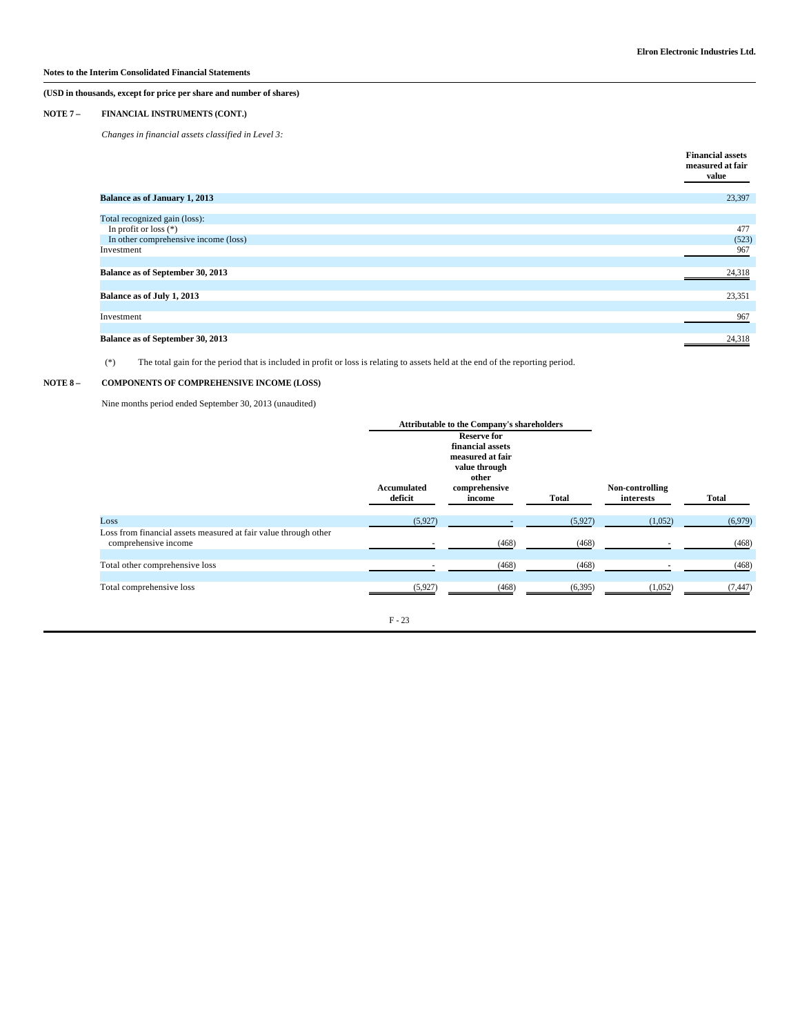## **NOTE 7 – FINANCIAL INSTRUMENTS (CONT.)**

*Changes in financial assets classified in Level 3:*

|                                      | <b>Financial assets</b><br>measured at fair<br>value |
|--------------------------------------|------------------------------------------------------|
| <b>Balance as of January 1, 2013</b> | 23,397                                               |
|                                      |                                                      |
| Total recognized gain (loss):        |                                                      |
| In profit or loss $(*)$              | 477                                                  |
| In other comprehensive income (loss) | (523)                                                |
| Investment                           | 967                                                  |
|                                      |                                                      |
| Balance as of September 30, 2013     | 24,318                                               |
|                                      |                                                      |
| Balance as of July 1, 2013           | 23,351                                               |
|                                      |                                                      |
| Investment                           | 967                                                  |
|                                      |                                                      |
| Balance as of September 30, 2013     | 24,318                                               |

(\*) The total gain for the period that is included in profit or loss is relating to assets held at the end of the reporting period.

#### NOTE  $8-$ COMPONENTS OF COMPREHENSIVE INCOME (LOSS)

Nine months period ended September 30, 2013 (unaudited)

|                                                                                         |                        | <b>Attributable to the Company's shareholders</b>                                                               |              |                              |              |
|-----------------------------------------------------------------------------------------|------------------------|-----------------------------------------------------------------------------------------------------------------|--------------|------------------------------|--------------|
|                                                                                         | Accumulated<br>deficit | <b>Reserve for</b><br>financial assets<br>measured at fair<br>value through<br>other<br>comprehensive<br>income | <b>Total</b> | Non-controlling<br>interests | <b>Total</b> |
| Loss                                                                                    | (5,927)                |                                                                                                                 | (5,927)      | (1,052)                      | (6,979)      |
| Loss from financial assets measured at fair value through other<br>comprehensive income |                        | (468)                                                                                                           | (468)        |                              | (468)        |
| Total other comprehensive loss                                                          |                        | (468)                                                                                                           | (468)        |                              | (468)        |
|                                                                                         |                        |                                                                                                                 |              |                              |              |
| Total comprehensive loss                                                                | (5,927)                | (468)                                                                                                           | (6,395)      | (1,052)                      | (7, 447)     |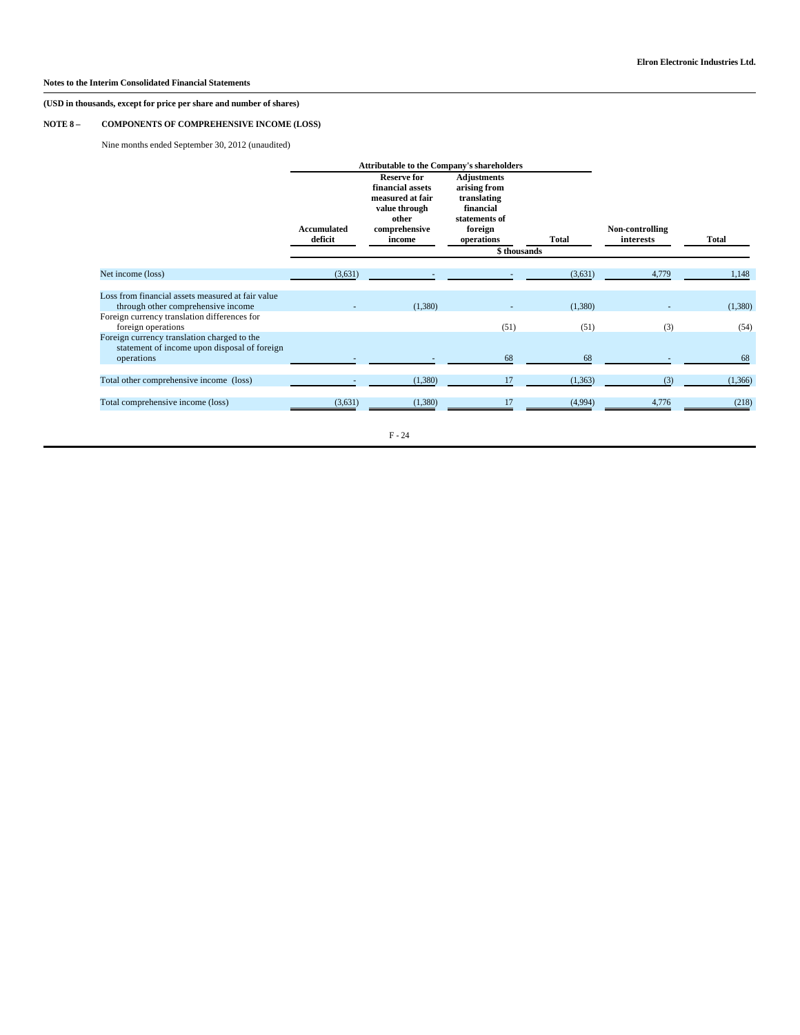## **NOTE 8 – COMPONENTS OF COMPREHENSIVE INCOME (LOSS)**

Nine months ended September 30, 2012 (unaudited)

|                                                                                             |                        | <b>Attributable to the Company's shareholders</b>                                                               |                                                                                                          |                       |                              |         |
|---------------------------------------------------------------------------------------------|------------------------|-----------------------------------------------------------------------------------------------------------------|----------------------------------------------------------------------------------------------------------|-----------------------|------------------------------|---------|
|                                                                                             | Accumulated<br>deficit | <b>Reserve for</b><br>financial assets<br>measured at fair<br>value through<br>other<br>comprehensive<br>income | <b>Adjustments</b><br>arising from<br>translating<br>financial<br>statements of<br>foreign<br>operations | Total<br>\$ thousands | Non-controlling<br>interests | Total   |
|                                                                                             |                        |                                                                                                                 |                                                                                                          |                       |                              |         |
| Net income (loss)                                                                           | (3,631)                |                                                                                                                 |                                                                                                          | (3,631)               | 4,779                        | 1,148   |
| Loss from financial assets measured at fair value<br>through other comprehensive income     |                        | (1,380)                                                                                                         |                                                                                                          | (1,380)               |                              | (1,380) |
| Foreign currency translation differences for<br>foreign operations                          |                        |                                                                                                                 | (51)                                                                                                     | (51)                  | (3)                          | (54)    |
| Foreign currency translation charged to the<br>statement of income upon disposal of foreign |                        |                                                                                                                 |                                                                                                          |                       |                              |         |
| operations                                                                                  |                        |                                                                                                                 | 68                                                                                                       | 68                    |                              | 68      |
| Total other comprehensive income (loss)                                                     |                        | (1,380)                                                                                                         | 17                                                                                                       | (1,363)               | (3)                          | (1,366) |
| Total comprehensive income (loss)                                                           | (3,631)                | (1,380)                                                                                                         |                                                                                                          | (4,994)               | 4,776                        | (218)   |
|                                                                                             |                        |                                                                                                                 |                                                                                                          |                       |                              |         |

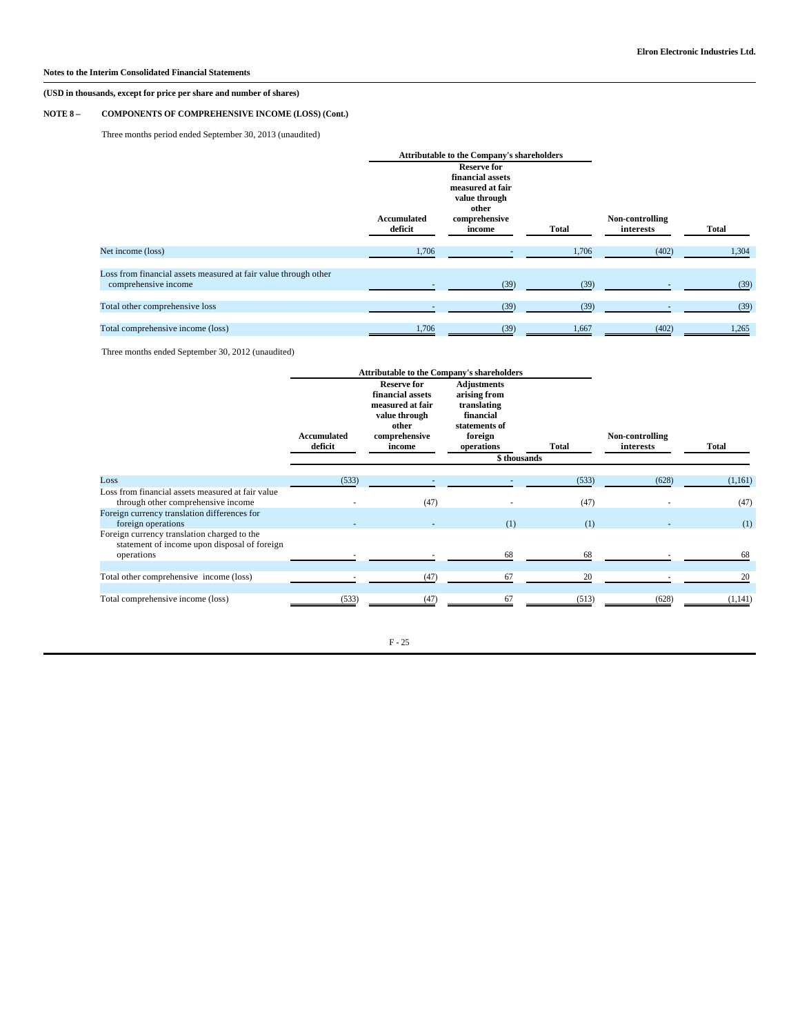## **NOTE 8 – COMPONENTS OF COMPREHENSIVE INCOME (LOSS) (Cont.)**

Three months period ended September 30, 2013 (unaudited)

|                                                                                         |                        | <b>Attributable to the Company's shareholders</b>                                                               |       |                              |       |
|-----------------------------------------------------------------------------------------|------------------------|-----------------------------------------------------------------------------------------------------------------|-------|------------------------------|-------|
|                                                                                         | Accumulated<br>deficit | <b>Reserve for</b><br>financial assets<br>measured at fair<br>value through<br>other<br>comprehensive<br>income | Total | Non-controlling<br>interests | Total |
| Net income (loss)                                                                       | 1,706                  |                                                                                                                 | 1,706 | (402)                        | 1,304 |
| Loss from financial assets measured at fair value through other<br>comprehensive income |                        | (39)                                                                                                            | (39)  |                              | (39)  |
| Total other comprehensive loss                                                          |                        | (39)                                                                                                            | (39)  |                              | (39)  |
| Total comprehensive income (loss)                                                       | 1,706                  | (39)                                                                                                            | 1,667 | (402)                        | 1,265 |

Three months ended September 30, 2012 (unaudited)

|                                                                                                           |                               | <b>Attributable to the Company's shareholders</b>                                                               |                                                                                                                          |       |                              |         |
|-----------------------------------------------------------------------------------------------------------|-------------------------------|-----------------------------------------------------------------------------------------------------------------|--------------------------------------------------------------------------------------------------------------------------|-------|------------------------------|---------|
|                                                                                                           | <b>Accumulated</b><br>deficit | <b>Reserve for</b><br>financial assets<br>measured at fair<br>value through<br>other<br>comprehensive<br>income | <b>Adjustments</b><br>arising from<br>translating<br>financial<br>statements of<br>foreign<br>operations<br>\$ thousands | Total | Non-controlling<br>interests | Total   |
| Loss                                                                                                      | (533)                         |                                                                                                                 |                                                                                                                          | (533) | (628)                        | (1,161) |
| Loss from financial assets measured at fair value<br>through other comprehensive income                   |                               | (47)                                                                                                            |                                                                                                                          | (47)  |                              | (47)    |
| Foreign currency translation differences for<br>foreign operations                                        |                               |                                                                                                                 | (1)                                                                                                                      | (1)   |                              | (1)     |
| Foreign currency translation charged to the<br>statement of income upon disposal of foreign<br>operations |                               |                                                                                                                 | 68                                                                                                                       | 68    |                              | 68      |
| Total other comprehensive income (loss)                                                                   |                               | (47)                                                                                                            | 67                                                                                                                       | 20    |                              | 20      |
| Total comprehensive income (loss)                                                                         | (533)                         | (47)                                                                                                            | 67                                                                                                                       | (513) | (628)                        | (1,141) |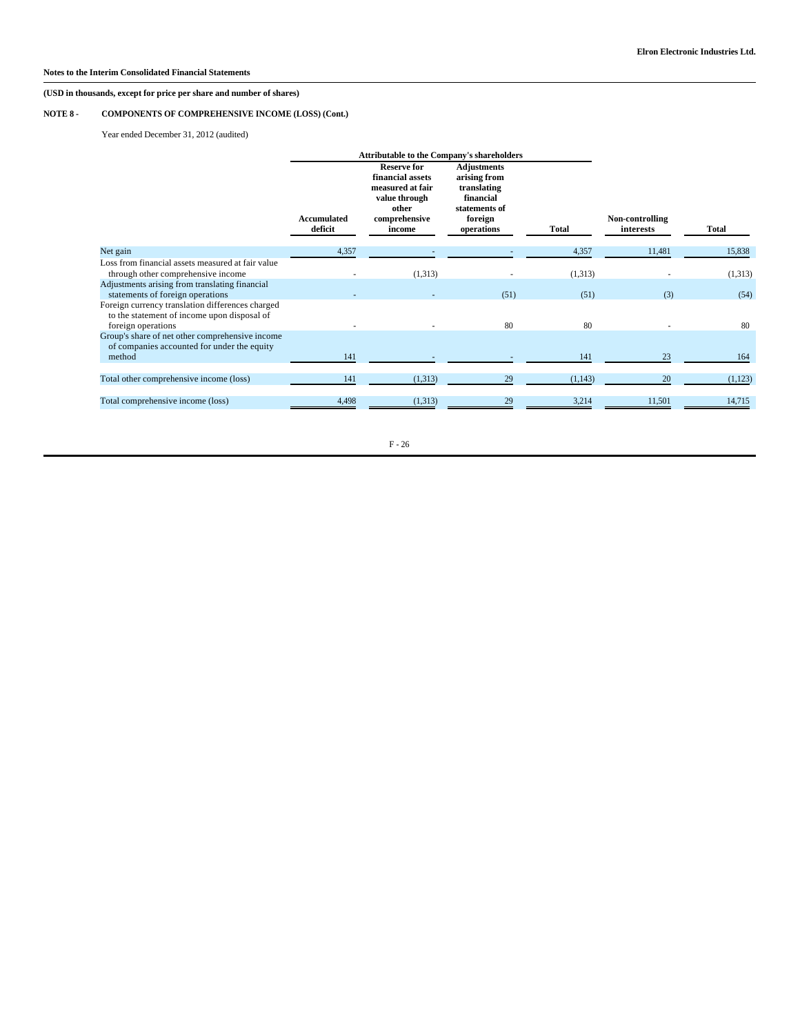## **NOTE 8 - COMPONENTS OF COMPREHENSIVE INCOME (LOSS) (Cont.)**

Year ended December 31, 2012 (audited)

|                                                                                                                       |                        | <b>Attributable to the Company's shareholders</b>                                                               |                                                                                                          |          |                              |         |
|-----------------------------------------------------------------------------------------------------------------------|------------------------|-----------------------------------------------------------------------------------------------------------------|----------------------------------------------------------------------------------------------------------|----------|------------------------------|---------|
|                                                                                                                       | Accumulated<br>deficit | <b>Reserve for</b><br>financial assets<br>measured at fair<br>value through<br>other<br>comprehensive<br>income | <b>Adjustments</b><br>arising from<br>translating<br>financial<br>statements of<br>foreign<br>operations | Total    | Non-controlling<br>interests | Total   |
| Net gain                                                                                                              | 4,357                  |                                                                                                                 |                                                                                                          | 4,357    | 11,481                       | 15,838  |
| Loss from financial assets measured at fair value<br>through other comprehensive income                               |                        | (1,313)                                                                                                         |                                                                                                          | (1,313)  |                              | (1,313) |
| Adjustments arising from translating financial<br>statements of foreign operations                                    |                        |                                                                                                                 | (51)                                                                                                     | (51)     | (3)                          | (54)    |
| Foreign currency translation differences charged<br>to the statement of income upon disposal of<br>foreign operations |                        |                                                                                                                 | 80                                                                                                       | 80       |                              | 80      |
| Group's share of net other comprehensive income<br>of companies accounted for under the equity                        |                        |                                                                                                                 |                                                                                                          |          |                              |         |
| method                                                                                                                | 141                    |                                                                                                                 |                                                                                                          | 141      | 23                           | 164     |
| Total other comprehensive income (loss)                                                                               | 141                    | (1,313)                                                                                                         | 29                                                                                                       | (1, 143) | 20                           | (1,123) |
| Total comprehensive income (loss)                                                                                     | 4,498                  | (1,313)                                                                                                         | 29                                                                                                       | 3,214    | 11,501                       | 14,715  |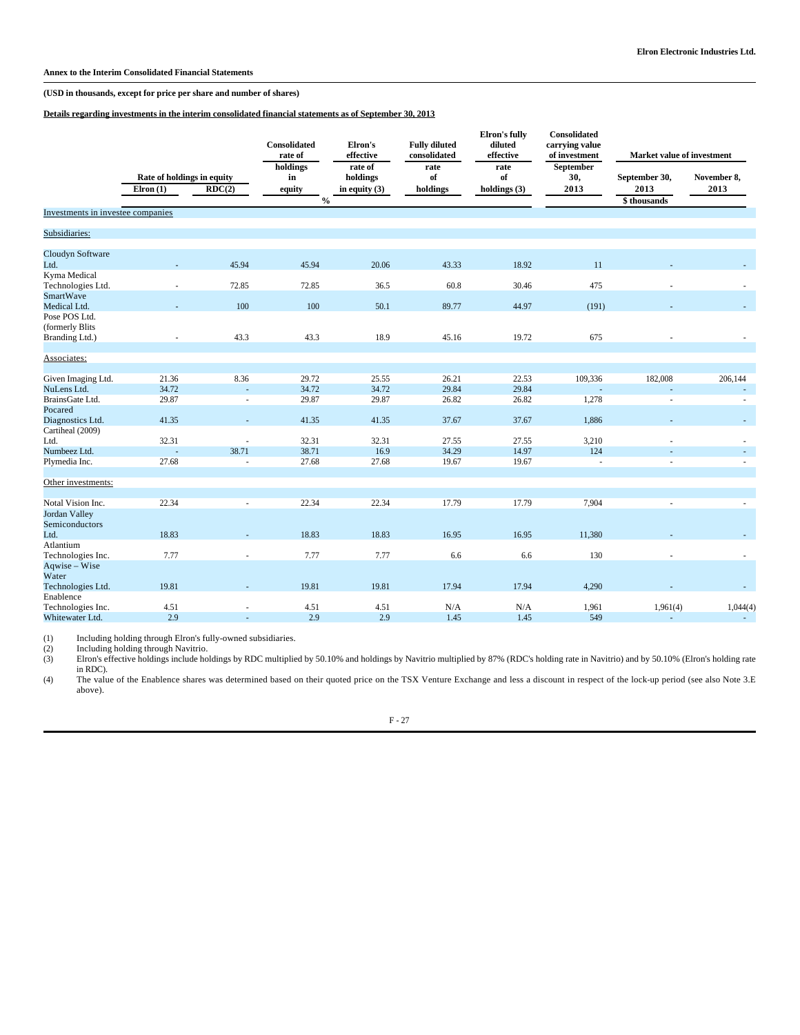**Annex to the Interim Consolidated Financial Statements**

**(USD in thousands, except for price per share and number of shares)**

**Details regarding investments in the interim consolidated financial statements as of September 30, 2013**

|                                                       |                                                                     |                | Consolidated<br>rate of                   | Elron's<br>effective                   | <b>Fully diluted</b><br>consolidated | Elron's fully<br>diluted<br>effective | Consolidated<br>carrying value<br>of investment | Market value of investment           |                     |
|-------------------------------------------------------|---------------------------------------------------------------------|----------------|-------------------------------------------|----------------------------------------|--------------------------------------|---------------------------------------|-------------------------------------------------|--------------------------------------|---------------------|
|                                                       | Rate of holdings in equity<br>$E$ lron $(1)$<br>$\overline{RDC(2)}$ |                | holdings<br>in<br>equity<br>$\frac{0}{0}$ | rate of<br>holdings<br>in equity $(3)$ | rate<br>of<br>holdings               | rate<br>of<br>holdings $(3)$          | September<br>30,<br>2013                        | September 30,<br>2013<br>\$thousands | November 8,<br>2013 |
| Investments in investee companies                     |                                                                     |                |                                           |                                        |                                      |                                       |                                                 |                                      |                     |
| Subsidiaries:                                         |                                                                     |                |                                           |                                        |                                      |                                       |                                                 |                                      |                     |
| Cloudyn Software<br>Ltd.                              |                                                                     | 45.94          | 45.94                                     | 20.06                                  | 43.33                                | 18.92                                 | 11                                              |                                      |                     |
| Kyma Medical<br>Technologies Ltd.<br><b>SmartWave</b> |                                                                     | 72.85          | 72.85                                     | 36.5                                   | 60.8                                 | 30.46                                 | 475                                             |                                      |                     |
| Medical Ltd.<br>Pose POS Ltd.                         |                                                                     | 100            | 100                                       | 50.1                                   | 89.77                                | 44.97                                 | (191)                                           |                                      | $\sim$              |
| (formerly Blits<br>Branding Ltd.)                     |                                                                     | 43.3           | 43.3                                      | 18.9                                   | 45.16                                | 19.72                                 | 675                                             |                                      |                     |
| Associates:                                           |                                                                     |                |                                           |                                        |                                      |                                       |                                                 |                                      |                     |
| Given Imaging Ltd.<br>NuLens Ltd.                     | 21.36<br>34.72                                                      | 8.36           | 29.72<br>34.72                            | 25.55<br>34.72                         | 26.21<br>29.84                       | 22.53<br>29.84                        | 109,336                                         | 182,008                              | 206,144<br>÷.       |
| BrainsGate Ltd.                                       | 29.87                                                               | ä,             | 29.87                                     | 29.87                                  | 26.82                                | 26.82                                 | 1,278                                           | ÷,                                   | ÷                   |
| Pocared                                               |                                                                     |                |                                           |                                        |                                      |                                       |                                                 |                                      |                     |
| Diagnostics Ltd.                                      | 41.35                                                               |                | 41.35                                     | 41.35                                  | 37.67                                | 37.67                                 | 1,886                                           |                                      | ÷.                  |
| Cartiheal (2009)                                      |                                                                     |                |                                           |                                        |                                      |                                       |                                                 |                                      |                     |
| Ltd.                                                  | 32.31                                                               |                | 32.31                                     | 32.31                                  | 27.55                                | 27.55                                 | 3,210                                           |                                      |                     |
| Numbeez Ltd.                                          |                                                                     | 38.71          | 38.71                                     | 16.9                                   | 34.29                                | 14.97                                 | 124                                             |                                      | ÷                   |
| Plymedia Inc.                                         | 27.68                                                               | ä,             | 27.68                                     | 27.68                                  | 19.67                                | 19.67                                 |                                                 |                                      | ×.                  |
| Other investments:                                    |                                                                     |                |                                           |                                        |                                      |                                       |                                                 |                                      |                     |
| Notal Vision Inc.                                     | 22.34                                                               |                | 22.34                                     | 22.34                                  | 17.79                                | 17.79                                 | 7,904                                           |                                      |                     |
| Jordan Valley<br>Semiconductors                       |                                                                     |                |                                           |                                        |                                      |                                       |                                                 |                                      |                     |
| Ltd.                                                  | 18.83                                                               |                | 18.83                                     | 18.83                                  | 16.95                                | 16.95                                 | 11,380                                          |                                      | $\sim$              |
| Atlantium<br>Technologies Inc.                        | 7.77                                                                |                | 7.77                                      | 7.77                                   | 6.6                                  | 6.6                                   | 130                                             |                                      | ×.                  |
| Aqwise - Wise<br>Water                                |                                                                     |                |                                           |                                        |                                      |                                       |                                                 |                                      |                     |
| Technologies Ltd.                                     | 19.81                                                               |                | 19.81                                     | 19.81                                  | 17.94                                | 17.94                                 | 4,290                                           |                                      | $\sim$              |
| Enablence                                             |                                                                     |                |                                           |                                        |                                      |                                       |                                                 |                                      |                     |
| Technologies Inc.                                     | 4.51                                                                | $\sim$         | 4.51                                      | 4.51                                   | $\rm N/A$                            | N/A                                   | 1,961                                           | 1,961(4)                             | 1,044(4)            |
| Whitewater Ltd.                                       | 2.9                                                                 | $\overline{a}$ | 2.9                                       | 2.9                                    | 1.45                                 | 1.45                                  | 549                                             | $\overline{\phantom{a}}$             | $\sim$              |

(1) Including holding through Elron's fully-owned subsidiaries.

(2) Including holding through Navitrio.<br>
(3) Elron's effective holdings include ho Elron's effective holdings include holdings by RDC multiplied by 50.10% and holdings by Navitrio multiplied by 87% (RDC's holding rate in Navitrio) and by 50.10% (Elron's holding rate in RDC).

(4) The value of the Enablence shares was determined based on their quoted price on the TSX Venture Exchange and less a discount in respect of the lock-up period (see also Note 3.E above).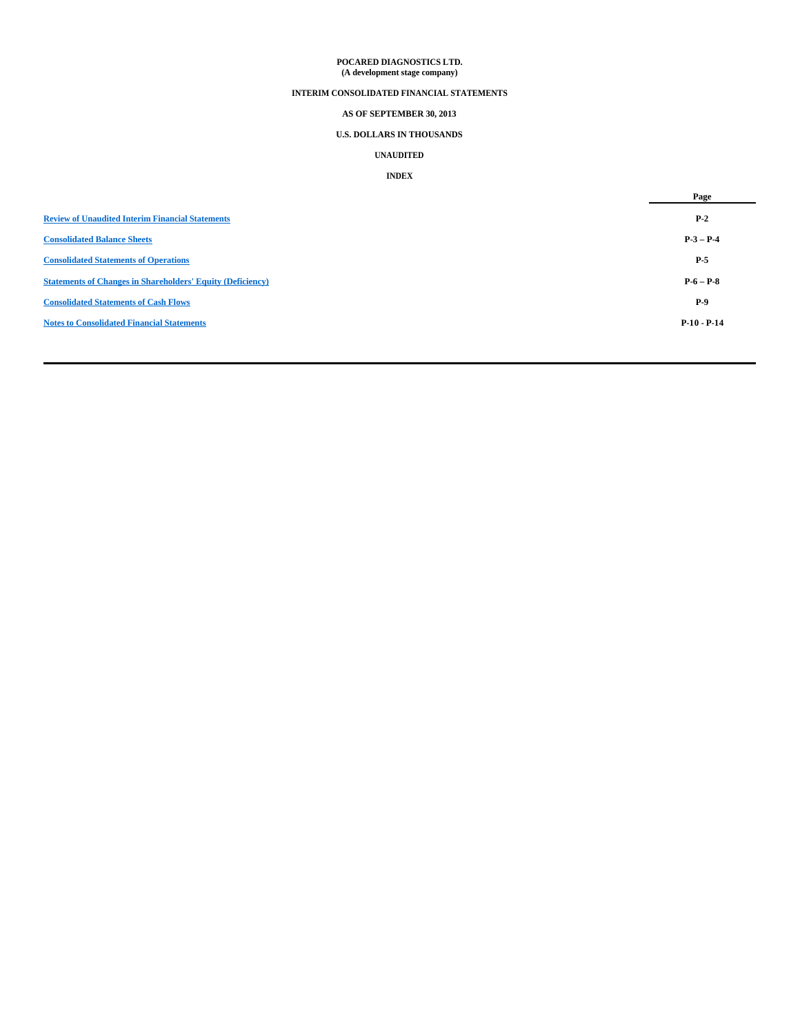## **POCARED DIAGNOSTICS LTD. (A development stage company)**

## **INTERIM CONSOLIDATED FINANCIAL STATEMENTS**

## **AS OF SEPTEMBER 30, 2013**

## **U.S. DOLLARS IN THOUSANDS**

## **UNAUDITED**

## **INDEX**

|                                                                   | Page          |
|-------------------------------------------------------------------|---------------|
| <b>Review of Unaudited Interim Financial Statements</b>           | $P-2$         |
| <b>Consolidated Balance Sheets</b>                                | $P-3-P-4$     |
| <b>Consolidated Statements of Operations</b>                      | $P-5$         |
| <b>Statements of Changes in Shareholders' Equity (Deficiency)</b> | $P-6-P-8$     |
| <b>Consolidated Statements of Cash Flows</b>                      | $P-9$         |
| <b>Notes to Consolidated Financial Statements</b>                 | $P-10 - P-14$ |
|                                                                   |               |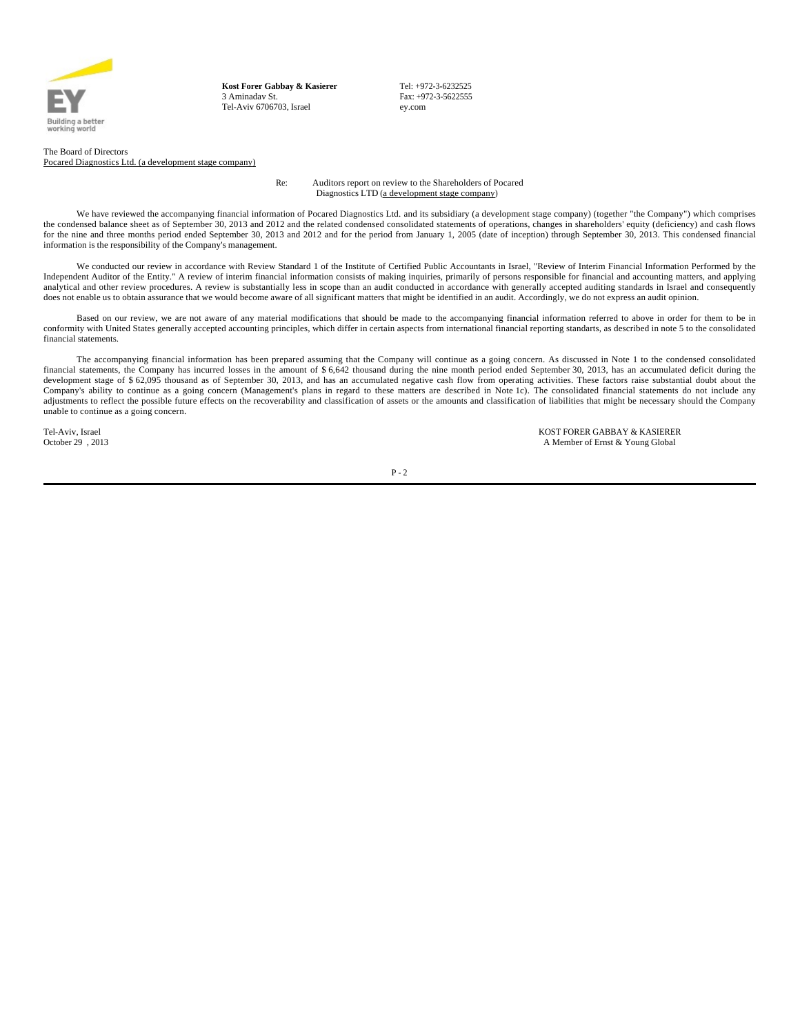

**Kost Forer Gabbay & Kasierer** 3 Aminadav St. Tel-Aviv 6706703, Israel

Tel: +972-3-6232525 Fax: +972-3-5622555 ey.com

The Board of Directors Pocared Diagnostics Ltd. (a development stage company)

> Re: Auditors report on review to the Shareholders of Pocared Diagnostics LTD (a development stage company)

We have reviewed the accompanying financial information of Pocared Diagnostics Ltd. and its subsidiary (a development stage company) (together "the Company") which comprises the condensed balance sheet as of September 30, 2013 and 2012 and the related condensed consolidated statements of operations, changes in shareholders' equity (deficiency) and cash flows for the nine and three months period ended September 30, 2013 and 2012 and for the period from January 1, 2005 (date of inception) through September 30, 2013. This condensed financial information is the responsibility of the Company's management.

We conducted our review in accordance with Review Standard 1 of the Institute of Certified Public Accountants in Israel, "Review of Interim Financial Information Performed by the Independent Auditor of the Entity." A review of interim financial information consists of making inquiries, primarily of persons responsible for financial and accounting matters, and applying analytical and other review procedures. A review is substantially less in scope than an audit conducted in accordance with generally accepted auditing standards in Israel and consequently does not enable us to obtain assurance that we would become aware of all significant matters that might be identified in an audit. Accordingly, we do not express an audit opinion.

Based on our review, we are not aware of any material modifications that should be made to the accompanying financial information referred to above in order for them to be in conformity with United States generally accepted accounting principles, which differ in certain aspects from international financial reporting standarts, as described in note 5 to the consolidated financial statements.

The accompanying financial information has been prepared assuming that the Company will continue as a going concern. As discussed in Note 1 to the condensed consolidated financial statements, the Company has incurred losses in the amount of \$ 6,642 thousand during the nine month period ended September 30, 2013, has an accumulated deficit during the development stage of \$ 62,095 thousand as of September 30, 2013, and has an accumulated negative cash flow from operating activities. These factors raise substantial doubt about the Company's ability to continue as a going concern (Management's plans in regard to these matters are described in Note 1c). The consolidated financial statements do not include any adjustments to reflect the possible future effects on the recoverability and classification of assets or the amounts and classification of liabilities that might be necessary should the Company unable to continue as a going concern.

Tel-Aviv, Israel **Tel-Aviv, Israel School School School School School School School School School School School**<br>A Member of Ernst & Young Global A Member of Ernst & Young Global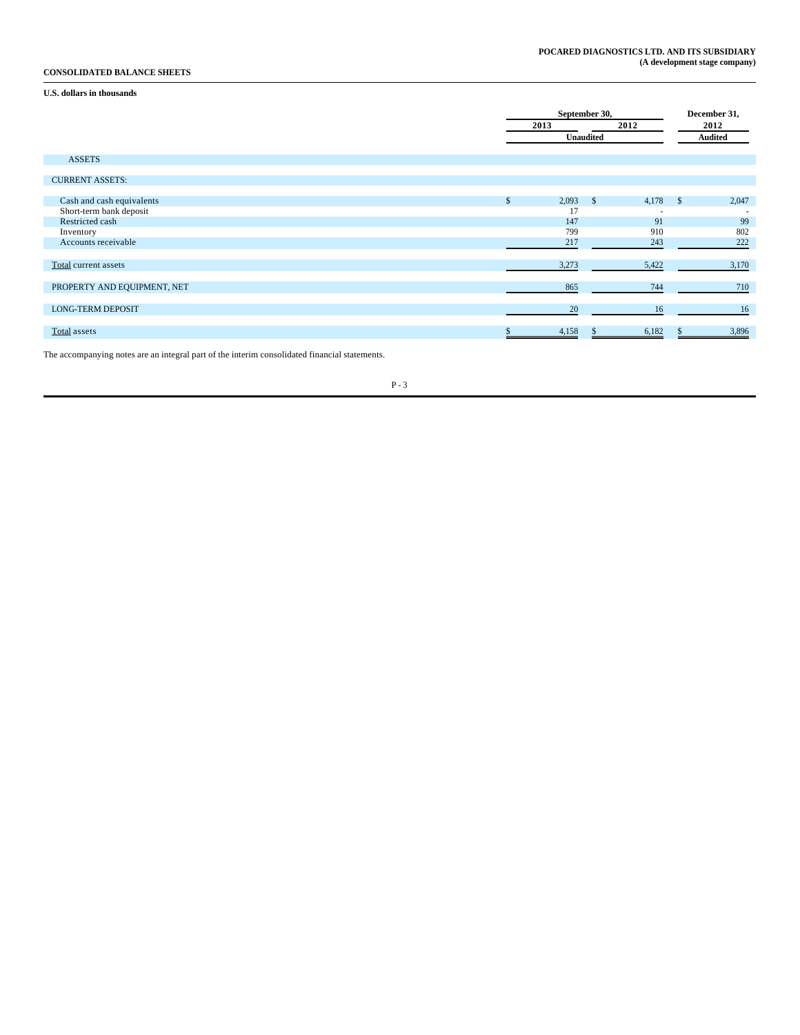## **CONSOLIDATED BALANCE SHEETS**

## **U.S. dollars in thousands**

|                             |                       | September 30,    |                          |            |                |  |  |
|-----------------------------|-----------------------|------------------|--------------------------|------------|----------------|--|--|
|                             | 2013                  |                  | 2012                     | 2012       |                |  |  |
|                             |                       | <b>Unaudited</b> |                          |            | <b>Audited</b> |  |  |
|                             |                       |                  |                          |            |                |  |  |
| <b>ASSETS</b>               |                       |                  |                          |            |                |  |  |
| <b>CURRENT ASSETS:</b>      |                       |                  |                          |            |                |  |  |
|                             |                       |                  |                          |            |                |  |  |
| Cash and cash equivalents   | 2,093<br>$\mathbb{S}$ | $\mathbf{s}$     | 4,178                    | $^{\circ}$ | 2,047          |  |  |
| Short-term bank deposit     | 17                    |                  | $\overline{\phantom{a}}$ |            |                |  |  |
| Restricted cash             | 147                   |                  | 91                       |            | 99             |  |  |
| Inventory                   | 799                   |                  | 910                      |            | 802            |  |  |
| Accounts receivable         | 217                   |                  | 243                      |            | 222            |  |  |
|                             |                       |                  |                          |            |                |  |  |
| Total current assets        | 3,273                 |                  | 5,422                    |            | 3,170          |  |  |
| PROPERTY AND EQUIPMENT, NET | 865                   |                  | 744                      |            | 710            |  |  |
|                             |                       |                  |                          |            |                |  |  |
| <b>LONG-TERM DEPOSIT</b>    | 20                    |                  | 16                       |            | 16             |  |  |
| Total assets                | 4,158                 |                  | 6,182                    |            | 3,896          |  |  |
|                             |                       |                  |                          |            |                |  |  |

The accompanying notes are an integral part of the interim consolidated financial statements.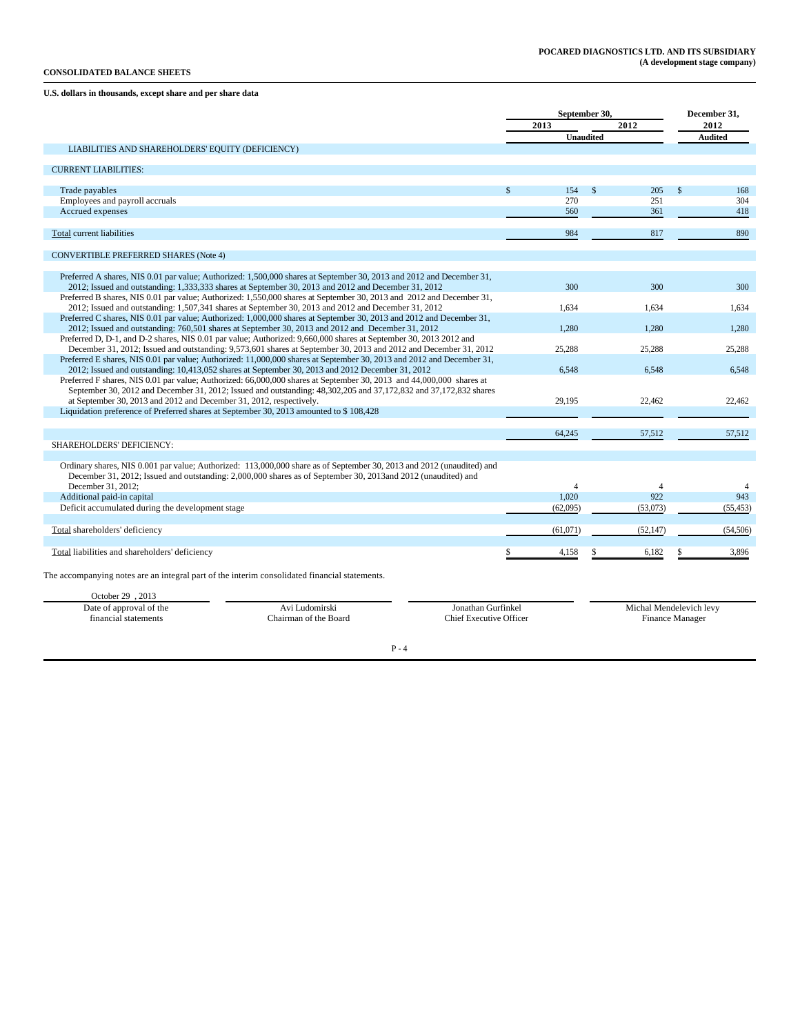## **CONSOLIDATED BALANCE SHEETS**

## **U.S. dollars in thousands, except share and per share data**

| 2012<br>2012<br>2013<br>Unaudited<br><b>Audited</b><br>LIABILITIES AND SHAREHOLDERS' EQUITY (DEFICIENCY)<br><b>CURRENT LIABILITIES:</b><br>Trade payables<br>$\mathbf{\hat{s}}$<br>154<br>205<br>$\mathbf{\hat{s}}$<br>$\mathbf{\hat{z}}$<br>Employees and payroll accruals<br>270<br>251<br>Accrued expenses<br>560<br>361<br><b>Total current liabilities</b><br>984<br>817<br><b>CONVERTIBLE PREFERRED SHARES (Note 4)</b><br>Preferred A shares, NIS 0.01 par value; Authorized: 1,500,000 shares at September 30, 2013 and 2012 and December 31,<br>2012; Issued and outstanding: 1,333,333 shares at September 30, 2013 and 2012 and December 31, 2012<br>300<br>300<br>Preferred B shares, NIS 0.01 par value; Authorized: 1,550,000 shares at September 30, 2013 and 2012 and December 31,<br>2012; Issued and outstanding: 1,507,341 shares at September 30, 2013 and 2012 and December 31, 2012<br>1.634<br>1.634<br>Preferred C shares, NIS 0.01 par value; Authorized: 1,000,000 shares at September 30, 2013 and 2012 and December 31,<br>2012; Issued and outstanding: 760,501 shares at September 30, 2013 and 2012 and December 31, 2012<br>1,280<br>1.280<br>Preferred D, D-1, and D-2 shares, NIS 0.01 par value; Authorized: 9,660,000 shares at September 30, 2013 2012 and<br>December 31, 2012; Issued and outstanding: 9,573,601 shares at September 30, 2013 and 2012 and December 31, 2012<br>25,288<br>25,288<br>Preferred E shares, NIS 0.01 par value; Authorized: 11,000,000 shares at September 30, 2013 and 2012 and December 31,<br>2012; Issued and outstanding: 10,413,052 shares at September 30, 2013 and 2012 December 31, 2012<br>6,548<br>6,548<br>Preferred F shares, NIS 0.01 par value; Authorized: 66,000,000 shares at September 30, 2013 and 44,000,000 shares at<br>September 30, 2012 and December 31, 2012; Issued and outstanding: 48,302,205 and 37,172,832 and 37,172,832 shares<br>at September 30, 2013 and 2012 and December 31, 2012, respectively.<br>29.195<br>22,462<br>Liquidation preference of Preferred shares at September 30, 2013 amounted to \$108,428<br>64,245<br>57,512<br>57,512<br>SHAREHOLDERS' DEFICIENCY:<br>Ordinary shares, NIS 0.001 par value; Authorized: 113,000,000 share as of September 30, 2013 and 2012 (unaudited) and<br>December 31, 2012; Issued and outstanding: 2,000,000 shares as of September 30, 2013and 2012 (unaudited) and<br>December 31, 2012:<br>4<br>$\overline{4}$<br>922<br>Additional paid-in capital<br>1,020<br>Deficit accumulated during the development stage<br>(62,095)<br>(53,073)<br>(55, 453)<br>Total shareholders' deficiency<br>(61,071)<br>(52, 147)<br>6,182<br>Total liabilities and shareholders' deficiency<br>4,158<br>The accompanying notes are an integral part of the interim consolidated financial statements.<br>October 29, 2013<br>Michal Mendelevich levy<br>Date of approval of the<br>Avi Ludomirski<br>Jonathan Gurfinkel<br><b>Chief Executive Officer</b><br>Finance Manager |                      |                       | September 30, |  | December 31, |
|-------------------------------------------------------------------------------------------------------------------------------------------------------------------------------------------------------------------------------------------------------------------------------------------------------------------------------------------------------------------------------------------------------------------------------------------------------------------------------------------------------------------------------------------------------------------------------------------------------------------------------------------------------------------------------------------------------------------------------------------------------------------------------------------------------------------------------------------------------------------------------------------------------------------------------------------------------------------------------------------------------------------------------------------------------------------------------------------------------------------------------------------------------------------------------------------------------------------------------------------------------------------------------------------------------------------------------------------------------------------------------------------------------------------------------------------------------------------------------------------------------------------------------------------------------------------------------------------------------------------------------------------------------------------------------------------------------------------------------------------------------------------------------------------------------------------------------------------------------------------------------------------------------------------------------------------------------------------------------------------------------------------------------------------------------------------------------------------------------------------------------------------------------------------------------------------------------------------------------------------------------------------------------------------------------------------------------------------------------------------------------------------------------------------------------------------------------------------------------------------------------------------------------------------------------------------------------------------------------------------------------------------------------------------------------------------------------------------------------------------------------------------------------------------------------------------------------------------------------------------------------------------------------------------------------------------------------------------------------------------------------------------------|----------------------|-----------------------|---------------|--|--------------|
|                                                                                                                                                                                                                                                                                                                                                                                                                                                                                                                                                                                                                                                                                                                                                                                                                                                                                                                                                                                                                                                                                                                                                                                                                                                                                                                                                                                                                                                                                                                                                                                                                                                                                                                                                                                                                                                                                                                                                                                                                                                                                                                                                                                                                                                                                                                                                                                                                                                                                                                                                                                                                                                                                                                                                                                                                                                                                                                                                                                                                         |                      |                       |               |  |              |
|                                                                                                                                                                                                                                                                                                                                                                                                                                                                                                                                                                                                                                                                                                                                                                                                                                                                                                                                                                                                                                                                                                                                                                                                                                                                                                                                                                                                                                                                                                                                                                                                                                                                                                                                                                                                                                                                                                                                                                                                                                                                                                                                                                                                                                                                                                                                                                                                                                                                                                                                                                                                                                                                                                                                                                                                                                                                                                                                                                                                                         |                      |                       |               |  |              |
|                                                                                                                                                                                                                                                                                                                                                                                                                                                                                                                                                                                                                                                                                                                                                                                                                                                                                                                                                                                                                                                                                                                                                                                                                                                                                                                                                                                                                                                                                                                                                                                                                                                                                                                                                                                                                                                                                                                                                                                                                                                                                                                                                                                                                                                                                                                                                                                                                                                                                                                                                                                                                                                                                                                                                                                                                                                                                                                                                                                                                         |                      |                       |               |  |              |
|                                                                                                                                                                                                                                                                                                                                                                                                                                                                                                                                                                                                                                                                                                                                                                                                                                                                                                                                                                                                                                                                                                                                                                                                                                                                                                                                                                                                                                                                                                                                                                                                                                                                                                                                                                                                                                                                                                                                                                                                                                                                                                                                                                                                                                                                                                                                                                                                                                                                                                                                                                                                                                                                                                                                                                                                                                                                                                                                                                                                                         |                      |                       |               |  |              |
|                                                                                                                                                                                                                                                                                                                                                                                                                                                                                                                                                                                                                                                                                                                                                                                                                                                                                                                                                                                                                                                                                                                                                                                                                                                                                                                                                                                                                                                                                                                                                                                                                                                                                                                                                                                                                                                                                                                                                                                                                                                                                                                                                                                                                                                                                                                                                                                                                                                                                                                                                                                                                                                                                                                                                                                                                                                                                                                                                                                                                         |                      |                       |               |  |              |
|                                                                                                                                                                                                                                                                                                                                                                                                                                                                                                                                                                                                                                                                                                                                                                                                                                                                                                                                                                                                                                                                                                                                                                                                                                                                                                                                                                                                                                                                                                                                                                                                                                                                                                                                                                                                                                                                                                                                                                                                                                                                                                                                                                                                                                                                                                                                                                                                                                                                                                                                                                                                                                                                                                                                                                                                                                                                                                                                                                                                                         |                      |                       |               |  | 168          |
|                                                                                                                                                                                                                                                                                                                                                                                                                                                                                                                                                                                                                                                                                                                                                                                                                                                                                                                                                                                                                                                                                                                                                                                                                                                                                                                                                                                                                                                                                                                                                                                                                                                                                                                                                                                                                                                                                                                                                                                                                                                                                                                                                                                                                                                                                                                                                                                                                                                                                                                                                                                                                                                                                                                                                                                                                                                                                                                                                                                                                         |                      |                       |               |  | 304          |
|                                                                                                                                                                                                                                                                                                                                                                                                                                                                                                                                                                                                                                                                                                                                                                                                                                                                                                                                                                                                                                                                                                                                                                                                                                                                                                                                                                                                                                                                                                                                                                                                                                                                                                                                                                                                                                                                                                                                                                                                                                                                                                                                                                                                                                                                                                                                                                                                                                                                                                                                                                                                                                                                                                                                                                                                                                                                                                                                                                                                                         |                      |                       |               |  | 418          |
|                                                                                                                                                                                                                                                                                                                                                                                                                                                                                                                                                                                                                                                                                                                                                                                                                                                                                                                                                                                                                                                                                                                                                                                                                                                                                                                                                                                                                                                                                                                                                                                                                                                                                                                                                                                                                                                                                                                                                                                                                                                                                                                                                                                                                                                                                                                                                                                                                                                                                                                                                                                                                                                                                                                                                                                                                                                                                                                                                                                                                         |                      |                       |               |  | 890          |
|                                                                                                                                                                                                                                                                                                                                                                                                                                                                                                                                                                                                                                                                                                                                                                                                                                                                                                                                                                                                                                                                                                                                                                                                                                                                                                                                                                                                                                                                                                                                                                                                                                                                                                                                                                                                                                                                                                                                                                                                                                                                                                                                                                                                                                                                                                                                                                                                                                                                                                                                                                                                                                                                                                                                                                                                                                                                                                                                                                                                                         |                      |                       |               |  |              |
|                                                                                                                                                                                                                                                                                                                                                                                                                                                                                                                                                                                                                                                                                                                                                                                                                                                                                                                                                                                                                                                                                                                                                                                                                                                                                                                                                                                                                                                                                                                                                                                                                                                                                                                                                                                                                                                                                                                                                                                                                                                                                                                                                                                                                                                                                                                                                                                                                                                                                                                                                                                                                                                                                                                                                                                                                                                                                                                                                                                                                         |                      |                       |               |  |              |
|                                                                                                                                                                                                                                                                                                                                                                                                                                                                                                                                                                                                                                                                                                                                                                                                                                                                                                                                                                                                                                                                                                                                                                                                                                                                                                                                                                                                                                                                                                                                                                                                                                                                                                                                                                                                                                                                                                                                                                                                                                                                                                                                                                                                                                                                                                                                                                                                                                                                                                                                                                                                                                                                                                                                                                                                                                                                                                                                                                                                                         |                      |                       |               |  |              |
|                                                                                                                                                                                                                                                                                                                                                                                                                                                                                                                                                                                                                                                                                                                                                                                                                                                                                                                                                                                                                                                                                                                                                                                                                                                                                                                                                                                                                                                                                                                                                                                                                                                                                                                                                                                                                                                                                                                                                                                                                                                                                                                                                                                                                                                                                                                                                                                                                                                                                                                                                                                                                                                                                                                                                                                                                                                                                                                                                                                                                         |                      |                       |               |  | 300          |
|                                                                                                                                                                                                                                                                                                                                                                                                                                                                                                                                                                                                                                                                                                                                                                                                                                                                                                                                                                                                                                                                                                                                                                                                                                                                                                                                                                                                                                                                                                                                                                                                                                                                                                                                                                                                                                                                                                                                                                                                                                                                                                                                                                                                                                                                                                                                                                                                                                                                                                                                                                                                                                                                                                                                                                                                                                                                                                                                                                                                                         |                      |                       |               |  |              |
|                                                                                                                                                                                                                                                                                                                                                                                                                                                                                                                                                                                                                                                                                                                                                                                                                                                                                                                                                                                                                                                                                                                                                                                                                                                                                                                                                                                                                                                                                                                                                                                                                                                                                                                                                                                                                                                                                                                                                                                                                                                                                                                                                                                                                                                                                                                                                                                                                                                                                                                                                                                                                                                                                                                                                                                                                                                                                                                                                                                                                         |                      |                       |               |  | 1.634        |
|                                                                                                                                                                                                                                                                                                                                                                                                                                                                                                                                                                                                                                                                                                                                                                                                                                                                                                                                                                                                                                                                                                                                                                                                                                                                                                                                                                                                                                                                                                                                                                                                                                                                                                                                                                                                                                                                                                                                                                                                                                                                                                                                                                                                                                                                                                                                                                                                                                                                                                                                                                                                                                                                                                                                                                                                                                                                                                                                                                                                                         |                      |                       |               |  |              |
|                                                                                                                                                                                                                                                                                                                                                                                                                                                                                                                                                                                                                                                                                                                                                                                                                                                                                                                                                                                                                                                                                                                                                                                                                                                                                                                                                                                                                                                                                                                                                                                                                                                                                                                                                                                                                                                                                                                                                                                                                                                                                                                                                                                                                                                                                                                                                                                                                                                                                                                                                                                                                                                                                                                                                                                                                                                                                                                                                                                                                         |                      |                       |               |  | 1,280        |
|                                                                                                                                                                                                                                                                                                                                                                                                                                                                                                                                                                                                                                                                                                                                                                                                                                                                                                                                                                                                                                                                                                                                                                                                                                                                                                                                                                                                                                                                                                                                                                                                                                                                                                                                                                                                                                                                                                                                                                                                                                                                                                                                                                                                                                                                                                                                                                                                                                                                                                                                                                                                                                                                                                                                                                                                                                                                                                                                                                                                                         |                      |                       |               |  |              |
|                                                                                                                                                                                                                                                                                                                                                                                                                                                                                                                                                                                                                                                                                                                                                                                                                                                                                                                                                                                                                                                                                                                                                                                                                                                                                                                                                                                                                                                                                                                                                                                                                                                                                                                                                                                                                                                                                                                                                                                                                                                                                                                                                                                                                                                                                                                                                                                                                                                                                                                                                                                                                                                                                                                                                                                                                                                                                                                                                                                                                         |                      |                       |               |  | 25,288       |
|                                                                                                                                                                                                                                                                                                                                                                                                                                                                                                                                                                                                                                                                                                                                                                                                                                                                                                                                                                                                                                                                                                                                                                                                                                                                                                                                                                                                                                                                                                                                                                                                                                                                                                                                                                                                                                                                                                                                                                                                                                                                                                                                                                                                                                                                                                                                                                                                                                                                                                                                                                                                                                                                                                                                                                                                                                                                                                                                                                                                                         |                      |                       |               |  |              |
|                                                                                                                                                                                                                                                                                                                                                                                                                                                                                                                                                                                                                                                                                                                                                                                                                                                                                                                                                                                                                                                                                                                                                                                                                                                                                                                                                                                                                                                                                                                                                                                                                                                                                                                                                                                                                                                                                                                                                                                                                                                                                                                                                                                                                                                                                                                                                                                                                                                                                                                                                                                                                                                                                                                                                                                                                                                                                                                                                                                                                         |                      |                       |               |  | 6,548        |
|                                                                                                                                                                                                                                                                                                                                                                                                                                                                                                                                                                                                                                                                                                                                                                                                                                                                                                                                                                                                                                                                                                                                                                                                                                                                                                                                                                                                                                                                                                                                                                                                                                                                                                                                                                                                                                                                                                                                                                                                                                                                                                                                                                                                                                                                                                                                                                                                                                                                                                                                                                                                                                                                                                                                                                                                                                                                                                                                                                                                                         |                      |                       |               |  | 22,462       |
|                                                                                                                                                                                                                                                                                                                                                                                                                                                                                                                                                                                                                                                                                                                                                                                                                                                                                                                                                                                                                                                                                                                                                                                                                                                                                                                                                                                                                                                                                                                                                                                                                                                                                                                                                                                                                                                                                                                                                                                                                                                                                                                                                                                                                                                                                                                                                                                                                                                                                                                                                                                                                                                                                                                                                                                                                                                                                                                                                                                                                         |                      |                       |               |  |              |
|                                                                                                                                                                                                                                                                                                                                                                                                                                                                                                                                                                                                                                                                                                                                                                                                                                                                                                                                                                                                                                                                                                                                                                                                                                                                                                                                                                                                                                                                                                                                                                                                                                                                                                                                                                                                                                                                                                                                                                                                                                                                                                                                                                                                                                                                                                                                                                                                                                                                                                                                                                                                                                                                                                                                                                                                                                                                                                                                                                                                                         |                      |                       |               |  |              |
|                                                                                                                                                                                                                                                                                                                                                                                                                                                                                                                                                                                                                                                                                                                                                                                                                                                                                                                                                                                                                                                                                                                                                                                                                                                                                                                                                                                                                                                                                                                                                                                                                                                                                                                                                                                                                                                                                                                                                                                                                                                                                                                                                                                                                                                                                                                                                                                                                                                                                                                                                                                                                                                                                                                                                                                                                                                                                                                                                                                                                         |                      |                       |               |  |              |
|                                                                                                                                                                                                                                                                                                                                                                                                                                                                                                                                                                                                                                                                                                                                                                                                                                                                                                                                                                                                                                                                                                                                                                                                                                                                                                                                                                                                                                                                                                                                                                                                                                                                                                                                                                                                                                                                                                                                                                                                                                                                                                                                                                                                                                                                                                                                                                                                                                                                                                                                                                                                                                                                                                                                                                                                                                                                                                                                                                                                                         |                      |                       |               |  |              |
|                                                                                                                                                                                                                                                                                                                                                                                                                                                                                                                                                                                                                                                                                                                                                                                                                                                                                                                                                                                                                                                                                                                                                                                                                                                                                                                                                                                                                                                                                                                                                                                                                                                                                                                                                                                                                                                                                                                                                                                                                                                                                                                                                                                                                                                                                                                                                                                                                                                                                                                                                                                                                                                                                                                                                                                                                                                                                                                                                                                                                         |                      |                       |               |  |              |
|                                                                                                                                                                                                                                                                                                                                                                                                                                                                                                                                                                                                                                                                                                                                                                                                                                                                                                                                                                                                                                                                                                                                                                                                                                                                                                                                                                                                                                                                                                                                                                                                                                                                                                                                                                                                                                                                                                                                                                                                                                                                                                                                                                                                                                                                                                                                                                                                                                                                                                                                                                                                                                                                                                                                                                                                                                                                                                                                                                                                                         |                      |                       |               |  |              |
|                                                                                                                                                                                                                                                                                                                                                                                                                                                                                                                                                                                                                                                                                                                                                                                                                                                                                                                                                                                                                                                                                                                                                                                                                                                                                                                                                                                                                                                                                                                                                                                                                                                                                                                                                                                                                                                                                                                                                                                                                                                                                                                                                                                                                                                                                                                                                                                                                                                                                                                                                                                                                                                                                                                                                                                                                                                                                                                                                                                                                         |                      |                       |               |  |              |
|                                                                                                                                                                                                                                                                                                                                                                                                                                                                                                                                                                                                                                                                                                                                                                                                                                                                                                                                                                                                                                                                                                                                                                                                                                                                                                                                                                                                                                                                                                                                                                                                                                                                                                                                                                                                                                                                                                                                                                                                                                                                                                                                                                                                                                                                                                                                                                                                                                                                                                                                                                                                                                                                                                                                                                                                                                                                                                                                                                                                                         |                      |                       |               |  | 4<br>943     |
|                                                                                                                                                                                                                                                                                                                                                                                                                                                                                                                                                                                                                                                                                                                                                                                                                                                                                                                                                                                                                                                                                                                                                                                                                                                                                                                                                                                                                                                                                                                                                                                                                                                                                                                                                                                                                                                                                                                                                                                                                                                                                                                                                                                                                                                                                                                                                                                                                                                                                                                                                                                                                                                                                                                                                                                                                                                                                                                                                                                                                         |                      |                       |               |  |              |
|                                                                                                                                                                                                                                                                                                                                                                                                                                                                                                                                                                                                                                                                                                                                                                                                                                                                                                                                                                                                                                                                                                                                                                                                                                                                                                                                                                                                                                                                                                                                                                                                                                                                                                                                                                                                                                                                                                                                                                                                                                                                                                                                                                                                                                                                                                                                                                                                                                                                                                                                                                                                                                                                                                                                                                                                                                                                                                                                                                                                                         |                      |                       |               |  |              |
|                                                                                                                                                                                                                                                                                                                                                                                                                                                                                                                                                                                                                                                                                                                                                                                                                                                                                                                                                                                                                                                                                                                                                                                                                                                                                                                                                                                                                                                                                                                                                                                                                                                                                                                                                                                                                                                                                                                                                                                                                                                                                                                                                                                                                                                                                                                                                                                                                                                                                                                                                                                                                                                                                                                                                                                                                                                                                                                                                                                                                         |                      |                       |               |  | (54, 506)    |
|                                                                                                                                                                                                                                                                                                                                                                                                                                                                                                                                                                                                                                                                                                                                                                                                                                                                                                                                                                                                                                                                                                                                                                                                                                                                                                                                                                                                                                                                                                                                                                                                                                                                                                                                                                                                                                                                                                                                                                                                                                                                                                                                                                                                                                                                                                                                                                                                                                                                                                                                                                                                                                                                                                                                                                                                                                                                                                                                                                                                                         |                      |                       |               |  | 3,896        |
|                                                                                                                                                                                                                                                                                                                                                                                                                                                                                                                                                                                                                                                                                                                                                                                                                                                                                                                                                                                                                                                                                                                                                                                                                                                                                                                                                                                                                                                                                                                                                                                                                                                                                                                                                                                                                                                                                                                                                                                                                                                                                                                                                                                                                                                                                                                                                                                                                                                                                                                                                                                                                                                                                                                                                                                                                                                                                                                                                                                                                         |                      |                       |               |  |              |
|                                                                                                                                                                                                                                                                                                                                                                                                                                                                                                                                                                                                                                                                                                                                                                                                                                                                                                                                                                                                                                                                                                                                                                                                                                                                                                                                                                                                                                                                                                                                                                                                                                                                                                                                                                                                                                                                                                                                                                                                                                                                                                                                                                                                                                                                                                                                                                                                                                                                                                                                                                                                                                                                                                                                                                                                                                                                                                                                                                                                                         |                      |                       |               |  |              |
|                                                                                                                                                                                                                                                                                                                                                                                                                                                                                                                                                                                                                                                                                                                                                                                                                                                                                                                                                                                                                                                                                                                                                                                                                                                                                                                                                                                                                                                                                                                                                                                                                                                                                                                                                                                                                                                                                                                                                                                                                                                                                                                                                                                                                                                                                                                                                                                                                                                                                                                                                                                                                                                                                                                                                                                                                                                                                                                                                                                                                         |                      |                       |               |  |              |
|                                                                                                                                                                                                                                                                                                                                                                                                                                                                                                                                                                                                                                                                                                                                                                                                                                                                                                                                                                                                                                                                                                                                                                                                                                                                                                                                                                                                                                                                                                                                                                                                                                                                                                                                                                                                                                                                                                                                                                                                                                                                                                                                                                                                                                                                                                                                                                                                                                                                                                                                                                                                                                                                                                                                                                                                                                                                                                                                                                                                                         | financial statements | Chairman of the Board |               |  |              |

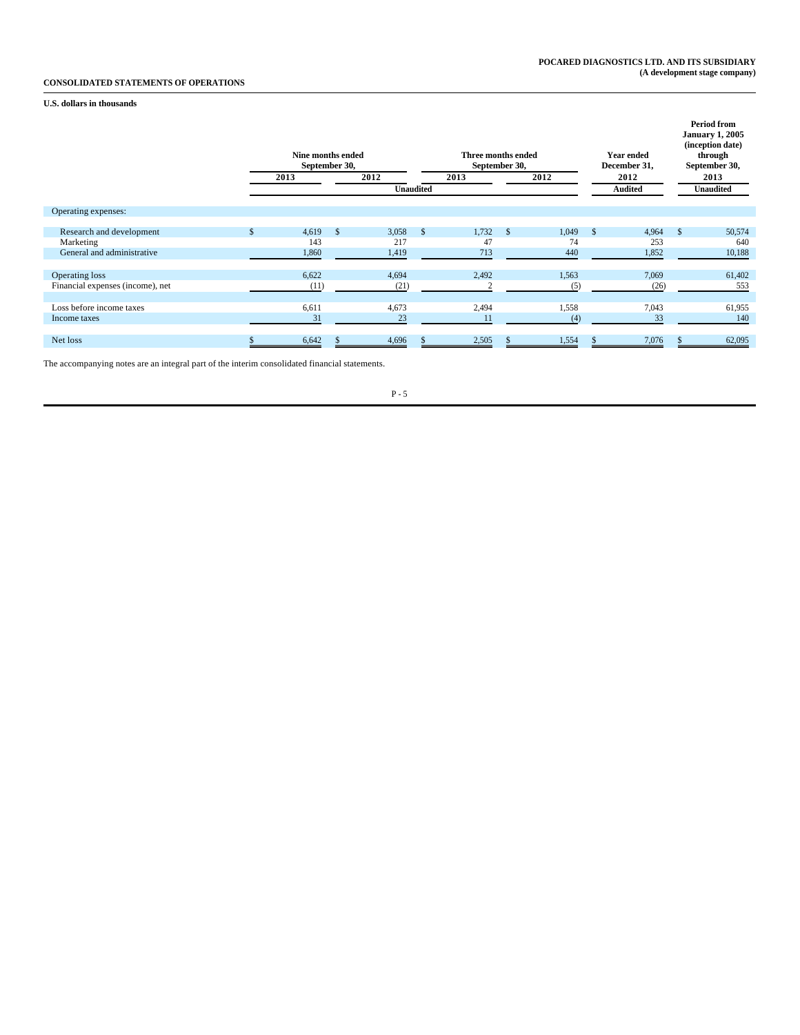## **CONSOLIDATED STATEMENTS OF OPERATIONS**

**U.S. dollars in thousands**

|                                  | Nine months ended<br>September 30, |                    |                  |               | Three months ended<br>September 30, |    |       |    | <b>Year ended</b><br>December 31, |              | <b>Period from</b><br><b>January 1, 2005</b><br>(inception date)<br>through<br>September 30, |
|----------------------------------|------------------------------------|--------------------|------------------|---------------|-------------------------------------|----|-------|----|-----------------------------------|--------------|----------------------------------------------------------------------------------------------|
|                                  | 2013                               |                    | 2012             |               | 2013                                |    | 2012  |    | 2012                              |              | 2013                                                                                         |
|                                  |                                    |                    | <b>Unaudited</b> |               |                                     |    |       |    | Audited                           |              | <b>Unaudited</b>                                                                             |
| Operating expenses:              |                                    |                    |                  |               |                                     |    |       |    |                                   |              |                                                                                              |
| Research and development         | 4,619                              | $\mathbf{\hat{s}}$ | 3,058            | <sup>\$</sup> | 1,732                               | -S | 1,049 | -S | 4,964                             | $\mathbb{S}$ | 50,574                                                                                       |
| Marketing                        | 143                                |                    | 217              |               | 47                                  |    | 74    |    | 253                               |              | 640                                                                                          |
| General and administrative       | 1,860                              |                    | 1,419            |               | 713                                 |    | 440   |    | 1,852                             |              | 10,188                                                                                       |
|                                  |                                    |                    |                  |               |                                     |    |       |    |                                   |              |                                                                                              |
| Operating loss                   | 6,622                              |                    | 4,694            |               | 2,492                               |    | 1,563 |    | 7,069                             |              | 61,402                                                                                       |
| Financial expenses (income), net | (11)                               |                    | (21)             |               |                                     |    | (5)   |    | (26)                              |              | 553                                                                                          |
|                                  |                                    |                    |                  |               |                                     |    |       |    |                                   |              |                                                                                              |
| Loss before income taxes         | 6,611                              |                    | 4,673            |               | 2,494                               |    | 1,558 |    | 7,043                             |              | 61,955                                                                                       |
| Income taxes                     | 31                                 |                    | 23               |               | 11                                  |    | (4)   |    | 33                                |              | 140                                                                                          |
|                                  |                                    |                    |                  |               |                                     |    |       |    |                                   |              |                                                                                              |
| Net loss                         | 6,642                              |                    | 4,696            |               | 2,505                               |    | 1,554 |    | 7,076                             |              | 62,095                                                                                       |

The accompanying notes are an integral part of the interim consolidated financial statements.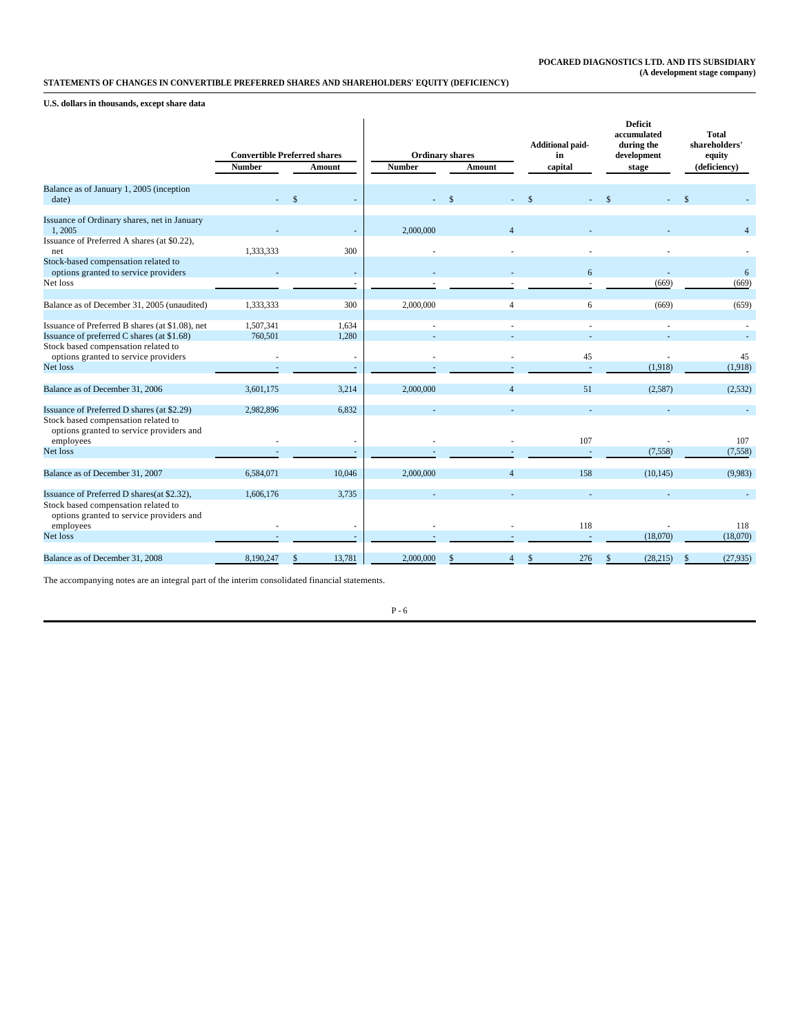## **STATEMENTS OF CHANGES IN CONVERTIBLE PREFERRED SHARES AND SHAREHOLDERS' EQUITY (DEFICIENCY)**

**U.S. dollars in thousands, except share data**

|                                                                                                                               | <b>Convertible Preferred shares</b><br><b>Number</b> | Amount                   | <b>Number</b> | <b>Ordinary shares</b><br>Amount | <b>Additional paid-</b><br>in<br>capital | <b>Deficit</b><br>accumulated<br>during the<br>development<br>stage | Total<br>shareholders'<br>equity<br>(deficiency) |
|-------------------------------------------------------------------------------------------------------------------------------|------------------------------------------------------|--------------------------|---------------|----------------------------------|------------------------------------------|---------------------------------------------------------------------|--------------------------------------------------|
|                                                                                                                               |                                                      |                          |               |                                  |                                          |                                                                     |                                                  |
| Balance as of January 1, 2005 (inception<br>date)                                                                             |                                                      | $\mathbf{\hat{S}}$       |               | $\mathbf{\hat{S}}$               | \$                                       |                                                                     |                                                  |
| Issuance of Ordinary shares, net in January<br>1,2005                                                                         |                                                      |                          | 2,000,000     | $\Lambda$                        |                                          |                                                                     | $\overline{4}$                                   |
| Issuance of Preferred A shares (at \$0.22),<br>net                                                                            | 1,333,333                                            | 300                      |               |                                  |                                          |                                                                     |                                                  |
| Stock-based compensation related to<br>options granted to service providers                                                   |                                                      | ٠                        |               |                                  | 6                                        |                                                                     | 6                                                |
| Net loss                                                                                                                      |                                                      | ٠                        |               |                                  |                                          | (669)                                                               | (669)                                            |
| Balance as of December 31, 2005 (unaudited)                                                                                   | 1,333,333                                            | 300                      | 2,000,000     | $\overline{4}$                   | 6                                        | (669)                                                               | (659)                                            |
| Issuance of Preferred B shares (at \$1.08), net<br>Issuance of preferred C shares (at \$1.68)                                 | 1,507,341<br>760,501                                 | 1,634<br>1,280           |               |                                  | ×.                                       |                                                                     |                                                  |
| Stock based compensation related to<br>options granted to service providers                                                   |                                                      | $\sim$                   |               |                                  | 45                                       |                                                                     | 45                                               |
| Net loss                                                                                                                      | $\overline{a}$                                       | $\overline{\phantom{a}}$ |               |                                  | ÷.                                       | (1,918)                                                             | (1,918)                                          |
| Balance as of December 31, 2006                                                                                               | 3.601.175                                            | 3,214                    | 2,000,000     | $\overline{4}$                   | 51                                       | (2,587)                                                             | (2,532)                                          |
| Issuance of Preferred D shares (at \$2.29)<br>Stock based compensation related to<br>options granted to service providers and | 2.982.896                                            | 6.832                    |               |                                  |                                          |                                                                     |                                                  |
| employees<br>Net loss                                                                                                         |                                                      | ٠                        |               |                                  | 107                                      |                                                                     | 107                                              |
|                                                                                                                               |                                                      | $\overline{\phantom{a}}$ |               |                                  |                                          | (7,558)                                                             | (7,558)                                          |
| Balance as of December 31, 2007                                                                                               | 6,584,071                                            | 10.046                   | 2,000,000     | $\overline{4}$                   | 158                                      | (10, 145)                                                           | (9,983)                                          |
| Issuance of Preferred D shares(at \$2.32),<br>Stock based compensation related to<br>options granted to service providers and | 1,606,176                                            | 3,735                    |               |                                  |                                          |                                                                     |                                                  |
| employees<br>Net loss                                                                                                         |                                                      | ٠<br>$\sim$              |               |                                  | 118                                      | (18,070)                                                            | 118<br>(18,070)                                  |
|                                                                                                                               |                                                      |                          |               |                                  |                                          |                                                                     |                                                  |
| Balance as of December 31, 2008                                                                                               | 8.190.247                                            | 13,781<br>\$             | 2,000,000     |                                  | 276<br>\$                                | (28, 215)                                                           | \$<br>(27, 935)                                  |

The accompanying notes are an integral part of the interim consolidated financial statements.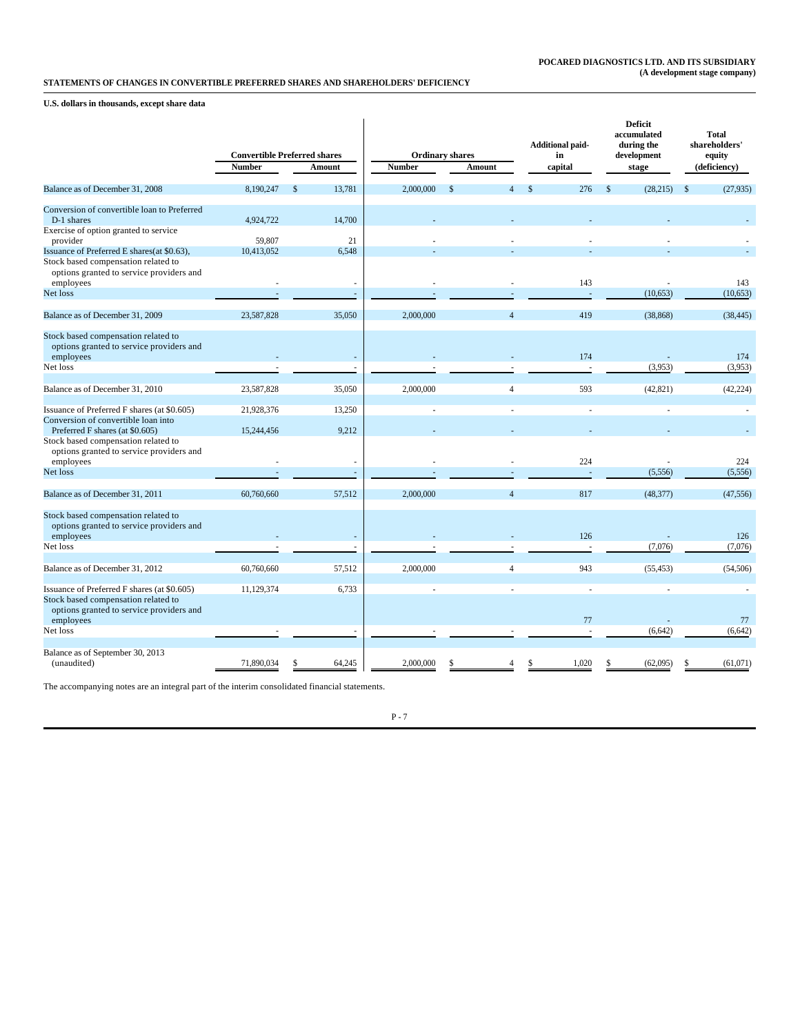## **STATEMENTS OF CHANGES IN CONVERTIBLE PREFERRED SHARES AND SHAREHOLDERS' DEFICIENCY**

**U.S. dollars in thousands, except share data**

|                                                                                                                                             |                                     |                    |                  |               |                        |                | <b>Additional paid-</b> |          |               | <b>Deficit</b><br>accumulated<br>during the | Total<br>shareholders'    |
|---------------------------------------------------------------------------------------------------------------------------------------------|-------------------------------------|--------------------|------------------|---------------|------------------------|----------------|-------------------------|----------|---------------|---------------------------------------------|---------------------------|
|                                                                                                                                             | <b>Convertible Preferred shares</b> |                    |                  |               | <b>Ordinary shares</b> |                | in                      |          |               | development                                 | equity                    |
|                                                                                                                                             | <b>Number</b>                       |                    | Amount           | <b>Number</b> | Amount                 |                | capital                 |          |               | stage                                       | (deficiency)              |
| Balance as of December 31, 2008                                                                                                             | 8,190,247                           | $\mathbf{\hat{s}}$ | 13,781           | 2,000,000     | $\mathcal{S}$          | $\overline{4}$ | $\mathcal{S}$           | 276      | $\mathcal{S}$ | (28, 215)                                   | $\mathbf{s}$<br>(27, 935) |
| Conversion of convertible loan to Preferred<br>D-1 shares                                                                                   | 4,924,722                           |                    | 14.700           |               |                        |                |                         |          |               |                                             |                           |
| Exercise of option granted to service<br>provider                                                                                           | 59.807                              |                    | 21               |               |                        |                |                         |          |               |                                             |                           |
| Issuance of Preferred E shares(at \$0.63),<br>Stock based compensation related to                                                           | 10,413,052                          |                    | 6,548            |               |                        |                |                         |          |               |                                             |                           |
| options granted to service providers and<br>employees                                                                                       |                                     |                    | ÷.               |               |                        |                |                         | 143      |               |                                             | 143                       |
| Net loss                                                                                                                                    |                                     |                    | $\sim$           |               |                        |                |                         |          |               | (10,653)                                    | (10,653)                  |
| Balance as of December 31, 2009                                                                                                             | 23,587,828                          |                    | 35,050           | 2,000,000     |                        | $\overline{4}$ |                         | 419      |               | (38, 868)                                   | (38, 445)                 |
| Stock based compensation related to<br>options granted to service providers and                                                             |                                     |                    |                  |               |                        |                |                         | 174      |               |                                             |                           |
| employees<br>Net loss                                                                                                                       |                                     |                    | ÷.               |               |                        |                |                         |          |               | (3,953)                                     | 174<br>(3,953)            |
| Balance as of December 31, 2010                                                                                                             | 23,587,828                          |                    | 35,050           | 2,000,000     |                        | $\overline{4}$ |                         | 593      |               | (42, 821)                                   | (42, 224)                 |
| Issuance of Preferred F shares (at \$0.605)                                                                                                 | 21,928,376                          |                    | 13,250           |               |                        |                |                         | ÷.       |               | ÷.                                          |                           |
| Conversion of convertible loan into<br>Preferred F shares (at \$0.605)                                                                      | 15,244,456                          |                    | 9,212            |               |                        |                |                         |          |               |                                             |                           |
| Stock based compensation related to<br>options granted to service providers and<br>employees                                                |                                     |                    |                  |               |                        |                |                         | 224      |               |                                             | 224                       |
| Net loss                                                                                                                                    |                                     |                    | $\sim$<br>$\sim$ |               |                        |                |                         |          |               | (5,556)                                     | (5,556)                   |
| Balance as of December 31, 2011                                                                                                             | 60,760,660                          |                    | 57.512           | 2,000,000     |                        | $\overline{4}$ |                         | 817      |               | (48, 377)                                   | (47, 556)                 |
| Stock based compensation related to<br>options granted to service providers and                                                             |                                     |                    |                  |               |                        |                |                         | 126      |               |                                             |                           |
| employees<br>Net loss                                                                                                                       |                                     |                    | $\sim$<br>÷.     |               |                        |                |                         |          |               | (7,076)                                     | 126<br>(7,076)            |
|                                                                                                                                             |                                     |                    |                  |               |                        |                |                         |          |               |                                             |                           |
| Balance as of December 31, 2012                                                                                                             | 60,760,660                          |                    | 57,512           | 2,000,000     |                        | $\overline{4}$ |                         | 943      |               | (55, 453)                                   | (54, 506)                 |
| Issuance of Preferred F shares (at \$0.605)<br>Stock based compensation related to<br>options granted to service providers and<br>employees | 11,129,374                          |                    | 6,733            |               |                        |                |                         | ÷.<br>77 |               | ÷,                                          | 77                        |
| Net loss                                                                                                                                    |                                     |                    |                  |               |                        |                |                         | ÷.       |               | (6,642)                                     | (6,642)                   |
| Balance as of September 30, 2013<br>(unaudited)                                                                                             | 71,890,034                          |                    | 64,245           | 2,000,000     |                        |                |                         | 1,020    |               | (62,095)                                    | (61,071)                  |

The accompanying notes are an integral part of the interim consolidated financial statements.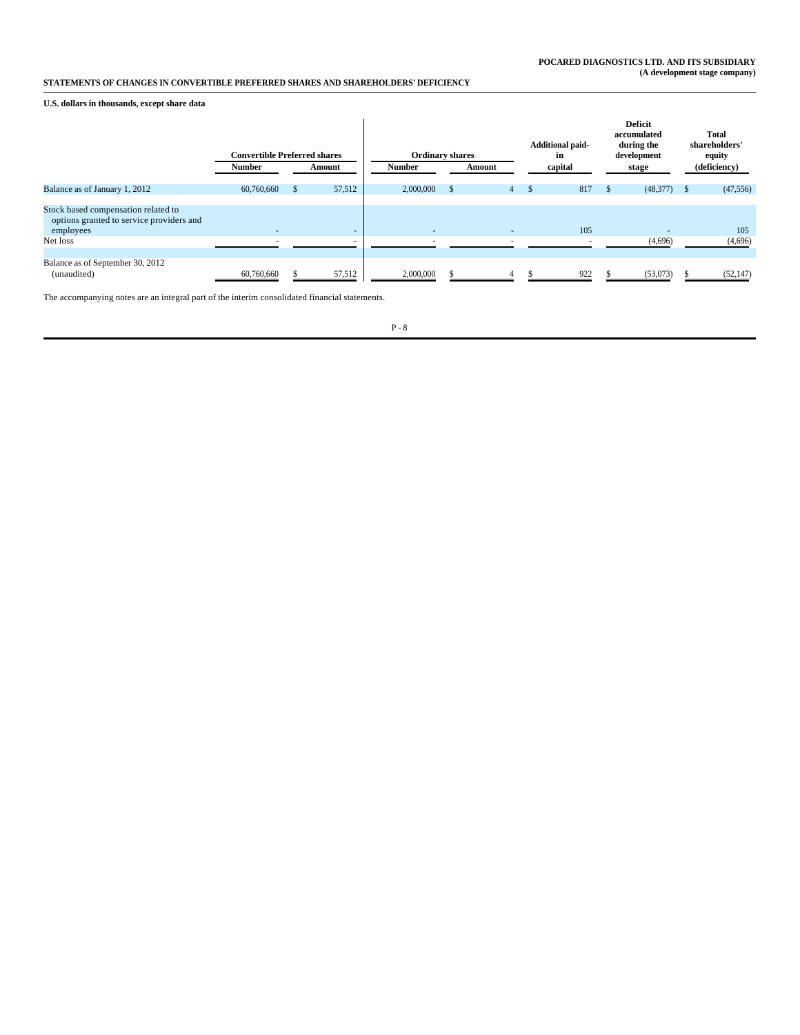## **STATEMENTS OF CHANGES IN CONVERTIBLE PREFERRED SHARES AND SHAREHOLDERS' DEFICIENCY**

**U.S. dollars in thousands, except share data**

|                                                                                              | <b>Convertible Preferred shares</b> |               |                          | <b>Ordinary shares</b> |                |    | <b>Additional paid-</b><br>in |     | <b>Deficit</b><br>accumulated<br>during the<br>development |              | <b>Total</b><br>shareholders'<br>equity |
|----------------------------------------------------------------------------------------------|-------------------------------------|---------------|--------------------------|------------------------|----------------|----|-------------------------------|-----|------------------------------------------------------------|--------------|-----------------------------------------|
|                                                                                              | <b>Number</b>                       |               | Amount                   | <b>Number</b>          | Amount         |    | capital                       |     | stage                                                      |              | (deficiency)                            |
| Balance as of January 1, 2012                                                                | 60,760,660                          | <sup>\$</sup> | 57,512                   | 2,000,000              | $4^{\circ}$    | D. | 817                           | \$. | (48, 377)                                                  | $\mathsf{S}$ | (47, 556)                               |
| Stock based compensation related to<br>options granted to service providers and<br>employees | $\overline{a}$                      |               | $\overline{\phantom{a}}$ | $\overline{a}$         | $\overline{a}$ |    | 105                           |     | $\sim$                                                     |              | 105                                     |
| Net loss                                                                                     | $\overline{\phantom{a}}$            |               | $\overline{\phantom{a}}$ |                        | ٠              |    |                               |     | (4,696)                                                    |              | (4,696)                                 |
| Balance as of September 30, 2012<br>(unaudited)                                              | 60,760,660                          |               | 57,512                   | 2,000,000              |                |    | 922                           |     | (53,073)                                                   |              | (52, 147)                               |

The accompanying notes are an integral part of the interim consolidated financial statements.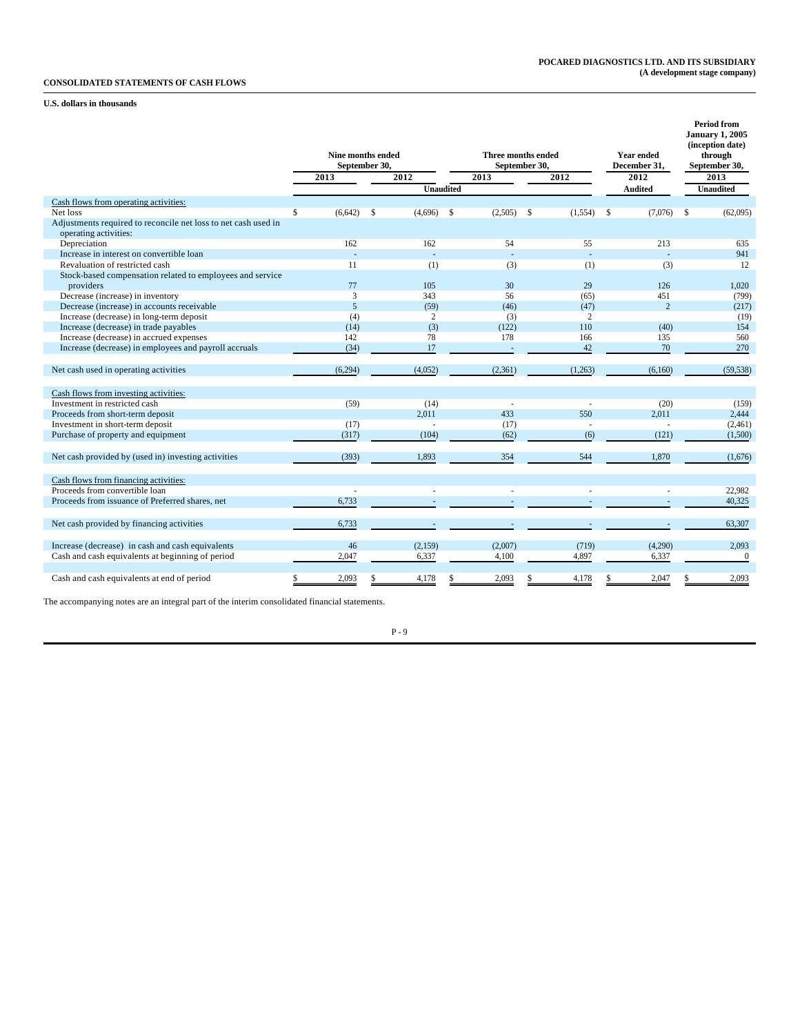## **CONSOLIDATED STATEMENTS OF CASH FLOWS**

## **U.S. dollars in thousands**

|                                                                                         | 2013          | Nine months ended<br>September 30,<br>$\sqrt{2012}$<br><b>Unaudited</b> | Three months ended<br>2013 | September 30,<br>2012  | <b>Year ended</b><br>December 31,<br>2012<br><b>Audited</b> | <b>Period from</b><br><b>January 1, 2005</b><br>(inception date)<br>through<br>September 30,<br>2013<br><b>Unaudited</b> |
|-----------------------------------------------------------------------------------------|---------------|-------------------------------------------------------------------------|----------------------------|------------------------|-------------------------------------------------------------|--------------------------------------------------------------------------------------------------------------------------|
| Cash flows from operating activities:                                                   |               |                                                                         |                            |                        |                                                             |                                                                                                                          |
| Net loss                                                                                | \$<br>(6,642) | <sup>\$</sup><br>(4,696)                                                | \$<br>(2,505)              | \$<br>(1, 554)         | (7,076)<br>\$                                               | (62,095)<br>$\mathbf{s}$                                                                                                 |
| Adjustments required to reconcile net loss to net cash used in<br>operating activities: |               |                                                                         |                            |                        |                                                             |                                                                                                                          |
| Depreciation                                                                            | 162           | 162                                                                     | 54                         | 55                     | 213                                                         | 635                                                                                                                      |
| Increase in interest on convertible loan                                                |               |                                                                         |                            |                        |                                                             | 941                                                                                                                      |
| Revaluation of restricted cash                                                          | 11            | (1)                                                                     | (3)                        | (1)                    | (3)                                                         | 12                                                                                                                       |
| Stock-based compensation related to employees and service                               |               |                                                                         |                            |                        |                                                             |                                                                                                                          |
| providers                                                                               | 77            | 105                                                                     | 30                         | 29                     | 126                                                         | 1,020                                                                                                                    |
| Decrease (increase) in inventory                                                        | 3             | 343                                                                     | 56                         | (65)                   | 451                                                         | (799)                                                                                                                    |
| Decrease (increase) in accounts receivable                                              | 5             | (59)                                                                    | (46)                       | (47)                   | $\overline{c}$                                              | (217)                                                                                                                    |
| Increase (decrease) in long-term deposit                                                | (4)           | $\mathfrak{2}$                                                          | (3)                        | $\overline{2}$         |                                                             | (19)                                                                                                                     |
| Increase (decrease) in trade payables                                                   | (14)          | (3)                                                                     | (122)                      | 110                    | (40)                                                        | 154                                                                                                                      |
| Increase (decrease) in accrued expenses                                                 | 142           | 78                                                                      | 178                        | 166                    | 135                                                         | 560                                                                                                                      |
| Increase (decrease) in employees and payroll accruals                                   | (34)          | 17                                                                      |                            | 42                     | 70                                                          | 270                                                                                                                      |
|                                                                                         |               |                                                                         |                            |                        |                                                             |                                                                                                                          |
| Net cash used in operating activities                                                   | (6,294)       | (4,052)                                                                 | (2,361)                    | (1,263)                | (6,160)                                                     | (59, 538)                                                                                                                |
|                                                                                         |               |                                                                         |                            |                        |                                                             |                                                                                                                          |
| Cash flows from investing activities:                                                   |               |                                                                         |                            |                        |                                                             |                                                                                                                          |
| Investment in restricted cash                                                           | (59)          | (14)                                                                    |                            |                        | (20)                                                        | (159)                                                                                                                    |
| Proceeds from short-term deposit                                                        |               | 2.011                                                                   | 433                        | 550                    | 2.011                                                       | 2,444                                                                                                                    |
|                                                                                         |               | ÷.                                                                      |                            |                        |                                                             |                                                                                                                          |
| Investment in short-term deposit                                                        | (17)          |                                                                         | (17)                       |                        |                                                             | (2,461)                                                                                                                  |
| Purchase of property and equipment                                                      | (317)         | (104)                                                                   | (62)                       | (6)                    | (121)                                                       | (1,500)                                                                                                                  |
|                                                                                         |               |                                                                         |                            |                        |                                                             |                                                                                                                          |
| Net cash provided by (used in) investing activities                                     | (393)         | 1,893                                                                   | 354                        | 544                    | 1,870                                                       | (1,676)                                                                                                                  |
|                                                                                         |               |                                                                         |                            |                        |                                                             |                                                                                                                          |
| Cash flows from financing activities:                                                   |               |                                                                         |                            |                        |                                                             |                                                                                                                          |
| Proceeds from convertible loan                                                          |               |                                                                         |                            |                        |                                                             | 22,982                                                                                                                   |
| Proceeds from issuance of Preferred shares, net                                         | 6.733         |                                                                         |                            |                        |                                                             | 40,325                                                                                                                   |
|                                                                                         |               |                                                                         |                            |                        |                                                             |                                                                                                                          |
| Net cash provided by financing activities                                               | 6.733         |                                                                         |                            |                        |                                                             | 63,307                                                                                                                   |
|                                                                                         |               |                                                                         |                            |                        |                                                             |                                                                                                                          |
| Increase (decrease) in cash and cash equivalents                                        | 46            | (2, 159)                                                                | (2,007)                    | (719)                  | (4,290)                                                     | 2,093                                                                                                                    |
| Cash and cash equivalents at beginning of period                                        | 2,047         | 6,337                                                                   | 4,100                      | 4,897                  | 6,337                                                       | $\mathbf{0}$                                                                                                             |
|                                                                                         |               |                                                                         |                            |                        |                                                             |                                                                                                                          |
| Cash and cash equivalents at end of period                                              | 2,093<br>\$   | 4,178<br>\$                                                             | 2,093<br>\$                | 4,178<br><sup>\$</sup> | 2,047<br>\$                                                 | 2,093<br>\$                                                                                                              |

The accompanying notes are an integral part of the interim consolidated financial statements.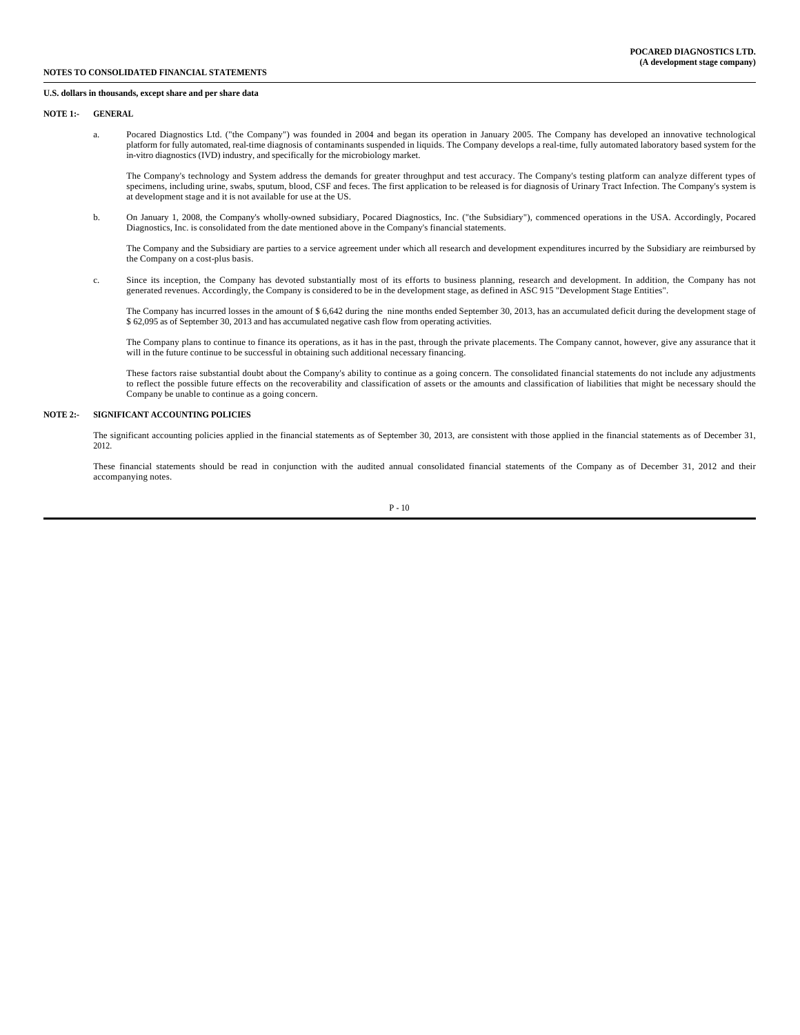### **NOTES TO CONSOLIDATED FINANCIAL STATEMENTS**

#### **U.S. dollars in thousands, except share and per share data**

#### **NOTE 1:- GENERAL**

a. Pocared Diagnostics Ltd. ("the Company") was founded in 2004 and began its operation in January 2005. The Company has developed an innovative technological platform for fully automated, real-time diagnosis of contaminants suspended in liquids. The Company develops a real-time, fully automated laboratory based system for the in-vitro diagnostics (IVD) industry, and specifically for the microbiology market.

The Company's technology and System address the demands for greater throughput and test accuracy. The Company's testing platform can analyze different types of specimens, including urine, swabs, sputum, blood, CSF and feces. The first application to be released is for diagnosis of Urinary Tract Infection. The Company's system is at development stage and it is not available for use at the US.

b. On January 1, 2008, the Company's wholly-owned subsidiary, Pocared Diagnostics, Inc. ("the Subsidiary"), commenced operations in the USA. Accordingly, Pocared Diagnostics, Inc. is consolidated from the date mentioned above in the Company's financial statements.

The Company and the Subsidiary are parties to a service agreement under which all research and development expenditures incurred by the Subsidiary are reimbursed by the Company on a cost-plus basis.

c. Since its inception, the Company has devoted substantially most of its efforts to business planning, research and development. In addition, the Company has not generated revenues. Accordingly, the Company is considered to be in the development stage, as defined in ASC 915 "Development Stage Entities".

The Company has incurred losses in the amount of \$ 6,642 during the nine months ended September 30, 2013, has an accumulated deficit during the development stage of \$ 62,095 as of September 30, 2013 and has accumulated negative cash flow from operating activities.

The Company plans to continue to finance its operations, as it has in the past, through the private placements. The Company cannot, however, give any assurance that it will in the future continue to be successful in obtaining such additional necessary financing.

These factors raise substantial doubt about the Company's ability to continue as a going concern. The consolidated financial statements do not include any adjustments to reflect the possible future effects on the recoverability and classification of assets or the amounts and classification of liabilities that might be necessary should the Company be unable to continue as a going concern.

#### **NOTE 2:- SIGNIFICANT ACCOUNTING POLICIES**

The significant accounting policies applied in the financial statements as of September 30, 2013, are consistent with those applied in the financial statements as of December 31, 2012.

These financial statements should be read in conjunction with the audited annual consolidated financial statements of the Company as of December 31, 2012 and their accompanying notes.

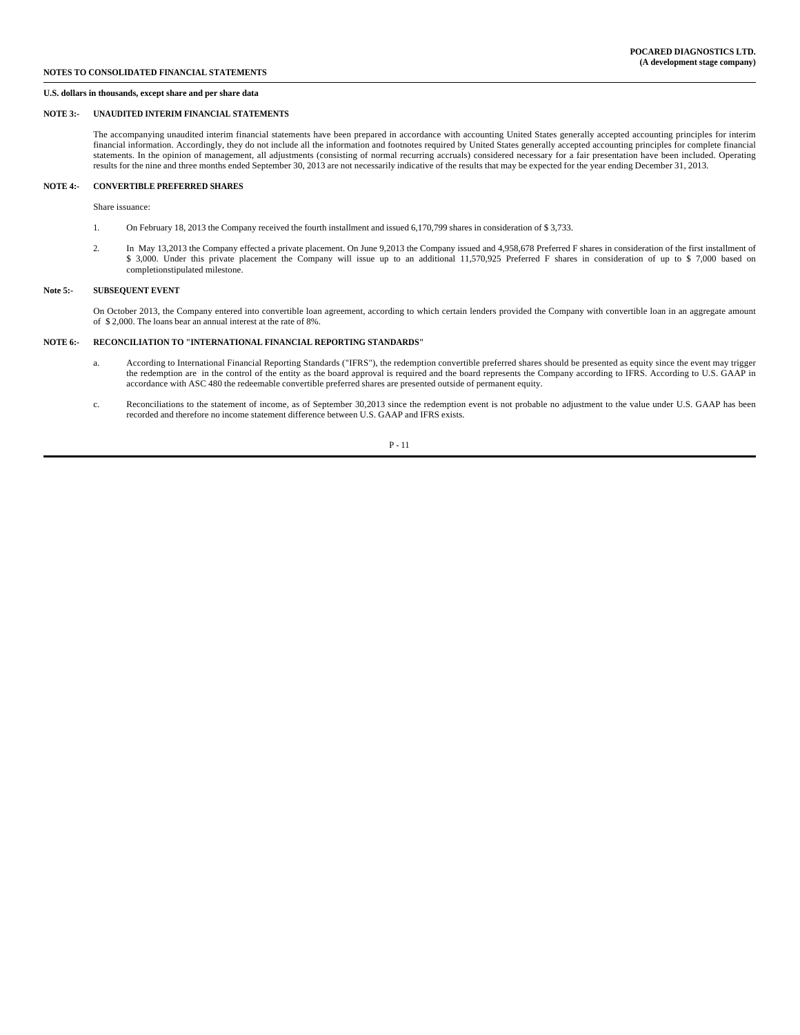#### **NOTE 3:- UNAUDITED INTERIM FINANCIAL STATEMENTS**

The accompanying unaudited interim financial statements have been prepared in accordance with accounting United States generally accepted accounting principles for interim financial information. Accordingly, they do not include all the information and footnotes required by United States generally accepted accounting principles for complete financial statements. In the opinion of management, all adjustments (consisting of normal recurring accruals) considered necessary for a fair presentation have been included. Operating results for the nine and three months ended September 30, 2013 are not necessarily indicative of the results that may be expected for the year ending December 31, 2013.

#### **NOTE 4:- CONVERTIBLE PREFERRED SHARES**

Share issuance:

- 1. On February 18, 2013 the Company received the fourth installment and issued 6,170,799 shares in consideration of \$ 3,733.
- 2. In May 13,2013 the Company effected a private placement. On June 9,2013 the Company issued and 4,958,678 Preferred F shares in consideration of the first installment of \$ 3,000. Under this private placement the Company will issue up to an additional 11,570,925 Preferred F shares in consideration of up to \$ 7,000 based on completionstipulated milestone.

#### **Note 5:- SUBSEQUENT EVENT**

On October 2013, the Company entered into convertible loan agreement, according to which certain lenders provided the Company with convertible loan in an aggregate amount of \$ 2,000. The loans bear an annual interest at the rate of 8%.

#### **NOTE 6:- RECONCILIATION TO "INTERNATIONAL FINANCIAL REPORTING STANDARDS"**

- a. According to International Financial Reporting Standards ("IFRS"), the redemption convertible preferred shares should be presented as equity since the event may trigger the redemption are in the control of the entity as the board approval is required and the board represents the Company according to IFRS. According to U.S. GAAP in accordance with ASC 480 the redeemable convertible preferred shares are presented outside of permanent equity.
- c. Reconciliations to the statement of income, as of September 30,2013 since the redemption event is not probable no adjustment to the value under U.S. GAAP has been recorded and therefore no income statement difference between U.S. GAAP and IFRS exists.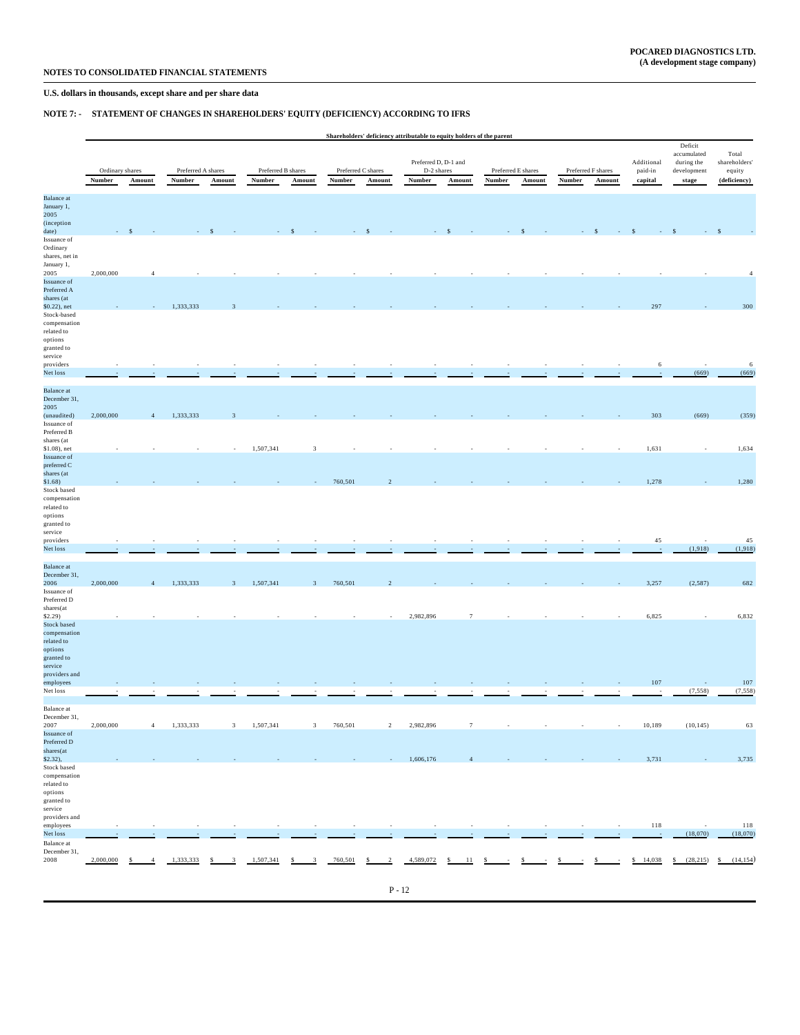## **NOTE 7: - STATEMENT OF CHANGES IN SHAREHOLDERS' EQUITY (DEFICIENCY) ACCORDING TO IFRS**

|                                   | Shareholders' deficiency attributable to equity holders of the parent |                                |           |                                          |           |                               |         |                                |                                    |                                       |                       |                                          |                                  | Deficit                         |          |                 |                |
|-----------------------------------|-----------------------------------------------------------------------|--------------------------------|-----------|------------------------------------------|-----------|-------------------------------|---------|--------------------------------|------------------------------------|---------------------------------------|-----------------------|------------------------------------------|----------------------------------|---------------------------------|----------|-----------------|----------------|
|                                   | Ordinary shares                                                       |                                |           | Preferred B shares<br>Preferred A shares |           |                               |         |                                | Preferred D, D-1 and<br>D-2 shares | Preferred F shares                    | Additional<br>paid-in | accumulated<br>during the<br>development | Total<br>shareholders'<br>equity |                                 |          |                 |                |
|                                   | Number                                                                | Amount                         | Number    | Amount                                   | Number    | Amount                        | Number  | Preferred C shares<br>Amount   | Number                             | Amount                                | <b>Number</b>         | Preferred E shares<br>Amount             | Number                           | Amount                          | capital  | stage           | (deficiency)   |
| <b>Balance</b> at                 |                                                                       |                                |           |                                          |           |                               |         |                                |                                    |                                       |                       |                                          |                                  |                                 |          |                 |                |
| January 1,<br>2005                |                                                                       |                                |           |                                          |           |                               |         |                                |                                    |                                       |                       |                                          |                                  |                                 |          |                 |                |
| (inception<br>date)               |                                                                       |                                |           |                                          |           |                               |         |                                |                                    |                                       |                       |                                          |                                  |                                 |          |                 |                |
| Issuance of                       |                                                                       |                                |           |                                          |           |                               |         |                                |                                    |                                       |                       |                                          |                                  |                                 |          |                 |                |
| Ordinary<br>shares, net in        |                                                                       |                                |           |                                          |           |                               |         |                                |                                    |                                       |                       |                                          |                                  |                                 |          |                 |                |
| January 1,<br>2005                | 2,000,000                                                             | $\overline{4}$                 |           |                                          |           |                               |         |                                |                                    |                                       |                       |                                          |                                  |                                 |          |                 | $\overline{4}$ |
| <b>Issuance</b> of                |                                                                       |                                |           |                                          |           |                               |         |                                |                                    |                                       |                       |                                          |                                  |                                 |          |                 |                |
| Preferred A<br>shares (at         |                                                                       |                                |           |                                          |           |                               |         |                                |                                    |                                       |                       |                                          |                                  |                                 |          |                 |                |
| \$0.22), net                      |                                                                       |                                | 1,333,333 |                                          |           |                               |         |                                |                                    |                                       |                       |                                          |                                  |                                 | 297      |                 | 300            |
| Stock-based<br>compensation       |                                                                       |                                |           |                                          |           |                               |         |                                |                                    |                                       |                       |                                          |                                  |                                 |          |                 |                |
| related to                        |                                                                       |                                |           |                                          |           |                               |         |                                |                                    |                                       |                       |                                          |                                  |                                 |          |                 |                |
| options<br>granted to             |                                                                       |                                |           |                                          |           |                               |         |                                |                                    |                                       |                       |                                          |                                  |                                 |          |                 |                |
| service<br>providers              |                                                                       |                                |           |                                          |           |                               |         |                                |                                    |                                       |                       |                                          |                                  |                                 | 6        |                 | $\sqrt{6}$     |
| Net loss                          |                                                                       |                                |           |                                          |           |                               |         |                                |                                    |                                       |                       |                                          |                                  |                                 |          | (669)           | (669)          |
|                                   |                                                                       |                                |           |                                          |           |                               |         |                                |                                    |                                       |                       |                                          |                                  |                                 |          |                 |                |
| <b>Balance</b> at<br>December 31. |                                                                       |                                |           |                                          |           |                               |         |                                |                                    |                                       |                       |                                          |                                  |                                 |          |                 |                |
| 2005<br>(unaudited)               | 2,000,000                                                             | $\overline{4}$                 | 1,333,333 | в                                        |           |                               |         |                                |                                    |                                       |                       |                                          |                                  |                                 | 303      | (669)           | (359)          |
| Issuance of                       |                                                                       |                                |           |                                          |           |                               |         |                                |                                    |                                       |                       |                                          |                                  |                                 |          |                 |                |
| Preferred B<br>shares (at         |                                                                       |                                |           |                                          |           |                               |         |                                |                                    |                                       |                       |                                          |                                  |                                 |          |                 |                |
| \$1.08), net                      |                                                                       |                                |           |                                          | 1,507,341 | $\mathbf{3}$                  |         |                                |                                    |                                       |                       |                                          |                                  |                                 | 1,631    |                 | 1,634          |
| Issuance of<br>preferred C        |                                                                       |                                |           |                                          |           |                               |         |                                |                                    |                                       |                       |                                          |                                  |                                 |          |                 |                |
| shares (at                        |                                                                       |                                |           |                                          |           |                               |         |                                |                                    |                                       |                       |                                          |                                  |                                 |          |                 |                |
| \$1.68)<br>Stock based            |                                                                       |                                |           |                                          |           |                               | 760,501 |                                |                                    |                                       |                       |                                          |                                  |                                 | 1,278    |                 | 1,280          |
| compensation<br>related to        |                                                                       |                                |           |                                          |           |                               |         |                                |                                    |                                       |                       |                                          |                                  |                                 |          |                 |                |
| options                           |                                                                       |                                |           |                                          |           |                               |         |                                |                                    |                                       |                       |                                          |                                  |                                 |          |                 |                |
| granted to<br>service             |                                                                       |                                |           |                                          |           |                               |         |                                |                                    |                                       |                       |                                          |                                  |                                 |          |                 |                |
| providers                         |                                                                       |                                |           |                                          |           |                               |         |                                |                                    |                                       |                       |                                          |                                  |                                 | $45\,$   |                 | 45             |
| Net loss                          |                                                                       |                                |           |                                          |           |                               |         |                                |                                    |                                       |                       |                                          |                                  |                                 | $\sim$   | (1,918)         | (1,918)        |
| <b>Balance</b> at                 |                                                                       |                                |           |                                          |           |                               |         |                                |                                    |                                       |                       |                                          |                                  |                                 |          |                 |                |
| December 31,<br>2006              | 2,000,000                                                             | $\overline{4}$                 | 1,333,333 | $\mathbf{3}$                             | 1,507,341 | $\mathbf{3}$                  | 760,501 | $\overline{2}$                 |                                    |                                       |                       |                                          |                                  |                                 | 3,257    | (2,587)         | 682            |
| Issuance of                       |                                                                       |                                |           |                                          |           |                               |         |                                |                                    |                                       |                       |                                          |                                  |                                 |          |                 |                |
| Preferred D<br>shares(at          |                                                                       |                                |           |                                          |           |                               |         |                                |                                    |                                       |                       |                                          |                                  |                                 |          |                 |                |
| \$2.29)                           |                                                                       |                                |           |                                          |           |                               |         |                                | 2,982,896                          | $\tau$                                |                       |                                          |                                  |                                 | 6,825    |                 | 6,832          |
| Stock based<br>compensation       |                                                                       |                                |           |                                          |           |                               |         |                                |                                    |                                       |                       |                                          |                                  |                                 |          |                 |                |
| related to<br>options             |                                                                       |                                |           |                                          |           |                               |         |                                |                                    |                                       |                       |                                          |                                  |                                 |          |                 |                |
| granted to                        |                                                                       |                                |           |                                          |           |                               |         |                                |                                    |                                       |                       |                                          |                                  |                                 |          |                 |                |
| service<br>providers and          |                                                                       |                                |           |                                          |           |                               |         |                                |                                    |                                       |                       |                                          |                                  |                                 |          |                 |                |
| employees                         |                                                                       |                                |           |                                          |           |                               |         |                                |                                    |                                       |                       |                                          |                                  |                                 | 107      |                 | 107            |
| Net loss                          |                                                                       |                                |           |                                          |           |                               |         |                                |                                    |                                       |                       |                                          |                                  |                                 |          | (7, 558)        | (7, 558)       |
| Balance at                        |                                                                       |                                |           |                                          |           |                               |         |                                |                                    |                                       |                       |                                          |                                  |                                 |          |                 |                |
| December 31,<br>2007              | 2,000,000                                                             | $\overline{4}$                 | 1,333,333 | $\mathbf{3}$                             | 1,507,341 | $\mathbf{3}$                  | 760,501 | $\sqrt{2}$                     | 2,982,896                          | $7\phantom{.0}$                       | $\sim$                | $\sim$                                   | $\sim$                           | $\sim$                          | 10,189   | (10, 145)       | 63             |
| Issuance of<br>Preferred D        |                                                                       |                                |           |                                          |           |                               |         |                                |                                    |                                       |                       |                                          |                                  |                                 |          |                 |                |
| shares(at                         |                                                                       |                                |           |                                          |           |                               |         |                                |                                    |                                       |                       |                                          |                                  |                                 |          |                 |                |
| $$2.32$ ),<br>Stock based         |                                                                       |                                |           |                                          |           |                               |         |                                | 1,606,176                          | $\overline{4}$                        |                       |                                          |                                  |                                 | 3,731    |                 | 3,735          |
| compensation                      |                                                                       |                                |           |                                          |           |                               |         |                                |                                    |                                       |                       |                                          |                                  |                                 |          |                 |                |
| $\rm related$ to<br>options       |                                                                       |                                |           |                                          |           |                               |         |                                |                                    |                                       |                       |                                          |                                  |                                 |          |                 |                |
| granted to                        |                                                                       |                                |           |                                          |           |                               |         |                                |                                    |                                       |                       |                                          |                                  |                                 |          |                 |                |
| service<br>providers and          |                                                                       |                                |           |                                          |           |                               |         |                                |                                    |                                       |                       |                                          |                                  |                                 |          |                 |                |
| employees                         |                                                                       | $\overline{\phantom{a}}$       |           |                                          | ٠         | $\sim$                        | $\sim$  | ٠                              | $\sim$                             | $\sim$                                | $\sim$                | $\sim$                                   | $\sim$                           | $\sim$                          | 118      |                 | 118            |
| Net loss<br>Balance at            |                                                                       |                                |           |                                          |           |                               |         |                                |                                    |                                       |                       |                                          |                                  |                                 |          | (18,070)        | (18,070)       |
| December 31,                      |                                                                       |                                |           |                                          |           |                               |         |                                |                                    |                                       |                       |                                          |                                  |                                 |          |                 |                |
| 2008                              | 2,000,000                                                             | $\mathsf{s}$<br>$\overline{4}$ | 1,333,333 | $\overline{\mathbf{3}}$<br>\$            | 1,507,341 | $\overline{\mathbf{3}}$<br>\$ | 760,501 | $\overline{2}$<br>$\mathsf{s}$ | 4,589,072                          | $\frac{\mathsf{s}}{\mathsf{a}}$<br>11 | $\mathsf{s}$          | $\frac{1}{2}$                            | $\frac{\mathsf{s}}{\mathsf{s}}$  | $\frac{\mathsf{S}}{\mathsf{S}}$ | \$14,038 | \$<br>(28, 215) | S<br>(14, 154) |
|                                   |                                                                       |                                |           |                                          |           |                               |         |                                |                                    |                                       |                       |                                          |                                  |                                 |          |                 |                |
|                                   |                                                                       |                                |           |                                          |           |                               |         |                                | $P - 12$                           |                                       |                       |                                          |                                  |                                 |          |                 |                |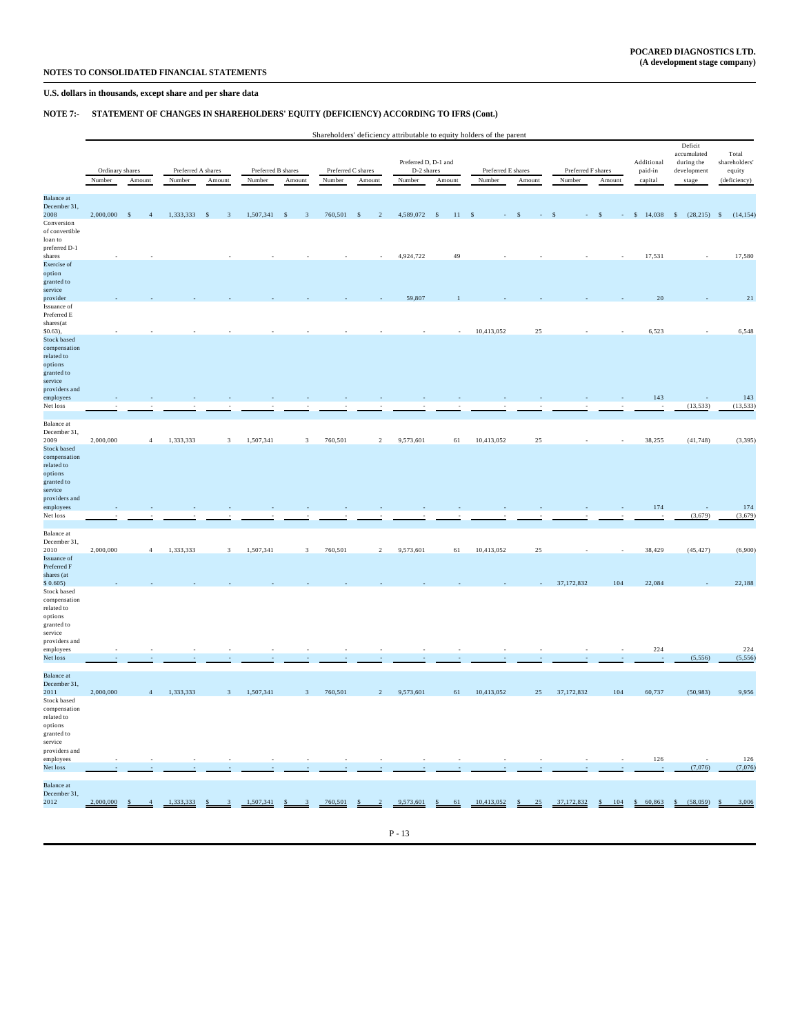## **NOTE 7:- STATEMENT OF CHANGES IN SHAREHOLDERS' EQUITY (DEFICIENCY) ACCORDING TO IFRS (Cont.)**

|  | Shareholders' deficiency attributable to equity holders of the parent |  |  |
|--|-----------------------------------------------------------------------|--|--|
|  |                                                                       |  |  |

| Number<br>Number<br>Number<br>Number<br>Number<br>Number<br>Number<br>capital<br>Amount<br>Amount<br>Amount<br>Amount<br>Amount<br>Amount<br>Amount<br>stage<br><b>Balance</b> at<br>December 31,<br>2008<br>1,333,333<br>1,507,341<br>760,501<br>4,589,072<br>\$14,038<br>2,000,000<br>$\mathbf{s}$<br>$\overline{4}$<br>$\sim$<br>$\overline{\mathbf{3}}$<br>$\mathcal{S}$<br>$\overline{\mathbf{3}}$<br>$\mathbf{s}$<br>$\overline{\phantom{0}}$ 2<br>$\sim$<br>$-11$<br>$\mathcal{S}$<br>$\mathbf{s}$<br>Conversion<br>of convertible<br>loan to<br>preferred D-1<br>shares<br>4,924,722<br>49<br>17,531<br>Exercise of<br>option<br>granted to<br>service<br>59,807<br>20<br>provider<br>Issuance of<br>Preferred E<br>$\operatorname{shares}(\operatorname{at}$<br>$$0.63$ ),<br>10,413,052<br>25<br>6,523<br><b>Stock based</b><br>compensation<br>related to<br>options<br>granted to<br>service<br>providers and<br>143<br>employees<br>(13, 533)<br>Net loss<br>Balance at<br>December 31,<br>2009<br>2,000,000<br>1,333,333<br>1,507,341<br>760,501<br>9,573,601<br>25<br>38,255<br>(41, 748)<br>$\overline{\mathbf{3}}$<br>$\overline{\mathbf{3}}$<br>$\overline{2}$<br>61<br>10,413,052<br>$\overline{4}$<br>Stock based<br>compensation<br>related to<br>options<br>granted to<br>service<br>providers and<br>174<br>employees<br>Net loss<br>(3,679)<br>Balance at<br>December 31,<br>2010<br>2,000,000<br>1,333,333<br>1,507,341<br>760,501<br>$\overline{2}$<br>9,573,601<br>10,413,052<br>25<br>38,429<br>(45, 427)<br>$\overline{4}$<br>$\overline{\mathbf{3}}$<br>$\overline{3}$<br>61<br>Issuance of<br>Preferred F<br>shares (at<br>37, 172, 832<br>104<br>22,084<br>\$0.605)<br>Stock based<br>compensation<br>related to<br>options<br>granted to<br>service<br>providers and<br>224<br>employees<br>(5, 556)<br>Net loss<br><b>Balance</b> at<br>December 31,<br>2011<br>2,000,000<br>1,333,333<br>1,507,341<br>760,501<br>9,573,601<br>10,413,052<br>25<br>37,172,832<br>104<br>60,737<br>(50, 983)<br>$\mathbf{3}$<br>$\mathbf{3}$<br>$\sqrt{2}$<br>61<br>$\overline{4}$<br>Stock based<br>compensation<br>related to<br>options<br>granted to<br>service<br>providers and<br>126<br>employees<br>Net loss<br>(7,076)<br><b>Balance</b> at<br>December 31,<br>2012<br>2,000,000<br>1,333,333<br>1,507,341<br>760,501<br>9,573,601<br>10,413,052<br>37,172,832<br>\$60,863<br>(58,059)<br>25<br>104<br>\$<br>61<br>$\mathbf{s}$<br>\$<br>S<br>$\overline{4}$<br>S<br>S | Ordinary shares |  | Preferred A shares |  |  | Preferred B shares |  | Preferred C shares |  | Preferred D, D-1 and<br>D-2 shares |  | Preferred E shares | Preferred F shares | Deficit<br>accumulated<br>Additional<br>during the<br>paid-in<br>${\tt development}$ |  | Total<br>shareholders'<br>equity |  |
|--------------------------------------------------------------------------------------------------------------------------------------------------------------------------------------------------------------------------------------------------------------------------------------------------------------------------------------------------------------------------------------------------------------------------------------------------------------------------------------------------------------------------------------------------------------------------------------------------------------------------------------------------------------------------------------------------------------------------------------------------------------------------------------------------------------------------------------------------------------------------------------------------------------------------------------------------------------------------------------------------------------------------------------------------------------------------------------------------------------------------------------------------------------------------------------------------------------------------------------------------------------------------------------------------------------------------------------------------------------------------------------------------------------------------------------------------------------------------------------------------------------------------------------------------------------------------------------------------------------------------------------------------------------------------------------------------------------------------------------------------------------------------------------------------------------------------------------------------------------------------------------------------------------------------------------------------------------------------------------------------------------------------------------------------------------------------------------------------------------------------------------------------------------------------------------------------------------------------------------------------------------------------------------------------------------------------------------------------------------------------------------------------------------------------------------------------------------------------------------------------|-----------------|--|--------------------|--|--|--------------------|--|--------------------|--|------------------------------------|--|--------------------|--------------------|--------------------------------------------------------------------------------------|--|----------------------------------|--|
|                                                                                                                                                                                                                                                                                                                                                                                                                                                                                                                                                                                                                                                                                                                                                                                                                                                                                                                                                                                                                                                                                                                                                                                                                                                                                                                                                                                                                                                                                                                                                                                                                                                                                                                                                                                                                                                                                                                                                                                                                                                                                                                                                                                                                                                                                                                                                                                                                                                                                                  |                 |  |                    |  |  |                    |  |                    |  |                                    |  |                    |                    |                                                                                      |  | (deficiency)                     |  |
|                                                                                                                                                                                                                                                                                                                                                                                                                                                                                                                                                                                                                                                                                                                                                                                                                                                                                                                                                                                                                                                                                                                                                                                                                                                                                                                                                                                                                                                                                                                                                                                                                                                                                                                                                                                                                                                                                                                                                                                                                                                                                                                                                                                                                                                                                                                                                                                                                                                                                                  |                 |  |                    |  |  |                    |  |                    |  |                                    |  |                    |                    |                                                                                      |  |                                  |  |
|                                                                                                                                                                                                                                                                                                                                                                                                                                                                                                                                                                                                                                                                                                                                                                                                                                                                                                                                                                                                                                                                                                                                                                                                                                                                                                                                                                                                                                                                                                                                                                                                                                                                                                                                                                                                                                                                                                                                                                                                                                                                                                                                                                                                                                                                                                                                                                                                                                                                                                  |                 |  |                    |  |  |                    |  |                    |  |                                    |  |                    |                    |                                                                                      |  |                                  |  |
|                                                                                                                                                                                                                                                                                                                                                                                                                                                                                                                                                                                                                                                                                                                                                                                                                                                                                                                                                                                                                                                                                                                                                                                                                                                                                                                                                                                                                                                                                                                                                                                                                                                                                                                                                                                                                                                                                                                                                                                                                                                                                                                                                                                                                                                                                                                                                                                                                                                                                                  |                 |  |                    |  |  |                    |  |                    |  |                                    |  |                    |                    |                                                                                      |  | $(28,215)$ \$ $(14,154)$         |  |
|                                                                                                                                                                                                                                                                                                                                                                                                                                                                                                                                                                                                                                                                                                                                                                                                                                                                                                                                                                                                                                                                                                                                                                                                                                                                                                                                                                                                                                                                                                                                                                                                                                                                                                                                                                                                                                                                                                                                                                                                                                                                                                                                                                                                                                                                                                                                                                                                                                                                                                  |                 |  |                    |  |  |                    |  |                    |  |                                    |  |                    |                    |                                                                                      |  |                                  |  |
|                                                                                                                                                                                                                                                                                                                                                                                                                                                                                                                                                                                                                                                                                                                                                                                                                                                                                                                                                                                                                                                                                                                                                                                                                                                                                                                                                                                                                                                                                                                                                                                                                                                                                                                                                                                                                                                                                                                                                                                                                                                                                                                                                                                                                                                                                                                                                                                                                                                                                                  |                 |  |                    |  |  |                    |  |                    |  |                                    |  |                    |                    |                                                                                      |  |                                  |  |
|                                                                                                                                                                                                                                                                                                                                                                                                                                                                                                                                                                                                                                                                                                                                                                                                                                                                                                                                                                                                                                                                                                                                                                                                                                                                                                                                                                                                                                                                                                                                                                                                                                                                                                                                                                                                                                                                                                                                                                                                                                                                                                                                                                                                                                                                                                                                                                                                                                                                                                  |                 |  |                    |  |  |                    |  |                    |  |                                    |  |                    |                    |                                                                                      |  |                                  |  |
|                                                                                                                                                                                                                                                                                                                                                                                                                                                                                                                                                                                                                                                                                                                                                                                                                                                                                                                                                                                                                                                                                                                                                                                                                                                                                                                                                                                                                                                                                                                                                                                                                                                                                                                                                                                                                                                                                                                                                                                                                                                                                                                                                                                                                                                                                                                                                                                                                                                                                                  |                 |  |                    |  |  |                    |  |                    |  |                                    |  |                    |                    |                                                                                      |  | 17,580                           |  |
|                                                                                                                                                                                                                                                                                                                                                                                                                                                                                                                                                                                                                                                                                                                                                                                                                                                                                                                                                                                                                                                                                                                                                                                                                                                                                                                                                                                                                                                                                                                                                                                                                                                                                                                                                                                                                                                                                                                                                                                                                                                                                                                                                                                                                                                                                                                                                                                                                                                                                                  |                 |  |                    |  |  |                    |  |                    |  |                                    |  |                    |                    |                                                                                      |  |                                  |  |
|                                                                                                                                                                                                                                                                                                                                                                                                                                                                                                                                                                                                                                                                                                                                                                                                                                                                                                                                                                                                                                                                                                                                                                                                                                                                                                                                                                                                                                                                                                                                                                                                                                                                                                                                                                                                                                                                                                                                                                                                                                                                                                                                                                                                                                                                                                                                                                                                                                                                                                  |                 |  |                    |  |  |                    |  |                    |  |                                    |  |                    |                    |                                                                                      |  |                                  |  |
|                                                                                                                                                                                                                                                                                                                                                                                                                                                                                                                                                                                                                                                                                                                                                                                                                                                                                                                                                                                                                                                                                                                                                                                                                                                                                                                                                                                                                                                                                                                                                                                                                                                                                                                                                                                                                                                                                                                                                                                                                                                                                                                                                                                                                                                                                                                                                                                                                                                                                                  |                 |  |                    |  |  |                    |  |                    |  |                                    |  |                    |                    |                                                                                      |  |                                  |  |
|                                                                                                                                                                                                                                                                                                                                                                                                                                                                                                                                                                                                                                                                                                                                                                                                                                                                                                                                                                                                                                                                                                                                                                                                                                                                                                                                                                                                                                                                                                                                                                                                                                                                                                                                                                                                                                                                                                                                                                                                                                                                                                                                                                                                                                                                                                                                                                                                                                                                                                  |                 |  |                    |  |  |                    |  |                    |  |                                    |  |                    |                    |                                                                                      |  | 21                               |  |
|                                                                                                                                                                                                                                                                                                                                                                                                                                                                                                                                                                                                                                                                                                                                                                                                                                                                                                                                                                                                                                                                                                                                                                                                                                                                                                                                                                                                                                                                                                                                                                                                                                                                                                                                                                                                                                                                                                                                                                                                                                                                                                                                                                                                                                                                                                                                                                                                                                                                                                  |                 |  |                    |  |  |                    |  |                    |  |                                    |  |                    |                    |                                                                                      |  |                                  |  |
|                                                                                                                                                                                                                                                                                                                                                                                                                                                                                                                                                                                                                                                                                                                                                                                                                                                                                                                                                                                                                                                                                                                                                                                                                                                                                                                                                                                                                                                                                                                                                                                                                                                                                                                                                                                                                                                                                                                                                                                                                                                                                                                                                                                                                                                                                                                                                                                                                                                                                                  |                 |  |                    |  |  |                    |  |                    |  |                                    |  |                    |                    |                                                                                      |  |                                  |  |
|                                                                                                                                                                                                                                                                                                                                                                                                                                                                                                                                                                                                                                                                                                                                                                                                                                                                                                                                                                                                                                                                                                                                                                                                                                                                                                                                                                                                                                                                                                                                                                                                                                                                                                                                                                                                                                                                                                                                                                                                                                                                                                                                                                                                                                                                                                                                                                                                                                                                                                  |                 |  |                    |  |  |                    |  |                    |  |                                    |  |                    |                    |                                                                                      |  | 6,548                            |  |
|                                                                                                                                                                                                                                                                                                                                                                                                                                                                                                                                                                                                                                                                                                                                                                                                                                                                                                                                                                                                                                                                                                                                                                                                                                                                                                                                                                                                                                                                                                                                                                                                                                                                                                                                                                                                                                                                                                                                                                                                                                                                                                                                                                                                                                                                                                                                                                                                                                                                                                  |                 |  |                    |  |  |                    |  |                    |  |                                    |  |                    |                    |                                                                                      |  |                                  |  |
|                                                                                                                                                                                                                                                                                                                                                                                                                                                                                                                                                                                                                                                                                                                                                                                                                                                                                                                                                                                                                                                                                                                                                                                                                                                                                                                                                                                                                                                                                                                                                                                                                                                                                                                                                                                                                                                                                                                                                                                                                                                                                                                                                                                                                                                                                                                                                                                                                                                                                                  |                 |  |                    |  |  |                    |  |                    |  |                                    |  |                    |                    |                                                                                      |  |                                  |  |
|                                                                                                                                                                                                                                                                                                                                                                                                                                                                                                                                                                                                                                                                                                                                                                                                                                                                                                                                                                                                                                                                                                                                                                                                                                                                                                                                                                                                                                                                                                                                                                                                                                                                                                                                                                                                                                                                                                                                                                                                                                                                                                                                                                                                                                                                                                                                                                                                                                                                                                  |                 |  |                    |  |  |                    |  |                    |  |                                    |  |                    |                    |                                                                                      |  |                                  |  |
|                                                                                                                                                                                                                                                                                                                                                                                                                                                                                                                                                                                                                                                                                                                                                                                                                                                                                                                                                                                                                                                                                                                                                                                                                                                                                                                                                                                                                                                                                                                                                                                                                                                                                                                                                                                                                                                                                                                                                                                                                                                                                                                                                                                                                                                                                                                                                                                                                                                                                                  |                 |  |                    |  |  |                    |  |                    |  |                                    |  |                    |                    |                                                                                      |  |                                  |  |
|                                                                                                                                                                                                                                                                                                                                                                                                                                                                                                                                                                                                                                                                                                                                                                                                                                                                                                                                                                                                                                                                                                                                                                                                                                                                                                                                                                                                                                                                                                                                                                                                                                                                                                                                                                                                                                                                                                                                                                                                                                                                                                                                                                                                                                                                                                                                                                                                                                                                                                  |                 |  |                    |  |  |                    |  |                    |  |                                    |  |                    |                    |                                                                                      |  |                                  |  |
|                                                                                                                                                                                                                                                                                                                                                                                                                                                                                                                                                                                                                                                                                                                                                                                                                                                                                                                                                                                                                                                                                                                                                                                                                                                                                                                                                                                                                                                                                                                                                                                                                                                                                                                                                                                                                                                                                                                                                                                                                                                                                                                                                                                                                                                                                                                                                                                                                                                                                                  |                 |  |                    |  |  |                    |  |                    |  |                                    |  |                    |                    |                                                                                      |  | 143                              |  |
|                                                                                                                                                                                                                                                                                                                                                                                                                                                                                                                                                                                                                                                                                                                                                                                                                                                                                                                                                                                                                                                                                                                                                                                                                                                                                                                                                                                                                                                                                                                                                                                                                                                                                                                                                                                                                                                                                                                                                                                                                                                                                                                                                                                                                                                                                                                                                                                                                                                                                                  |                 |  |                    |  |  |                    |  |                    |  |                                    |  |                    |                    |                                                                                      |  | (13, 533)                        |  |
|                                                                                                                                                                                                                                                                                                                                                                                                                                                                                                                                                                                                                                                                                                                                                                                                                                                                                                                                                                                                                                                                                                                                                                                                                                                                                                                                                                                                                                                                                                                                                                                                                                                                                                                                                                                                                                                                                                                                                                                                                                                                                                                                                                                                                                                                                                                                                                                                                                                                                                  |                 |  |                    |  |  |                    |  |                    |  |                                    |  |                    |                    |                                                                                      |  |                                  |  |
|                                                                                                                                                                                                                                                                                                                                                                                                                                                                                                                                                                                                                                                                                                                                                                                                                                                                                                                                                                                                                                                                                                                                                                                                                                                                                                                                                                                                                                                                                                                                                                                                                                                                                                                                                                                                                                                                                                                                                                                                                                                                                                                                                                                                                                                                                                                                                                                                                                                                                                  |                 |  |                    |  |  |                    |  |                    |  |                                    |  |                    |                    |                                                                                      |  |                                  |  |
|                                                                                                                                                                                                                                                                                                                                                                                                                                                                                                                                                                                                                                                                                                                                                                                                                                                                                                                                                                                                                                                                                                                                                                                                                                                                                                                                                                                                                                                                                                                                                                                                                                                                                                                                                                                                                                                                                                                                                                                                                                                                                                                                                                                                                                                                                                                                                                                                                                                                                                  |                 |  |                    |  |  |                    |  |                    |  |                                    |  |                    |                    |                                                                                      |  | (3, 395)                         |  |
|                                                                                                                                                                                                                                                                                                                                                                                                                                                                                                                                                                                                                                                                                                                                                                                                                                                                                                                                                                                                                                                                                                                                                                                                                                                                                                                                                                                                                                                                                                                                                                                                                                                                                                                                                                                                                                                                                                                                                                                                                                                                                                                                                                                                                                                                                                                                                                                                                                                                                                  |                 |  |                    |  |  |                    |  |                    |  |                                    |  |                    |                    |                                                                                      |  |                                  |  |
|                                                                                                                                                                                                                                                                                                                                                                                                                                                                                                                                                                                                                                                                                                                                                                                                                                                                                                                                                                                                                                                                                                                                                                                                                                                                                                                                                                                                                                                                                                                                                                                                                                                                                                                                                                                                                                                                                                                                                                                                                                                                                                                                                                                                                                                                                                                                                                                                                                                                                                  |                 |  |                    |  |  |                    |  |                    |  |                                    |  |                    |                    |                                                                                      |  |                                  |  |
|                                                                                                                                                                                                                                                                                                                                                                                                                                                                                                                                                                                                                                                                                                                                                                                                                                                                                                                                                                                                                                                                                                                                                                                                                                                                                                                                                                                                                                                                                                                                                                                                                                                                                                                                                                                                                                                                                                                                                                                                                                                                                                                                                                                                                                                                                                                                                                                                                                                                                                  |                 |  |                    |  |  |                    |  |                    |  |                                    |  |                    |                    |                                                                                      |  |                                  |  |
|                                                                                                                                                                                                                                                                                                                                                                                                                                                                                                                                                                                                                                                                                                                                                                                                                                                                                                                                                                                                                                                                                                                                                                                                                                                                                                                                                                                                                                                                                                                                                                                                                                                                                                                                                                                                                                                                                                                                                                                                                                                                                                                                                                                                                                                                                                                                                                                                                                                                                                  |                 |  |                    |  |  |                    |  |                    |  |                                    |  |                    |                    |                                                                                      |  |                                  |  |
|                                                                                                                                                                                                                                                                                                                                                                                                                                                                                                                                                                                                                                                                                                                                                                                                                                                                                                                                                                                                                                                                                                                                                                                                                                                                                                                                                                                                                                                                                                                                                                                                                                                                                                                                                                                                                                                                                                                                                                                                                                                                                                                                                                                                                                                                                                                                                                                                                                                                                                  |                 |  |                    |  |  |                    |  |                    |  |                                    |  |                    |                    |                                                                                      |  |                                  |  |
|                                                                                                                                                                                                                                                                                                                                                                                                                                                                                                                                                                                                                                                                                                                                                                                                                                                                                                                                                                                                                                                                                                                                                                                                                                                                                                                                                                                                                                                                                                                                                                                                                                                                                                                                                                                                                                                                                                                                                                                                                                                                                                                                                                                                                                                                                                                                                                                                                                                                                                  |                 |  |                    |  |  |                    |  |                    |  |                                    |  |                    |                    |                                                                                      |  | 174                              |  |
|                                                                                                                                                                                                                                                                                                                                                                                                                                                                                                                                                                                                                                                                                                                                                                                                                                                                                                                                                                                                                                                                                                                                                                                                                                                                                                                                                                                                                                                                                                                                                                                                                                                                                                                                                                                                                                                                                                                                                                                                                                                                                                                                                                                                                                                                                                                                                                                                                                                                                                  |                 |  |                    |  |  |                    |  |                    |  |                                    |  |                    |                    |                                                                                      |  | (3,679)                          |  |
|                                                                                                                                                                                                                                                                                                                                                                                                                                                                                                                                                                                                                                                                                                                                                                                                                                                                                                                                                                                                                                                                                                                                                                                                                                                                                                                                                                                                                                                                                                                                                                                                                                                                                                                                                                                                                                                                                                                                                                                                                                                                                                                                                                                                                                                                                                                                                                                                                                                                                                  |                 |  |                    |  |  |                    |  |                    |  |                                    |  |                    |                    |                                                                                      |  |                                  |  |
|                                                                                                                                                                                                                                                                                                                                                                                                                                                                                                                                                                                                                                                                                                                                                                                                                                                                                                                                                                                                                                                                                                                                                                                                                                                                                                                                                                                                                                                                                                                                                                                                                                                                                                                                                                                                                                                                                                                                                                                                                                                                                                                                                                                                                                                                                                                                                                                                                                                                                                  |                 |  |                    |  |  |                    |  |                    |  |                                    |  |                    |                    |                                                                                      |  |                                  |  |
|                                                                                                                                                                                                                                                                                                                                                                                                                                                                                                                                                                                                                                                                                                                                                                                                                                                                                                                                                                                                                                                                                                                                                                                                                                                                                                                                                                                                                                                                                                                                                                                                                                                                                                                                                                                                                                                                                                                                                                                                                                                                                                                                                                                                                                                                                                                                                                                                                                                                                                  |                 |  |                    |  |  |                    |  |                    |  |                                    |  |                    |                    |                                                                                      |  | (6,900)                          |  |
|                                                                                                                                                                                                                                                                                                                                                                                                                                                                                                                                                                                                                                                                                                                                                                                                                                                                                                                                                                                                                                                                                                                                                                                                                                                                                                                                                                                                                                                                                                                                                                                                                                                                                                                                                                                                                                                                                                                                                                                                                                                                                                                                                                                                                                                                                                                                                                                                                                                                                                  |                 |  |                    |  |  |                    |  |                    |  |                                    |  |                    |                    |                                                                                      |  |                                  |  |
|                                                                                                                                                                                                                                                                                                                                                                                                                                                                                                                                                                                                                                                                                                                                                                                                                                                                                                                                                                                                                                                                                                                                                                                                                                                                                                                                                                                                                                                                                                                                                                                                                                                                                                                                                                                                                                                                                                                                                                                                                                                                                                                                                                                                                                                                                                                                                                                                                                                                                                  |                 |  |                    |  |  |                    |  |                    |  |                                    |  |                    |                    |                                                                                      |  |                                  |  |
|                                                                                                                                                                                                                                                                                                                                                                                                                                                                                                                                                                                                                                                                                                                                                                                                                                                                                                                                                                                                                                                                                                                                                                                                                                                                                                                                                                                                                                                                                                                                                                                                                                                                                                                                                                                                                                                                                                                                                                                                                                                                                                                                                                                                                                                                                                                                                                                                                                                                                                  |                 |  |                    |  |  |                    |  |                    |  |                                    |  |                    |                    |                                                                                      |  | 22,188                           |  |
|                                                                                                                                                                                                                                                                                                                                                                                                                                                                                                                                                                                                                                                                                                                                                                                                                                                                                                                                                                                                                                                                                                                                                                                                                                                                                                                                                                                                                                                                                                                                                                                                                                                                                                                                                                                                                                                                                                                                                                                                                                                                                                                                                                                                                                                                                                                                                                                                                                                                                                  |                 |  |                    |  |  |                    |  |                    |  |                                    |  |                    |                    |                                                                                      |  |                                  |  |
|                                                                                                                                                                                                                                                                                                                                                                                                                                                                                                                                                                                                                                                                                                                                                                                                                                                                                                                                                                                                                                                                                                                                                                                                                                                                                                                                                                                                                                                                                                                                                                                                                                                                                                                                                                                                                                                                                                                                                                                                                                                                                                                                                                                                                                                                                                                                                                                                                                                                                                  |                 |  |                    |  |  |                    |  |                    |  |                                    |  |                    |                    |                                                                                      |  |                                  |  |
|                                                                                                                                                                                                                                                                                                                                                                                                                                                                                                                                                                                                                                                                                                                                                                                                                                                                                                                                                                                                                                                                                                                                                                                                                                                                                                                                                                                                                                                                                                                                                                                                                                                                                                                                                                                                                                                                                                                                                                                                                                                                                                                                                                                                                                                                                                                                                                                                                                                                                                  |                 |  |                    |  |  |                    |  |                    |  |                                    |  |                    |                    |                                                                                      |  |                                  |  |
|                                                                                                                                                                                                                                                                                                                                                                                                                                                                                                                                                                                                                                                                                                                                                                                                                                                                                                                                                                                                                                                                                                                                                                                                                                                                                                                                                                                                                                                                                                                                                                                                                                                                                                                                                                                                                                                                                                                                                                                                                                                                                                                                                                                                                                                                                                                                                                                                                                                                                                  |                 |  |                    |  |  |                    |  |                    |  |                                    |  |                    |                    |                                                                                      |  |                                  |  |
|                                                                                                                                                                                                                                                                                                                                                                                                                                                                                                                                                                                                                                                                                                                                                                                                                                                                                                                                                                                                                                                                                                                                                                                                                                                                                                                                                                                                                                                                                                                                                                                                                                                                                                                                                                                                                                                                                                                                                                                                                                                                                                                                                                                                                                                                                                                                                                                                                                                                                                  |                 |  |                    |  |  |                    |  |                    |  |                                    |  |                    |                    |                                                                                      |  |                                  |  |
|                                                                                                                                                                                                                                                                                                                                                                                                                                                                                                                                                                                                                                                                                                                                                                                                                                                                                                                                                                                                                                                                                                                                                                                                                                                                                                                                                                                                                                                                                                                                                                                                                                                                                                                                                                                                                                                                                                                                                                                                                                                                                                                                                                                                                                                                                                                                                                                                                                                                                                  |                 |  |                    |  |  |                    |  |                    |  |                                    |  |                    |                    |                                                                                      |  | 224                              |  |
|                                                                                                                                                                                                                                                                                                                                                                                                                                                                                                                                                                                                                                                                                                                                                                                                                                                                                                                                                                                                                                                                                                                                                                                                                                                                                                                                                                                                                                                                                                                                                                                                                                                                                                                                                                                                                                                                                                                                                                                                                                                                                                                                                                                                                                                                                                                                                                                                                                                                                                  |                 |  |                    |  |  |                    |  |                    |  |                                    |  |                    |                    |                                                                                      |  | (5, 556)                         |  |
|                                                                                                                                                                                                                                                                                                                                                                                                                                                                                                                                                                                                                                                                                                                                                                                                                                                                                                                                                                                                                                                                                                                                                                                                                                                                                                                                                                                                                                                                                                                                                                                                                                                                                                                                                                                                                                                                                                                                                                                                                                                                                                                                                                                                                                                                                                                                                                                                                                                                                                  |                 |  |                    |  |  |                    |  |                    |  |                                    |  |                    |                    |                                                                                      |  |                                  |  |
|                                                                                                                                                                                                                                                                                                                                                                                                                                                                                                                                                                                                                                                                                                                                                                                                                                                                                                                                                                                                                                                                                                                                                                                                                                                                                                                                                                                                                                                                                                                                                                                                                                                                                                                                                                                                                                                                                                                                                                                                                                                                                                                                                                                                                                                                                                                                                                                                                                                                                                  |                 |  |                    |  |  |                    |  |                    |  |                                    |  |                    |                    |                                                                                      |  |                                  |  |
|                                                                                                                                                                                                                                                                                                                                                                                                                                                                                                                                                                                                                                                                                                                                                                                                                                                                                                                                                                                                                                                                                                                                                                                                                                                                                                                                                                                                                                                                                                                                                                                                                                                                                                                                                                                                                                                                                                                                                                                                                                                                                                                                                                                                                                                                                                                                                                                                                                                                                                  |                 |  |                    |  |  |                    |  |                    |  |                                    |  |                    |                    |                                                                                      |  | 9,956                            |  |
|                                                                                                                                                                                                                                                                                                                                                                                                                                                                                                                                                                                                                                                                                                                                                                                                                                                                                                                                                                                                                                                                                                                                                                                                                                                                                                                                                                                                                                                                                                                                                                                                                                                                                                                                                                                                                                                                                                                                                                                                                                                                                                                                                                                                                                                                                                                                                                                                                                                                                                  |                 |  |                    |  |  |                    |  |                    |  |                                    |  |                    |                    |                                                                                      |  |                                  |  |
|                                                                                                                                                                                                                                                                                                                                                                                                                                                                                                                                                                                                                                                                                                                                                                                                                                                                                                                                                                                                                                                                                                                                                                                                                                                                                                                                                                                                                                                                                                                                                                                                                                                                                                                                                                                                                                                                                                                                                                                                                                                                                                                                                                                                                                                                                                                                                                                                                                                                                                  |                 |  |                    |  |  |                    |  |                    |  |                                    |  |                    |                    |                                                                                      |  |                                  |  |
|                                                                                                                                                                                                                                                                                                                                                                                                                                                                                                                                                                                                                                                                                                                                                                                                                                                                                                                                                                                                                                                                                                                                                                                                                                                                                                                                                                                                                                                                                                                                                                                                                                                                                                                                                                                                                                                                                                                                                                                                                                                                                                                                                                                                                                                                                                                                                                                                                                                                                                  |                 |  |                    |  |  |                    |  |                    |  |                                    |  |                    |                    |                                                                                      |  |                                  |  |
|                                                                                                                                                                                                                                                                                                                                                                                                                                                                                                                                                                                                                                                                                                                                                                                                                                                                                                                                                                                                                                                                                                                                                                                                                                                                                                                                                                                                                                                                                                                                                                                                                                                                                                                                                                                                                                                                                                                                                                                                                                                                                                                                                                                                                                                                                                                                                                                                                                                                                                  |                 |  |                    |  |  |                    |  |                    |  |                                    |  |                    |                    |                                                                                      |  |                                  |  |
|                                                                                                                                                                                                                                                                                                                                                                                                                                                                                                                                                                                                                                                                                                                                                                                                                                                                                                                                                                                                                                                                                                                                                                                                                                                                                                                                                                                                                                                                                                                                                                                                                                                                                                                                                                                                                                                                                                                                                                                                                                                                                                                                                                                                                                                                                                                                                                                                                                                                                                  |                 |  |                    |  |  |                    |  |                    |  |                                    |  |                    |                    |                                                                                      |  |                                  |  |
|                                                                                                                                                                                                                                                                                                                                                                                                                                                                                                                                                                                                                                                                                                                                                                                                                                                                                                                                                                                                                                                                                                                                                                                                                                                                                                                                                                                                                                                                                                                                                                                                                                                                                                                                                                                                                                                                                                                                                                                                                                                                                                                                                                                                                                                                                                                                                                                                                                                                                                  |                 |  |                    |  |  |                    |  |                    |  |                                    |  |                    |                    |                                                                                      |  | 126                              |  |
|                                                                                                                                                                                                                                                                                                                                                                                                                                                                                                                                                                                                                                                                                                                                                                                                                                                                                                                                                                                                                                                                                                                                                                                                                                                                                                                                                                                                                                                                                                                                                                                                                                                                                                                                                                                                                                                                                                                                                                                                                                                                                                                                                                                                                                                                                                                                                                                                                                                                                                  |                 |  |                    |  |  |                    |  |                    |  |                                    |  |                    |                    |                                                                                      |  | (7,076)                          |  |
|                                                                                                                                                                                                                                                                                                                                                                                                                                                                                                                                                                                                                                                                                                                                                                                                                                                                                                                                                                                                                                                                                                                                                                                                                                                                                                                                                                                                                                                                                                                                                                                                                                                                                                                                                                                                                                                                                                                                                                                                                                                                                                                                                                                                                                                                                                                                                                                                                                                                                                  |                 |  |                    |  |  |                    |  |                    |  |                                    |  |                    |                    |                                                                                      |  |                                  |  |
|                                                                                                                                                                                                                                                                                                                                                                                                                                                                                                                                                                                                                                                                                                                                                                                                                                                                                                                                                                                                                                                                                                                                                                                                                                                                                                                                                                                                                                                                                                                                                                                                                                                                                                                                                                                                                                                                                                                                                                                                                                                                                                                                                                                                                                                                                                                                                                                                                                                                                                  |                 |  |                    |  |  |                    |  |                    |  |                                    |  |                    |                    |                                                                                      |  |                                  |  |
|                                                                                                                                                                                                                                                                                                                                                                                                                                                                                                                                                                                                                                                                                                                                                                                                                                                                                                                                                                                                                                                                                                                                                                                                                                                                                                                                                                                                                                                                                                                                                                                                                                                                                                                                                                                                                                                                                                                                                                                                                                                                                                                                                                                                                                                                                                                                                                                                                                                                                                  |                 |  |                    |  |  |                    |  |                    |  |                                    |  |                    |                    |                                                                                      |  | 3,006                            |  |
|                                                                                                                                                                                                                                                                                                                                                                                                                                                                                                                                                                                                                                                                                                                                                                                                                                                                                                                                                                                                                                                                                                                                                                                                                                                                                                                                                                                                                                                                                                                                                                                                                                                                                                                                                                                                                                                                                                                                                                                                                                                                                                                                                                                                                                                                                                                                                                                                                                                                                                  |                 |  |                    |  |  |                    |  |                    |  |                                    |  |                    |                    |                                                                                      |  |                                  |  |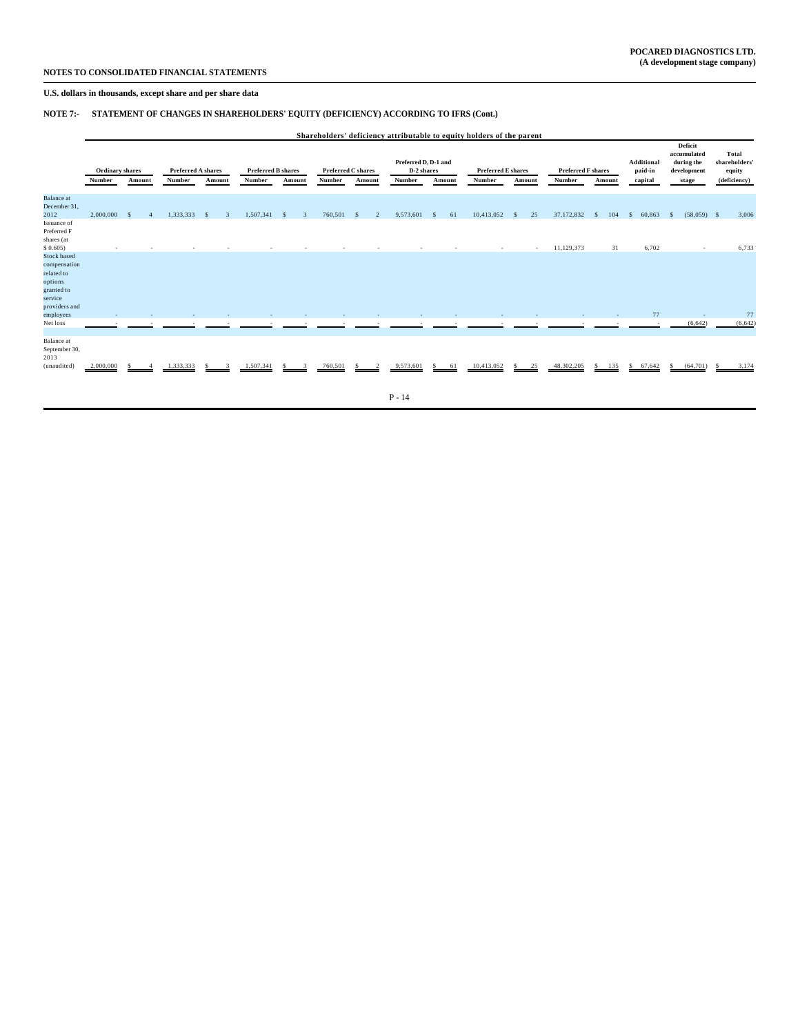## **NOTE 7:- STATEMENT OF CHANGES IN SHAREHOLDERS' EQUITY (DEFICIENCY) ACCORDING TO IFRS (Cont.)**

|                                                                                                                               | Shareholders' deficiency attributable to equity holders of the parent |                    |                              |        |                                     |         |         |                                     |                                              |                    |                                     |                    |                                     |          |                                         |                                                              |                                                  |
|-------------------------------------------------------------------------------------------------------------------------------|-----------------------------------------------------------------------|--------------------|------------------------------|--------|-------------------------------------|---------|---------|-------------------------------------|----------------------------------------------|--------------------|-------------------------------------|--------------------|-------------------------------------|----------|-----------------------------------------|--------------------------------------------------------------|--------------------------------------------------|
|                                                                                                                               | Ordinary shares<br>Number                                             | Amount             | Preferred A shares<br>Number | Amount | <b>Preferred B shares</b><br>Number | Amount  | Number  | <b>Preferred C shares</b><br>Amount | Preferred D, D-1 and<br>D-2 shares<br>Number | Amount             | <b>Preferred E shares</b><br>Number | Amount             | <b>Preferred F shares</b><br>Number | Amount   | <b>Additional</b><br>paid-in<br>capital | Deficit<br>accumulated<br>during the<br>development<br>stage | Total<br>shareholders'<br>equity<br>(deficiency) |
| <b>Balance</b> at<br>December 31,<br>2012<br>Issuance of<br>Preferred F<br>shares (at                                         | 2,000,000                                                             | $\mathbf{\hat{S}}$ | 1,333,333                    | -8     | 1,507,341                           | 3<br>-8 | 760,501 | $\mathcal{D}$                       | 9,573,601                                    | 61<br><sup>S</sup> | 10,413,052                          | 25<br>$\mathbf{s}$ | 37,172,832                          | 104      | 60,863<br>S.                            | $(58,059)$ \$<br>s                                           | 3,006                                            |
| \$0.605<br><b>Stock based</b><br>compensation<br>related to<br>options<br>granted to<br>service<br>providers and<br>employees |                                                                       |                    |                              |        |                                     |         |         |                                     |                                              |                    |                                     |                    | 11,129,373                          | 31       | 6,702<br>77                             |                                                              | 6,733<br>77                                      |
| Net loss                                                                                                                      |                                                                       |                    |                              |        |                                     |         |         |                                     |                                              |                    |                                     |                    |                                     |          |                                         | (6,642)                                                      | (6,642)                                          |
| Balance at<br>September 30,<br>2013<br>(unaudited)                                                                            | 2,000,000                                                             |                    | 1.333.333                    |        | 1,507,341                           |         | 760,501 |                                     | 9,573,601                                    | 61<br>S            | 10,413,052                          | 25<br>S            | 48,302,205                          | 135<br>s | \$67,642                                | (64, 701)<br>$\mathcal{L}$                                   | 3,174                                            |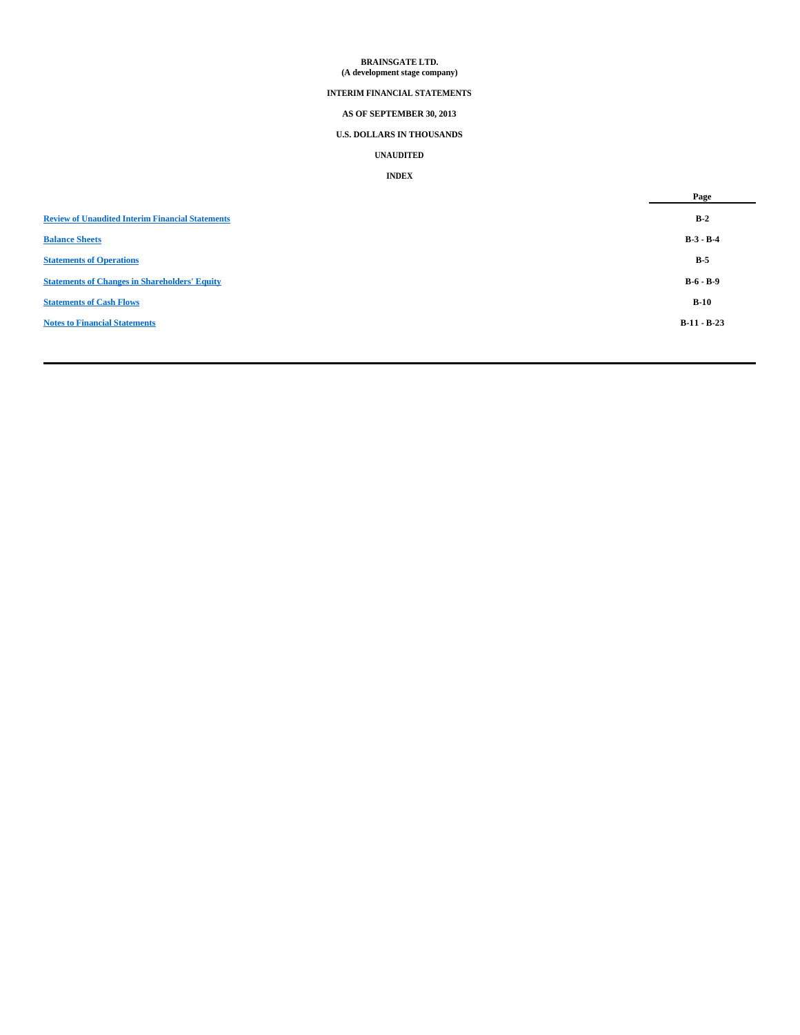## **BRAINSGATE LTD. (A development stage company)**

## **INTERIM FINANCIAL STATEMENTS**

## **AS OF SEPTEMBER 30, 2013**

## **U.S. DOLLARS IN THOUSANDS**

## **UNAUDITED**

## **INDEX**

|                                                         | Page          |
|---------------------------------------------------------|---------------|
| <b>Review of Unaudited Interim Financial Statements</b> | $B-2$         |
| <b>Balance Sheets</b>                                   | $B-3 - B-4$   |
| <b>Statements of Operations</b>                         | $B-5$         |
| <b>Statements of Changes in Shareholders' Equity</b>    | $B-6 - B-9$   |
| <b>Statements of Cash Flows</b>                         | $B-10$        |
| <b>Notes to Financial Statements</b>                    | $B-11 - B-23$ |
|                                                         |               |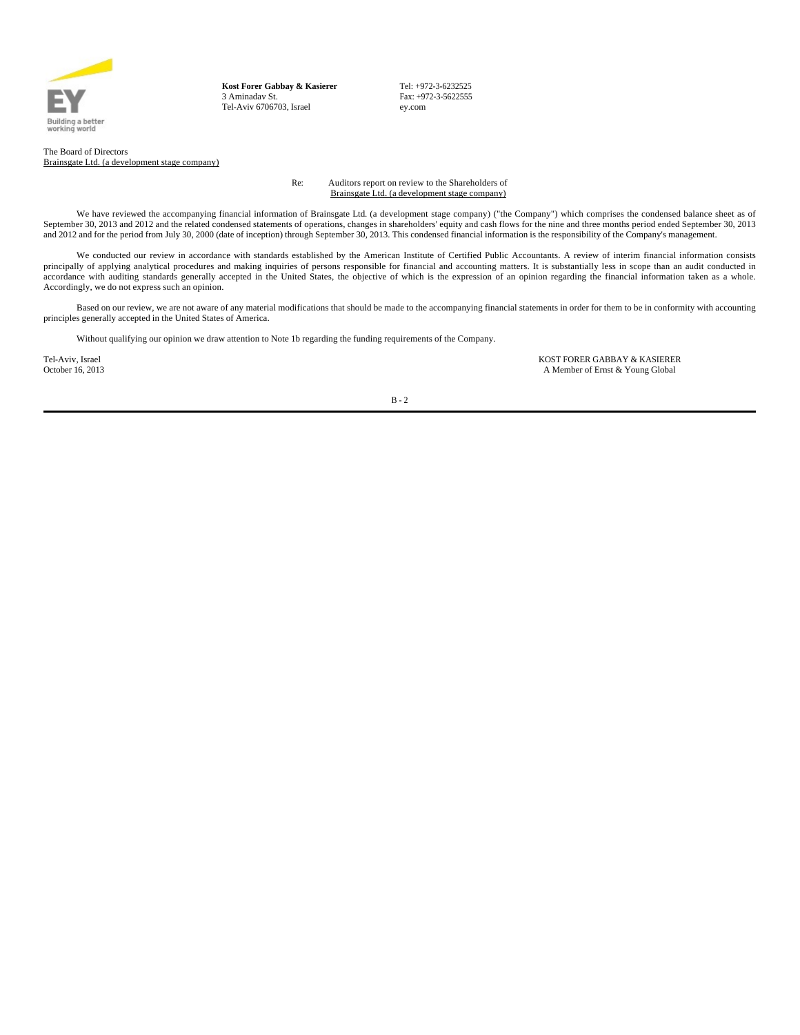

**Kost Forer Gabbay & Kasierer** 3 Aminadav St. Tel-Aviv 6706703, Israel

Tel: +972-3-6232525 Fax: +972-3-5622555 ey.com

The Board of Directors Brainsgate Ltd. (a development stage company)

> Re: Auditors report on review to the Shareholders of Brainsgate Ltd. (a development stage company)

We have reviewed the accompanying financial information of Brainsgate Ltd. (a development stage company) ("the Company") which comprises the condensed balance sheet as of September 30, 2013 and 2012 and the related condensed statements of operations, changes in shareholders' equity and cash flows for the nine and three months period ended September 30, 2013 and 2012 and for the period from July 30, 2000 (date of inception) through September 30, 2013. This condensed financial information is the responsibility of the Company's management.

We conducted our review in accordance with standards established by the American Institute of Certified Public Accountants. A review of interim financial information consists principally of applying analytical procedures and making inquiries of persons responsible for financial and accounting matters. It is substantially less in scope than an audit conducted in accordance with auditing standards generally accepted in the United States, the objective of which is the expression of an opinion regarding the financial information taken as a whole. Accordingly, we do not express such an opinion.

Based on our review, we are not aware of any material modifications that should be made to the accompanying financial statements in order for them to be in conformity with accounting principles generally accepted in the United States of America.

Without qualifying our opinion we draw attention to Note 1b regarding the funding requirements of the Company.

Tel-Aviv, Israel **Tel-Aviv, Israel School School School School School School School School School School School**<br>A Member of Ernst & Young Global A Member of Ernst & Young Global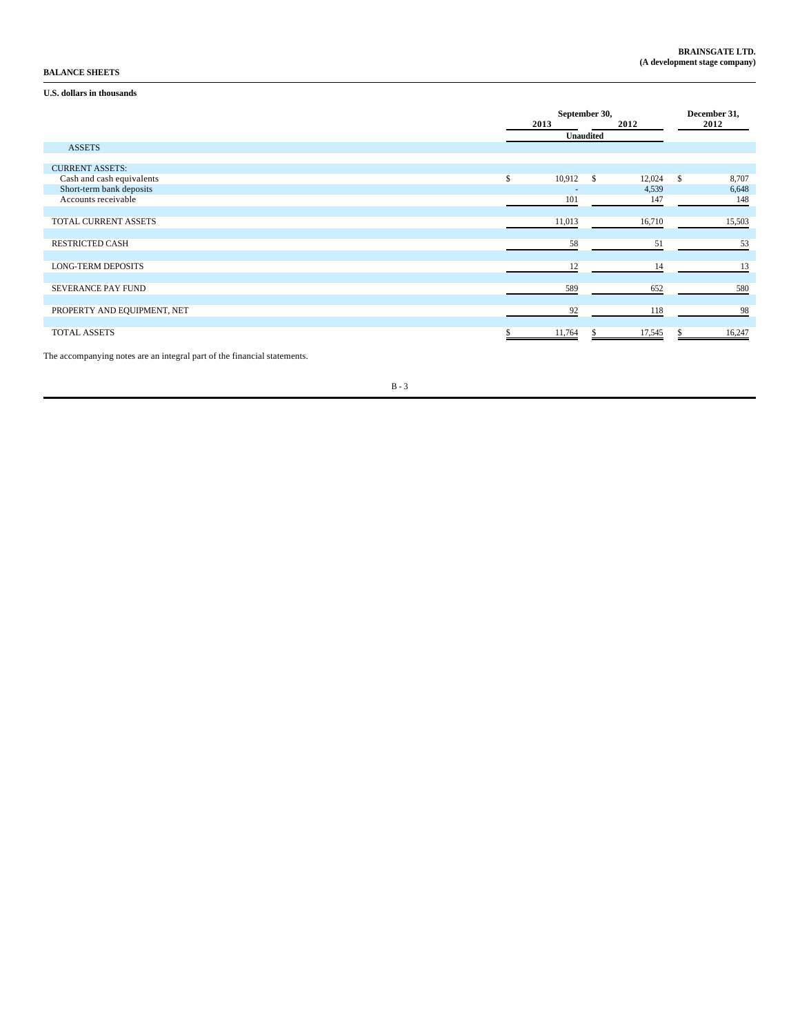## **BALANCE SHEETS**

## **U.S. dollars in thousands**

|                             |           | September 30, |     |        |    | December 31, |  |  |
|-----------------------------|-----------|---------------|-----|--------|----|--------------|--|--|
|                             |           | 2013          |     | 2012   |    | 2012         |  |  |
|                             | Unaudited |               |     |        |    |              |  |  |
| <b>ASSETS</b>               |           |               |     |        |    |              |  |  |
|                             |           |               |     |        |    |              |  |  |
| <b>CURRENT ASSETS:</b>      |           |               |     |        |    |              |  |  |
| Cash and cash equivalents   | \$        | 10,912        | - S | 12,024 | \$ | 8,707        |  |  |
| Short-term bank deposits    |           |               |     | 4,539  |    | 6,648        |  |  |
| Accounts receivable         |           | 101           |     | 147    |    | 148          |  |  |
|                             |           |               |     |        |    |              |  |  |
| TOTAL CURRENT ASSETS        |           | 11,013        |     | 16,710 |    | 15,503       |  |  |
|                             |           |               |     |        |    |              |  |  |
| <b>RESTRICTED CASH</b>      |           | 58            |     | 51     |    | 53           |  |  |
|                             |           |               |     |        |    |              |  |  |
| <b>LONG-TERM DEPOSITS</b>   |           | 12            |     | 14     |    | 13           |  |  |
|                             |           |               |     |        |    |              |  |  |
| <b>SEVERANCE PAY FUND</b>   |           | 589           |     | 652    |    | 580          |  |  |
|                             |           |               |     |        |    |              |  |  |
| PROPERTY AND EQUIPMENT, NET |           | 92            |     | 118    |    | 98           |  |  |
|                             |           |               |     |        |    |              |  |  |
| TOTAL ASSETS                |           | 11,764        |     | 17,545 |    | 16,247       |  |  |

The accompanying notes are an integral part of the financial statements.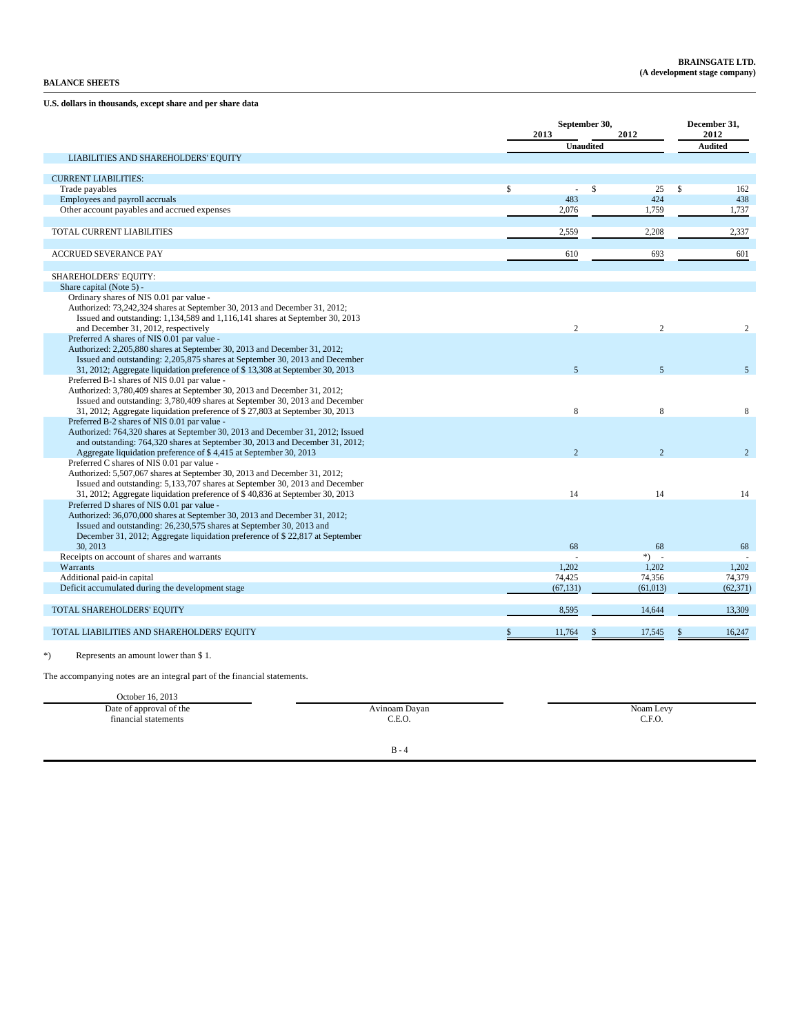**U.S. dollars in thousands, except share and per share data**

|                                                                                                                              | September 30,<br>2013<br>2012 |                |                    | December 31,<br>2012 |                    |                |
|------------------------------------------------------------------------------------------------------------------------------|-------------------------------|----------------|--------------------|----------------------|--------------------|----------------|
|                                                                                                                              |                               |                | <b>Unaudited</b>   |                      |                    | <b>Audited</b> |
| LIABILITIES AND SHAREHOLDERS' EQUITY                                                                                         |                               |                |                    |                      |                    |                |
|                                                                                                                              |                               |                |                    |                      |                    |                |
| <b>CURRENT LIABILITIES:</b>                                                                                                  | \$                            | $\sim$         | $\mathbf{\hat{S}}$ | 25                   | $\mathbf{\hat{S}}$ | 162            |
| Trade payables<br>Employees and payroll accruals                                                                             |                               | 483            |                    | 424                  |                    | 438            |
| Other account payables and accrued expenses                                                                                  |                               | 2,076          |                    | 1,759                |                    | 1,737          |
|                                                                                                                              |                               |                |                    |                      |                    |                |
| TOTAL CURRENT LIABILITIES                                                                                                    |                               | 2,559          |                    | 2,208                |                    | 2,337          |
|                                                                                                                              |                               |                |                    |                      |                    |                |
| <b>ACCRUED SEVERANCE PAY</b>                                                                                                 |                               | 610            |                    | 693                  |                    | 601            |
|                                                                                                                              |                               |                |                    |                      |                    |                |
| SHAREHOLDERS' EQUITY:                                                                                                        |                               |                |                    |                      |                    |                |
| Share capital (Note 5) -                                                                                                     |                               |                |                    |                      |                    |                |
| Ordinary shares of NIS 0.01 par value -                                                                                      |                               |                |                    |                      |                    |                |
| Authorized: 73,242,324 shares at September 30, 2013 and December 31, 2012;                                                   |                               |                |                    |                      |                    |                |
| Issued and outstanding: 1,134,589 and 1,116,141 shares at September 30, 2013                                                 |                               |                |                    |                      |                    |                |
| and December 31, 2012, respectively                                                                                          |                               | 2              |                    | $\overline{2}$       |                    | 2              |
| Preferred A shares of NIS 0.01 par value -                                                                                   |                               |                |                    |                      |                    |                |
| Authorized: 2,205,880 shares at September 30, 2013 and December 31, 2012;                                                    |                               |                |                    |                      |                    |                |
| Issued and outstanding: 2,205,875 shares at September 30, 2013 and December                                                  |                               | 5 <sup>5</sup> |                    | 5 <sup>5</sup>       |                    | 5              |
| 31, 2012; Aggregate liquidation preference of \$13,308 at September 30, 2013<br>Preferred B-1 shares of NIS 0.01 par value - |                               |                |                    |                      |                    |                |
| Authorized: 3,780,409 shares at September 30, 2013 and December 31, 2012;                                                    |                               |                |                    |                      |                    |                |
| Issued and outstanding: 3,780,409 shares at September 30, 2013 and December                                                  |                               |                |                    |                      |                    |                |
| 31, 2012; Aggregate liquidation preference of \$27,803 at September 30, 2013                                                 |                               | 8              |                    | 8                    |                    | 8              |
| Preferred B-2 shares of NIS 0.01 par value -                                                                                 |                               |                |                    |                      |                    |                |
| Authorized: 764,320 shares at September 30, 2013 and December 31, 2012; Issued                                               |                               |                |                    |                      |                    |                |
| and outstanding: 764,320 shares at September 30, 2013 and December 31, 2012;                                                 |                               |                |                    |                      |                    |                |
| Aggregate liquidation preference of \$4,415 at September 30, 2013                                                            |                               | $\mathfrak{D}$ |                    | $\mathfrak{D}$       |                    | $\overline{2}$ |
| Preferred C shares of NIS 0.01 par value -                                                                                   |                               |                |                    |                      |                    |                |
| Authorized: 5,507,067 shares at September 30, 2013 and December 31, 2012;                                                    |                               |                |                    |                      |                    |                |
| Issued and outstanding: 5,133,707 shares at September 30, 2013 and December                                                  |                               |                |                    |                      |                    |                |
| 31, 2012; Aggregate liquidation preference of \$40,836 at September 30, 2013                                                 |                               | 14             |                    | 14                   |                    | 14             |
| Preferred D shares of NIS 0.01 par value -                                                                                   |                               |                |                    |                      |                    |                |
| Authorized: 36,070,000 shares at September 30, 2013 and December 31, 2012;                                                   |                               |                |                    |                      |                    |                |
| Issued and outstanding: 26,230,575 shares at September 30, 2013 and                                                          |                               |                |                    |                      |                    |                |
| December 31, 2012; Aggregate liquidation preference of \$22,817 at September                                                 |                               |                |                    |                      |                    |                |
| 30, 2013                                                                                                                     |                               | 68             |                    | 68                   |                    | 68             |
| Receipts on account of shares and warrants                                                                                   |                               |                |                    | $*)$ -               |                    |                |
| Warrants                                                                                                                     |                               | 1.202          |                    | 1.202                |                    | 1,202          |
| Additional paid-in capital                                                                                                   |                               | 74,425         |                    | 74,356               |                    | 74,379         |
| Deficit accumulated during the development stage                                                                             |                               | (67, 131)      |                    | (61, 013)            |                    | (62, 371)      |
| TOTAL SHAREHOLDERS' EQUITY                                                                                                   |                               | 8,595          |                    | 14,644               |                    | 13,309         |
| TOTAL LIABILITIES AND SHAREHOLDERS' EQUITY                                                                                   | S.                            | 11,764         |                    | 17,545               |                    | 16,247         |
| $*)$<br>Represents an amount lower than \$1.                                                                                 |                               |                |                    |                      |                    |                |

The accompanying notes are an integral part of the financial statements.

| October 16, 2013        |               |           |
|-------------------------|---------------|-----------|
| Date of approval of the | Avinoam Dayan | Noam Levy |
| financial statements    | C.E.O.        | C.F.O.    |
|                         |               |           |
|                         |               |           |
|                         | $B - 4$       |           |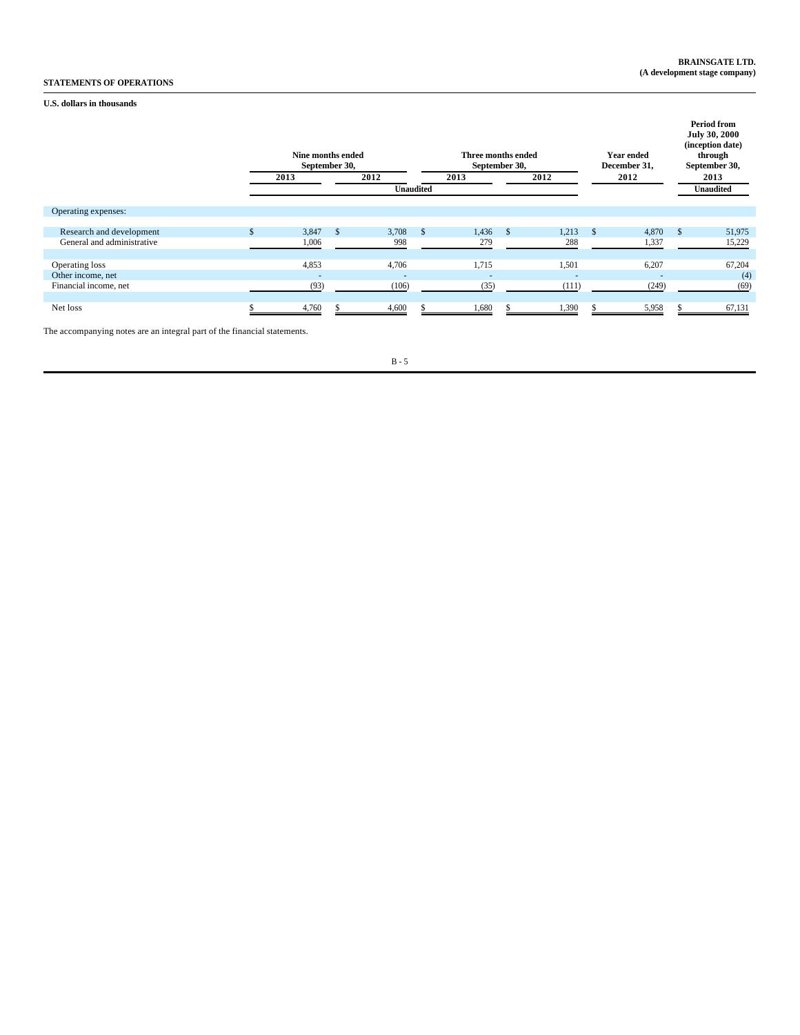## **BRAINSGATE LTD. (A development stage company)**

# **STATEMENTS OF OPERATIONS**

## **U.S. dollars in thousands**

|                            | Nine months ended<br>September 30, |    |                  |      | Three months ended<br>September 30, |    |                |      | <b>Year ended</b><br>December 31, |          | <b>Period from</b><br><b>July 30, 2000</b><br>(inception date)<br>through<br>September 30, |
|----------------------------|------------------------------------|----|------------------|------|-------------------------------------|----|----------------|------|-----------------------------------|----------|--------------------------------------------------------------------------------------------|
|                            | 2013                               |    | 2012             |      | 2013<br>2012                        |    |                | 2012 |                                   |          | 2013                                                                                       |
|                            |                                    |    | <b>Unaudited</b> |      |                                     |    |                |      |                                   |          | <b>Unaudited</b>                                                                           |
|                            |                                    |    |                  |      |                                     |    |                |      |                                   |          |                                                                                            |
| Operating expenses:        |                                    |    |                  |      |                                     |    |                |      |                                   |          |                                                                                            |
|                            |                                    |    |                  |      |                                     |    |                |      |                                   |          |                                                                                            |
| Research and development   | 3,847                              | -8 | 3,708            | - \$ | 1,436                               | -8 | 1,213          | - S  | 4,870                             | <b>S</b> | 51,975                                                                                     |
| General and administrative | 1,006                              |    | 998              |      | 279                                 |    | 288            |      | 1,337                             |          | 15,229                                                                                     |
|                            |                                    |    |                  |      |                                     |    |                |      |                                   |          |                                                                                            |
| Operating loss             | 4,853                              |    | 4,706            |      | 1,715                               |    | 1,501          |      | 6,207                             |          | 67,204                                                                                     |
| Other income, net          | ٠                                  |    | $\sim$           |      | $\overline{a}$                      |    | $\overline{a}$ |      | $\overline{a}$                    |          | (4)                                                                                        |
| Financial income, net      | (93)                               |    | (106)            |      | (35)                                |    | (111)          |      | (249)                             |          | (69)                                                                                       |
|                            |                                    |    |                  |      |                                     |    |                |      |                                   |          |                                                                                            |
| Net loss                   | 4,760                              |    | 4,600            |      | 1,680                               |    | 1,390          |      | 5,958                             |          | 67,131                                                                                     |

The accompanying notes are an integral part of the financial statements.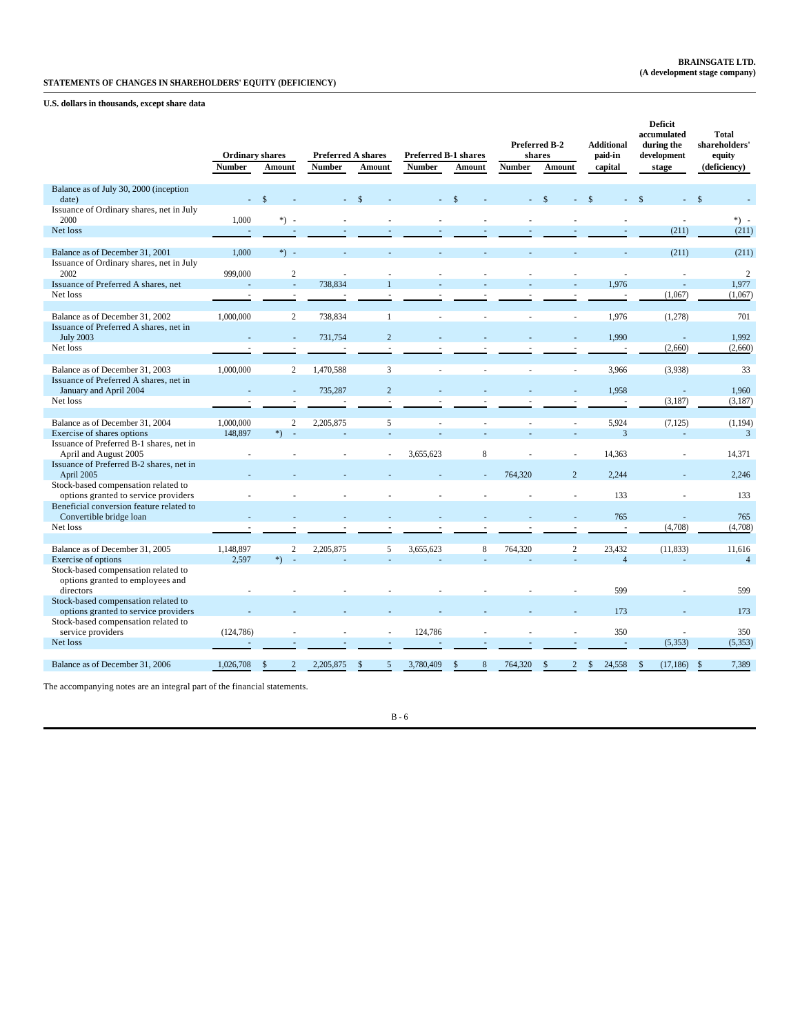**U.S. dollars in thousands, except share data**

|                                                                                  | <b>Ordinary shares</b><br><b>Number</b> | Amount                 | <b>Preferred A shares</b><br><b>Number</b> | Amount             | <b>Preferred B-1 shares</b><br>Number | Amount             | <b>Number</b> | Preferred B-2<br>shares<br>Amount | <b>Additional</b><br>paid-in<br>capital | <b>Deficit</b><br>accumulated<br>during the<br>development<br>stage | <b>Total</b><br>shareholders'<br>equity<br>(deficiency) |
|----------------------------------------------------------------------------------|-----------------------------------------|------------------------|--------------------------------------------|--------------------|---------------------------------------|--------------------|---------------|-----------------------------------|-----------------------------------------|---------------------------------------------------------------------|---------------------------------------------------------|
| Balance as of July 30, 2000 (inception                                           |                                         |                        |                                            |                    |                                       |                    |               |                                   |                                         |                                                                     |                                                         |
| date)                                                                            |                                         | $\mathbf{\hat{z}}$     |                                            |                    |                                       |                    |               |                                   |                                         |                                                                     | $\mathbf{\hat{S}}$                                      |
| Issuance of Ordinary shares, net in July<br>2000                                 | 1,000                                   | $*)$ .                 |                                            |                    |                                       |                    |               |                                   |                                         |                                                                     | $*) -$                                                  |
| Net loss                                                                         | $\overline{a}$                          |                        |                                            |                    |                                       |                    |               |                                   |                                         | (211)                                                               | (211)                                                   |
| Balance as of December 31, 2001                                                  | 1,000                                   | $*) -$                 |                                            |                    |                                       |                    |               |                                   |                                         | (211)                                                               | (211)                                                   |
| Issuance of Ordinary shares, net in July<br>2002                                 | 999,000                                 | $\overline{2}$         |                                            |                    |                                       |                    |               |                                   |                                         |                                                                     | $\overline{2}$                                          |
| Issuance of Preferred A shares, net                                              |                                         | ÷.                     | 738,834                                    |                    |                                       |                    |               |                                   | 1,976                                   |                                                                     | 1,977                                                   |
| Net loss                                                                         |                                         |                        |                                            |                    |                                       |                    |               |                                   |                                         | (1,067)                                                             | (1,067)                                                 |
|                                                                                  |                                         |                        |                                            |                    |                                       |                    |               |                                   |                                         |                                                                     |                                                         |
| Balance as of December 31, 2002<br>Issuance of Preferred A shares, net in        | 1,000,000                               | $\mathfrak{2}$         | 738,834                                    | $\overline{1}$     |                                       |                    |               |                                   | 1,976                                   | (1,278)                                                             | 701                                                     |
| <b>July 2003</b>                                                                 |                                         | ä,                     | 731,754                                    | $\overline{2}$     |                                       |                    |               |                                   | 1,990                                   |                                                                     | 1,992                                                   |
| Net loss                                                                         |                                         | $\sim$                 |                                            |                    |                                       |                    |               |                                   |                                         | (2,660)                                                             | (2,660)                                                 |
|                                                                                  |                                         |                        |                                            |                    |                                       |                    |               |                                   |                                         |                                                                     |                                                         |
| Balance as of December 31, 2003                                                  | 1,000,000                               | 2                      | 1,470,588                                  | $\overline{3}$     |                                       |                    |               | ×.                                | 3,966                                   | (3,938)                                                             | 33                                                      |
| Issuance of Preferred A shares, net in<br>January and April 2004                 |                                         |                        | 735,287                                    | $\overline{2}$     |                                       |                    |               |                                   | 1.958                                   |                                                                     | 1,960                                                   |
| Net loss                                                                         |                                         |                        |                                            |                    |                                       |                    |               |                                   |                                         | (3,187)                                                             | (3,187)                                                 |
| Balance as of December 31, 2004                                                  | 1,000,000                               | $\overline{c}$         | 2,205,875                                  | 5                  |                                       |                    |               |                                   | 5,924                                   | (7, 125)                                                            | (1, 194)                                                |
| Exercise of shares options                                                       | 148,897                                 | $*)$<br>÷,             |                                            |                    |                                       |                    |               |                                   | $\overline{3}$                          |                                                                     | $\overline{3}$                                          |
| Issuance of Preferred B-1 shares, net in                                         |                                         |                        |                                            |                    |                                       |                    |               |                                   |                                         |                                                                     |                                                         |
| April and August 2005<br>Issuance of Preferred B-2 shares, net in                |                                         |                        |                                            | $\sim$             | 3,655,623                             | 8                  |               |                                   | 14,363                                  |                                                                     | 14,371                                                  |
| April 2005                                                                       |                                         |                        |                                            |                    |                                       |                    | 764,320       | $\overline{c}$                    | 2,244                                   |                                                                     | 2,246                                                   |
| Stock-based compensation related to                                              |                                         |                        |                                            |                    |                                       |                    |               |                                   |                                         |                                                                     |                                                         |
| options granted to service providers<br>Beneficial conversion feature related to |                                         |                        |                                            |                    |                                       |                    |               |                                   | 133                                     |                                                                     | 133                                                     |
| Convertible bridge loan                                                          |                                         |                        |                                            |                    |                                       |                    |               |                                   | 765                                     |                                                                     | 765                                                     |
| Net loss                                                                         |                                         |                        |                                            |                    |                                       |                    |               |                                   | $\overline{a}$                          | (4,708)                                                             | (4,708)                                                 |
|                                                                                  |                                         |                        |                                            |                    |                                       |                    |               |                                   |                                         |                                                                     |                                                         |
| Balance as of December 31, 2005<br>Exercise of options                           | 1,148,897<br>2,597                      | $\overline{c}$<br>$*)$ | 2,205,875                                  | 5                  | 3,655,623                             | 8                  | 764,320       | $\overline{c}$                    | 23,432<br>$\overline{4}$                | (11, 833)                                                           | 11,616<br>$\overline{4}$                                |
| Stock-based compensation related to<br>options granted to employees and          |                                         |                        |                                            |                    |                                       |                    |               |                                   |                                         |                                                                     |                                                         |
| directors<br>Stock-based compensation related to                                 |                                         |                        |                                            |                    |                                       |                    |               |                                   | 599                                     |                                                                     | 599                                                     |
| options granted to service providers                                             |                                         |                        |                                            |                    |                                       |                    |               |                                   | 173                                     |                                                                     | 173                                                     |
| Stock-based compensation related to                                              |                                         |                        |                                            |                    |                                       |                    |               |                                   |                                         |                                                                     |                                                         |
| service providers<br>Net loss                                                    | (124, 786)                              |                        |                                            | $\sim$             | 124,786                               |                    |               |                                   | 350                                     | (5,353)                                                             | 350<br>(5, 353)                                         |
|                                                                                  |                                         |                        |                                            |                    |                                       |                    |               |                                   |                                         |                                                                     |                                                         |
| Balance as of December 31, 2006                                                  | 1,026,708                               | 2<br>-S                | 2,205,875                                  | $\mathcal{S}$<br>5 | 3,780,409                             | 8<br>$\mathcal{S}$ | 764,320       | $\overline{c}$<br><sup>\$</sup>   | $\mathbb{S}$<br>24,558                  | (17, 186)<br><sup>\$</sup>                                          | $\mathcal{S}$<br>7,389                                  |

The accompanying notes are an integral part of the financial statements.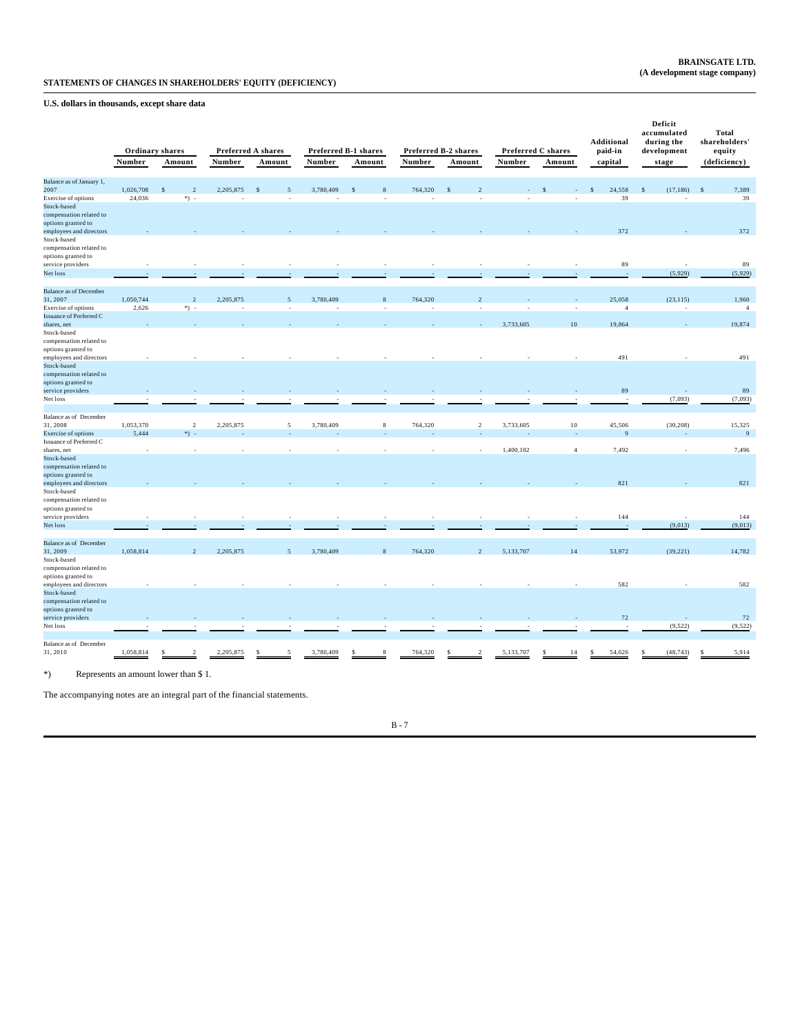**U.S. dollars in thousands, except share data**

|                                                |           |                           |           |                    |           |                      |         |                      |           |                    | Additional     | Deficit<br>accumulated<br>during the | Total<br>shareholders' |
|------------------------------------------------|-----------|---------------------------|-----------|--------------------|-----------|----------------------|---------|----------------------|-----------|--------------------|----------------|--------------------------------------|------------------------|
|                                                |           | Ordinary shares           |           | Preferred A shares |           | Preferred B-1 shares |         | Preferred B-2 shares |           | Preferred C shares | paid-in        | development                          | equity                 |
|                                                | Number    | Amount                    | Number    | Amount             | Number    | Amount               | Number  | Amount               | Number    | Amount             | capital        | stage                                | (deficiency)           |
| Balance as of January 1,                       |           |                           |           |                    |           |                      |         |                      |           |                    |                |                                      |                        |
| 2007                                           | 1,026,708 | $\overline{\mathcal{L}}$  | 2,205,875 |                    | 3,780,409 |                      | 764,320 |                      |           |                    | 24,558         | (17, 186)<br>S                       | 7,389                  |
| Exercise of options                            | 24,036    | $*) -$                    |           |                    |           |                      |         |                      |           |                    | 39             |                                      | 39                     |
| Stock-based                                    |           |                           |           |                    |           |                      |         |                      |           |                    |                |                                      |                        |
| compensation related to                        |           |                           |           |                    |           |                      |         |                      |           |                    |                |                                      |                        |
| options granted to                             |           |                           |           |                    |           |                      |         |                      |           |                    | 372            |                                      | 372                    |
| employees and directors<br>Stock-based         |           |                           |           |                    |           |                      |         |                      |           |                    |                |                                      |                        |
| compensation related to                        |           |                           |           |                    |           |                      |         |                      |           |                    |                |                                      |                        |
| options granted to                             |           |                           |           |                    |           |                      |         |                      |           |                    |                |                                      |                        |
| service providers                              |           |                           |           |                    |           |                      |         |                      |           |                    | 89             |                                      | 89                     |
| Net loss                                       |           |                           |           |                    |           |                      |         |                      |           |                    |                | (5,929)                              | (5,929)                |
|                                                |           |                           |           |                    |           |                      |         |                      |           |                    |                |                                      |                        |
| <b>Balance as of December</b>                  |           |                           |           |                    |           |                      |         |                      |           |                    |                |                                      |                        |
| 31, 2007                                       | 1,050,744 | $\overline{\mathfrak{L}}$ | 2,205,875 | 5                  | 3,780,409 | 8                    | 764,320 | $\mathcal{L}$        |           |                    | 25,058         | (23, 115)                            | 1,960                  |
| Exercise of options                            | 2,626     | $*)$ .                    |           |                    |           |                      |         |                      |           |                    | $\overline{4}$ | ×,                                   | $\overline{4}$         |
| <b>Issuance of Preferred C</b>                 |           |                           |           |                    |           |                      |         |                      |           |                    |                |                                      |                        |
| shares, net                                    |           |                           |           |                    |           |                      |         |                      | 3,733,605 | 10                 | 19,864         |                                      | 19,874                 |
| Stock-based<br>compensation related to         |           |                           |           |                    |           |                      |         |                      |           |                    |                |                                      |                        |
| options granted to                             |           |                           |           |                    |           |                      |         |                      |           |                    |                |                                      |                        |
| employees and directors                        |           |                           |           |                    |           |                      |         |                      |           |                    | 491            |                                      | 491                    |
| Stock-based                                    |           |                           |           |                    |           |                      |         |                      |           |                    |                |                                      |                        |
| compensation related to                        |           |                           |           |                    |           |                      |         |                      |           |                    |                |                                      |                        |
| options granted to                             |           |                           |           |                    |           |                      |         |                      |           |                    |                |                                      |                        |
| service providers                              |           |                           |           |                    |           |                      |         |                      |           |                    | 89             |                                      | 89                     |
| Net loss                                       |           |                           |           |                    |           |                      |         |                      |           |                    |                | (7,093)                              | (7,093)                |
|                                                |           |                           |           |                    |           |                      |         |                      |           |                    |                |                                      |                        |
| Balance as of December                         |           |                           |           |                    |           |                      |         |                      |           |                    |                |                                      |                        |
| 31, 2008                                       | 1,053,370 | $\overline{2}$            | 2,205,875 | 5                  | 3,780,409 | 8                    | 764,320 | $\overline{2}$       | 3,733,605 | 10                 | 45,506<br>9    | (30, 208)                            | 15,325                 |
| Exercise of options<br>Issuance of Preferred C | 5,444     | *) -                      |           |                    |           |                      |         |                      |           |                    |                |                                      | 9                      |
| shares, net                                    |           |                           |           |                    |           |                      |         |                      | 1,400,102 | $\overline{4}$     | 7,492          |                                      | 7,496                  |
| Stock-based                                    |           |                           |           |                    |           |                      |         |                      |           |                    |                |                                      |                        |
| compensation related to                        |           |                           |           |                    |           |                      |         |                      |           |                    |                |                                      |                        |
| options granted to                             |           |                           |           |                    |           |                      |         |                      |           |                    |                |                                      |                        |
| employees and directors                        |           |                           |           |                    |           |                      |         |                      |           |                    | 821            |                                      | 821                    |
| Stock-based                                    |           |                           |           |                    |           |                      |         |                      |           |                    |                |                                      |                        |
| compensation related to                        |           |                           |           |                    |           |                      |         |                      |           |                    |                |                                      |                        |
| options granted to                             |           |                           |           |                    |           |                      |         |                      |           |                    |                |                                      |                        |
| service providers                              |           |                           |           |                    |           |                      |         |                      |           |                    | 144            |                                      | 144                    |
| Net loss                                       |           |                           |           |                    |           |                      |         |                      |           |                    |                | (9,013)                              | (9,013)                |
| <b>Balance as of December</b>                  |           |                           |           |                    |           |                      |         |                      |           |                    |                |                                      |                        |
| 31, 2009                                       | 1,058,814 | $\overline{\mathcal{L}}$  | 2,205,875 | $\overline{5}$     | 3,780,409 | $\mathbf{8}$         | 764,320 | $\overline{2}$       | 5,133,707 | 14                 | 53,972         | (39, 221)                            | 14,782                 |
| Stock-based                                    |           |                           |           |                    |           |                      |         |                      |           |                    |                |                                      |                        |
| compensation related to                        |           |                           |           |                    |           |                      |         |                      |           |                    |                |                                      |                        |
| options granted to                             |           |                           |           |                    |           |                      |         |                      |           |                    |                |                                      |                        |
| employees and directors                        |           |                           |           |                    |           |                      |         |                      |           |                    | 582            |                                      | 582                    |
| Stock-based                                    |           |                           |           |                    |           |                      |         |                      |           |                    |                |                                      |                        |
| compensation related to                        |           |                           |           |                    |           |                      |         |                      |           |                    |                |                                      |                        |
| options granted to                             |           |                           |           |                    |           |                      |         |                      |           |                    |                |                                      |                        |
| service providers                              |           |                           |           |                    |           |                      |         |                      |           |                    | 72             |                                      | 72                     |
| Net loss                                       |           |                           |           |                    |           |                      |         |                      |           |                    |                | (9, 522)                             | (9, 522)               |
| Balance as of December                         |           |                           |           |                    |           |                      |         |                      |           |                    |                |                                      |                        |
| 31, 2010                                       | 1,058,814 |                           | 2,205,875 |                    | 3,780,409 |                      | 764,320 |                      | 5,133,707 | 14                 | 54,626         | (48, 743)<br>s                       | 5,914                  |
|                                                |           |                           |           |                    |           |                      |         |                      |           |                    |                |                                      |                        |

\*) Represents an amount lower than \$ 1.

The accompanying notes are an integral part of the financial statements.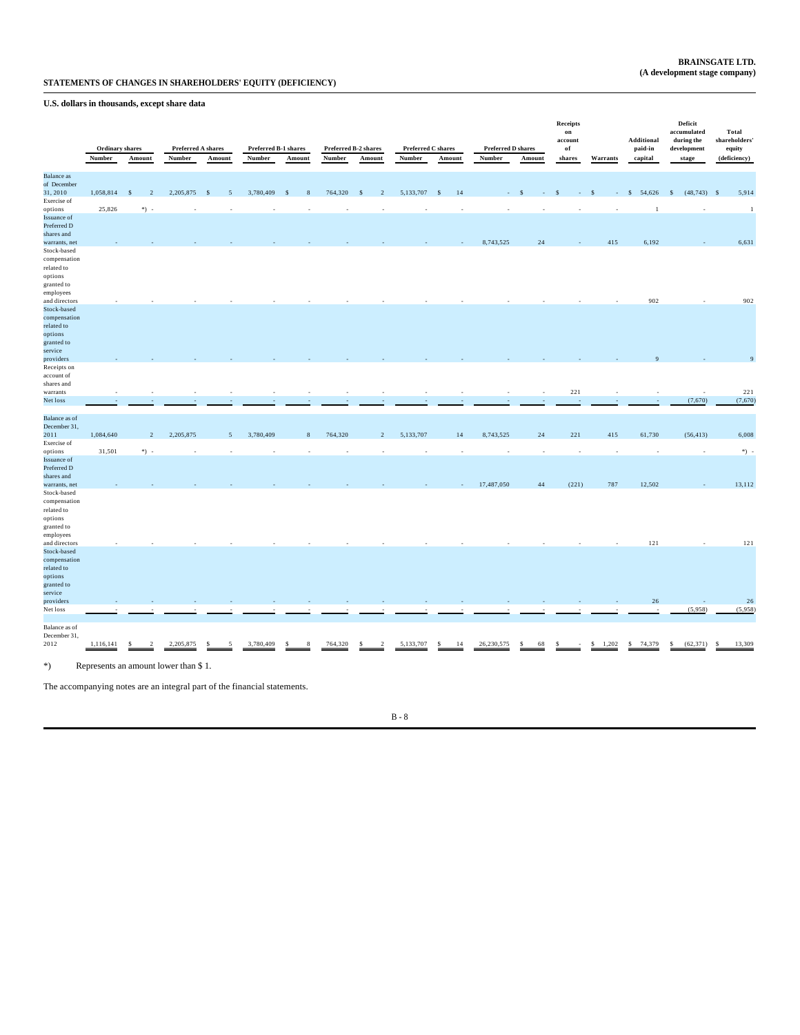**U.S. dollars in thousands, except share data**

|                                      | <b>Ordinary</b> shares<br>Number | Amount                          | <b>Preferred A shares</b><br>Number  | Amount  | Preferred B-1 shares<br>Number | Amount  | Number  | Preferred B-2 shares<br>Amount | <b>Preferred C shares</b><br>Number | Amount     | <b>Preferred D shares</b><br>Number | Amount   | <b>Receipts</b><br>on<br>account<br>of<br>shares | Warrants   | Additional<br>paid-in<br>capital | Deficit<br>accumulated<br>during the<br>development<br>stage | Total<br>shareholders'<br>equity<br>(deficiency) |
|--------------------------------------|----------------------------------|---------------------------------|--------------------------------------|---------|--------------------------------|---------|---------|--------------------------------|-------------------------------------|------------|-------------------------------------|----------|--------------------------------------------------|------------|----------------------------------|--------------------------------------------------------------|--------------------------------------------------|
| <b>Balance</b> as                    |                                  |                                 |                                      |         |                                |         |         |                                |                                     |            |                                     |          |                                                  |            |                                  |                                                              |                                                  |
| of December<br>31, 2010              | 1,058,814                        | $\mathcal{S}$<br>$\overline{2}$ | 2,205,875                            | -S<br>5 | 3,780,409                      | -S<br>8 | 764,320 | $\overline{c}$<br><sub>S</sub> | 5,133,707                           | 14<br>- \$ |                                     |          |                                                  |            | 54,626<br>$\mathbb{S}$           | $(48,743)$ \$<br>$\mathbb{S}$                                | 5,914                                            |
| Exercise of                          |                                  |                                 |                                      |         |                                |         |         |                                |                                     |            |                                     |          |                                                  |            |                                  |                                                              |                                                  |
| options                              | 25,826                           | $*) -$                          |                                      |         |                                |         |         |                                |                                     |            |                                     |          |                                                  |            | -1                               |                                                              | $\overline{1}$                                   |
| Issuance of<br>Preferred D           |                                  |                                 |                                      |         |                                |         |         |                                |                                     |            |                                     |          |                                                  |            |                                  |                                                              |                                                  |
| shares and<br>warrants, net          |                                  |                                 |                                      |         |                                |         |         |                                |                                     |            | 8,743,525                           | 24       |                                                  | 415        | 6,192                            |                                                              | 6,631                                            |
| Stock-based                          |                                  |                                 |                                      |         |                                |         |         |                                |                                     |            |                                     |          |                                                  |            |                                  |                                                              |                                                  |
| compensation<br>related to           |                                  |                                 |                                      |         |                                |         |         |                                |                                     |            |                                     |          |                                                  |            |                                  |                                                              |                                                  |
| options<br>granted to                |                                  |                                 |                                      |         |                                |         |         |                                |                                     |            |                                     |          |                                                  |            |                                  |                                                              |                                                  |
| employees                            |                                  |                                 |                                      |         |                                |         |         |                                |                                     |            |                                     |          |                                                  |            |                                  |                                                              |                                                  |
| and directors                        |                                  |                                 |                                      |         |                                |         |         |                                |                                     |            |                                     |          |                                                  |            | 902                              |                                                              | 902                                              |
| Stock-based<br>compensation          |                                  |                                 |                                      |         |                                |         |         |                                |                                     |            |                                     |          |                                                  |            |                                  |                                                              |                                                  |
| related to                           |                                  |                                 |                                      |         |                                |         |         |                                |                                     |            |                                     |          |                                                  |            |                                  |                                                              |                                                  |
| options                              |                                  |                                 |                                      |         |                                |         |         |                                |                                     |            |                                     |          |                                                  |            |                                  |                                                              |                                                  |
| granted to                           |                                  |                                 |                                      |         |                                |         |         |                                |                                     |            |                                     |          |                                                  |            |                                  |                                                              |                                                  |
| service<br>providers                 |                                  |                                 |                                      |         |                                |         |         |                                |                                     |            |                                     |          |                                                  |            |                                  |                                                              | $\overline{9}$                                   |
| Receipts on                          |                                  |                                 |                                      |         |                                |         |         |                                |                                     |            |                                     |          |                                                  |            |                                  |                                                              |                                                  |
| account of                           |                                  |                                 |                                      |         |                                |         |         |                                |                                     |            |                                     |          |                                                  |            |                                  |                                                              |                                                  |
| shares and                           |                                  |                                 |                                      |         |                                |         |         |                                |                                     |            |                                     |          |                                                  |            |                                  |                                                              |                                                  |
| warrants<br>Net loss                 |                                  |                                 |                                      |         |                                |         |         |                                |                                     |            |                                     |          | 221                                              |            |                                  | (7,670)                                                      | 221<br>(7,670)                                   |
|                                      |                                  |                                 |                                      |         |                                |         |         |                                |                                     |            |                                     |          |                                                  |            |                                  |                                                              |                                                  |
| <b>Balance</b> as of<br>December 31, |                                  |                                 |                                      |         |                                |         |         |                                |                                     |            |                                     |          |                                                  |            |                                  |                                                              |                                                  |
| 2011                                 | 1,084,640                        | $\overline{\mathcal{L}}$        | 2,205,875                            | 5       | 3,780,409                      | 8       | 764,320 | $\overline{2}$                 | 5,133,707                           | 14         | 8,743,525                           | $24\,$   | 221                                              | 415        | 61,730                           | (56, 413)                                                    | 6,008                                            |
| Exercise of<br>options               | 31,501                           | *) -                            | ٠                                    |         |                                |         |         |                                |                                     |            | ٠.                                  | J.       | ٠                                                |            |                                  | ٠                                                            | $\rightarrow$                                    |
| Issuance of                          |                                  |                                 |                                      |         |                                |         |         |                                |                                     |            |                                     |          |                                                  |            |                                  |                                                              |                                                  |
| Preferred D                          |                                  |                                 |                                      |         |                                |         |         |                                |                                     |            |                                     |          |                                                  |            |                                  |                                                              |                                                  |
| shares and<br>warrants, net          |                                  |                                 |                                      |         |                                |         |         |                                |                                     |            | 17,487,050                          | 44       | (221)                                            | 787        | 12,502                           |                                                              | 13,112                                           |
| Stock-based                          |                                  |                                 |                                      |         |                                |         |         |                                |                                     |            |                                     |          |                                                  |            |                                  |                                                              |                                                  |
| compensation<br>related to           |                                  |                                 |                                      |         |                                |         |         |                                |                                     |            |                                     |          |                                                  |            |                                  |                                                              |                                                  |
| options<br>granted to                |                                  |                                 |                                      |         |                                |         |         |                                |                                     |            |                                     |          |                                                  |            |                                  |                                                              |                                                  |
| employees                            |                                  |                                 |                                      |         |                                |         |         |                                |                                     |            |                                     |          |                                                  |            |                                  |                                                              | 121                                              |
| and directors<br>Stock-based         |                                  |                                 |                                      |         |                                |         |         |                                |                                     |            |                                     |          |                                                  |            | 121                              |                                                              |                                                  |
| compensation                         |                                  |                                 |                                      |         |                                |         |         |                                |                                     |            |                                     |          |                                                  |            |                                  |                                                              |                                                  |
| related to                           |                                  |                                 |                                      |         |                                |         |         |                                |                                     |            |                                     |          |                                                  |            |                                  |                                                              |                                                  |
| options<br>granted to                |                                  |                                 |                                      |         |                                |         |         |                                |                                     |            |                                     |          |                                                  |            |                                  |                                                              |                                                  |
| service                              |                                  |                                 |                                      |         |                                |         |         |                                |                                     |            |                                     |          |                                                  |            |                                  |                                                              |                                                  |
| providers                            |                                  |                                 |                                      |         |                                |         |         |                                |                                     |            |                                     |          |                                                  |            | $26\,$                           |                                                              | 26                                               |
| Net loss                             |                                  |                                 |                                      |         |                                |         |         |                                |                                     |            |                                     |          |                                                  |            |                                  | (5,958)                                                      | (5,958)                                          |
| Balance as of<br>December 31,        |                                  |                                 |                                      |         |                                |         |         |                                |                                     |            |                                     |          |                                                  |            |                                  |                                                              |                                                  |
| 2012                                 | 1,116,141                        |                                 | 2,205,875                            |         | 3,780,409                      |         | 764,320 |                                | 5,133,707                           | \$<br>14   | 26,230,575                          | -S<br>68 |                                                  | s<br>1,202 | 74,379<br>$\mathbf{s}$           | (62, 371)<br>s                                               | 13,309<br>s                                      |
|                                      |                                  |                                 |                                      |         |                                |         |         |                                |                                     |            |                                     |          |                                                  |            |                                  |                                                              |                                                  |
| $*)$                                 |                                  |                                 | Represents an amount lower than \$1. |         |                                |         |         |                                |                                     |            |                                     |          |                                                  |            |                                  |                                                              |                                                  |

The accompanying notes are an integral part of the financial statements.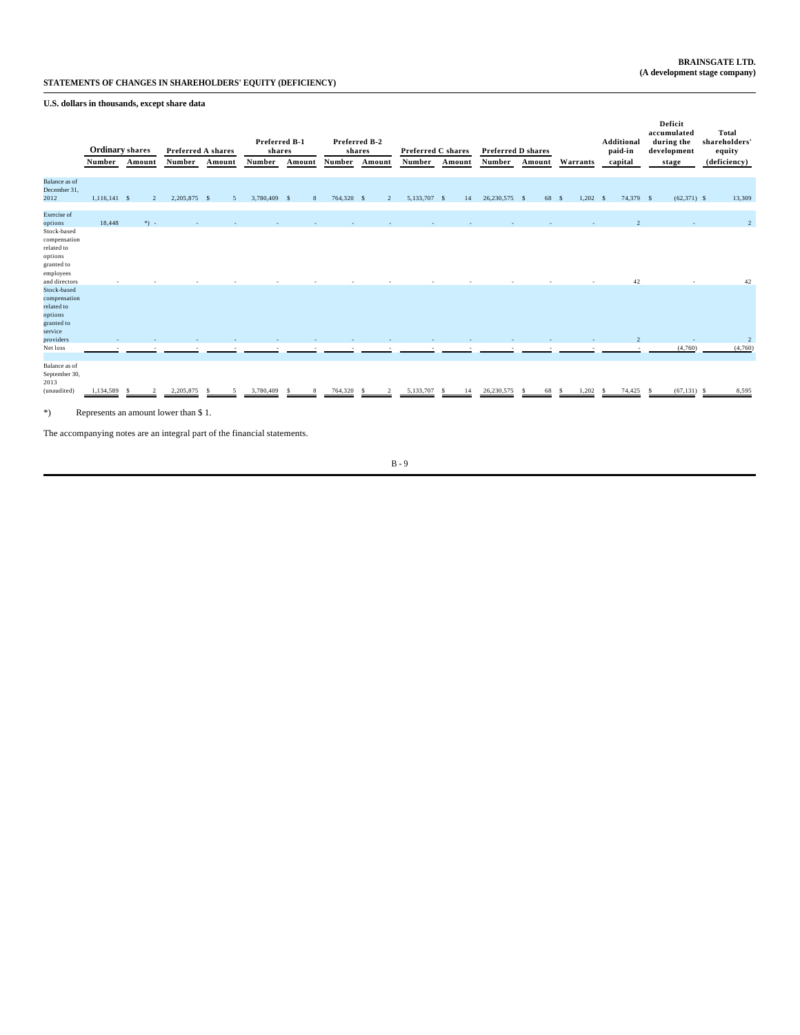**U.S. dollars in thousands, except share data**

|                                                                                                                         | <b>Ordinary</b> shares |                     | Preferred A shares                                |        | Preferred B-1<br>shares |         |            | Preferred B-2<br>shares | Preferred C shares |          | Preferred D shares |           |            | <b>Additional</b><br>paid-in   | Deficit<br>accumulated<br>during the<br>development | Total<br>shareholders'<br>equity |
|-------------------------------------------------------------------------------------------------------------------------|------------------------|---------------------|---------------------------------------------------|--------|-------------------------|---------|------------|-------------------------|--------------------|----------|--------------------|-----------|------------|--------------------------------|-----------------------------------------------------|----------------------------------|
|                                                                                                                         | Number                 | Amount              | Number                                            | Amount | Number                  | Amount  | Number     | Amount                  | Number             | Amount   | Number             | Amount    | Warrants   | capital                        | stage                                               | (deficiency)                     |
| <b>Balance</b> as of<br>December 31,<br>2012                                                                            | 1.116.141 S            | $\mathcal{D}$       | 2,205,875 \$                                      | 5      | 3,780,409 \$            | 8       | 764,320 \$ | $\overline{2}$          | 5,133,707 \$       | 14       | 26,230,575 \$      | 68 S      | $1,202$ \$ | 74,379 \$                      | $(62,371)$ \$                                       | 13,309                           |
| <b>Exercise</b> of<br>options<br>Stock-based<br>compensation<br>related to<br>options<br>granted to<br>employees        | 18,448                 | $*) -$              |                                                   |        |                         |         |            |                         |                    |          |                    |           |            |                                |                                                     | $\overline{2}$                   |
| and directors<br>Stock-based<br>compensation<br>related to<br>options<br>granted to<br>service<br>providers<br>Net loss |                        |                     |                                                   |        |                         |         |            |                         |                    |          |                    |           |            | 42<br>$\overline{\mathcal{L}}$ | (4,760)                                             | 42<br>$\overline{2}$<br>(4,760)  |
| Balance as of<br>September 30,<br>2013<br>(unaudited)<br>$*)$                                                           | 1,134,589              | $\mathcal{D}$<br>-S | 2,205,875<br>Represents an amount lower than \$1. |        | 3,780,409               | 8<br>-8 | 764,320    | $\mathcal{D}$<br>-8     | 5,133,707          | 14<br>-S | 26,230,575         | 68<br>- S | 1,202<br>s | 74,425<br>-S                   | $(67, 131)$ \$<br>- S                               | 8,595                            |

The accompanying notes are an integral part of the financial statements.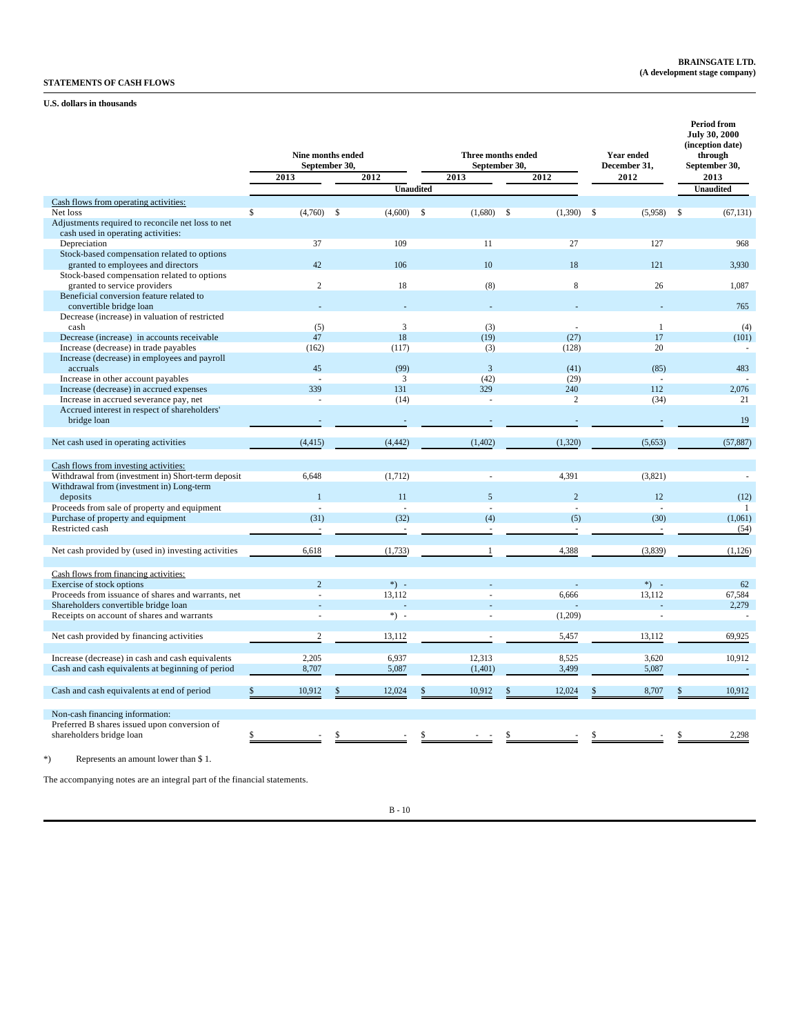# **STATEMENTS OF CASH FLOWS**

## **U.S. dollars in thousands**

|                                                                          |                              | <b>Nine months ended</b><br>September 30. |                         | <b>Three months ended</b><br>September 30, | <b>Year ended</b><br>December 31, | <b>Period from</b><br><b>July 30, 2000</b><br>(inception date)<br>through<br>September 30, |  |
|--------------------------------------------------------------------------|------------------------------|-------------------------------------------|-------------------------|--------------------------------------------|-----------------------------------|--------------------------------------------------------------------------------------------|--|
|                                                                          | 2013                         | 2012                                      | 2013                    | 2012                                       | 2012                              | 2013                                                                                       |  |
|                                                                          |                              |                                           | <b>Unaudited</b>        |                                            |                                   | <b>Unaudited</b>                                                                           |  |
| Cash flows from operating activities:                                    |                              |                                           |                         |                                            |                                   |                                                                                            |  |
| Net loss                                                                 | $\mathbf{s}$<br>$(4,760)$ \$ | (4,600)                                   | $\mathbf{s}$<br>(1,680) | $\mathbf{s}$<br>(1,390)                    | - \$<br>(5,958)                   | (67, 131)<br>\$                                                                            |  |
| Adjustments required to reconcile net loss to net                        |                              |                                           |                         |                                            |                                   |                                                                                            |  |
| cash used in operating activities:                                       |                              |                                           |                         |                                            |                                   |                                                                                            |  |
| Depreciation                                                             | 37                           | 109                                       | 11                      | 27                                         | 127                               | 968                                                                                        |  |
| Stock-based compensation related to options                              |                              |                                           |                         |                                            |                                   |                                                                                            |  |
| granted to employees and directors                                       | 42                           | 106                                       | 10                      | 18                                         | 121                               | 3,930                                                                                      |  |
| Stock-based compensation related to options                              |                              |                                           |                         |                                            |                                   |                                                                                            |  |
| granted to service providers<br>Beneficial conversion feature related to | $\mathfrak{2}$               | 18                                        | (8)                     | 8                                          | 26                                | 1,087                                                                                      |  |
| convertible bridge loan                                                  |                              |                                           |                         |                                            |                                   | 765                                                                                        |  |
| Decrease (increase) in valuation of restricted                           |                              |                                           |                         |                                            |                                   |                                                                                            |  |
| cash                                                                     | (5)                          | 3                                         | (3)                     | ÷                                          | $\mathbf{1}$                      | (4)                                                                                        |  |
| Decrease (increase) in accounts receivable                               | 47                           | 18                                        | (19)                    | (27)                                       | 17                                | (101)                                                                                      |  |
| Increase (decrease) in trade payables                                    | (162)                        | (117)                                     | (3)                     | (128)                                      | 20                                |                                                                                            |  |
| Increase (decrease) in employees and payroll                             |                              |                                           |                         |                                            |                                   |                                                                                            |  |
| accruals                                                                 | 45                           | (99)                                      | $\overline{\mathbf{3}}$ | (41)                                       | (85)                              | 483                                                                                        |  |
| Increase in other account payables                                       |                              | 3                                         | (42)                    | (29)                                       |                                   |                                                                                            |  |
| Increase (decrease) in accrued expenses                                  | 339                          | 131                                       | 329                     | 240                                        | 112                               | 2,076                                                                                      |  |
| Increase in accrued severance pay, net                                   |                              | (14)                                      |                         | $\overline{c}$                             | (34)                              | 21                                                                                         |  |
| Accrued interest in respect of shareholders'                             |                              |                                           |                         |                                            |                                   |                                                                                            |  |
| bridge loan                                                              |                              |                                           |                         |                                            |                                   | 19                                                                                         |  |
|                                                                          |                              |                                           |                         |                                            |                                   |                                                                                            |  |
| Net cash used in operating activities                                    | (4, 415)                     | (4, 442)                                  | (1, 402)                | (1,320)                                    | (5,653)                           | (57, 887)                                                                                  |  |
|                                                                          |                              |                                           |                         |                                            |                                   |                                                                                            |  |
| Cash flows from investing activities:                                    |                              |                                           |                         |                                            |                                   |                                                                                            |  |
| Withdrawal from (investment in) Short-term deposit                       | 6,648                        | (1,712)                                   |                         | 4,391                                      | (3,821)                           |                                                                                            |  |
| Withdrawal from (investment in) Long-term<br>deposits                    |                              | 11                                        | $\overline{5}$          | $\overline{2}$                             | 12                                | (12)                                                                                       |  |
| Proceeds from sale of property and equipment                             |                              | ÷,                                        |                         | ÷.                                         |                                   | -1                                                                                         |  |
| Purchase of property and equipment                                       | (31)                         | (32)                                      | (4)                     | (5)                                        | (30)                              | (1,061)                                                                                    |  |
| Restricted cash                                                          |                              | ä,                                        |                         |                                            |                                   | (54)                                                                                       |  |
|                                                                          |                              |                                           |                         |                                            |                                   |                                                                                            |  |
| Net cash provided by (used in) investing activities                      | 6,618                        | (1,733)                                   | $\overline{1}$          | 4,388                                      | (3,839)                           | (1,126)                                                                                    |  |
|                                                                          |                              |                                           |                         |                                            |                                   |                                                                                            |  |
| Cash flows from financing activities:                                    |                              |                                           |                         |                                            |                                   |                                                                                            |  |
| Exercise of stock options                                                | $\overline{2}$               | $*) -$                                    |                         |                                            | $*)$ .                            | 62                                                                                         |  |
| Proceeds from issuance of shares and warrants, net                       |                              | 13,112                                    |                         | 6.666                                      | 13,112                            | 67,584                                                                                     |  |
| Shareholders convertible bridge loan                                     |                              |                                           |                         |                                            |                                   | 2,279                                                                                      |  |
| Receipts on account of shares and warrants                               |                              | *) -                                      |                         | (1,209)                                    |                                   | ×,                                                                                         |  |
|                                                                          |                              |                                           |                         |                                            |                                   |                                                                                            |  |
| Net cash provided by financing activities                                | $\overline{2}$               | 13,112                                    |                         | 5,457                                      | 13,112                            | 69,925                                                                                     |  |
|                                                                          |                              |                                           |                         |                                            |                                   |                                                                                            |  |
| Increase (decrease) in cash and cash equivalents                         | 2,205                        | 6,937                                     | 12,313                  | 8,525                                      | 3,620                             | 10,912                                                                                     |  |
| Cash and cash equivalents at beginning of period                         | 8,707                        | 5,087                                     | (1,401)                 | 3,499                                      | 5,087                             | $\sim$                                                                                     |  |
|                                                                          |                              |                                           |                         |                                            |                                   |                                                                                            |  |
| Cash and cash equivalents at end of period                               | 10,912                       | 12,024                                    | 10,912                  | 12,024                                     | 8,707                             | 10,912<br>\$                                                                               |  |
|                                                                          |                              |                                           |                         |                                            |                                   |                                                                                            |  |
| Non-cash financing information:                                          |                              |                                           |                         |                                            |                                   |                                                                                            |  |
| Preferred B shares issued upon conversion of<br>shareholders bridge loan | \$                           |                                           |                         |                                            |                                   | 2,298                                                                                      |  |
|                                                                          |                              |                                           |                         |                                            |                                   |                                                                                            |  |
| Represents an amount lower than \$1.                                     |                              |                                           |                         |                                            |                                   |                                                                                            |  |
|                                                                          |                              |                                           |                         |                                            |                                   |                                                                                            |  |

The accompanying notes are an integral part of the financial statements.

 $\,$  B -  $10$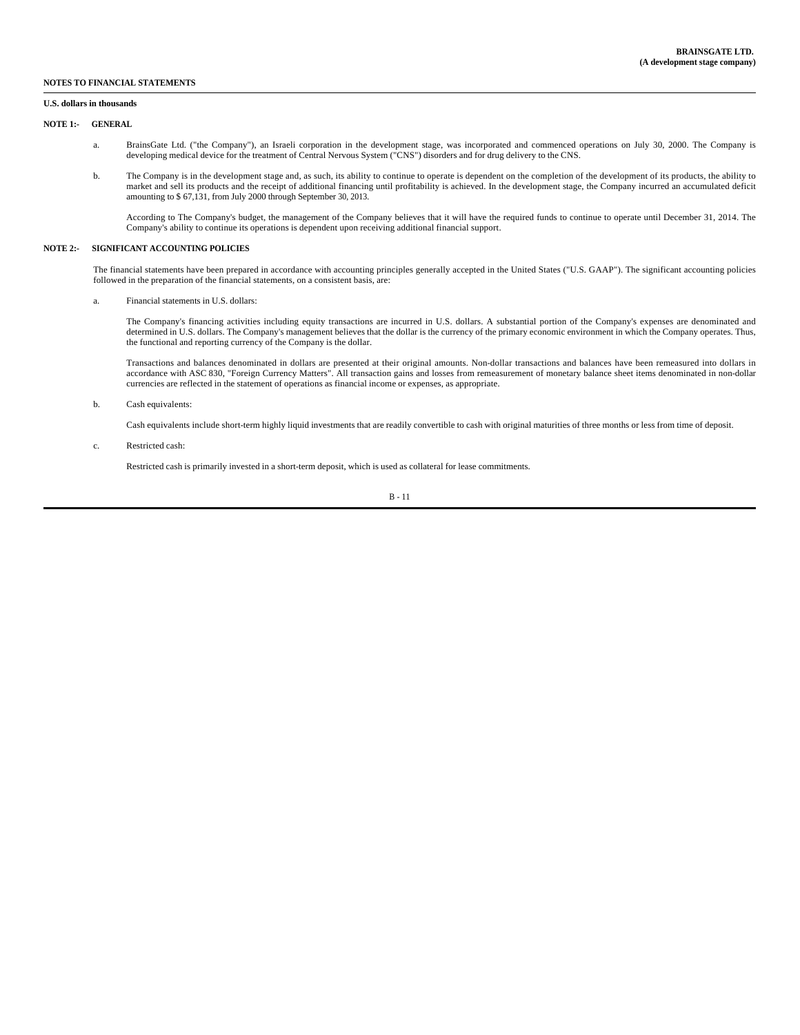#### **U.S. dollars in thousands**

#### **NOTE 1:- GENERAL**

- a. BrainsGate Ltd. ("the Company"), an Israeli corporation in the development stage, was incorporated and commenced operations on July 30, 2000. The Company is developing medical device for the treatment of Central Nervous System ("CNS") disorders and for drug delivery to the CNS.
- b. The Company is in the development stage and, as such, its ability to continue to operate is dependent on the completion of the development of its products, the ability to market and sell its products and the receipt of additional financing until profitability is achieved. In the development stage, the Company incurred an accumulated deficit amounting to \$ 67,131, from July 2000 through September 30, 2013.

According to The Company's budget, the management of the Company believes that it will have the required funds to continue to operate until December 31, 2014. The Company's ability to continue its operations is dependent upon receiving additional financial support.

#### **NOTE 2:- SIGNIFICANT ACCOUNTING POLICIES**

The financial statements have been prepared in accordance with accounting principles generally accepted in the United States ("U.S. GAAP"). The significant accounting policies followed in the preparation of the financial statements, on a consistent basis, are:

a. Financial statements in U.S. dollars:

The Company's financing activities including equity transactions are incurred in U.S. dollars. A substantial portion of the Company's expenses are denominated and determined in U.S. dollars. The Company's management believes that the dollar is the currency of the primary economic environment in which the Company operates. Thus, the functional and reporting currency of the Company is the dollar.

Transactions and balances denominated in dollars are presented at their original amounts. Non-dollar transactions and balances have been remeasured into dollars in accordance with ASC 830, "Foreign Currency Matters". All transaction gains and losses from remeasurement of monetary balance sheet items denominated in non-dollar<br>currencies are reflected in the statement of operations as

b. Cash equivalents:

Cash equivalents include short-term highly liquid investments that are readily convertible to cash with original maturities of three months or less from time of deposit.

c. Restricted cash:

Restricted cash is primarily invested in a short-term deposit, which is used as collateral for lease commitments.

$$
B - 11
$$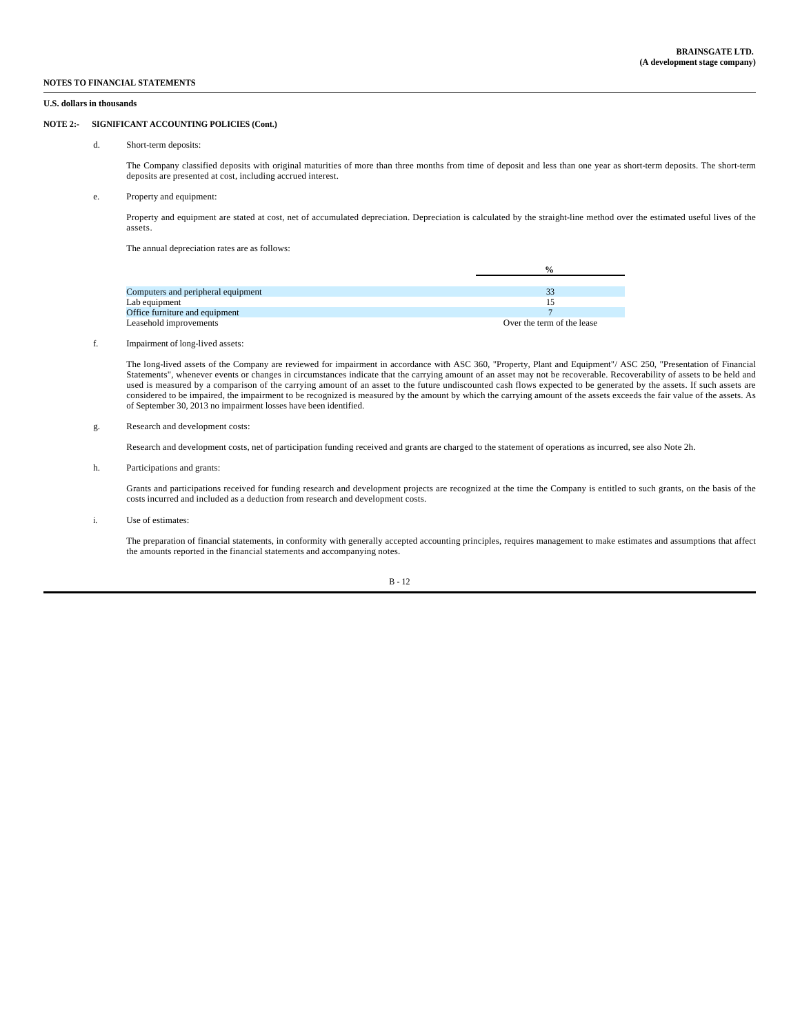#### **U.S. dollars in thousands**

## **NOTE 2:- SIGNIFICANT ACCOUNTING POLICIES (Cont.)**

d. Short-term deposits:

The Company classified deposits with original maturities of more than three months from time of deposit and less than one year as short-term deposits. The short-term deposits are presented at cost, including accrued interest.

#### e. Property and equipment:

Property and equipment are stated at cost, net of accumulated depreciation. Depreciation is calculated by the straight-line method over the estimated useful lives of the assets.

The annual depreciation rates are as follows:

|                                    | $\frac{0}{0}$              |
|------------------------------------|----------------------------|
|                                    |                            |
| Computers and peripheral equipment |                            |
| Lab equipment                      |                            |
| Office furniture and equipment     |                            |
| Leasehold improvements             | Over the term of the lease |

#### f. Impairment of long-lived assets:

The long-lived assets of the Company are reviewed for impairment in accordance with ASC 360, "Property, Plant and Equipment"/ ASC 250, "Presentation of Financial Statements", whenever events or changes in circumstances indicate that the carrying amount of an asset may not be recoverable. Recoverability of assets to be held and used is measured by a comparison of the carrying amount of an asset to the future undiscounted cash flows expected to be generated by the assets. If such assets are considered to be impaired, the impairment to be recognized is measured by the amount by which the carrying amount of the assets exceeds the fair value of the assets. As of September 30, 2013 no impairment losses have been identified.

#### g. Research and development costs:

Research and development costs, net of participation funding received and grants are charged to the statement of operations as incurred, see also Note 2h.

h. Participations and grants:

Grants and participations received for funding research and development projects are recognized at the time the Company is entitled to such grants, on the basis of the costs incurred and included as a deduction from research and development costs.

i. Use of estimates:

The preparation of financial statements, in conformity with generally accepted accounting principles, requires management to make estimates and assumptions that affect the amounts reported in the financial statements and accompanying notes.

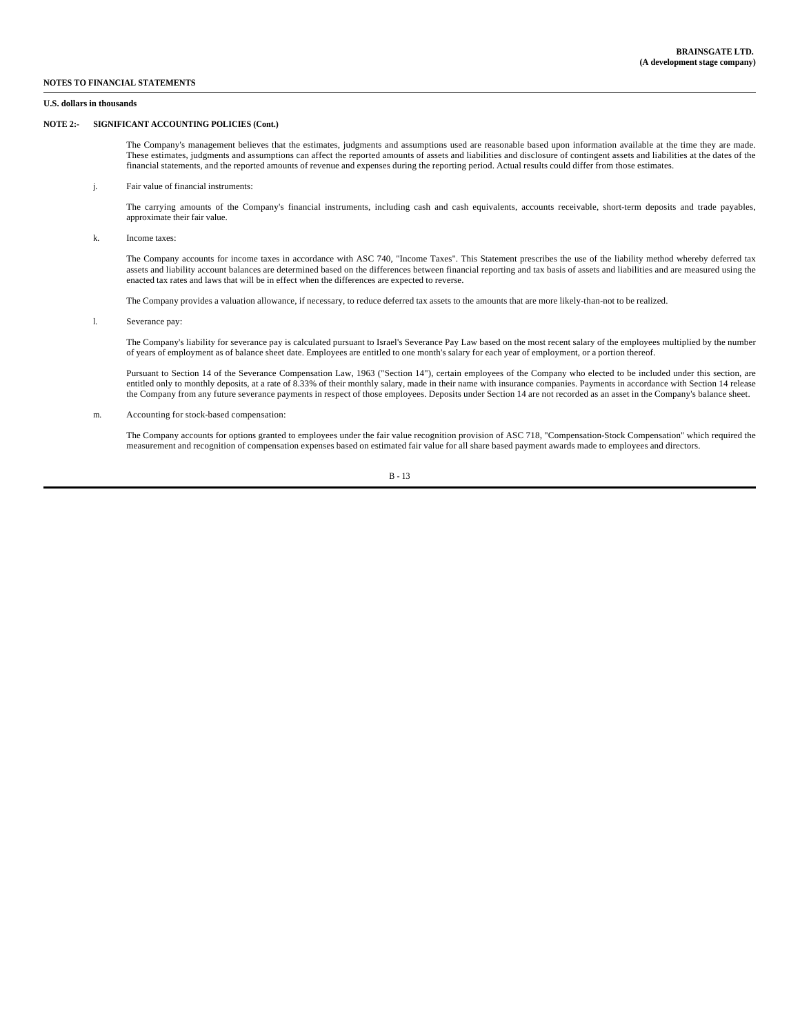**U.S. dollars in thousands**

### **NOTE 2:- SIGNIFICANT ACCOUNTING POLICIES (Cont.)**

The Company's management believes that the estimates, judgments and assumptions used are reasonable based upon information available at the time they are made. These estimates, judgments and assumptions can affect the reported amounts of assets and liabilities and disclosure of contingent assets and liabilities at the dates of the financial statements, and the reported amounts of revenue and expenses during the reporting period. Actual results could differ from those estimates.

j. Fair value of financial instruments:

The carrying amounts of the Company's financial instruments, including cash and cash equivalents, accounts receivable, short-term deposits and trade payables, approximate their fair value.

k. Income taxes:

The Company accounts for income taxes in accordance with ASC 740, "Income Taxes". This Statement prescribes the use of the liability method whereby deferred tax assets and liability account balances are determined based on the differences between financial reporting and tax basis of assets and liabilities and are measured using the enacted tax rates and laws that will be in effect when the differences are expected to reverse.

The Company provides a valuation allowance, if necessary, to reduce deferred tax assets to the amounts that are more likely-than-not to be realized.

l. Severance pay:

The Company's liability for severance pay is calculated pursuant to Israel's Severance Pay Law based on the most recent salary of the employees multiplied by the number of years of employment as of balance sheet date. Employees are entitled to one month's salary for each year of employment, or a portion thereof.

Pursuant to Section 14 of the Severance Compensation Law, 1963 ("Section 14"), certain employees of the Company who elected to be included under this section, are entitled only to monthly deposits, at a rate of 8.33% of their monthly salary, made in their name with insurance companies. Payments in accordance with Section 14 release the Company from any future severance payments in respect of those employees. Deposits under Section 14 are not recorded as an asset in the Company's balance sheet.

m. Accounting for stock-based compensation:

The Company accounts for options granted to employees under the fair value recognition provision of ASC 718, "Compensation-Stock Compensation" which required the<br>measurement and recognition of compensation expenses based o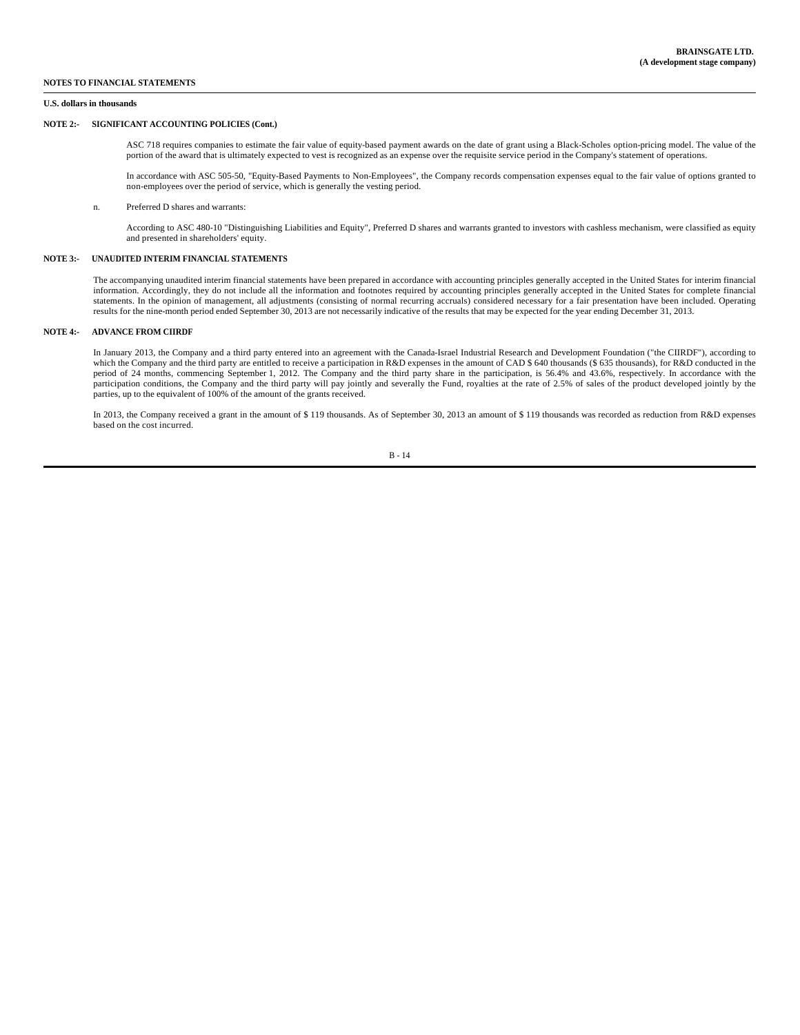#### **U.S. dollars in thousands**

### **NOTE 2:- SIGNIFICANT ACCOUNTING POLICIES (Cont.)**

ASC 718 requires companies to estimate the fair value of equity-based payment awards on the date of grant using a Black-Scholes option-pricing model. The value of the portion of the award that is ultimately expected to vest is recognized as an expense over the requisite service period in the Company's statement of operations.

In accordance with ASC 505-50, "Equity-Based Payments to Non-Employees", the Company records compensation expenses equal to the fair value of options granted to non-employees over the period of service, which is generally the vesting period.

#### n. Preferred D shares and warrants:

According to ASC 480-10 "Distinguishing Liabilities and Equity", Preferred D shares and warrants granted to investors with cashless mechanism, were classified as equity and presented in shareholders' equity.

#### **NOTE 3:- UNAUDITED INTERIM FINANCIAL STATEMENTS**

The accompanying unaudited interim financial statements have been prepared in accordance with accounting principles generally accepted in the United States for interim financial information. Accordingly, they do not include all the information and footnotes required by accounting principles generally accepted in the United States for complete financial statements. In the opinion of management, all adjustments (consisting of normal recurring accruals) considered necessary for a fair presentation have been included. Operating results for the nine-month period ended September 30, 2013 are not necessarily indicative of the results that may be expected for the year ending December 31, 2013.

## **NOTE 4:- ADVANCE FROM CIIRDF**

In January 2013, the Company and a third party entered into an agreement with the Canada-Israel Industrial Research and Development Foundation ("the CIIRDF"), according to which the Company and the third party are entitled to receive a participation in R&D expenses in the amount of CAD \$ 640 thousands (\$ 635 thousands), for R&D conducted in the period of 24 months, commencing September 1, 2012. The Company and the third party share in the participation, is 56.4% and 43.6%, respectively. In accordance with the participation conditions, the Company and the third party will pay jointly and severally the Fund, royalties at the rate of 2.5% of sales of the product developed jointly by the parties, up to the equivalent of 100% of the amount of the grants received.

In 2013, the Company received a grant in the amount of \$ 119 thousands. As of September 30, 2013 an amount of \$ 119 thousands was recorded as reduction from R&D expenses based on the cost incurred.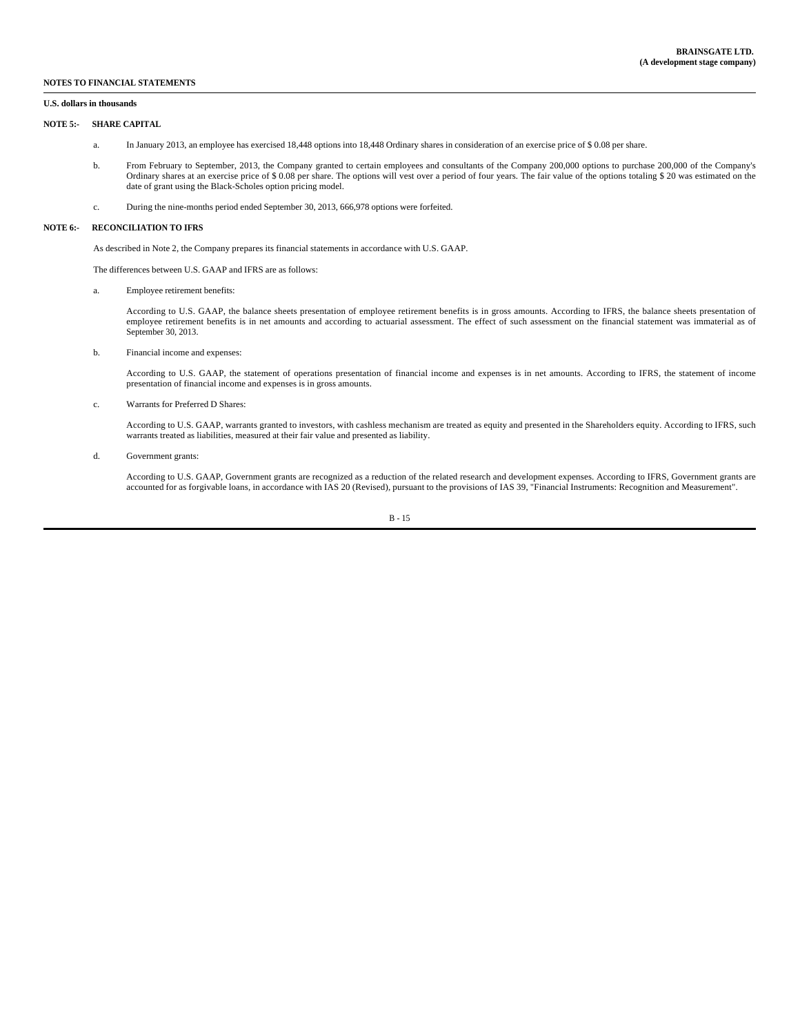### **U.S. dollars in thousands**

#### **NOTE 5:- SHARE CAPITAL**

- a. In January 2013, an employee has exercised 18,448 options into 18,448 Ordinary shares in consideration of an exercise price of \$ 0.08 per share.
- b. From February to September, 2013, the Company granted to certain employees and consultants of the Company 200,000 options to purchase 200,000 of the Company's Ordinary shares at an exercise price of \$ 0.08 per share. The options will vest over a period of four years. The fair value of the options totaling \$ 20 was estimated on the date of grant using the Black-Scholes option pricing model.
- c. During the nine-months period ended September 30, 2013, 666,978 options were forfeited.

#### **NOTE 6:- RECONCILIATION TO IFRS**

As described in Note 2, the Company prepares its financial statements in accordance with U.S. GAAP.

The differences between U.S. GAAP and IFRS are as follows:

a. Employee retirement benefits:

According to U.S. GAAP, the balance sheets presentation of employee retirement benefits is in gross amounts. According to IFRS, the balance sheets presentation of employee retirement benefits is in net amounts and according to actuarial assessment. The effect of such assessment on the financial statement was immaterial as of September 30, 2013.

b. Financial income and expenses:

According to U.S. GAAP, the statement of operations presentation of financial income and expenses is in net amounts. According to IFRS, the statement of income presentation of financial income and expenses is in gross amounts.

c. Warrants for Preferred D Shares:

According to U.S. GAAP, warrants granted to investors, with cashless mechanism are treated as equity and presented in the Shareholders equity. According to IFRS, such warrants treated as liabilities, measured at their fair value and presented as liability.

#### d. Government grants:

According to U.S. GAAP, Government grants are recognized as a reduction of the related research and development expenses. According to IFRS, Government grants are<br>accounted for as forgivable loans, in accordance with IAS 2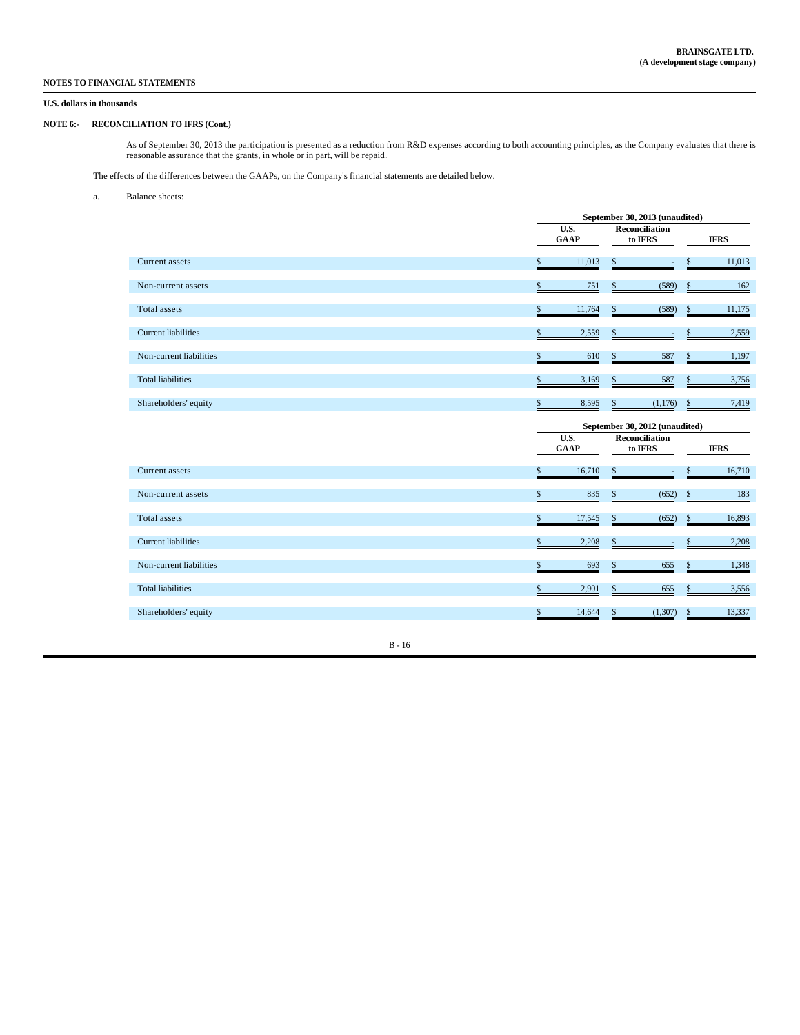## **U.S. dollars in thousands**

## **NOTE 6:- RECONCILIATION TO IFRS (Cont.)**

As of September 30, 2013 the participation is presented as a reduction from R&D expenses according to both accounting principles, as the Company evaluates that there is reasonable assurance that the grants, in whole or in part, will be repaid.

The effects of the differences between the GAAPs, on the Company's financial statements are detailed below.

#### a. Balance sheets:

|                            | September 30, 2013 (unaudited) |                                                         |                         |  |
|----------------------------|--------------------------------|---------------------------------------------------------|-------------------------|--|
|                            | U.S.<br><b>GAAP</b>            | <b>Reconciliation</b><br>to IFRS                        | <b>IFRS</b>             |  |
| Current assets             | \$<br>11,013                   | \$                                                      | \$<br>11,013            |  |
| Non-current assets         | \$<br>751                      | \$<br>(589)                                             | \$<br>$\underline{162}$ |  |
| Total assets               | \$<br>11,764                   | \$<br>(589)                                             | \$<br>11,175            |  |
| <b>Current liabilities</b> | \$<br>2,559                    | \$                                                      | \$<br>2,559             |  |
| Non-current liabilities    | \$<br>610                      | \$<br>587                                               | \$<br>1,197             |  |
| <b>Total liabilities</b>   | \$<br>3,169                    | \$<br>587                                               | \$<br>3,756             |  |
| Shareholders' equity       | \$<br>8,595                    | \$<br>(1,176)                                           | \$<br>7,419             |  |
|                            |                                |                                                         |                         |  |
|                            | U.S.                           | September 30, 2012 (unaudited)<br><b>Reconciliation</b> |                         |  |
|                            | <b>GAAP</b>                    | to IFRS                                                 | <b>IFRS</b>             |  |
| Current assets             | \$<br>16,710                   | \$<br>$\overline{\phantom{a}}$                          | \$<br>16,710            |  |
| Non-current assets         | \$<br>835                      | \$<br>(652)                                             | \$<br>183               |  |
| <b>Total</b> assets        | \$<br>17,545                   | \$<br>(652)                                             | \$<br>16,893            |  |
| <b>Current liabilities</b> | \$<br>2,208                    | \$<br>٠                                                 | \$<br>2,208             |  |
| Non-current liabilities    | \$<br>693                      | \$<br>655                                               | \$<br>1,348             |  |
| <b>Total liabilities</b>   | \$<br>2,901                    | \$<br>655                                               | \$<br>3,556             |  |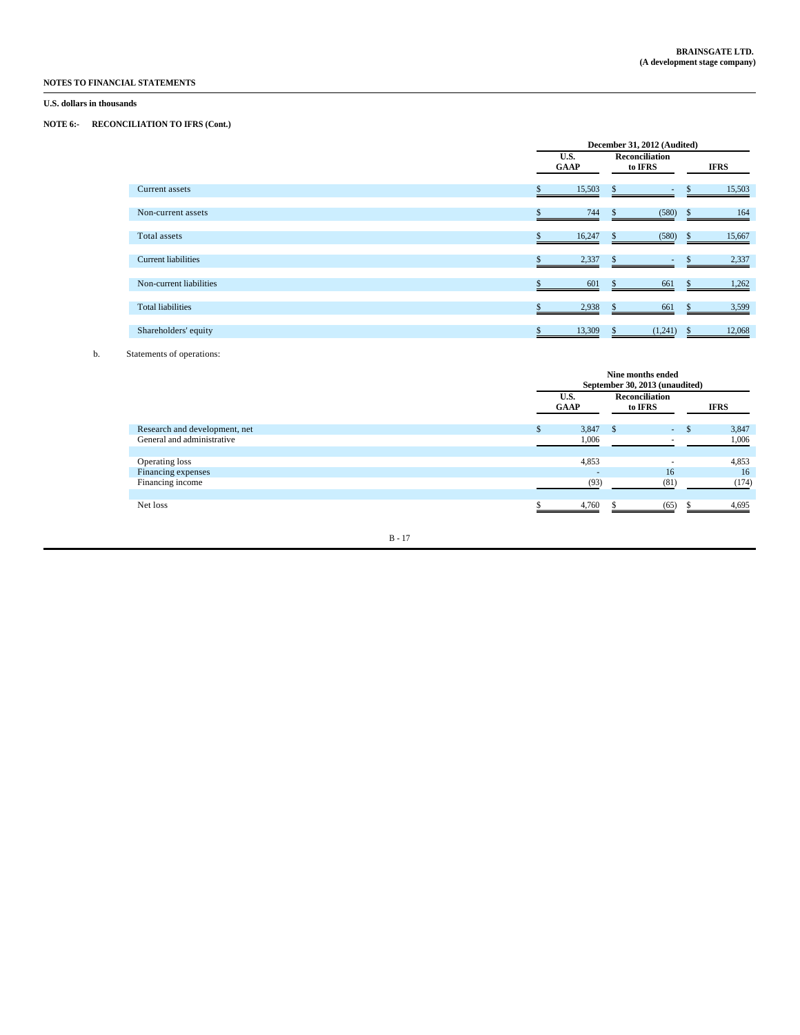## **U.S. dollars in thousands**

## **NOTE 6:- RECONCILIATION TO IFRS (Cont.)**

|                            |                     | December 31, 2012 (Audited)        |                        |  |
|----------------------------|---------------------|------------------------------------|------------------------|--|
|                            | U.S.<br><b>GAAP</b> | <b>Reconciliation</b><br>to IFRS   | <b>IFRS</b>            |  |
| Current assets             | 15,503              | $\mathbf{s}$                       | 15,503                 |  |
| Non-current assets         | 744                 | (580)                              | 164<br><sup>\$</sup>   |  |
| Total assets               | 16,247              | (580)<br>S.                        | 15,667<br><sup>S</sup> |  |
| <b>Current liabilities</b> | 2,337               |                                    | 2,337                  |  |
| Non-current liabilities    | 601                 | 661                                | 1,262                  |  |
| <b>Total liabilities</b>   | 2,938               | 661<br>\$                          | 3,599                  |  |
| Shareholders' equity       | \$<br>13,309        | $\mathbf{\hat{S}}$<br>$(1,241)$ \$ | 12,068                 |  |

## b. Statements of operations:

|                               | Nine months ended<br>September 30, 2013 (unaudited) |               |                                  |  |             |  |
|-------------------------------|-----------------------------------------------------|---------------|----------------------------------|--|-------------|--|
|                               | U.S.<br><b>GAAP</b>                                 |               | <b>Reconciliation</b><br>to IFRS |  | <b>IFRS</b> |  |
| Research and development, net | 3,847                                               | $\sim$ $\sim$ | ٠.                               |  | 3,847       |  |
| General and administrative    | 1,006                                               |               |                                  |  | 1,006       |  |
| Operating loss                | 4,853                                               |               |                                  |  | 4,853       |  |
| Financing expenses            | $\overline{\phantom{a}}$                            |               | 16                               |  | 16          |  |
| Financing income              | (93)                                                |               | (81)                             |  | (174)       |  |
| Net loss                      | 4,760                                               |               | (65)                             |  | 4,695       |  |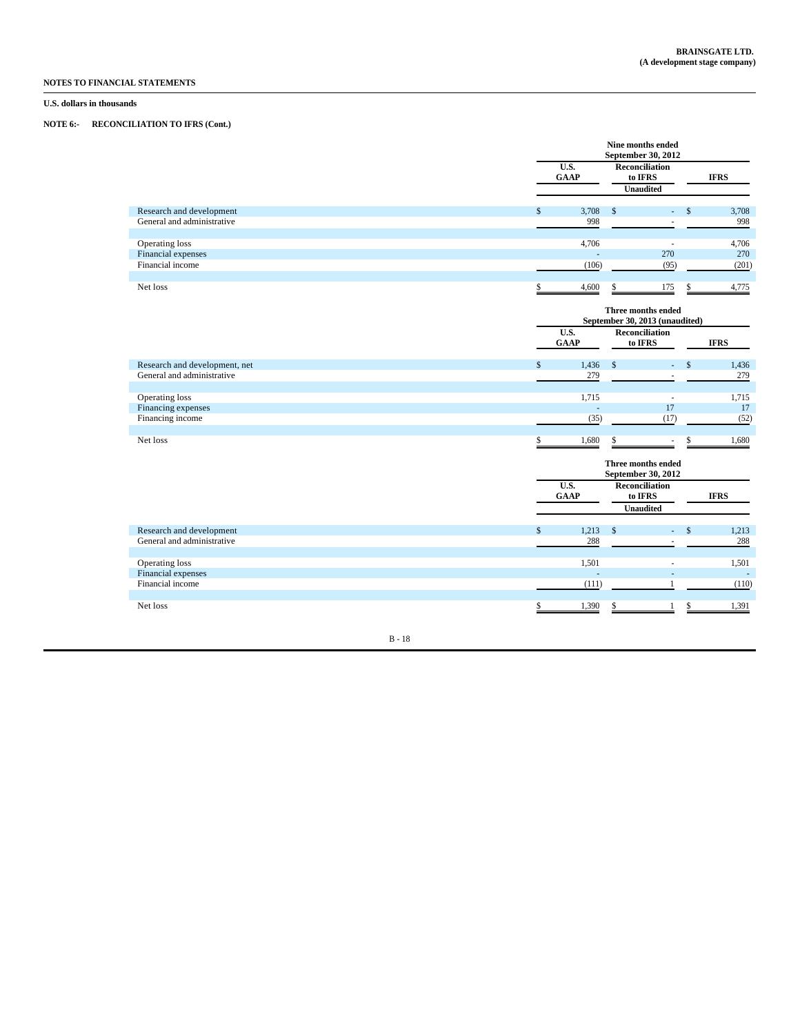## **U.S. dollars in thousands**

## **NOTE 6:- RECONCILIATION TO IFRS (Cont.)**

|                                                             |                     | Nine months ended                             | September 30, 2012                                   |              |                 |
|-------------------------------------------------------------|---------------------|-----------------------------------------------|------------------------------------------------------|--------------|-----------------|
|                                                             | U.S.<br><b>GAAP</b> | <b>Reconciliation</b><br>to IFRS              |                                                      |              | <b>IFRS</b>     |
|                                                             |                     | <b>Unaudited</b>                              |                                                      |              |                 |
| Research and development<br>General and administrative      | \$<br>3,708<br>998  | \$                                            | ÷.                                                   | $\mathbf{s}$ | 3,708<br>998    |
| Operating loss                                              | 4,706               |                                               |                                                      |              | 4,706           |
| Financial expenses<br>Financial income                      | (106)               |                                               | 270<br>(95)                                          |              | 270<br>(201)    |
| Net loss                                                    | \$<br>4,600         | \$                                            | 175                                                  |              | 4,775           |
|                                                             |                     |                                               | Three months ended<br>September 30, 2013 (unaudited) |              |                 |
|                                                             | U.S.<br><b>GAAP</b> | <b>Reconciliation</b><br>to IFRS              |                                                      |              | <b>IFRS</b>     |
| Research and development, net<br>General and administrative | \$<br>1,436<br>279  | \$                                            | ä,<br>÷                                              | \$           | 1,436<br>279    |
| Operating loss                                              | 1,715               |                                               | ÷.                                                   |              | 1,715           |
| Financing expenses<br>Financing income                      | (35)                |                                               | 17<br>(17)                                           |              | 17<br>(52)      |
| Net loss                                                    | \$<br>1,680         | \$                                            | $\sim$                                               | \$           | 1,680           |
|                                                             |                     |                                               | Three months ended<br>September 30, 2012             |              |                 |
|                                                             | U.S.<br><b>GAAP</b> | Reconciliation<br>to IFRS<br><b>Unaudited</b> |                                                      |              | <b>IFRS</b>     |
| Research and development<br>General and administrative      | \$<br>1,213<br>288  | \$                                            | ÷.                                                   | $\mathsf{s}$ | 1,213<br>288    |
| Operating loss<br>Financial expenses                        | 1,501               |                                               | ÷.<br>ä,                                             |              | 1,501<br>$\sim$ |
| Financial income                                            | (111)               |                                               |                                                      |              | (110)           |
| Net loss                                                    | \$<br>1,390         | \$                                            | 1                                                    | \$           | 1,391           |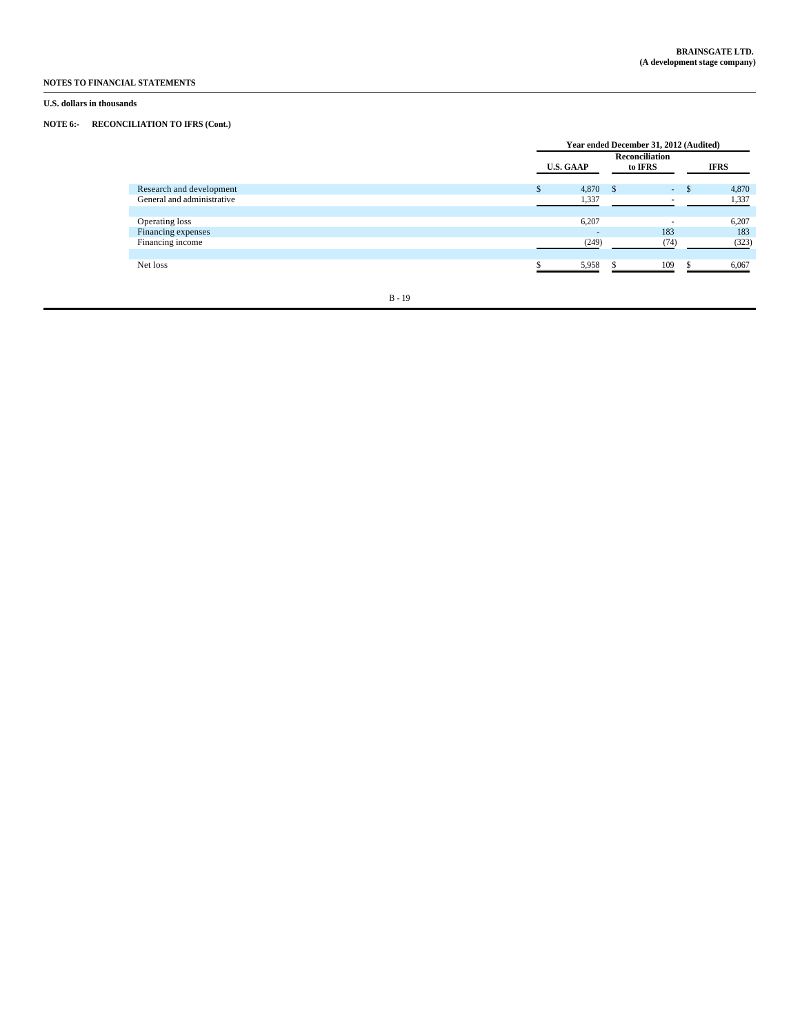## **U.S. dollars in thousands**

# **NOTE 6:- RECONCILIATION TO IFRS (Cont.)**

|                            | Year ended December 31, 2012 (Audited) |                |                                  |        |  |             |
|----------------------------|----------------------------------------|----------------|----------------------------------|--------|--|-------------|
|                            | <b>U.S. GAAP</b>                       |                | <b>Reconciliation</b><br>to IFRS |        |  | <b>IFRS</b> |
| Research and development   |                                        | 4,870          |                                  | $\sim$ |  | 4,870       |
| General and administrative |                                        | 1,337          |                                  |        |  | 1,337       |
|                            |                                        |                |                                  |        |  |             |
| Operating loss             |                                        | 6,207          |                                  |        |  | 6,207       |
| Financing expenses         |                                        | $\overline{a}$ |                                  | 183    |  | 183         |
| Financing income           |                                        | (249)          |                                  | (74)   |  | (323)       |
|                            |                                        |                |                                  |        |  |             |
| Net loss                   |                                        | 5,958          |                                  | 109    |  | 6,067       |
|                            |                                        |                |                                  |        |  |             |
|                            |                                        |                |                                  |        |  |             |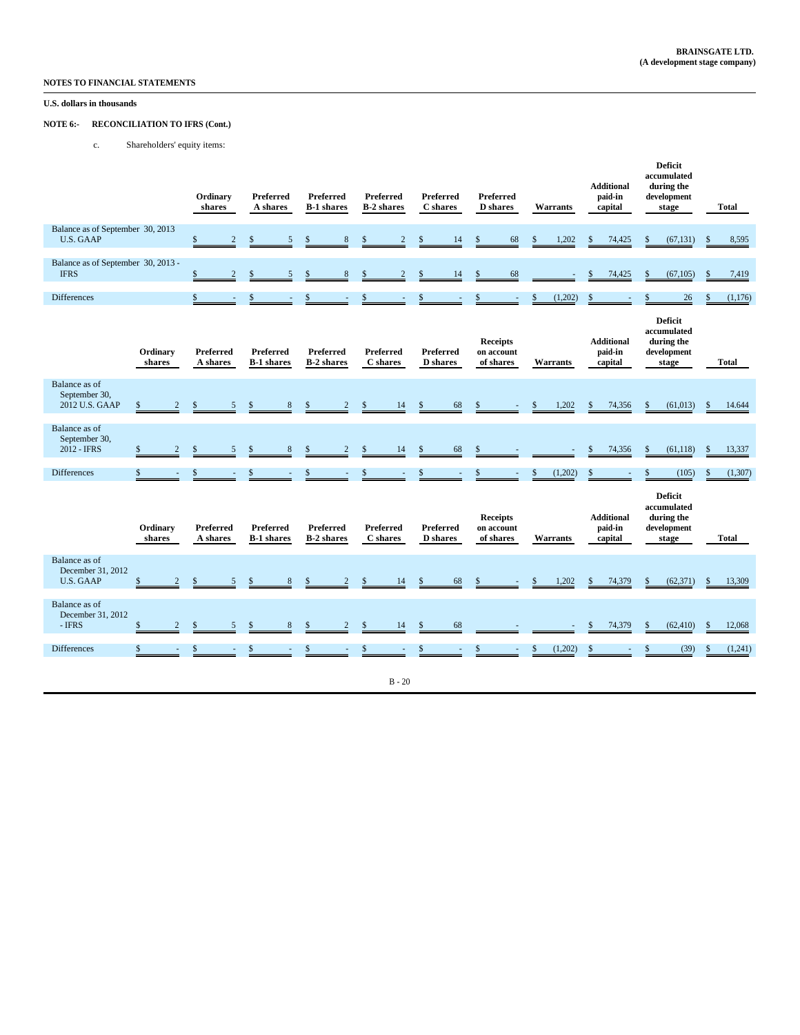## **U.S. dollars in thousands**

## **NOTE 6:- RECONCILIATION TO IFRS (Cont.)**

c. Shareholders' equity items:

|                                                        |                      | Ordinary<br>shares             | Preferred<br>A shares                 | <b>Preferred</b><br><b>B-1 shares</b> | <b>Preferred</b><br><b>B-2</b> shares | Preferred<br>C shares               | Preferred<br><b>D</b> shares               | Warrants                 | <b>Additional</b><br>paid-in<br>capital | <b>Deficit</b><br>accumulated<br>during the<br>development<br>stage | <b>Total</b>  |
|--------------------------------------------------------|----------------------|--------------------------------|---------------------------------------|---------------------------------------|---------------------------------------|-------------------------------------|--------------------------------------------|--------------------------|-----------------------------------------|---------------------------------------------------------------------|---------------|
| Balance as of September 30, 2013<br><b>U.S. GAAP</b>   |                      | $\mathbf{s}$<br>$\overline{2}$ | 5<br>$\mathbf{\hat{S}}$               | \$<br>$\mathbf{8}$                    | $\mathbf{s}$<br>$\mathfrak{D}$        | $\mathbf{\hat{s}}$<br>14            | $\mathbb{S}$<br>68                         | \$<br>1,202              | $\mathbb{S}$<br>74,425                  | $\mathbb{S}$<br>(67, 131)                                           | 8,595<br>-8   |
| Balance as of September 30, 2013 -<br><b>IFRS</b>      |                      | \$<br>$\overline{2}$           | $\mathbf{\hat{s}}$<br>$\overline{5}$  | 8                                     | $\mathfrak{D}$                        | 14<br>\$                            | 68<br>$\mathsf{\$}$                        |                          | $\mathbf{\hat{S}}$<br>74,425            | $\mathsf{\$}$<br>(67, 105)                                          | 7,419         |
| <b>Differences</b>                                     |                      | $\mathsf{\$}$<br>$\sim$        | \$                                    | \$<br>$\sim$                          | $\mathbb{S}$                          | \$<br>$\sim$                        | \$<br>$\sim$                               | (1,202)<br>\$            | \$                                      | 26                                                                  | (1,176)       |
|                                                        | Ordinary<br>shares   | <b>Preferred</b><br>A shares   | <b>Preferred</b><br><b>B-1</b> shares | <b>Preferred</b><br><b>B-2</b> shares | <b>Preferred</b><br>C shares          | <b>Preferred</b><br><b>D</b> shares | <b>Receipts</b><br>on account<br>of shares | <b>Warrants</b>          | <b>Additional</b><br>paid-in<br>capital | <b>Deficit</b><br>accumulated<br>during the<br>development<br>stage | <b>Total</b>  |
| Balance as of<br>September 30,<br>2012 U.S. GAAP       | \$                   | <sup>\$</sup>                  |                                       |                                       | 14                                    | 68<br>$\mathbf{\hat{s}}$            | \$                                         | 1,202                    | $\mathcal{S}$<br>74,356                 | \$<br>(61, 013)                                                     | 14.644        |
| Balance as of<br>September 30,<br>2012 - IFRS          | \$<br>$\overline{2}$ | 5                              | 8                                     |                                       | 14<br>S                               | 68<br>\$                            | \$                                         |                          | 74,356                                  | \$<br>(61, 118)                                                     | 13,337        |
| <b>Differences</b>                                     | \$                   | \$                             |                                       |                                       | $\mathbf{\hat{S}}$                    | $\mathbf{\hat{S}}$                  | $\mathcal{S}$                              | $\mathcal{S}$<br>(1,202) | \$                                      | (105)                                                               | (1,307)       |
|                                                        | Ordinary<br>shares   | Preferred<br>A shares          | <b>Preferred</b><br><b>B-1</b> shares | <b>Preferred</b><br><b>B-2</b> shares | <b>Preferred</b><br>C shares          | Preferred<br><b>D</b> shares        | <b>Receipts</b><br>on account<br>of shares | Warrants                 | <b>Additional</b><br>paid-in<br>capital | <b>Deficit</b><br>accumulated<br>during the<br>development<br>stage | <b>Total</b>  |
| Balance as of<br>December 31, 2012<br><b>U.S. GAAP</b> | \$                   | <sup>\$</sup>                  |                                       |                                       | 14                                    | 68<br>$\mathbf{\hat{z}}$            | \$                                         | 1,202                    | $\mathcal{S}$<br>74,379                 | $\mathsf{\$}$<br>(62, 371)                                          | 13,309        |
| Balance as of<br>December 31, 2012<br>- IFRS           | \$<br>$\overline{2}$ | <sup>\$</sup><br>5             | 8<br>\$                               | $\overline{c}$<br><sup>\$</sup>       | $\mathbf{s}$<br>14                    | 68<br>\$                            |                                            |                          | 74,379<br>$\mathbb{S}$                  | \$<br>(62, 410)                                                     | 12,068<br>-\$ |
| <b>Differences</b>                                     | \$                   | \$                             |                                       |                                       | S                                     | \$                                  | \$                                         | (1,202)<br>\$            | $\mathbf{\hat{S}}$                      | (39)                                                                | (1,241)<br>-8 |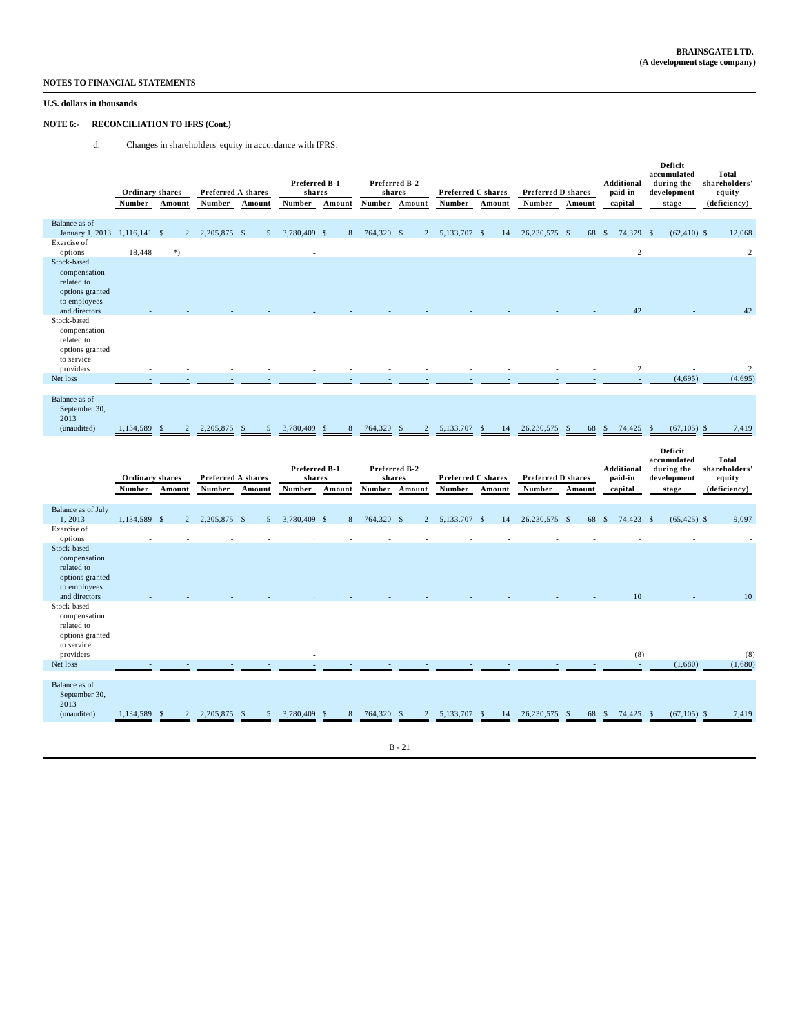## **U.S. dollars in thousands**

## **NOTE 6:- RECONCILIATION TO IFRS (Cont.)**

d. Changes in shareholders' equity in accordance with IFRS:

|                                                                                                                                                               | Ordinary shares<br>Number | Amount         | Preferred A shares<br>Number | Amount | Preferred B-1<br>shares<br>Number | Amount                | Preferred B-2<br>shares<br><b>Number</b> | Amount         | Preferred C shares<br>Number | Amount | Preferred D shares<br>Number | Amount | Additional<br>paid-in<br>capital | Deficit<br>accumulated<br>during the<br>development<br>stage | <b>Total</b><br>shareholders'<br>equity<br>(deficiency) |
|---------------------------------------------------------------------------------------------------------------------------------------------------------------|---------------------------|----------------|------------------------------|--------|-----------------------------------|-----------------------|------------------------------------------|----------------|------------------------------|--------|------------------------------|--------|----------------------------------|--------------------------------------------------------------|---------------------------------------------------------|
| Balance as of<br>January 1, 2013 1, 116, 141 \$<br>Exercise of                                                                                                |                           | $\overline{c}$ | 2,205,875 \$                 | 5      | 3,780,409 \$                      | 8                     | 764,320 \$                               | $\overline{2}$ | 5,133,707 \$                 | 14     | 26,230,575 \$                | 68     | 74,379 \$<br>-S                  | $(62, 410)$ \$                                               | 12,068                                                  |
| options                                                                                                                                                       | 18,448                    | *) -           |                              |        |                                   |                       |                                          |                |                              |        |                              |        | $\mathbf{2}$                     |                                                              | $\overline{c}$                                          |
| Stock-based<br>compensation<br>related to<br>options granted<br>to employees<br>and directors<br>Stock-based<br>compensation<br>related to                    |                           |                |                              |        |                                   |                       |                                          |                |                              |        |                              |        | 42                               |                                                              | 42                                                      |
| options granted<br>to service<br>providers                                                                                                                    |                           |                |                              |        |                                   |                       |                                          |                |                              |        |                              |        | $\,2$                            |                                                              | $\sqrt{2}$                                              |
| Net loss                                                                                                                                                      |                           |                |                              |        |                                   |                       |                                          |                |                              |        |                              |        |                                  | (4,695)                                                      | (4,695)                                                 |
|                                                                                                                                                               |                           |                |                              |        |                                   |                       |                                          |                |                              |        |                              |        |                                  |                                                              |                                                         |
| Balance as of<br>September 30,<br>2013                                                                                                                        |                           |                |                              |        |                                   |                       |                                          |                |                              |        |                              |        |                                  |                                                              |                                                         |
| (unaudited)                                                                                                                                                   | 1,134,589                 | $\mathcal{D}$  | 2,205,875                    | 5      | 3,780,409                         | 8                     | 764,320                                  | $\mathcal{D}$  | 5,133,707                    | 14     | 26,230,575                   | 68     | <sup>\$</sup><br>74,425          | (67, 105)                                                    | 7,419                                                   |
|                                                                                                                                                               |                           |                |                              |        |                                   |                       |                                          |                |                              |        |                              |        |                                  |                                                              |                                                         |
|                                                                                                                                                               | Ordinary shares<br>Number | Amount         | Preferred A shares<br>Number | Amount | Preferred B-1<br>shares<br>Number | Amount                | Preferred B-2<br>shares<br>Number        | Amount         | Preferred C shares<br>Number | Amount | Preferred D shares<br>Number | Amount | Additional<br>paid-in<br>capital | Deficit<br>accumulated<br>during the<br>development<br>stage | <b>Total</b><br>shareholders'<br>equity<br>(deficiency) |
| Balance as of July<br>1,2013<br>Exercise of<br>options                                                                                                        | 1,134,589 \$              | $\overline{c}$ | 2,205,875 \$                 | 5      | 3,780,409 \$                      | 8                     | 764,320 \$                               | $\overline{c}$ | 5,133,707 \$                 | 14     | 26,230,575 \$                | 68     | 74,423 \$<br>-S                  | $(65, 425)$ \$                                               | 9,097                                                   |
| Stock-based<br>compensation<br>related to<br>options granted<br>to employees<br>and directors<br>Stock-based<br>compensation<br>related to<br>options granted |                           |                |                              |        |                                   |                       |                                          |                |                              |        |                              |        | 10                               |                                                              | 10                                                      |
| to service<br>providers                                                                                                                                       |                           |                |                              |        |                                   |                       |                                          |                |                              |        |                              |        | (8)                              | $\ddot{\phantom{1}}$                                         | (8)                                                     |
| Net loss                                                                                                                                                      |                           |                |                              |        |                                   |                       |                                          |                |                              |        |                              |        |                                  | (1,680)                                                      | (1,680)                                                 |
| Balance as of<br>September 30,<br>2013<br>(unaudited)                                                                                                         | 1,134,589                 |                | 2,205,875                    |        | 3,780,409                         | $\mathbf{\mathsf{R}}$ | 764,320                                  | $\mathcal{D}$  | 5,133,707                    | 14     | 26,230,575                   | 68     | 74,425<br><sup>\$</sup>          | (67, 105)                                                    | 7,419                                                   |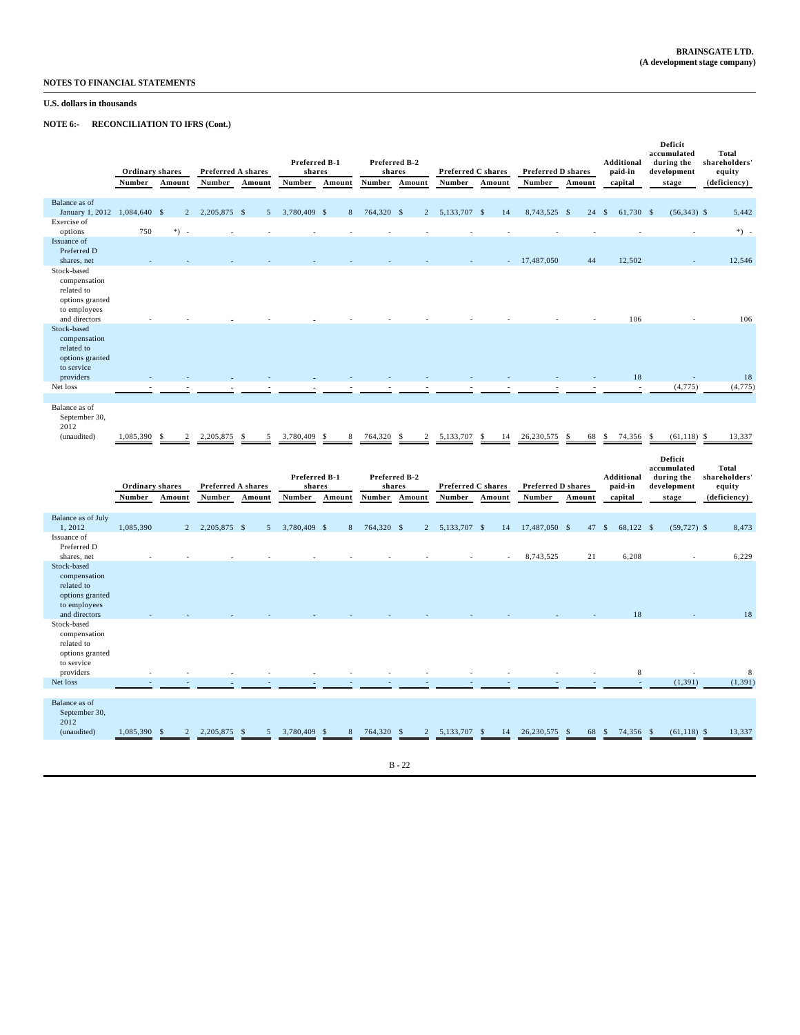# **U.S. dollars in thousands**

**NOTE 6:- RECONCILIATION TO IFRS (Cont.)**

|                                                                                               | <b>Ordinary shares</b> |                | Preferred A shares |        | Preferred B-1<br>shares |           | Preferred B-2<br>shares |                       | <b>Preferred C shares</b> |          | <b>Preferred D shares</b> |          | <b>Additional</b><br>paid-in | Deficit<br>accumulated<br>during the<br>development | <b>Total</b><br>shareholders'<br>equity |
|-----------------------------------------------------------------------------------------------|------------------------|----------------|--------------------|--------|-------------------------|-----------|-------------------------|-----------------------|---------------------------|----------|---------------------------|----------|------------------------------|-----------------------------------------------------|-----------------------------------------|
|                                                                                               | Number                 | Amount         | Number             | Amount | Number                  | Amount    | Number                  | Amount                | Number                    | Amount   | Number                    | Amount   | capital                      | stage                                               | (deficiency)                            |
| Balance as of<br>January 1, 2012                                                              | 1,084,640 \$           | $\overline{2}$ | 2,205,875 \$       | 5      | 3,780,409 \$            |           | 8 764,320 \$            | 2                     | 5,133,707 \$              | 14       | 8,743,525 \$              | 24       | 61,730 \$<br>$\mathbf{s}$    | $(56,343)$ \$                                       | 5,442                                   |
| Exercise of<br>options                                                                        | 750                    | $*)$ -         |                    |        |                         |           |                         |                       |                           |          |                           |          |                              |                                                     | $*) -$                                  |
| Issuance of<br>Preferred D<br>shares, net                                                     |                        |                |                    |        |                         |           |                         |                       |                           |          | $-17,487,050$             | 44       | 12,502                       |                                                     | 12,546                                  |
| Stock-based<br>compensation<br>related to<br>options granted<br>to employees<br>and directors |                        |                |                    |        |                         |           |                         |                       |                           |          |                           |          | 106                          |                                                     | 106                                     |
| Stock-based<br>compensation<br>related to<br>options granted<br>to service<br>providers       |                        |                |                    |        |                         |           |                         |                       |                           |          |                           |          | 18                           |                                                     | 18                                      |
| Net loss                                                                                      |                        |                |                    |        |                         |           |                         |                       |                           |          |                           |          |                              | (4, 775)                                            | (4, 775)                                |
| Balance as of<br>September 30,<br>2012<br>(unaudited)                                         | 1,085,390 \$           |                | 2,205,875          | - \$   | 3.780.409               | 8<br>- \$ | 764,320                 | - S<br>$\overline{c}$ | 5,133,707                 | 14<br>-S | 26.230.575                | 68<br>-S | 74,356 \$<br>-S              | $(61,118)$ \$                                       | 13,337                                  |

|                                                                                               | Ordinary shares<br>Number | Amount         | Preferred A shares<br>Number | Amount         | Preferred B-1<br>shares<br>Number | Amount  | shares<br>Number | Preferred B-2<br>Amount | <b>Preferred C shares</b><br>Number | Amount | <b>Preferred D shares</b><br>Number | Amount | <b>Additional</b><br>paid-in<br>capital | Deficit<br>accumulated<br>during the<br>development<br>stage | <b>Total</b><br>shareholders'<br>equity<br>(deficiency) |
|-----------------------------------------------------------------------------------------------|---------------------------|----------------|------------------------------|----------------|-----------------------------------|---------|------------------|-------------------------|-------------------------------------|--------|-------------------------------------|--------|-----------------------------------------|--------------------------------------------------------------|---------------------------------------------------------|
| Balance as of July<br>1,2012                                                                  | 1,085,390                 | $\overline{2}$ | 2,205,875 \$                 | 5 <sup>5</sup> | 3,780,409 \$                      |         | 8 764,320 \$     |                         | 2 5,133,707 \$                      | 14     | 17,487,050 \$                       | 47 \$  | 68,122 \$                               | $(59, 727)$ \$                                               | 8,473                                                   |
| Issuance of<br>Preferred D<br>shares, net                                                     |                           |                |                              |                |                                   |         |                  |                         |                                     |        | 8,743,525                           | 21     | 6,208                                   |                                                              | 6,229                                                   |
| Stock-based<br>compensation<br>related to<br>options granted<br>to employees<br>and directors |                           |                |                              |                |                                   |         |                  |                         |                                     |        |                                     |        | 18                                      |                                                              | 18                                                      |
| Stock-based<br>compensation<br>related to<br>options granted<br>to service<br>providers       |                           |                |                              |                |                                   |         |                  |                         |                                     |        |                                     |        | 8                                       |                                                              | 8                                                       |
| Net loss                                                                                      |                           |                |                              |                |                                   |         |                  |                         |                                     |        |                                     |        |                                         | (1, 391)                                                     | (1, 391)                                                |
| Balance as of<br>September 30,<br>2012<br>(unaudited)                                         | 1,085,390 \$              |                | 2,205,875                    | -S             | 3,780,409                         | 8<br>-S | 764,320 \$       | $\overline{2}$          | 5,133,707 \$                        | 14     | 26,230,575 \$                       | 68     | 74,356 \$<br>-S                         | $(61, 118)$ \$                                               | 13,337                                                  |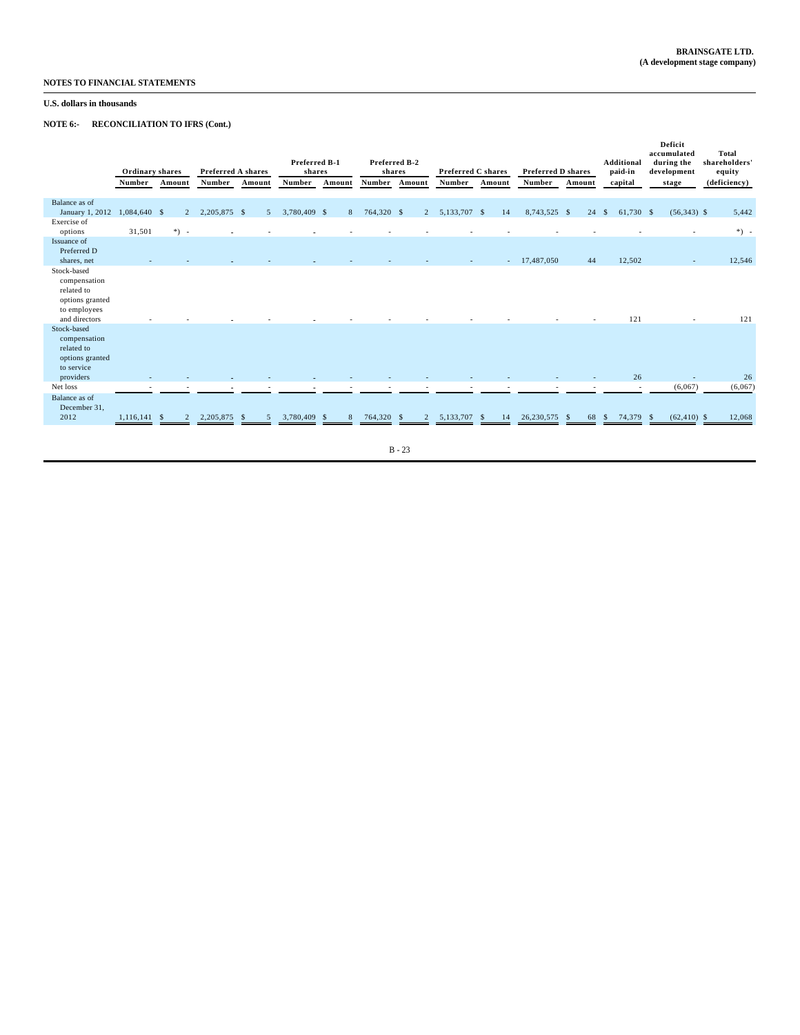## **U.S. dollars in thousands**

**NOTE 6:- RECONCILIATION TO IFRS (Cont.)**

|                                                                                               | Ordinary shares<br>Number | Amount         | Preferred A shares<br>Number | Amount         | Preferred B-1<br>shares<br>Number | Amount | Preferred B-2<br>shares<br>Number | Amount      | <b>Preferred C shares</b><br><b>Number</b> | Amount | <b>Preferred D shares</b><br>Number | Amount             | <b>Additional</b><br>paid-in<br>capital | Deficit<br>accumulated<br>during the<br>development<br>stage | <b>Total</b><br>shareholders'<br>equity<br>(deficiency) |
|-----------------------------------------------------------------------------------------------|---------------------------|----------------|------------------------------|----------------|-----------------------------------|--------|-----------------------------------|-------------|--------------------------------------------|--------|-------------------------------------|--------------------|-----------------------------------------|--------------------------------------------------------------|---------------------------------------------------------|
| Balance as of                                                                                 |                           |                |                              |                |                                   |        |                                   |             |                                            |        |                                     |                    |                                         |                                                              |                                                         |
| January 1, 2012                                                                               | 1,084,640 \$              | $\overline{2}$ | 2,205,875 \$                 | 5              | 3,780,409 \$                      |        | 8 764,320 \$                      | $2^{\circ}$ | 5,133,707 \$                               | 14     | 8,743,525 \$                        | 24                 | 61,730 \$<br>$\mathbb{S}$               | $(56,343)$ \$                                                | 5,442                                                   |
| Exercise of<br>options                                                                        | 31,501                    | $*)$ -         |                              |                |                                   |        |                                   |             |                                            |        |                                     |                    |                                         |                                                              | $*)$ -                                                  |
| Issuance of                                                                                   |                           |                |                              |                |                                   |        |                                   |             |                                            |        |                                     |                    |                                         |                                                              |                                                         |
| Preferred D                                                                                   |                           |                |                              |                |                                   |        |                                   |             |                                            |        |                                     |                    |                                         |                                                              |                                                         |
| shares, net                                                                                   |                           |                |                              |                |                                   |        |                                   |             |                                            |        | $-17,487,050$                       | 44                 | 12,502                                  | $\sim$                                                       | 12,546                                                  |
| Stock-based<br>compensation<br>related to<br>options granted<br>to employees<br>and directors |                           |                |                              |                |                                   |        |                                   |             |                                            |        |                                     |                    | 121                                     |                                                              | 121                                                     |
| Stock-based<br>compensation<br>related to<br>options granted<br>to service                    |                           |                |                              |                |                                   |        |                                   |             |                                            |        |                                     |                    |                                         |                                                              |                                                         |
| providers                                                                                     |                           |                |                              |                |                                   |        |                                   |             |                                            |        |                                     |                    | 26                                      |                                                              | 26                                                      |
| Net loss                                                                                      |                           |                |                              |                |                                   |        |                                   |             |                                            |        |                                     |                    | $\sim$                                  | (6,067)                                                      | (6,067)                                                 |
| Balance as of<br>December 31,<br>2012                                                         | 1.116.141 S               | $\overline{2}$ | 2.205.875 \$                 | $\overline{5}$ | 3,780,409 \$                      | 8      | 764,320 \$                        | 2           | 5,133,707 \$                               | 14     | 26,230,575                          | 68<br>$\mathbf{s}$ | 74,379<br>S                             | $(62, 410)$ \$<br>- \$                                       | 12,068                                                  |
|                                                                                               |                           |                |                              |                |                                   |        |                                   |             |                                            |        |                                     |                    |                                         |                                                              |                                                         |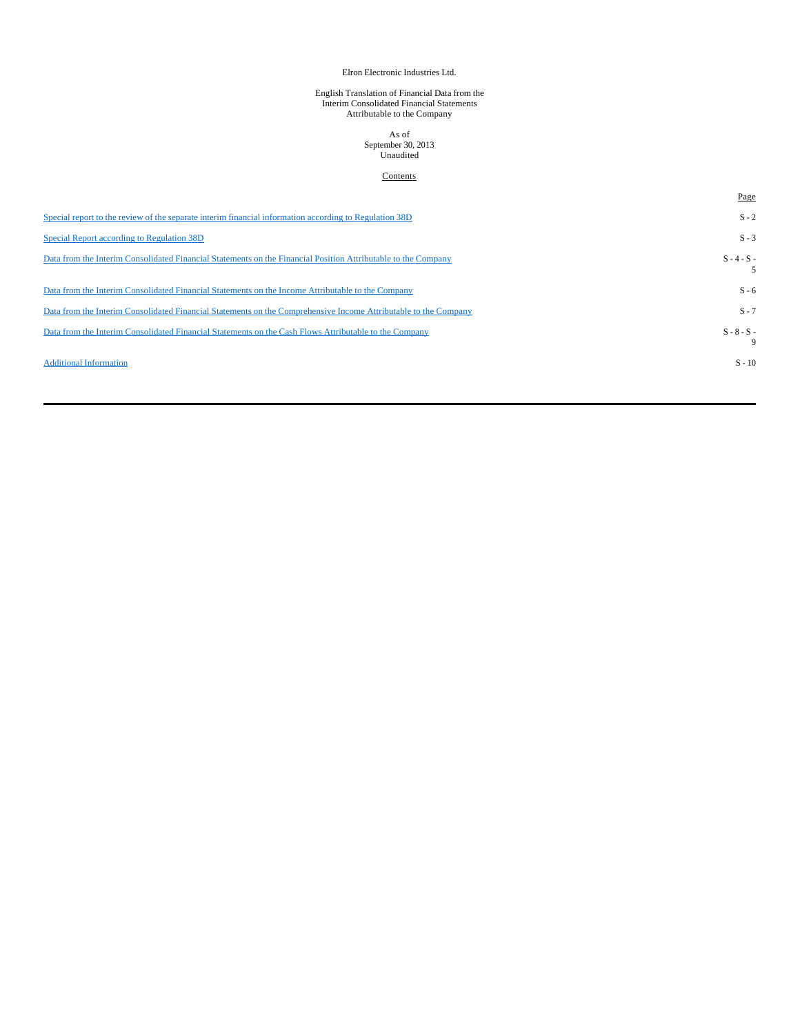# Elron Electronic Industries Ltd.

# English Translation of Financial Data from the Interim Consolidated Financial Statements Attributable to the Company

# As of September 30, 2013 Unaudited

### **Contents**

|                                                                                                                 | Page               |
|-----------------------------------------------------------------------------------------------------------------|--------------------|
| Special report to the review of the separate interim financial information according to Regulation 38D          | $S - 2$            |
| Special Report according to Regulation 38D                                                                      | $S - 3$            |
| Data from the Interim Consolidated Financial Statements on the Financial Position Attributable to the Company   | $S - 4 - S -$      |
| Data from the Interim Consolidated Financial Statements on the Income Attributable to the Company               | $S - 6$            |
| Data from the Interim Consolidated Financial Statements on the Comprehensive Income Attributable to the Company | $S - 7$            |
| Data from the Interim Consolidated Financial Statements on the Cash Flows Attributable to the Company           | $S - 8 - S -$<br>9 |
| <b>Additional Information</b>                                                                                   | $S - 10$           |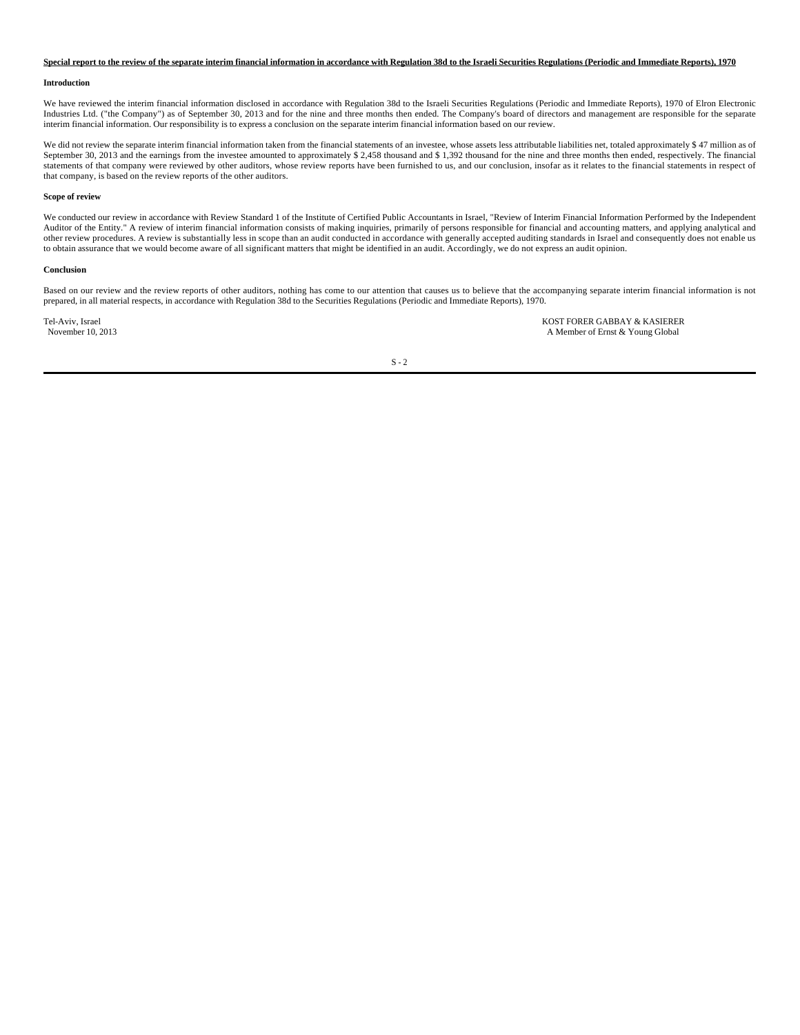#### **Special report to the review of the separate interim financial information in accordance with Regulation 38d to the Israeli Securities Regulations (Periodic and Immediate Reports), 1970**

#### **Introduction**

We have reviewed the interim financial information disclosed in accordance with Regulation 38d to the Israeli Securities Regulations (Periodic and Immediate Reports), 1970 of Elron Electronic Industries Ltd. ("the Company") as of September 30, 2013 and for the nine and three months then ended. The Company's board of directors and management are responsible for the separate interim financial information. Our responsibility is to express a conclusion on the separate interim financial information based on our review.

We did not review the separate interim financial information taken from the financial statements of an investee, whose assets less attributable liabilities net, totaled approximately \$ 47 million as of September 30, 2013 and the earnings from the investee amounted to approximately \$ 2,458 thousand and \$ 1,392 thousand for the nine and three months then ended, respectively. The financial statements of that company were reviewed by other auditors, whose review reports have been furnished to us, and our conclusion, insofar as it relates to the financial statements in respect of that company, is based on the review reports of the other auditors.

#### **Scope of review**

We conducted our review in accordance with Review Standard 1 of the Institute of Certified Public Accountants in Israel, "Review of Interim Financial Information Performed by the Independent Auditor of the Entity." A review of interim financial information consists of making inquiries, primarily of persons responsible for financial and accounting matters, and applying analytical and other review procedures. A review is substantially less in scope than an audit conducted in accordance with generally accepted auditing standards in Israel and consequently does not enable us to obtain assurance that we would become aware of all significant matters that might be identified in an audit. Accordingly, we do not express an audit opinion.

#### **Conclusion**

Based on our review and the review reports of other auditors, nothing has come to our attention that causes us to believe that the accompanying separate interim financial information is not prepared, in all material respects, in accordance with Regulation 38d to the Securities Regulations (Periodic and Immediate Reports), 1970.

Tel-Aviv, Israel **KOST FORER GABBAY & KASIERER**<br>
November 10, 2013<br>
A Member of Ernst & Young Global A Member of Ernst & Young Global

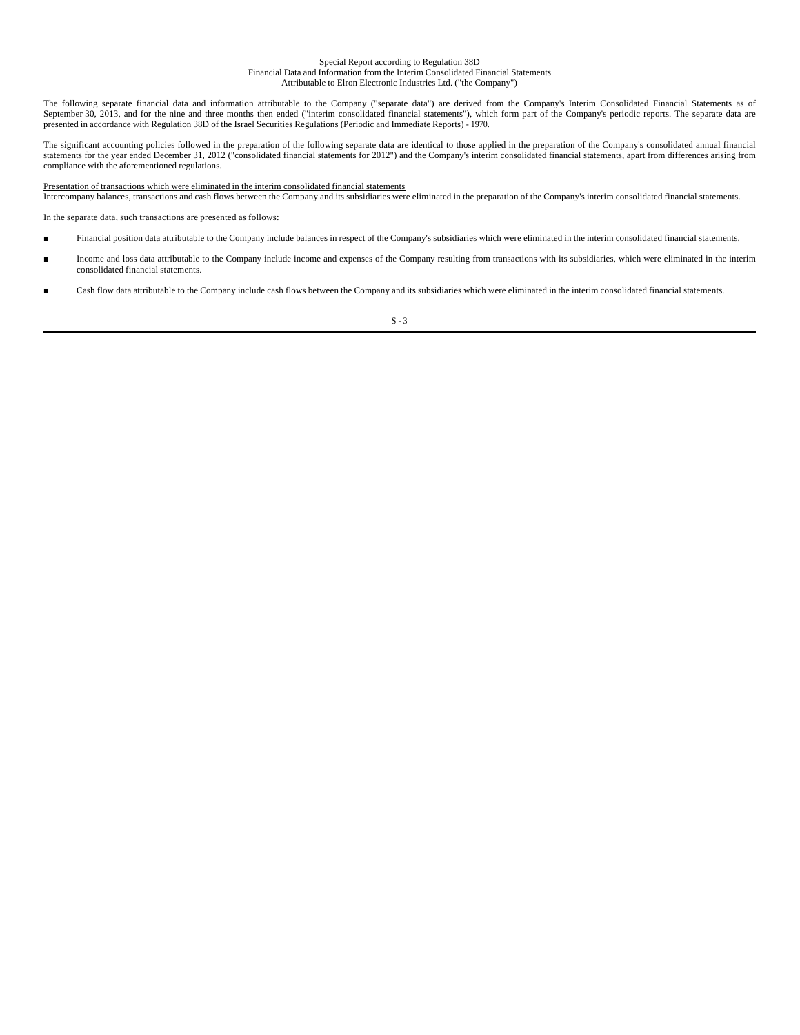#### Special Report according to Regulation 38D Financial Data and Information from the Interim Consolidated Financial Statements Attributable to Elron Electronic Industries Ltd. ("the Company")

The following separate financial data and information attributable to the Company ("separate data") are derived from the Company's Interim Consolidated Financial Statements as of September 30, 2013, and for the nine and three months then ended ("interim consolidated financial statements"), which form part of the Company's periodic reports. The separate data are presented in accordance with Regulation 38D of the Israel Securities Regulations (Periodic and Immediate Reports) - 1970.

The significant accounting policies followed in the preparation of the following separate data are identical to those applied in the preparation of the Company's consolidated annual financial statements for the year ended December 31, 2012 ("consolidated financial statements for 2012") and the Company's interim consolidated financial statements, apart from differences arising from compliance with the aforementioned regulations.

## Presentation of transactions which were eliminated in the interim consolidated financial statements

Intercompany balances, transactions and cash flows between the Company and its subsidiaries were eliminated in the preparation of the Company's interim consolidated financial statements.

In the separate data, such transactions are presented as follows:

- Financial position data attributable to the Company include balances in respect of the Company's subsidiaries which were eliminated in the interim consolidated financial statements.
- Income and loss data attributable to the Company include income and expenses of the Company resulting from transactions with its subsidiaries, which were eliminated in the interim consolidated financial statements.
- Cash flow data attributable to the Company include cash flows between the Company and its subsidiaries which were eliminated in the interim consolidated financial statements.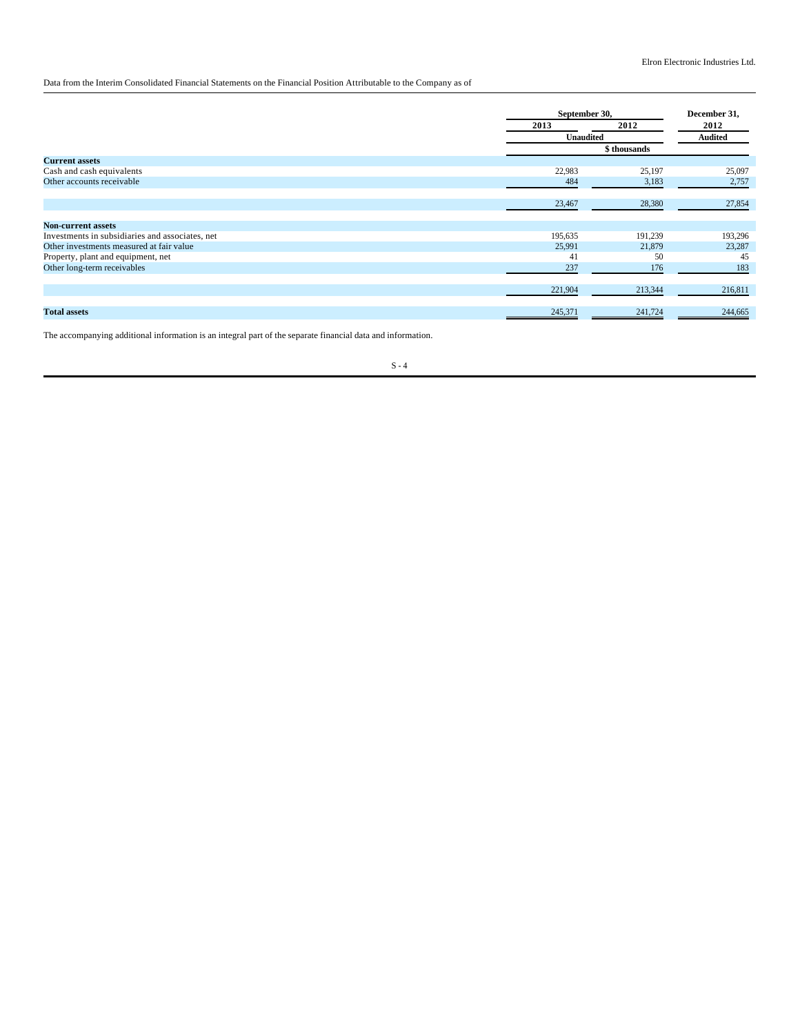Data from the Interim Consolidated Financial Statements on the Financial Position Attributable to the Company as of

|                                                 | September 30, |              | December 31,   |
|-------------------------------------------------|---------------|--------------|----------------|
|                                                 | 2013          | 2012         | 2012           |
|                                                 | Unaudited     |              | <b>Audited</b> |
|                                                 |               | \$ thousands |                |
| <b>Current assets</b>                           |               |              |                |
| Cash and cash equivalents                       | 22,983        | 25,197       | 25,097         |
| Other accounts receivable                       | 484           | 3,183        | 2,757          |
|                                                 |               |              |                |
|                                                 | 23,467        | 28,380       | 27,854         |
|                                                 |               |              |                |
| <b>Non-current assets</b>                       |               |              |                |
| Investments in subsidiaries and associates, net | 195,635       | 191,239      | 193,296        |
| Other investments measured at fair value        | 25,991        | 21,879       | 23,287         |
| Property, plant and equipment, net              | 41            | 50           | 45             |
| Other long-term receivables                     | 237           | 176          | 183            |
|                                                 |               |              |                |
|                                                 | 221,904       | 213,344      | 216,811        |
|                                                 |               |              |                |
| <b>Total assets</b>                             | 245,371       | 241,724      | 244,665        |

The accompanying additional information is an integral part of the separate financial data and information.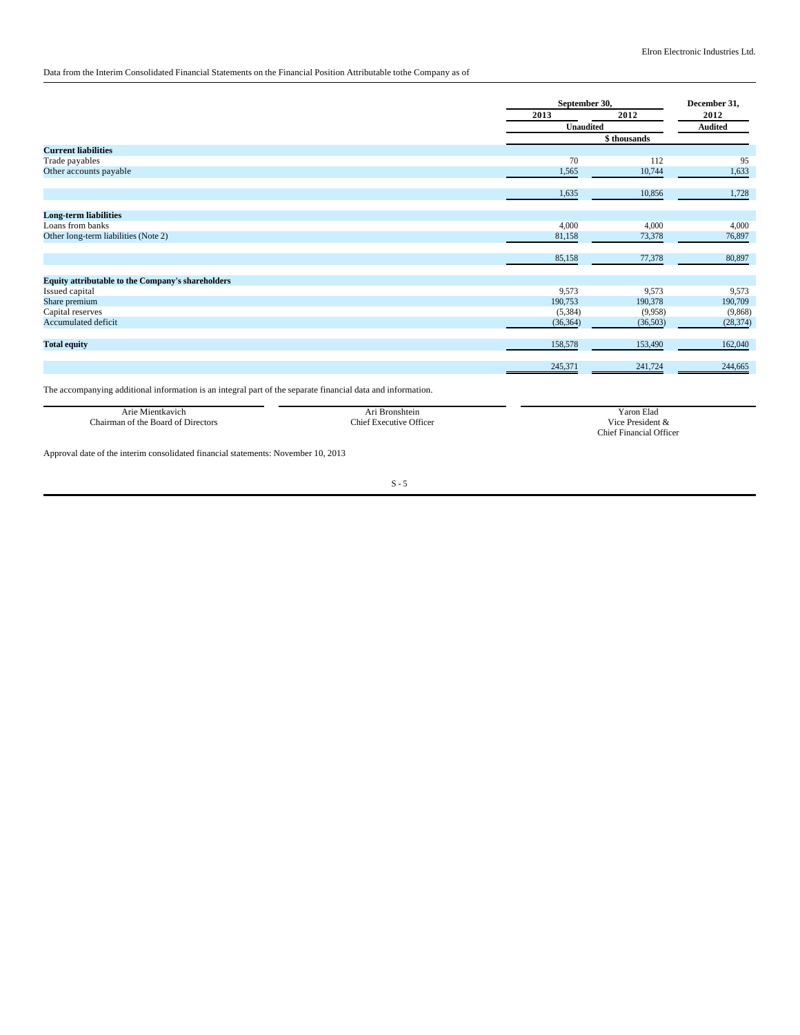# Data from the Interim Consolidated Financial Statements on the Financial Position Attributable tothe Company as of

|                                                          |           | September 30, |                |
|----------------------------------------------------------|-----------|---------------|----------------|
|                                                          | 2013      | 2012          | 2012           |
|                                                          | Unaudited |               | <b>Audited</b> |
|                                                          |           | \$thousands   |                |
| <b>Current liabilities</b>                               |           |               |                |
| Trade payables                                           | 70        | 112           | 95             |
| Other accounts payable                                   | 1,565     | 10,744        | 1,633          |
|                                                          | 1,635     | 10,856        | 1,728          |
| <b>Long-term liabilities</b>                             |           |               |                |
| Loans from banks                                         | 4,000     | 4,000         | 4,000          |
| Other long-term liabilities (Note 2)                     | 81,158    | 73,378        | 76,897         |
|                                                          | 85,158    | 77,378        | 80,897         |
| <b>Equity attributable to the Company's shareholders</b> |           |               |                |
| Issued capital                                           | 9,573     | 9,573         | 9,573          |
| Share premium                                            | 190,753   | 190,378       | 190,709        |
| Capital reserves                                         | (5, 384)  | (9,958)       | (9,868)        |
| Accumulated deficit                                      | (36, 364) | (36,503)      | (28, 374)      |
| <b>Total equity</b>                                      | 158,578   | 153,490       | 162,040        |
|                                                          | 245,371   | 241,724       | 244,665        |
|                                                          |           |               |                |

The accompanying additional information is an integral part of the separate financial data and information.

| Arie Mientkavich                   | <b>Bronshtein</b>              | Yaron Elad              |
|------------------------------------|--------------------------------|-------------------------|
| Chairman of the Board of Directors | <b>Chief Executive Officer</b> | Vice President &        |
|                                    |                                | Chief Financial Officer |

Approval date of the interim consolidated financial statements: November 10, 2013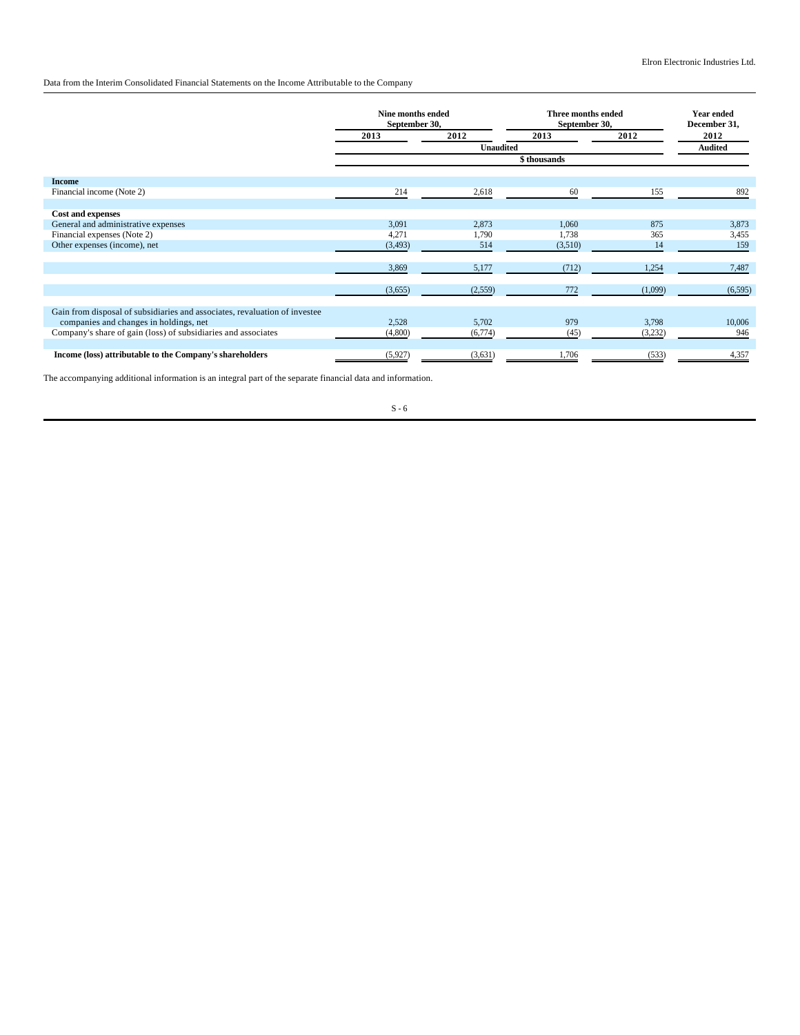Data from the Interim Consolidated Financial Statements on the Income Attributable to the Company

|                                                                            | Nine months ended<br>September 30, |                  | Three months ended<br>September 30, |         | <b>Year ended</b><br>December 31, |
|----------------------------------------------------------------------------|------------------------------------|------------------|-------------------------------------|---------|-----------------------------------|
|                                                                            | 2013                               | 2012             | 2013                                | 2012    | 2012                              |
|                                                                            |                                    | <b>Unaudited</b> |                                     |         | <b>Audited</b>                    |
|                                                                            | \$thousands                        |                  |                                     |         |                                   |
| <b>Income</b>                                                              |                                    |                  |                                     |         |                                   |
| Financial income (Note 2)                                                  | 214                                | 2,618            | 60                                  | 155     | 892                               |
|                                                                            |                                    |                  |                                     |         |                                   |
| <b>Cost and expenses</b>                                                   |                                    |                  |                                     |         |                                   |
| General and administrative expenses                                        | 3,091                              | 2,873            | 1,060                               | 875     | 3,873                             |
| Financial expenses (Note 2)                                                | 4,271                              | 1,790            | 1,738                               | 365     | 3,455                             |
| Other expenses (income), net                                               | (3, 493)                           | 514              | (3,510)                             | 14      | 159                               |
|                                                                            |                                    |                  |                                     |         |                                   |
|                                                                            | 3,869                              | 5,177            | (712)                               | 1,254   | 7,487                             |
|                                                                            |                                    |                  |                                     |         |                                   |
|                                                                            | (3,655)                            | (2, 559)         | 772                                 | (1,099) | (6, 595)                          |
|                                                                            |                                    |                  |                                     |         |                                   |
| Gain from disposal of subsidiaries and associates, revaluation of investee |                                    |                  |                                     |         |                                   |
| companies and changes in holdings, net                                     | 2,528                              | 5,702            | 979                                 | 3,798   | 10,006                            |
| Company's share of gain (loss) of subsidiaries and associates              | (4,800)                            | (6,774)          | (45)                                | (3,232) | 946                               |
|                                                                            |                                    |                  |                                     |         |                                   |
| Income (loss) attributable to the Company's shareholders                   | (5,927)                            | (3,631)          | 1,706                               | (533)   | 4,357                             |

The accompanying additional information is an integral part of the separate financial data and information.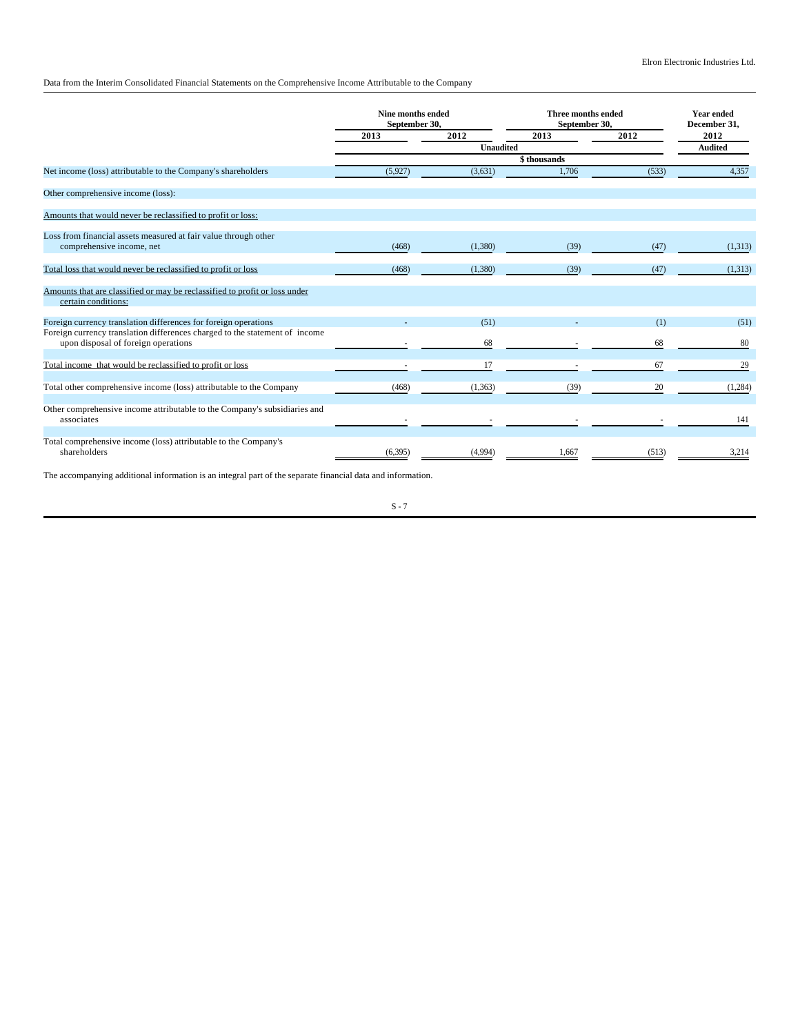Data from the Interim Consolidated Financial Statements on the Comprehensive Income Attributable to the Company

|                                                                                                   | Nine months ended<br>September 30, |                | <b>Three months ended</b><br>September 30, |       | <b>Year ended</b><br>December 31, |
|---------------------------------------------------------------------------------------------------|------------------------------------|----------------|--------------------------------------------|-------|-----------------------------------|
|                                                                                                   | 2013                               | 2012           | 2013                                       | 2012  | 2012                              |
|                                                                                                   |                                    | <b>Audited</b> |                                            |       |                                   |
|                                                                                                   | \$thousands                        |                |                                            |       |                                   |
| Net income (loss) attributable to the Company's shareholders                                      | (5,927)                            | (3,631)        | 1.706                                      | (533) | 4,357                             |
| Other comprehensive income (loss):                                                                |                                    |                |                                            |       |                                   |
| Amounts that would never be reclassified to profit or loss:                                       |                                    |                |                                            |       |                                   |
| Loss from financial assets measured at fair value through other                                   |                                    |                |                                            |       |                                   |
| comprehensive income, net                                                                         | (468)                              | (1,380)        | (39)                                       | (47)  | (1,313)                           |
| Total loss that would never be reclassified to profit or loss                                     | (468)                              | (1,380)        | (39)                                       | (47)  | (1,313)                           |
|                                                                                                   |                                    |                |                                            |       |                                   |
| Amounts that are classified or may be reclassified to profit or loss under<br>certain conditions: |                                    |                |                                            |       |                                   |
| Foreign currency translation differences for foreign operations                                   |                                    | (51)           |                                            | (1)   | (51)                              |
| Foreign currency translation differences charged to the statement of income                       |                                    |                |                                            |       |                                   |
| upon disposal of foreign operations                                                               |                                    | 68             |                                            | 68    | 80                                |
| Total income that would be reclassified to profit or loss                                         |                                    | 17             |                                            | 67    | 29                                |
| Total other comprehensive income (loss) attributable to the Company                               |                                    |                |                                            | 20    |                                   |
|                                                                                                   | (468)                              | (1, 363)       | (39)                                       |       | (1,284)                           |
| Other comprehensive income attributable to the Company's subsidiaries and<br>associates           |                                    |                |                                            |       | 141                               |
|                                                                                                   |                                    |                |                                            |       |                                   |
| Total comprehensive income (loss) attributable to the Company's<br>shareholders                   | (6, 395)                           | (4,994)        | 1,667                                      | (513) | 3,214                             |

The accompanying additional information is an integral part of the separate financial data and information.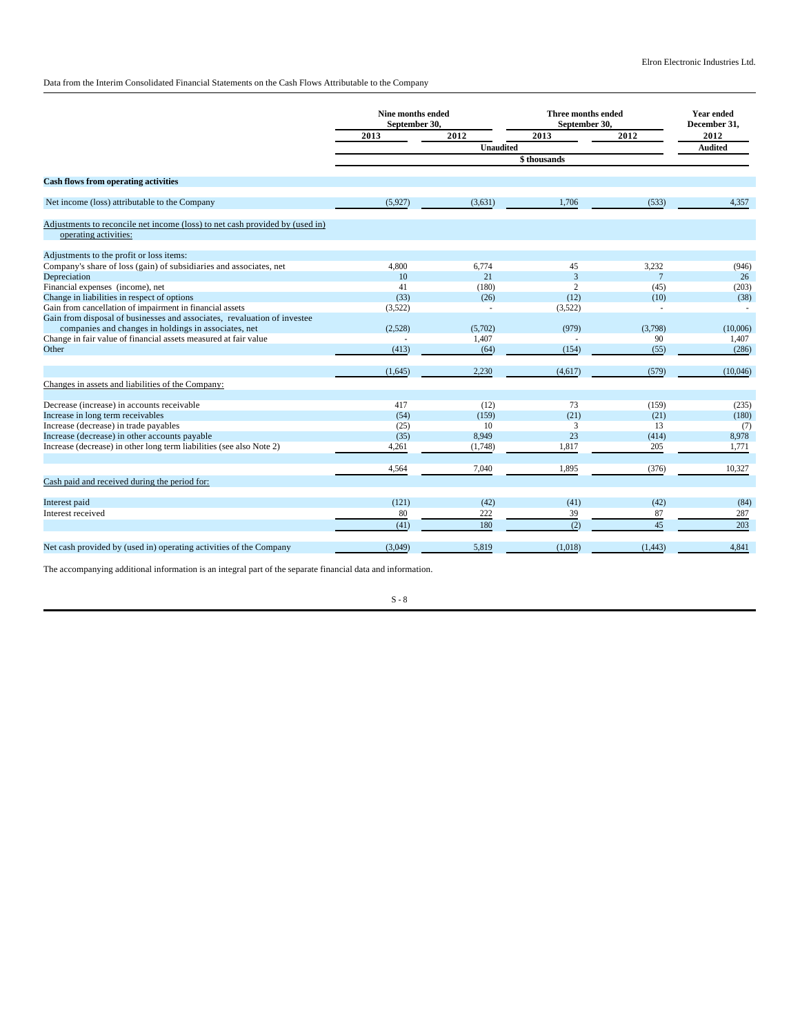Data from the Interim Consolidated Financial Statements on the Cash Flows Attributable to the Company

|                                                                                                       | Nine months ended<br>September 30, |                  | <b>Three months ended</b><br>September 30, |                 | <b>Year ended</b><br>December 31, |
|-------------------------------------------------------------------------------------------------------|------------------------------------|------------------|--------------------------------------------|-----------------|-----------------------------------|
|                                                                                                       | 2013                               | 2012             | 2013                                       | 2012            | 2012                              |
|                                                                                                       |                                    | <b>Unaudited</b> |                                            |                 | <b>Audited</b>                    |
|                                                                                                       |                                    | \$thousands      |                                            |                 |                                   |
| <b>Cash flows from operating activities</b>                                                           |                                    |                  |                                            |                 |                                   |
| Net income (loss) attributable to the Company                                                         | (5,927)                            | (3,631)          | 1,706                                      | (533)           | 4,357                             |
| Adjustments to reconcile net income (loss) to net cash provided by (used in)<br>operating activities: |                                    |                  |                                            |                 |                                   |
| Adjustments to the profit or loss items:                                                              |                                    |                  |                                            |                 |                                   |
| Company's share of loss (gain) of subsidiaries and associates, net                                    | 4.800                              | 6,774            | 45                                         | 3,232           | (946)                             |
| Depreciation                                                                                          | 10                                 | 21               | 3                                          | $7\phantom{.0}$ | 26                                |
| Financial expenses (income), net                                                                      | 41                                 | (180)            | $\overline{c}$                             | (45)            | (203)                             |
| Change in liabilities in respect of options                                                           | (33)                               | (26)             | (12)                                       | (10)            | (38)                              |
| Gain from cancellation of impairment in financial assets                                              | (3,522)                            | $\sim$           | (3,522)                                    | $\sim$          | $\overline{\phantom{a}}$          |
| Gain from disposal of businesses and associates, revaluation of investee                              |                                    |                  |                                            |                 |                                   |
| companies and changes in holdings in associates, net                                                  | (2,528)                            | (5,702)          | (979)                                      | (3,798)         | (10,006)                          |
| Change in fair value of financial assets measured at fair value                                       |                                    | 1,407            |                                            | 90              | 1,407                             |
| Other                                                                                                 | (413)                              | (64)             | (154)                                      | (55)            | (286)                             |
|                                                                                                       | (1,645)                            | 2,230            | (4,617)                                    | (579)           | (10,046)                          |
| Changes in assets and liabilities of the Company:                                                     |                                    |                  |                                            |                 |                                   |
| Decrease (increase) in accounts receivable                                                            | 417                                | (12)             | 73                                         | (159)           | (235)                             |
| Increase in long term receivables                                                                     | (54)                               | (159)            | (21)                                       | (21)            | (180)                             |
| Increase (decrease) in trade payables                                                                 | (25)                               | 10               | 3                                          | 13              | (7)                               |
| Increase (decrease) in other accounts payable                                                         | (35)                               | 8,949            | 23                                         | (414)           | 8,978                             |
| Increase (decrease) in other long term liabilities (see also Note 2)                                  | 4,261                              | (1,748)          | 1,817                                      | 205             | 1,771                             |
|                                                                                                       | 4,564                              | 7,040            | 1,895                                      | (376)           | 10,327                            |
| Cash paid and received during the period for:                                                         |                                    |                  |                                            |                 |                                   |
| Interest paid                                                                                         | (121)                              | (42)             | (41)                                       | (42)            | (84)                              |
| Interest received                                                                                     | 80                                 | 222              | 39                                         | 87              | 287                               |
|                                                                                                       | (41)                               | 180              | (2)                                        | 45              | 203                               |
| Net cash provided by (used in) operating activities of the Company                                    | (3,049)                            | 5,819            | (1,018)                                    | (1, 443)        | 4,841                             |
|                                                                                                       |                                    |                  |                                            |                 |                                   |

The accompanying additional information is an integral part of the separate financial data and information.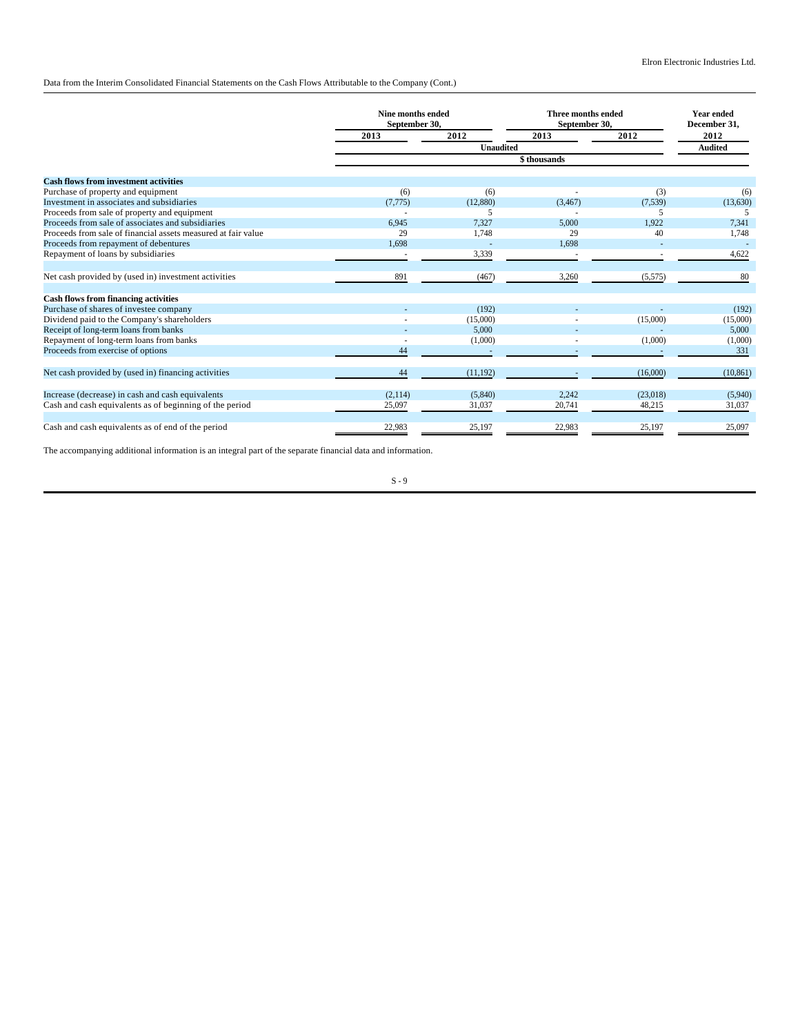Data from the Interim Consolidated Financial Statements on the Cash Flows Attributable to the Company (Cont.)

|                                                               | Nine months ended<br>September 30, |                  | <b>Three months ended</b><br>September 30, |          | <b>Year ended</b><br>December 31, |
|---------------------------------------------------------------|------------------------------------|------------------|--------------------------------------------|----------|-----------------------------------|
|                                                               | 2013                               | 2012             | 2013                                       | 2012     | 2012<br><b>Audited</b>            |
|                                                               |                                    | <b>Unaudited</b> |                                            |          |                                   |
|                                                               |                                    | \$thousands      |                                            |          |                                   |
| <b>Cash flows from investment activities</b>                  |                                    |                  |                                            |          |                                   |
| Purchase of property and equipment                            | (6)                                | (6)              |                                            | (3)      | (6)                               |
| Investment in associates and subsidiaries                     | (7, 775)                           | (12,880)         | (3, 467)                                   | (7,539)  | (13,630)                          |
| Proceeds from sale of property and equipment                  |                                    | 5                |                                            |          |                                   |
| Proceeds from sale of associates and subsidiaries             | 6.945                              | 7,327            | 5,000                                      | 1.922    | 7.341                             |
| Proceeds from sale of financial assets measured at fair value | 29                                 | 1,748            | 29                                         | 40       | 1,748                             |
| Proceeds from repayment of debentures                         | 1.698                              |                  | 1.698                                      |          |                                   |
| Repayment of loans by subsidiaries                            |                                    | 3,339            |                                            |          | 4,622                             |
| Net cash provided by (used in) investment activities          | 891                                | (467)            | 3,260                                      | (5,575)  | 80                                |
| <b>Cash flows from financing activities</b>                   |                                    |                  |                                            |          |                                   |
| Purchase of shares of investee company                        |                                    | (192)            |                                            |          | (192)                             |
| Dividend paid to the Company's shareholders                   |                                    | (15,000)         |                                            | (15,000) | (15,000)                          |
| Receipt of long-term loans from banks                         |                                    | 5.000            |                                            |          | 5.000                             |
| Repayment of long-term loans from banks                       |                                    | (1,000)          |                                            | (1,000)  | (1,000)                           |
| Proceeds from exercise of options                             | 44                                 |                  |                                            |          | 331                               |
| Net cash provided by (used in) financing activities           | 44                                 | (11, 192)        |                                            | (16,000) | (10, 861)                         |
| Increase (decrease) in cash and cash equivalents              | (2,114)                            | (5,840)          | 2,242                                      | (23,018) | (5,940)                           |
| Cash and cash equivalents as of beginning of the period       | 25,097                             | 31,037           | 20,741                                     | 48,215   | 31,037                            |
| Cash and cash equivalents as of end of the period             | 22,983                             | 25,197           | 22,983                                     | 25,197   | 25,097                            |

The accompanying additional information is an integral part of the separate financial data and information.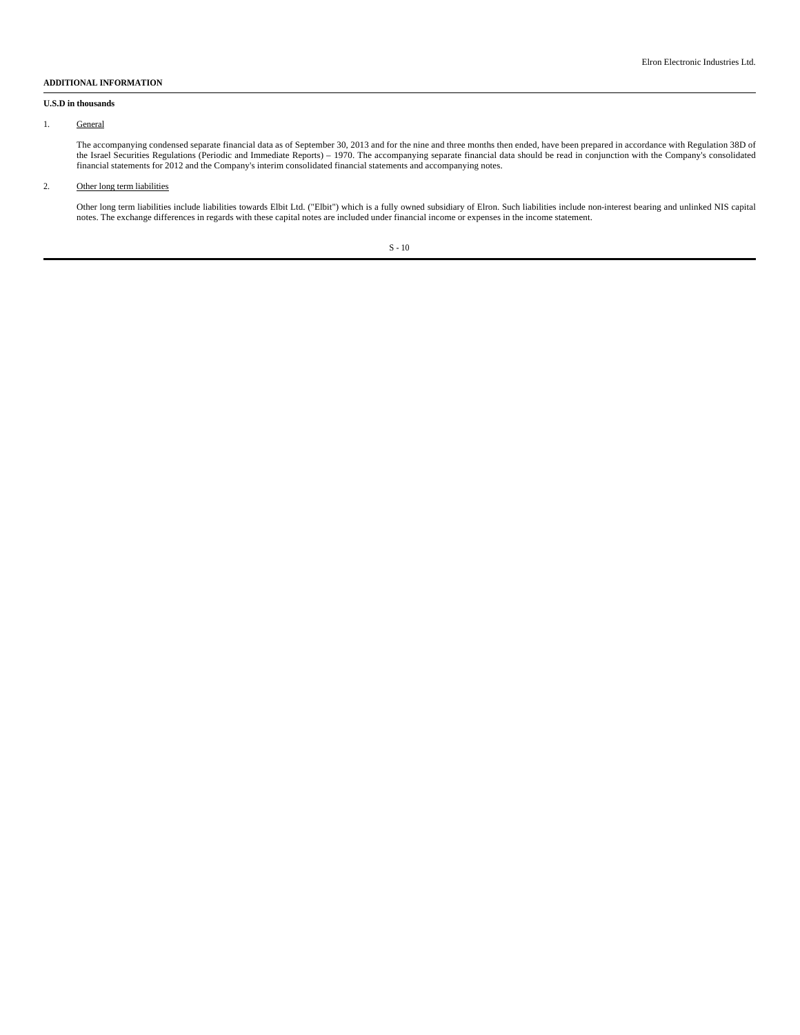#### **ADDITIONAL INFORMATION**

#### **U.S.D in thousands**

### 1. General

The accompanying condensed separate financial data as of September 30, 2013 and for the nine and three months then ended, have been prepared in accordance with Regulation 38D of the Israel Securities Regulations (Periodic and Immediate Reports) – 1970. The accompanying separate financial data should be read in conjunction with the Company's consolidated financial statements for 2012 and the Company's interim consolidated financial statements and accompanying notes.

## 2. Other long term liabilities

Other long term liabilities include liabilities towards Elbit Ltd. ("Elbit") which is a fully owned subsidiary of Elron. Such liabilities include non-interest bearing and unlinked NIS capital notes. The exchange differences in regards with these capital notes are included under financial income or expenses in the income statement.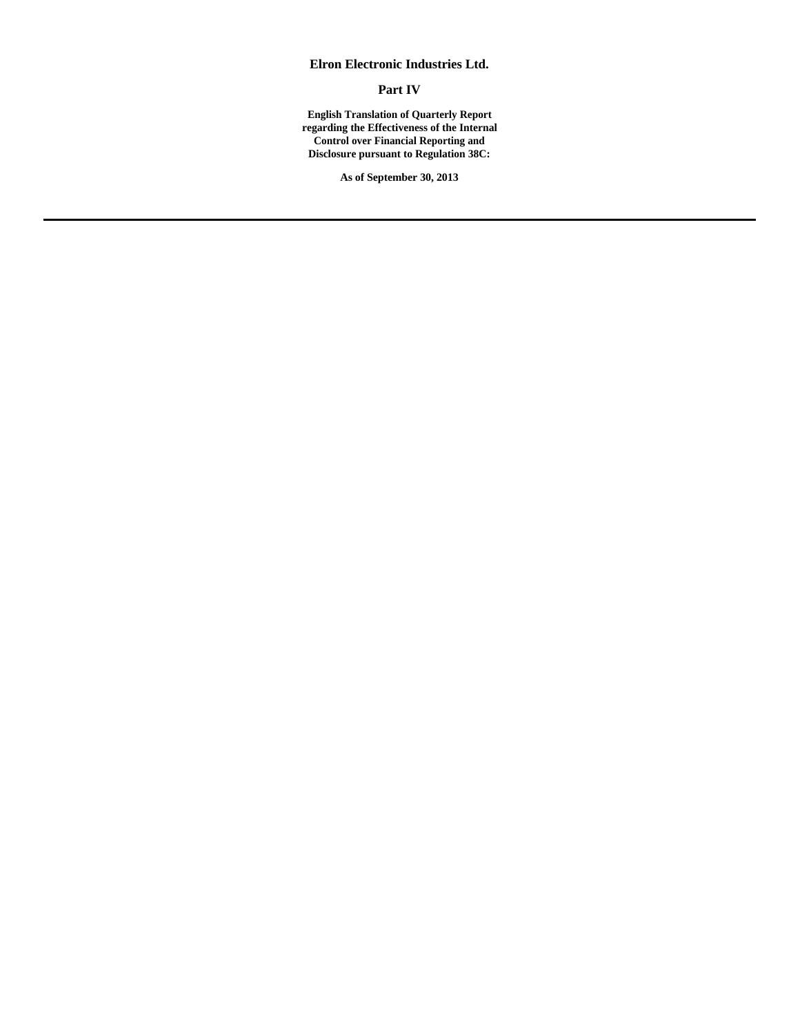# **Elron Electronic Industries Ltd.**

**Part IV**

**English Translation of Quarterly Report regarding the Effectiveness of the Internal Control over Financial Reporting and Disclosure pursuant to Regulation 38C:**

**As of September 30, 2013**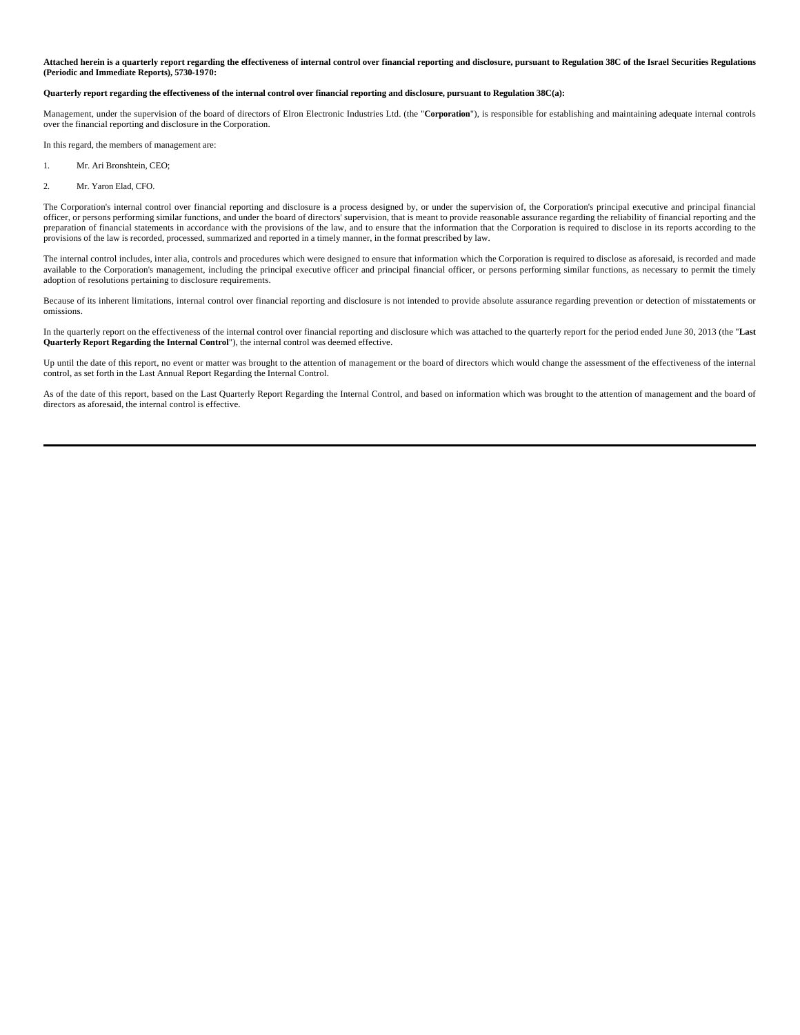**Attached herein is a quarterly report regarding the effectiveness of internal control over financial reporting and disclosure, pursuant to Regulation 38C of the Israel Securities Regulations (Periodic and Immediate Reports), 5730-1970:**

## **Quarterly report regarding the effectiveness of the internal control over financial reporting and disclosure, pursuant to Regulation 38C(a):**

Management, under the supervision of the board of directors of Elron Electronic Industries Ltd. (the "**Corporation**"), is responsible for establishing and maintaining adequate internal controls over the financial reporting and disclosure in the Corporation.

In this regard, the members of management are:

- 1. Mr. Ari Bronshtein, CEO;
- 2. Mr. Yaron Elad, CFO.

The Corporation's internal control over financial reporting and disclosure is a process designed by, or under the supervision of, the Corporation's principal executive and principal financial officer, or persons performing similar functions, and under the board of directors' supervision, that is meant to provide reasonable assurance regarding the reliability of financial reporting and the preparation of financial statements in accordance with the provisions of the law, and to ensure that the information that the Corporation is required to disclose in its reports according to the provisions of the law is recorded, processed, summarized and reported in a timely manner, in the format prescribed by law.

The internal control includes, inter alia, controls and procedures which were designed to ensure that information which the Corporation is required to disclose as aforesaid, is recorded and made available to the Corporation's management, including the principal executive officer and principal financial officer, or persons performing similar functions, as necessary to permit the timely adoption of resolutions pertaining to disclosure requirements.

Because of its inherent limitations, internal control over financial reporting and disclosure is not intended to provide absolute assurance regarding prevention or detection of misstatements or omissions.

In the quarterly report on the effectiveness of the internal control over financial reporting and disclosure which was attached to the quarterly report for the period ended June 30, 2013 (the "**Last Quarterly Report Regarding the Internal Control**"), the internal control was deemed effective.

Up until the date of this report, no event or matter was brought to the attention of management or the board of directors which would change the assessment of the effectiveness of the internal control, as set forth in the Last Annual Report Regarding the Internal Control.

As of the date of this report, based on the Last Quarterly Report Regarding the Internal Control, and based on information which was brought to the attention of management and the board of directors as aforesaid, the internal control is effective.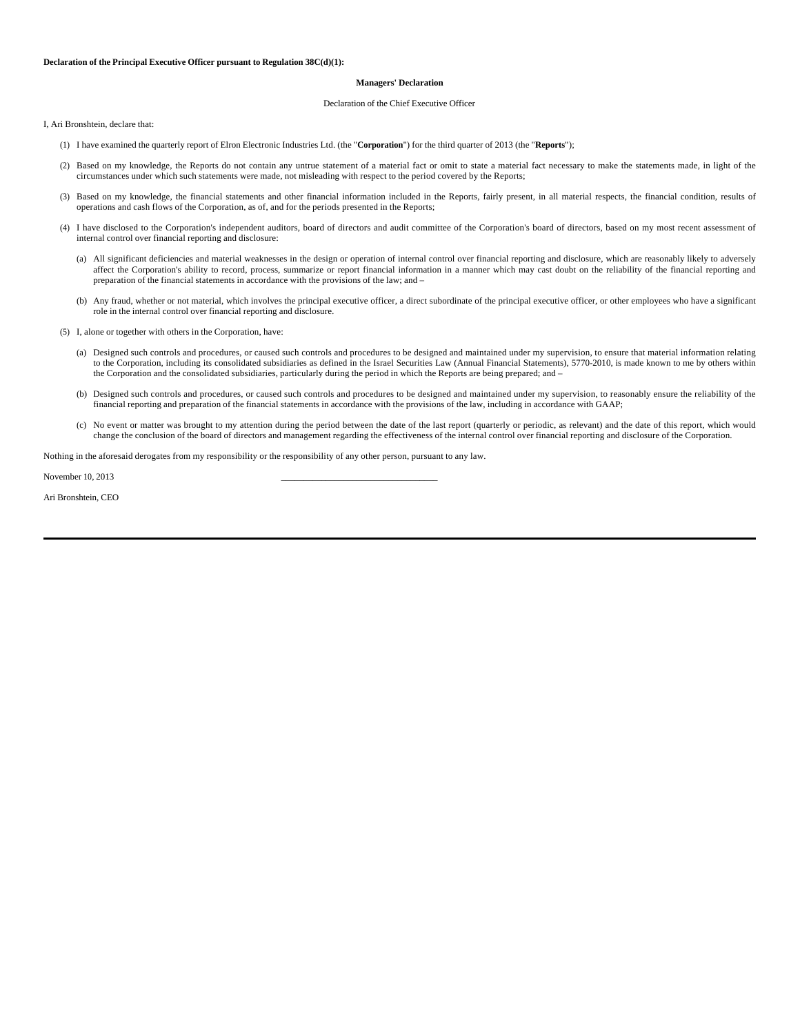#### **Managers' Declaration**

#### Declaration of the Chief Executive Officer

I, Ari Bronshtein, declare that:

- (1) I have examined the quarterly report of Elron Electronic Industries Ltd. (the "**Corporation**") for the third quarter of 2013 (the "**Reports**");
- (2) Based on my knowledge, the Reports do not contain any untrue statement of a material fact or omit to state a material fact necessary to make the statements made, in light of the circumstances under which such statements were made, not misleading with respect to the period covered by the Reports;
- (3) Based on my knowledge, the financial statements and other financial information included in the Reports, fairly present, in all material respects, the financial condition, results of operations and cash flows of the Corporation, as of, and for the periods presented in the Reports;
- (4) I have disclosed to the Corporation's independent auditors, board of directors and audit committee of the Corporation's board of directors, based on my most recent assessment of internal control over financial reporting and disclosure:
	- (a) All significant deficiencies and material weaknesses in the design or operation of internal control over financial reporting and disclosure, which are reasonably likely to adversely affect the Corporation's ability to record, process, summarize or report financial information in a manner which may cast doubt on the reliability of the financial reporting and preparation of the financial statements in accordance with the provisions of the law; and –
	- (b) Any fraud, whether or not material, which involves the principal executive officer, a direct subordinate of the principal executive officer, or other employees who have a significant role in the internal control over financial reporting and disclosure.
- (5) I, alone or together with others in the Corporation, have:
- (a) Designed such controls and procedures, or caused such controls and procedures to be designed and maintained under my supervision, to ensure that material information relating to the Corporation, including its consolida the Corporation and the consolidated subsidiaries, particularly during the period in which the Reports are being prepared; and –
	- (b) Designed such controls and procedures, or caused such controls and procedures to be designed and maintained under my supervision, to reasonably ensure the reliability of the financial reporting and preparation of the financial statements in accordance with the provisions of the law, including in accordance with GAAP;
	- (c) No event or matter was brought to my attention during the period between the date of the last report (quarterly or periodic, as relevant) and the date of this report, which would change the conclusion of the board of directors and management regarding the effectiveness of the internal control over financial reporting and disclosure of the Corporation.

Nothing in the aforesaid derogates from my responsibility or the responsibility of any other person, pursuant to any law.

November 10, 2013

Ari Bronshtein, CEO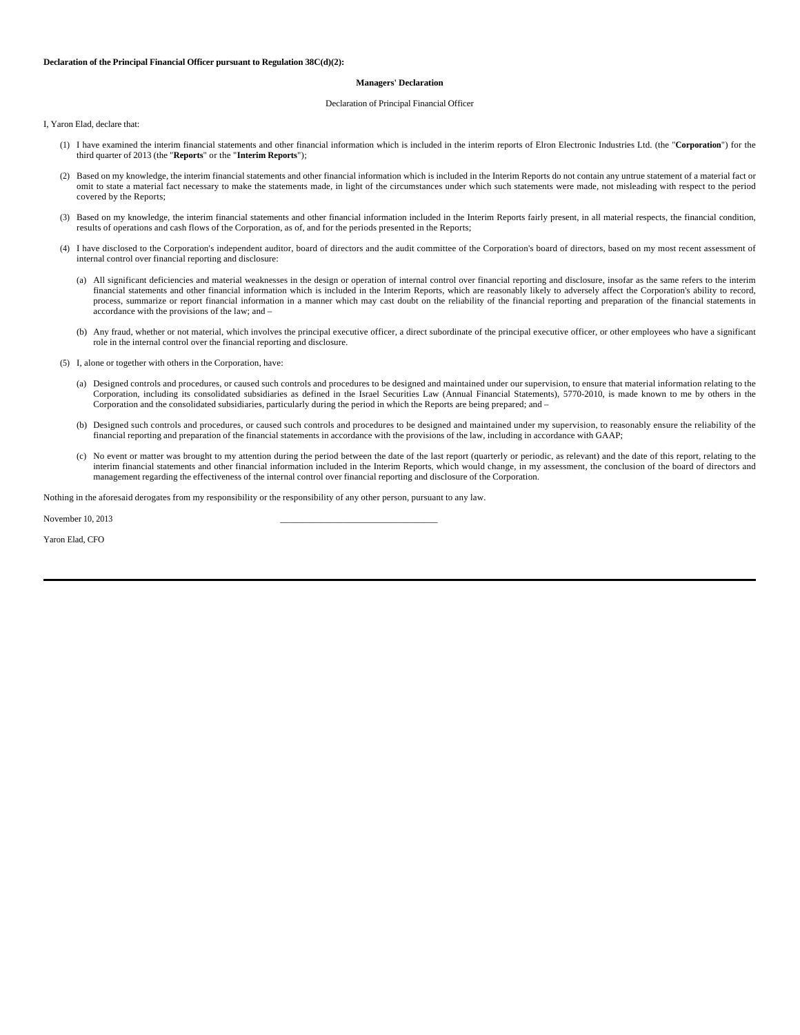#### **Declaration of the Principal Financial Officer pursuant to Regulation 38C(d)(2):**

#### **Managers' Declaration**

#### Declaration of Principal Financial Officer

I, Yaron Elad, declare that:

- (1) I have examined the interim financial statements and other financial information which is included in the interim reports of Elron Electronic Industries Ltd. (the "**Corporation**") for the third quarter of 2013 (the "**Reports**" or the "**Interim Reports**");
- (2) Based on my knowledge, the interim financial statements and other financial information which is included in the Interim Reports do not contain any untrue statement of a material fact or omit to state a material fact necessary to make the statements made, in light of the circumstances under which such statements were made, not misleading with respect to the period covered by the Reports;
- (3) Based on my knowledge, the interim financial statements and other financial information included in the Interim Reports fairly present, in all material respects, the financial condition, results of operations and cash flows of the Corporation, as of, and for the periods presented in the Reports;
- (4) I have disclosed to the Corporation's independent auditor, board of directors and the audit committee of the Corporation's board of directors, based on my most recent assessment of internal control over financial reporting and disclosure:
	- (a) All significant deficiencies and material weaknesses in the design or operation of internal control over financial reporting and disclosure, insofar as the same refers to the interim financial statements and other financial information which is included in the Interim Reports, which are reasonably likely to adversely affect the Corporation's ability to record, process, summarize or report financial information in a manner which may cast doubt on the reliability of the financial reporting and preparation of the financial statements in accordance with the provisions of the law; and –
	- (b) Any fraud, whether or not material, which involves the principal executive officer, a direct subordinate of the principal executive officer, or other employees who have a significant role in the internal control over the financial reporting and disclosure.
- (5) I, alone or together with others in the Corporation, have:
	- (a) Designed controls and procedures, or caused such controls and procedures to be designed and maintained under our supervision, to ensure that material information relating to the Corporation, including its consolidated subsidiaries as defined in the Israel Securities Law (Annual Financial Statements), 5770-2010, is made known to me by others in the Corporation and the consolidated subsidiaries, particularly during the period in which the Reports are being prepared; and –
	- (b) Designed such controls and procedures, or caused such controls and procedures to be designed and maintained under my supervision, to reasonably ensure the reliability of the financial reporting and preparation of the financial statements in accordance with the provisions of the law, including in accordance with GAAP;
	- (c) No event or matter was brought to my attention during the period between the date of the last report (quarterly or periodic, as relevant) and the date of this report, relating to the interim financial statements and other financial information included in the Interim Reports, which would change, in my assessment, the conclusion of the board of directors and management regarding the effectiveness of the internal control over financial reporting and disclosure of the Corporation.

Nothing in the aforesaid derogates from my responsibility or the responsibility of any other person, pursuant to any law.

November 10, 2013

Yaron Elad, CFO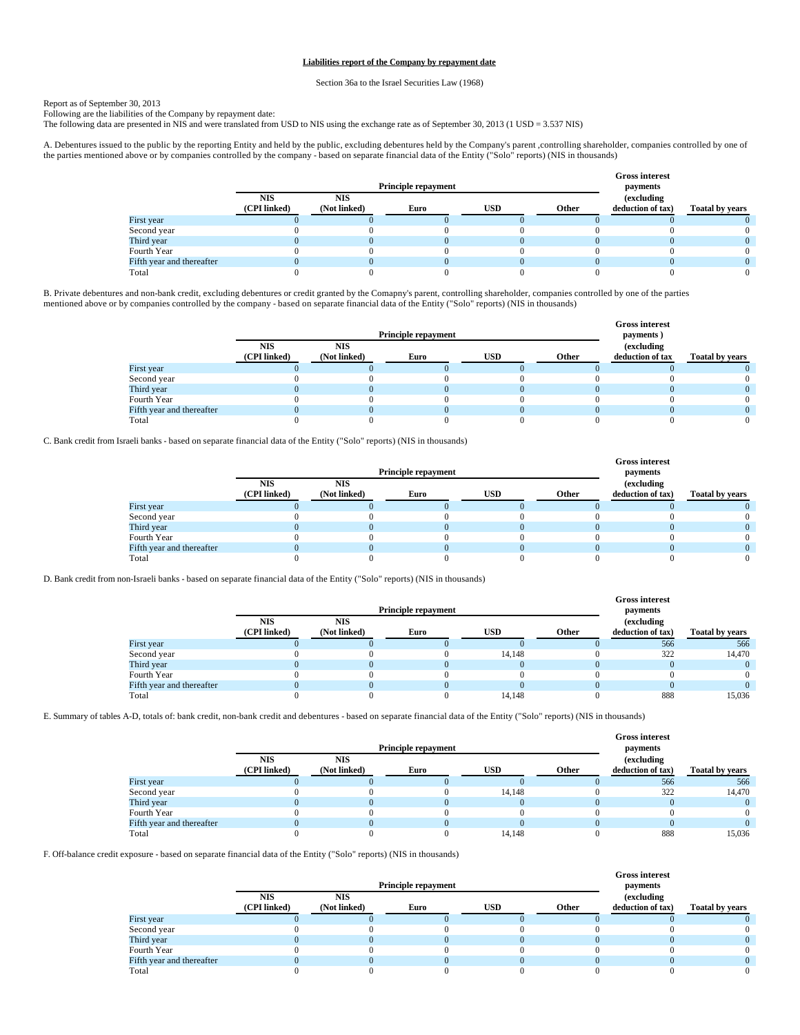## **Liabilities report of the Company by repayment date**

Section 36a to the Israel Securities Law (1968)

## Report as of September 30, 2013

Following are the liabilities of the Company by repayment date:

The following data are presented in NIS and were translated from USD to NIS using the exchange rate as of September 30, 2013 (1 USD = 3.537 NIS)

A. Debentures issued to the public by the reporting Entity and held by the public, excluding debentures held by the Company's parent ,controlling shareholder, companies controlled by one of the parties mentioned above or by companies controlled by the company - based on separate financial data of the Entity ("Solo" reports) (NIS in thousands)

|                           |            | <b>Principle repayment</b>                                |  | <b>Gross interest</b><br>payments |  |                                                                            |  |  |  |
|---------------------------|------------|-----------------------------------------------------------|--|-----------------------------------|--|----------------------------------------------------------------------------|--|--|--|
|                           | <b>NIS</b> | <b>NIS</b><br>USD<br>(CPI linked)<br>(Not linked)<br>Euro |  |                                   |  | <i>(excluding)</i><br>Other<br><b>Toatal by years</b><br>deduction of tax) |  |  |  |
|                           |            |                                                           |  |                                   |  |                                                                            |  |  |  |
| First year                |            |                                                           |  |                                   |  |                                                                            |  |  |  |
| Second year               |            |                                                           |  |                                   |  |                                                                            |  |  |  |
| Third year                |            |                                                           |  |                                   |  |                                                                            |  |  |  |
| Fourth Year               |            |                                                           |  |                                   |  |                                                                            |  |  |  |
| Fifth year and thereafter |            |                                                           |  |                                   |  |                                                                            |  |  |  |
| Total                     |            |                                                           |  |                                   |  |                                                                            |  |  |  |

B. Private debentures and non-bank credit, excluding debentures or credit granted by the Comapny's parent, controlling shareholder, companies controlled by one of the parties mentioned above or by companies controlled by the company - based on separate financial data of the Entity ("Solo" reports) (NIS in thousands)

|                           |                            | <b>Principle repayment</b> |      | <b>Gross interest</b><br>payments) |       |                                |                        |
|---------------------------|----------------------------|----------------------------|------|------------------------------------|-------|--------------------------------|------------------------|
|                           | <b>NIS</b><br>(CPI linked) | <b>NIS</b><br>(Not linked) | Euro | <b>USD</b>                         | Other | (excluding<br>deduction of tax | <b>Toatal by years</b> |
| First year                |                            |                            |      |                                    |       |                                |                        |
| Second year               |                            |                            |      |                                    |       |                                |                        |
| Third year                |                            |                            |      |                                    |       |                                |                        |
| Fourth Year               |                            |                            |      |                                    |       |                                |                        |
| Fifth year and thereafter |                            |                            |      |                                    |       |                                |                        |
| Total                     |                            |                            |      |                                    |       |                                |                        |

C. Bank credit from Israeli banks - based on separate financial data of the Entity ("Solo" reports) (NIS in thousands)

|                           |              | <b>Principle repayment</b> |      | <b>Gross interest</b><br>payments |            |                   |                        |  |
|---------------------------|--------------|----------------------------|------|-----------------------------------|------------|-------------------|------------------------|--|
|                           | <b>NIS</b>   | <b>NIS</b>                 |      |                                   | (excluding |                   |                        |  |
|                           | (CPI linked) | (Not linked)               | Euro | USD                               | Other      | deduction of tax) | <b>Toatal by years</b> |  |
| First year                |              |                            |      |                                   |            |                   |                        |  |
| Second year               |              |                            |      |                                   |            |                   |                        |  |
| Third year                |              |                            |      |                                   |            |                   |                        |  |
| Fourth Year               |              |                            |      |                                   |            |                   |                        |  |
| Fifth year and thereafter |              |                            |      |                                   |            |                   |                        |  |
| Total                     |              |                            |      |                                   |            |                   |                        |  |

D. Bank credit from non-Israeli banks - based on separate financial data of the Entity ("Solo" reports) (NIS in thousands)

|                           |                            | <b>Principle repayment</b> |      | <b>Gross interest</b><br>payments |       |                                 |                        |
|---------------------------|----------------------------|----------------------------|------|-----------------------------------|-------|---------------------------------|------------------------|
|                           | <b>NIS</b><br>(CPI linked) | <b>NIS</b><br>(Not linked) | Euro | <b>USD</b>                        | Other | (excluding<br>deduction of tax) | <b>Toatal by years</b> |
| First year                |                            |                            |      |                                   |       | 566                             | 566                    |
| Second year               |                            |                            |      | 14.148                            |       | 322                             | 14.470                 |
| Third year                |                            |                            |      |                                   |       |                                 |                        |
| Fourth Year               |                            |                            |      |                                   |       |                                 |                        |
| Fifth year and thereafter |                            |                            |      |                                   |       |                                 |                        |
| Total                     |                            |                            |      | 14.148                            |       | 888                             | 15.036                 |

E. Summary of tables A-D, totals of: bank credit, non-bank credit and debentures - based on separate financial data of the Entity ("Solo" reports) (NIS in thousands)

|                           |              |              |                            |            |       | <b>Gross interest</b> |                        |
|---------------------------|--------------|--------------|----------------------------|------------|-------|-----------------------|------------------------|
|                           |              |              | <b>Principle repayment</b> |            |       | payments              |                        |
|                           | <b>NIS</b>   | <b>NIS</b>   |                            |            |       | (excluding            |                        |
|                           | (CPI linked) | (Not linked) | Euro                       | <b>USD</b> | Other | deduction of tax)     | <b>Toatal by years</b> |
| First year                |              |              |                            |            |       | 566                   | 566                    |
| Second year               |              |              |                            | 14.148     |       | 322                   | 14,470                 |
| Third year                |              |              |                            |            |       |                       |                        |
| Fourth Year               |              |              |                            |            |       |                       |                        |
| Fifth year and thereafter |              |              |                            |            |       |                       |                        |
| Total                     |              |              |                            | 14.148     |       | 888                   | 15.036                 |

F. Off-balance credit exposure - based on separate financial data of the Entity ("Solo" reports) (NIS in thousands)

|                           |                            | <b>Principle repayment</b> |      | <b>Gross interest</b><br>payments |       |                                 |                        |
|---------------------------|----------------------------|----------------------------|------|-----------------------------------|-------|---------------------------------|------------------------|
|                           | <b>NIS</b><br>(CPI linked) | <b>NIS</b><br>(Not linked) | Euro | <b>USD</b>                        | Other | (excluding<br>deduction of tax) |                        |
|                           |                            |                            |      |                                   |       |                                 | <b>Toatal by years</b> |
| First year                |                            |                            |      |                                   |       |                                 |                        |
| Second year               |                            |                            |      |                                   |       |                                 |                        |
| Third year                |                            |                            |      |                                   |       |                                 |                        |
| Fourth Year               |                            |                            |      |                                   |       |                                 |                        |
| Fifth year and thereafter |                            |                            |      |                                   |       |                                 |                        |
| Total                     |                            |                            |      |                                   |       |                                 |                        |